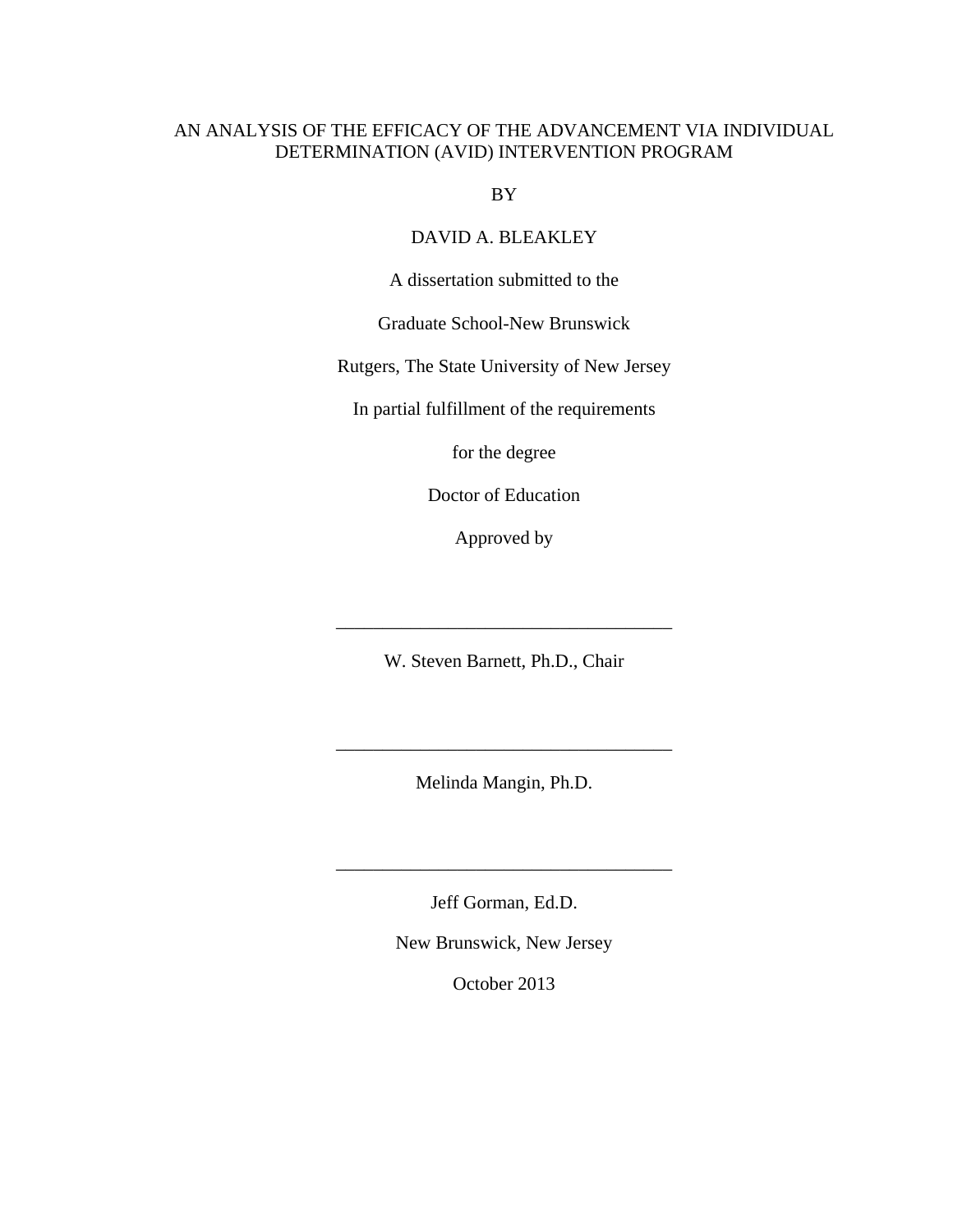# AN ANALYSIS OF THE EFFICACY OF THE ADVANCEMENT VIA INDIVIDUAL DETERMINATION (AVID) INTERVENTION PROGRAM

BY

DAVID A. BLEAKLEY

A dissertation submitted to the

Graduate School-New Brunswick

Rutgers, The State University of New Jersey

In partial fulfillment of the requirements

for the degree

Doctor of Education

Approved by

W. Steven Barnett, Ph.D., Chair

\_\_\_\_\_\_\_\_\_\_\_\_\_\_\_\_\_\_\_\_\_\_\_\_\_\_\_\_\_\_\_\_\_\_\_\_

Melinda Mangin, Ph.D.

\_\_\_\_\_\_\_\_\_\_\_\_\_\_\_\_\_\_\_\_\_\_\_\_\_\_\_\_\_\_\_\_\_\_\_\_

Jeff Gorman, Ed.D.

\_\_\_\_\_\_\_\_\_\_\_\_\_\_\_\_\_\_\_\_\_\_\_\_\_\_\_\_\_\_\_\_\_\_\_\_

New Brunswick, New Jersey

October 2013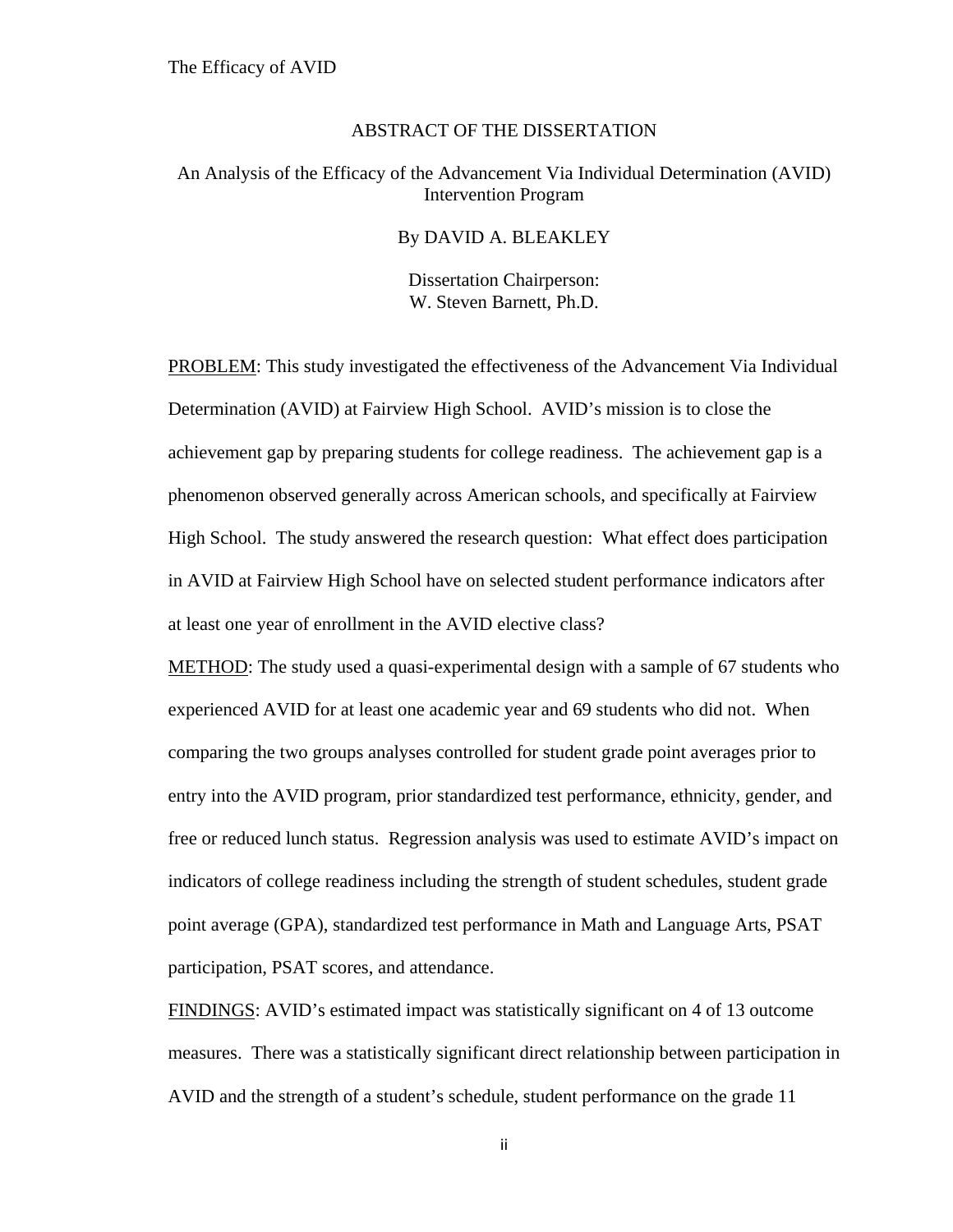## ABSTRACT OF THE DISSERTATION

## An Analysis of the Efficacy of the Advancement Via Individual Determination (AVID) Intervention Program

### By DAVID A. BLEAKLEY

Dissertation Chairperson: W. Steven Barnett, Ph.D.

PROBLEM: This study investigated the effectiveness of the Advancement Via Individual Determination (AVID) at Fairview High School. AVID's mission is to close the achievement gap by preparing students for college readiness. The achievement gap is a phenomenon observed generally across American schools, and specifically at Fairview High School. The study answered the research question: What effect does participation in AVID at Fairview High School have on selected student performance indicators after at least one year of enrollment in the AVID elective class?

METHOD: The study used a quasi-experimental design with a sample of 67 students who experienced AVID for at least one academic year and 69 students who did not. When comparing the two groups analyses controlled for student grade point averages prior to entry into the AVID program, prior standardized test performance, ethnicity, gender, and free or reduced lunch status. Regression analysis was used to estimate AVID's impact on indicators of college readiness including the strength of student schedules, student grade point average (GPA), standardized test performance in Math and Language Arts, PSAT participation, PSAT scores, and attendance.

FINDINGS: AVID's estimated impact was statistically significant on 4 of 13 outcome measures. There was a statistically significant direct relationship between participation in AVID and the strength of a student's schedule, student performance on the grade 11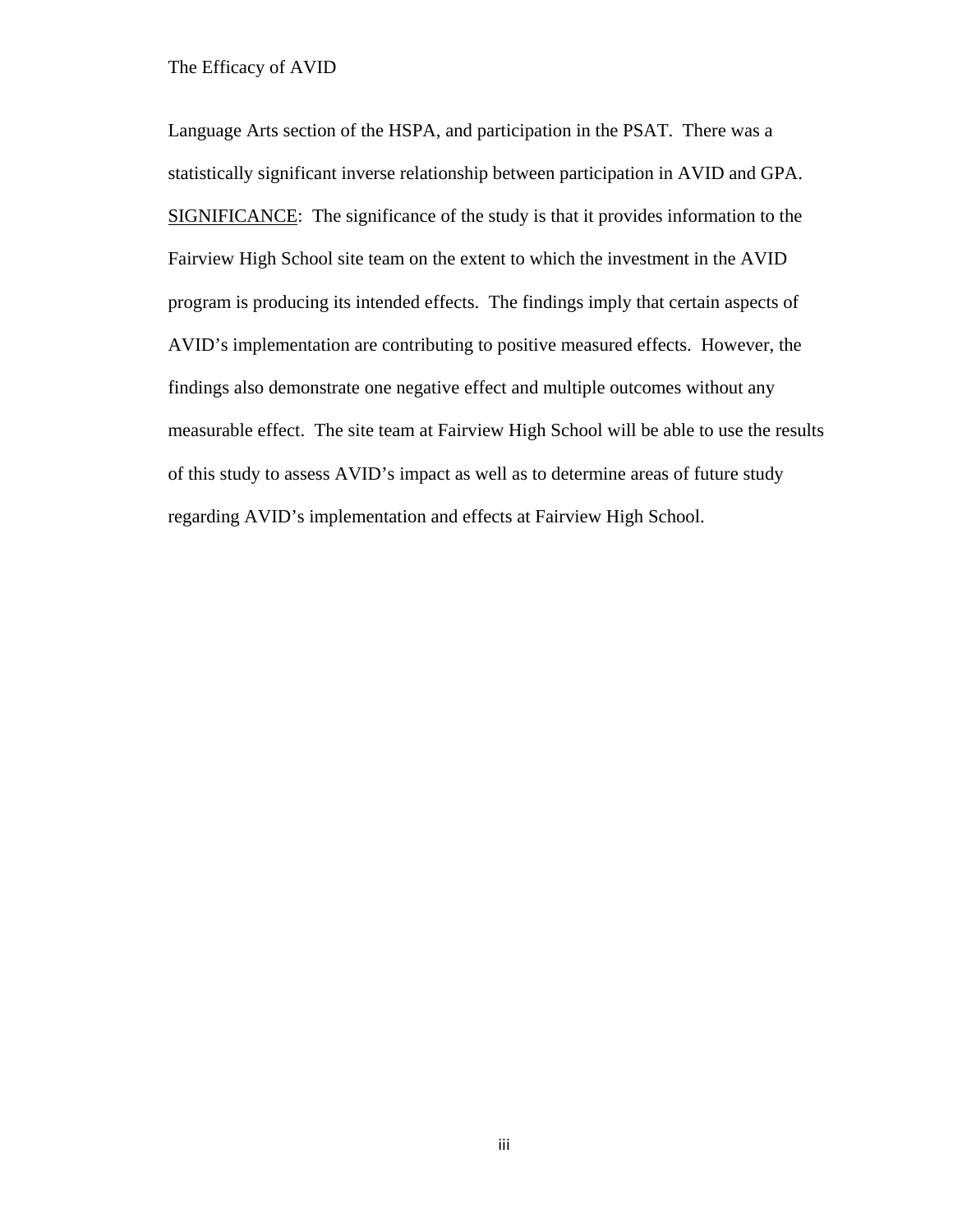Language Arts section of the HSPA, and participation in the PSAT. There was a statistically significant inverse relationship between participation in AVID and GPA. SIGNIFICANCE: The significance of the study is that it provides information to the Fairview High School site team on the extent to which the investment in the AVID program is producing its intended effects. The findings imply that certain aspects of AVID's implementation are contributing to positive measured effects. However, the findings also demonstrate one negative effect and multiple outcomes without any measurable effect. The site team at Fairview High School will be able to use the results of this study to assess AVID's impact as well as to determine areas of future study regarding AVID's implementation and effects at Fairview High School.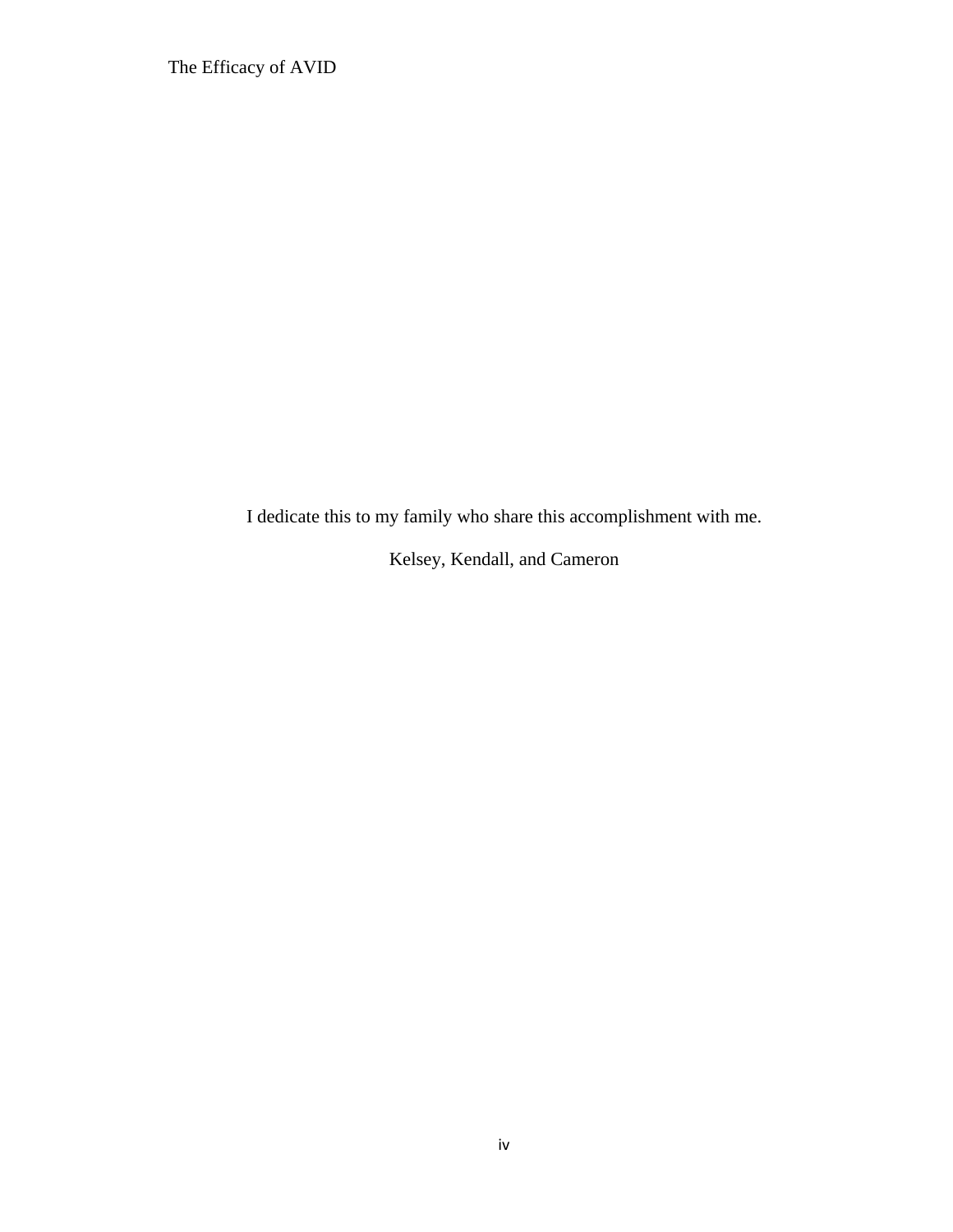I dedicate this to my family who share this accomplishment with me.

Kelsey, Kendall, and Cameron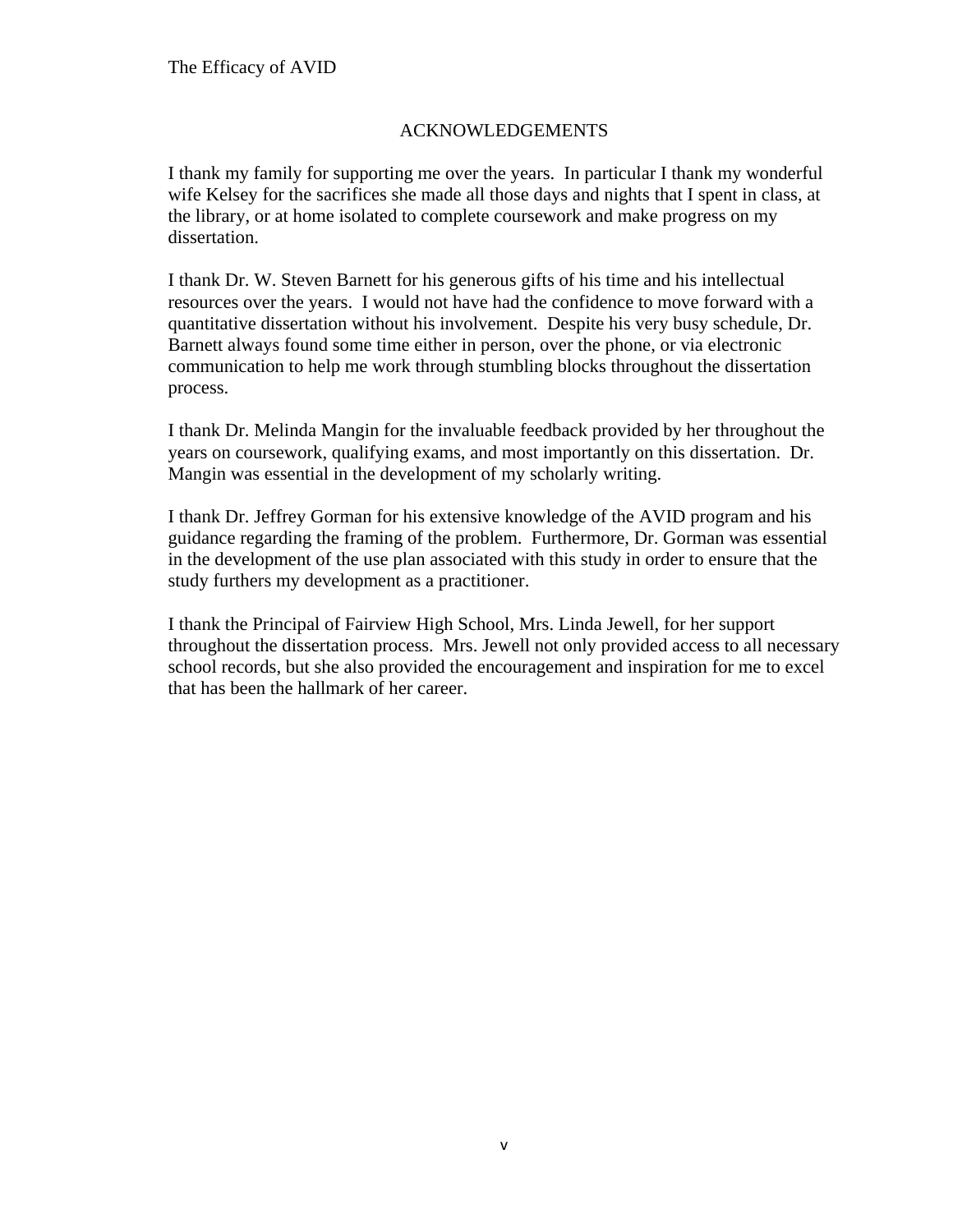# ACKNOWLEDGEMENTS

I thank my family for supporting me over the years. In particular I thank my wonderful wife Kelsey for the sacrifices she made all those days and nights that I spent in class, at the library, or at home isolated to complete coursework and make progress on my dissertation.

I thank Dr. W. Steven Barnett for his generous gifts of his time and his intellectual resources over the years. I would not have had the confidence to move forward with a quantitative dissertation without his involvement. Despite his very busy schedule, Dr. Barnett always found some time either in person, over the phone, or via electronic communication to help me work through stumbling blocks throughout the dissertation process.

I thank Dr. Melinda Mangin for the invaluable feedback provided by her throughout the years on coursework, qualifying exams, and most importantly on this dissertation. Dr. Mangin was essential in the development of my scholarly writing.

I thank Dr. Jeffrey Gorman for his extensive knowledge of the AVID program and his guidance regarding the framing of the problem. Furthermore, Dr. Gorman was essential in the development of the use plan associated with this study in order to ensure that the study furthers my development as a practitioner.

I thank the Principal of Fairview High School, Mrs. Linda Jewell, for her support throughout the dissertation process. Mrs. Jewell not only provided access to all necessary school records, but she also provided the encouragement and inspiration for me to excel that has been the hallmark of her career.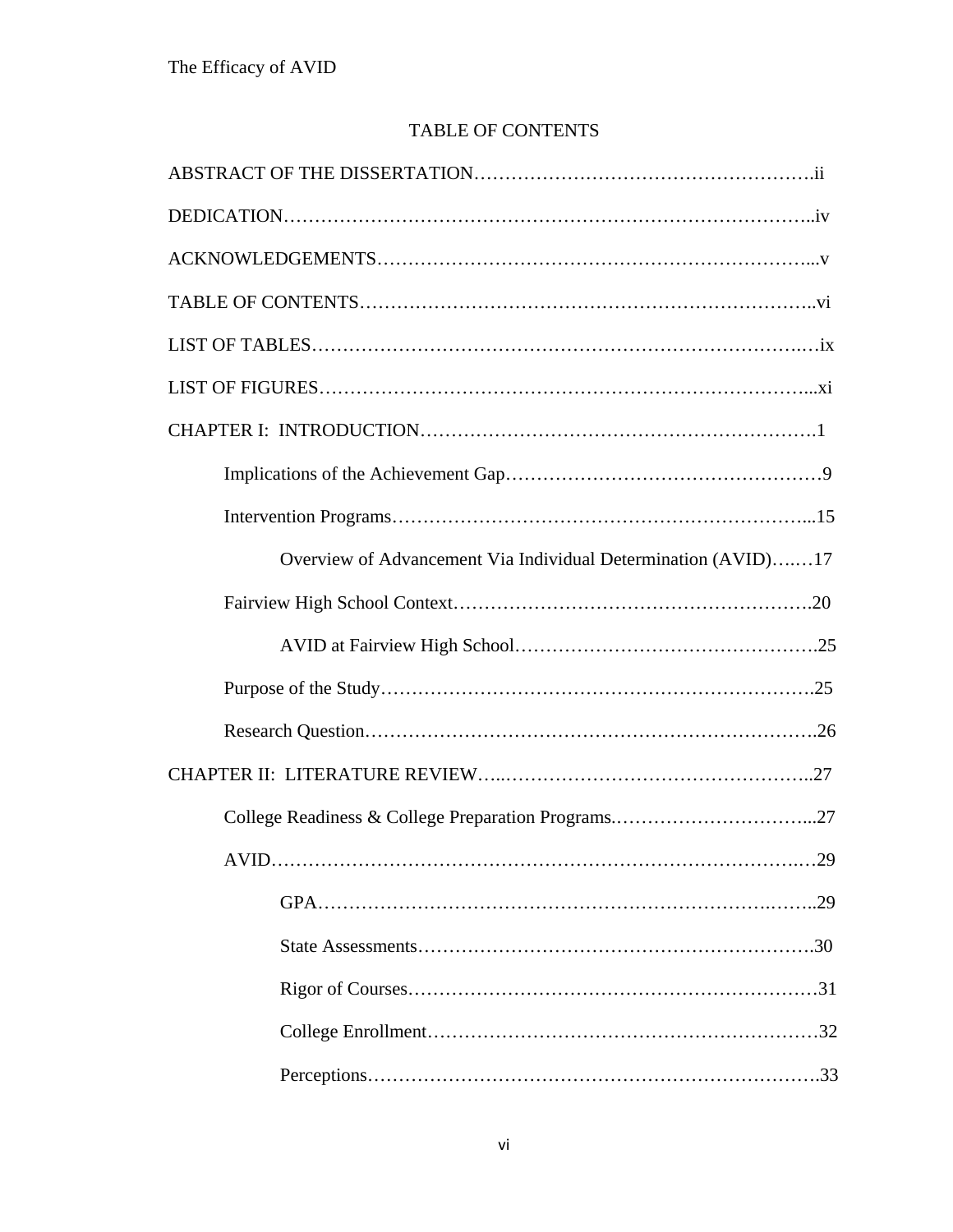# TABLE OF CONTENTS

| Overview of Advancement Via Individual Determination (AVID)17 |
|---------------------------------------------------------------|
|                                                               |
|                                                               |
|                                                               |
|                                                               |
|                                                               |
|                                                               |
|                                                               |
|                                                               |
|                                                               |
|                                                               |
|                                                               |
|                                                               |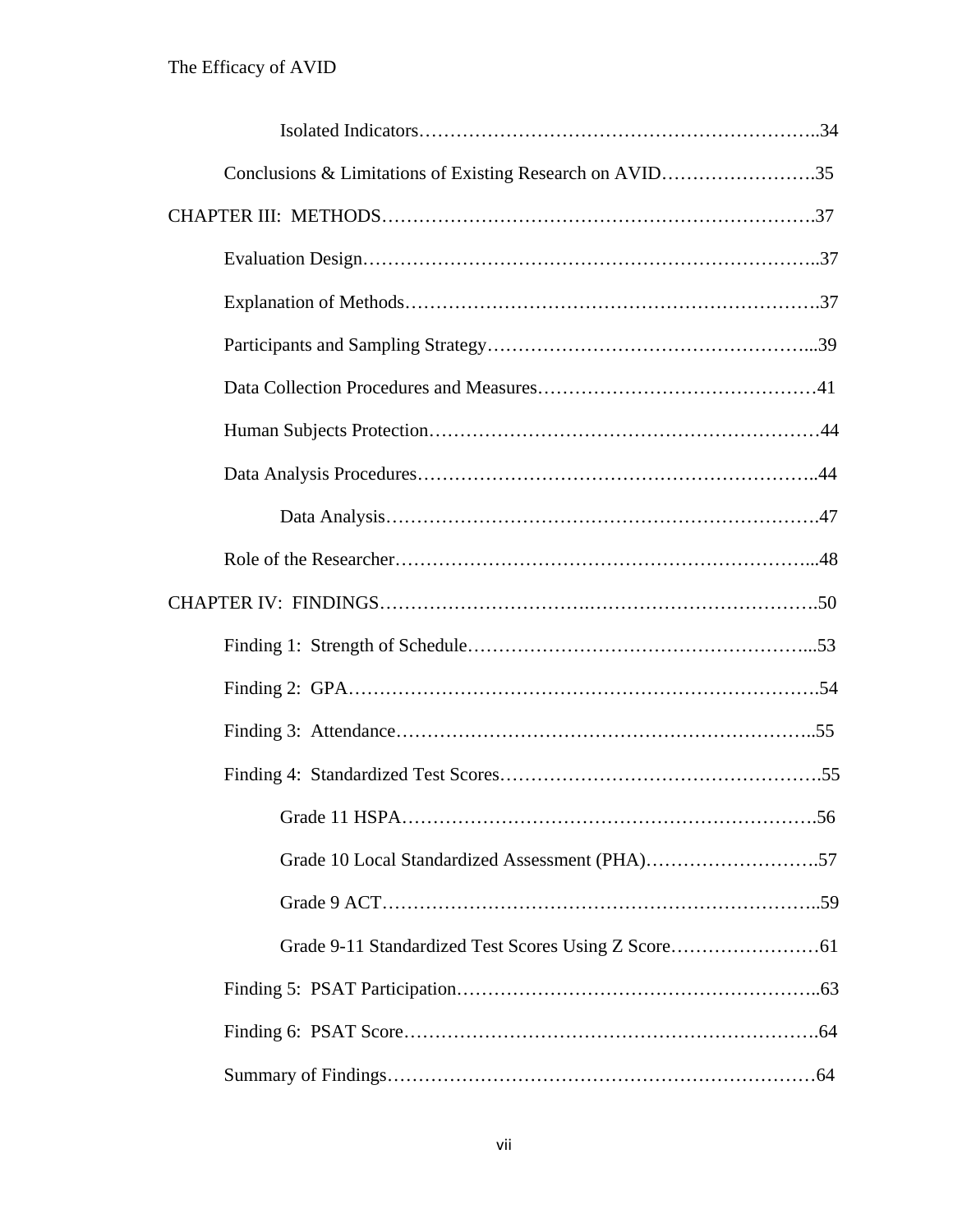| Conclusions & Limitations of Existing Research on AVID35 |
|----------------------------------------------------------|
|                                                          |
|                                                          |
|                                                          |
|                                                          |
|                                                          |
|                                                          |
|                                                          |
|                                                          |
|                                                          |
|                                                          |
|                                                          |
|                                                          |
|                                                          |
|                                                          |
|                                                          |
|                                                          |
|                                                          |
|                                                          |
|                                                          |
|                                                          |
|                                                          |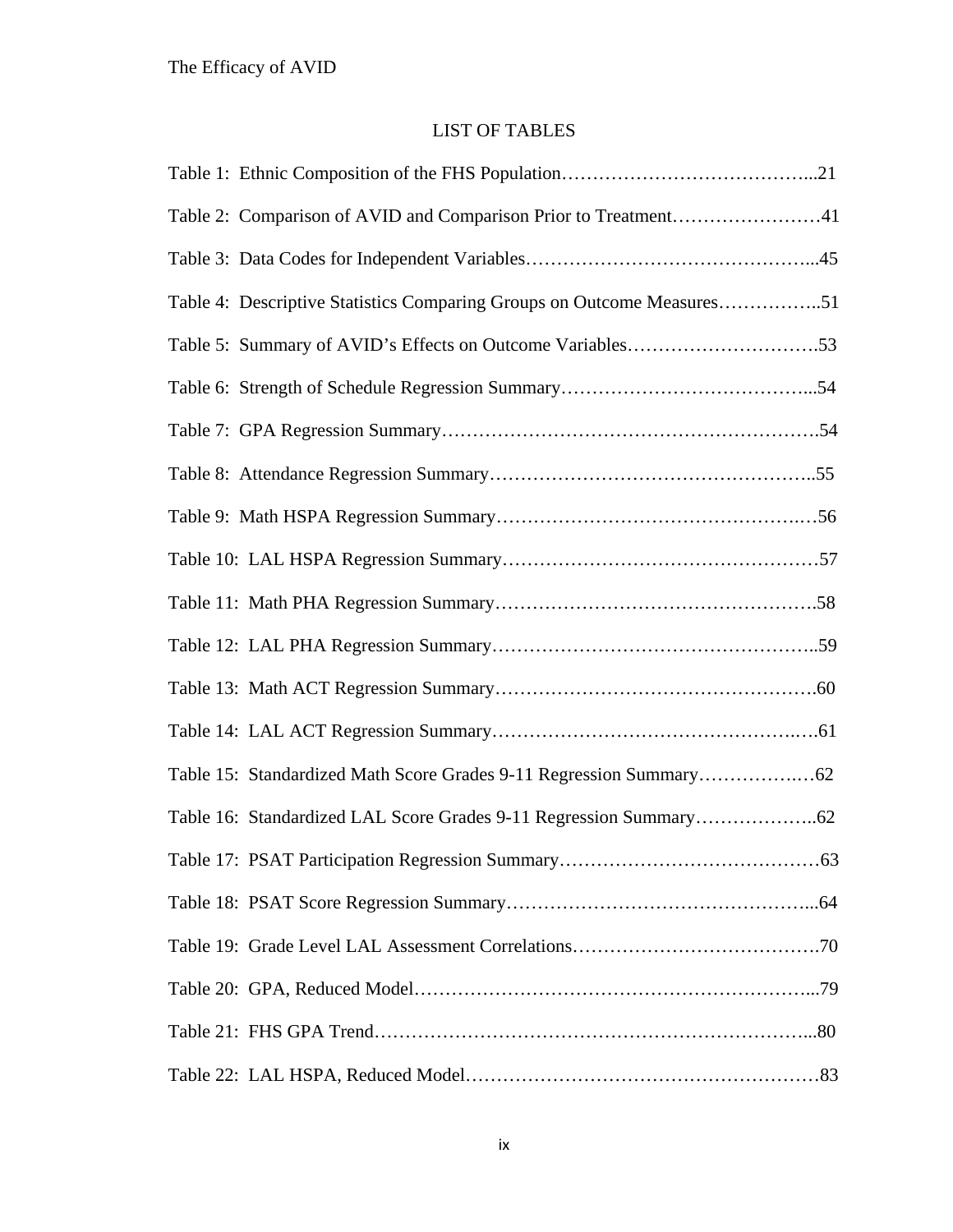# LIST OF TABLES

| Table 4: Descriptive Statistics Comparing Groups on Outcome Measures51 |
|------------------------------------------------------------------------|
|                                                                        |
|                                                                        |
|                                                                        |
|                                                                        |
|                                                                        |
|                                                                        |
|                                                                        |
|                                                                        |
|                                                                        |
|                                                                        |
|                                                                        |
|                                                                        |
|                                                                        |
|                                                                        |
|                                                                        |
|                                                                        |
|                                                                        |
|                                                                        |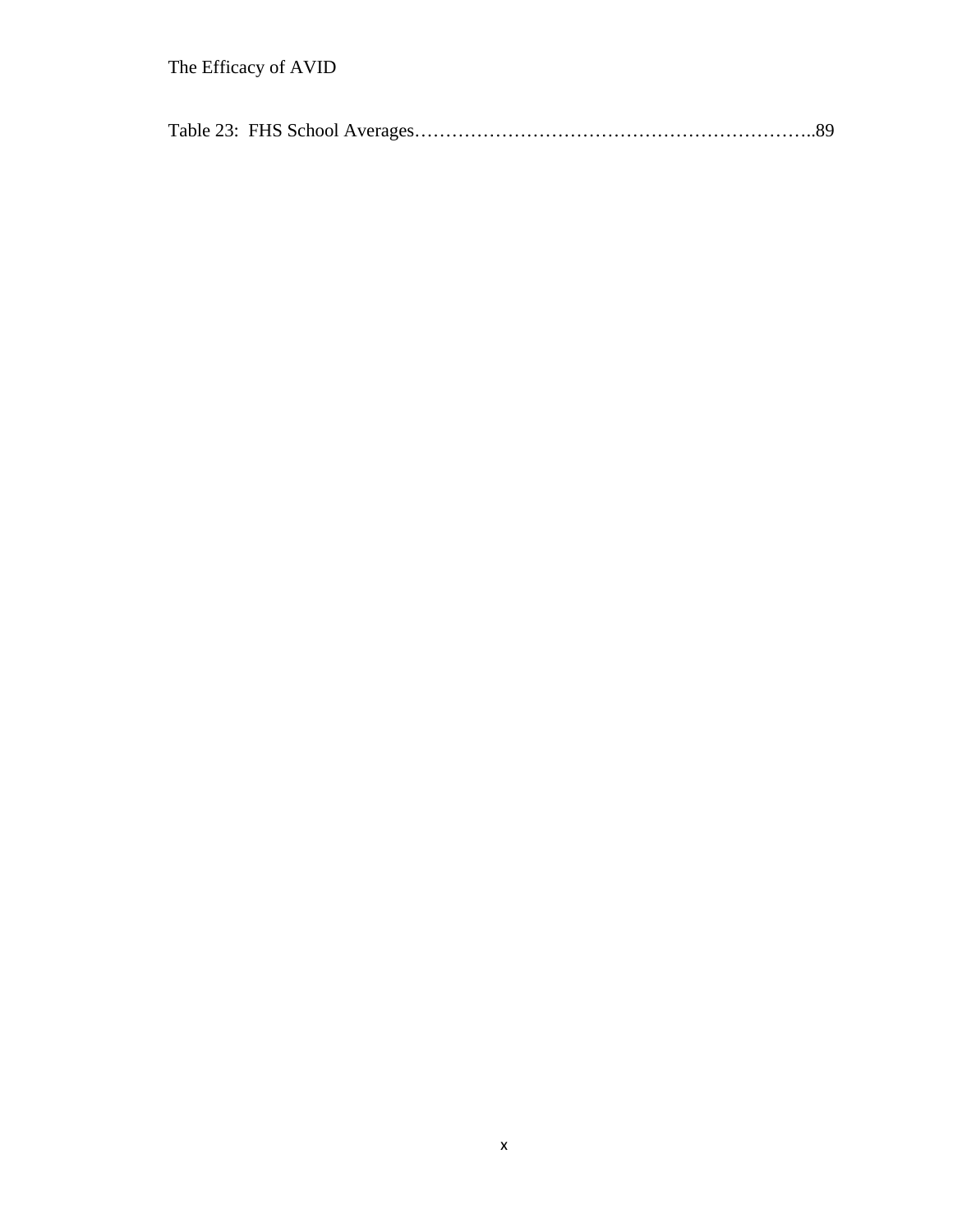|--|--|--|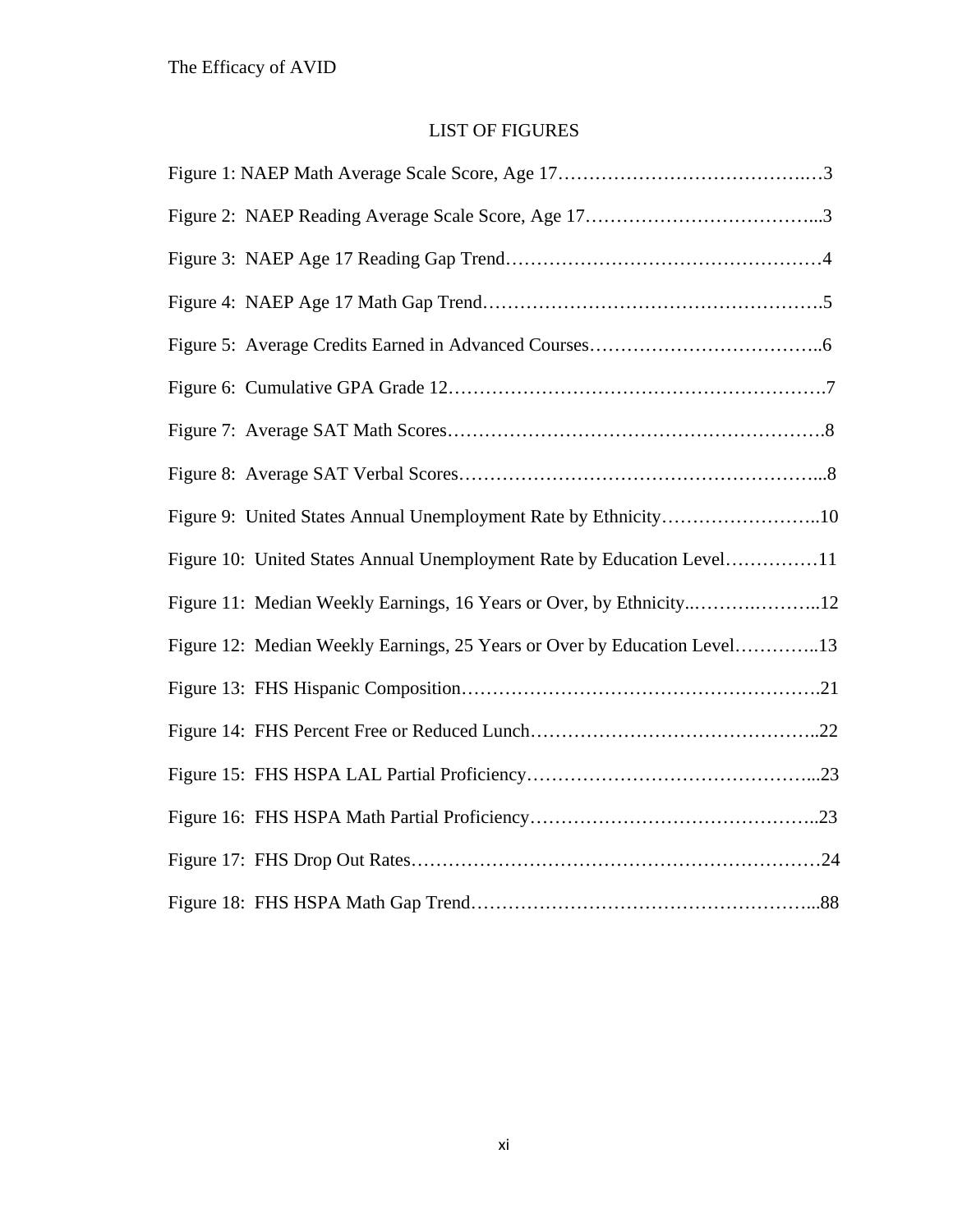# LIST OF FIGURES

| Figure 9: United States Annual Unemployment Rate by Ethnicity10          |
|--------------------------------------------------------------------------|
| Figure 10: United States Annual Unemployment Rate by Education Level11   |
| Figure 11: Median Weekly Earnings, 16 Years or Over, by Ethnicity12      |
| Figure 12: Median Weekly Earnings, 25 Years or Over by Education Level13 |
|                                                                          |
|                                                                          |
|                                                                          |
|                                                                          |
|                                                                          |
|                                                                          |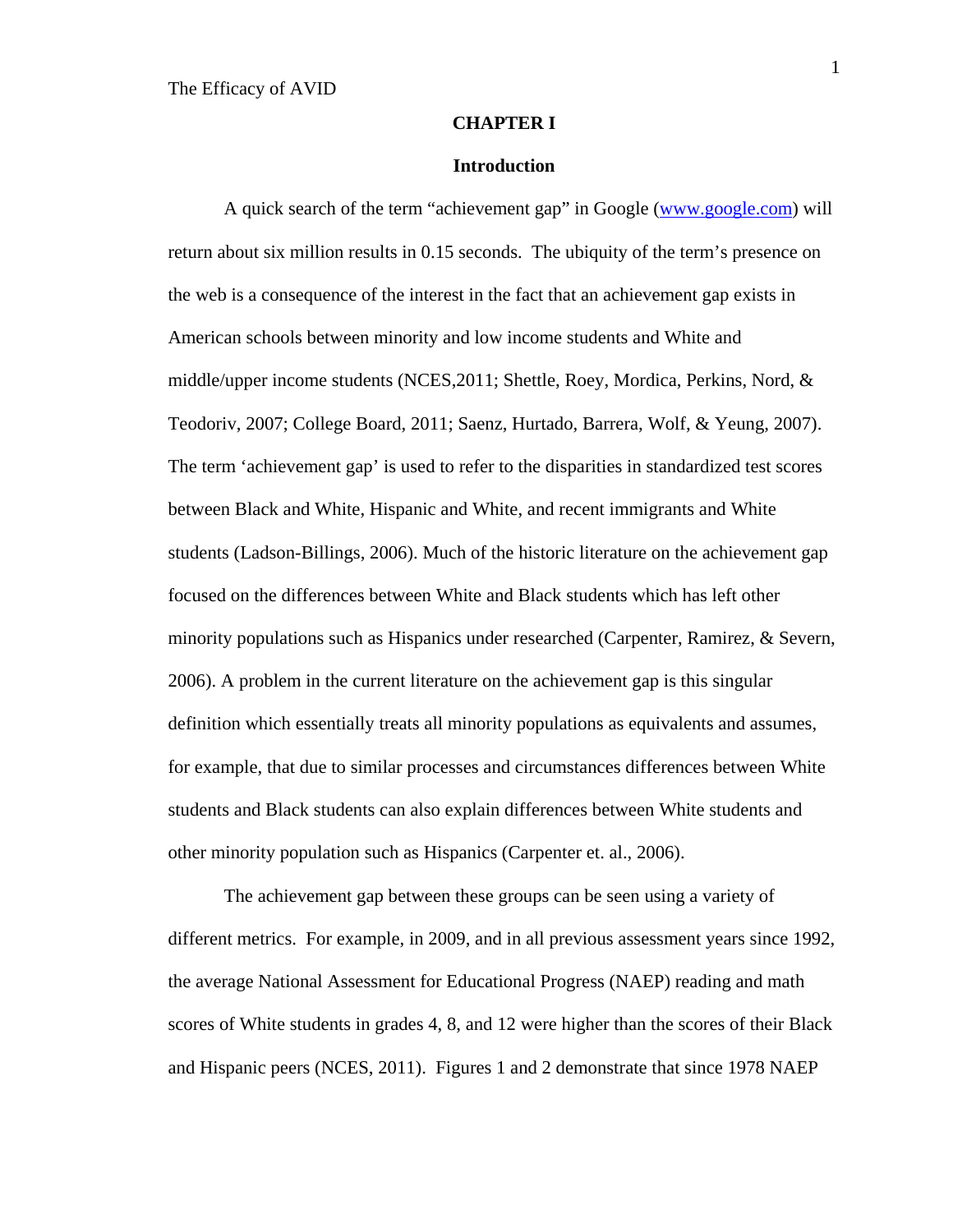### **CHAPTER I**

### **Introduction**

 A quick search of the term "achievement gap" in Google (www.google.com) will return about six million results in 0.15 seconds. The ubiquity of the term's presence on the web is a consequence of the interest in the fact that an achievement gap exists in American schools between minority and low income students and White and middle/upper income students (NCES,2011; Shettle, Roey, Mordica, Perkins, Nord, & Teodoriv, 2007; College Board, 2011; Saenz, Hurtado, Barrera, Wolf, & Yeung, 2007). The term 'achievement gap' is used to refer to the disparities in standardized test scores between Black and White, Hispanic and White, and recent immigrants and White students (Ladson-Billings, 2006). Much of the historic literature on the achievement gap focused on the differences between White and Black students which has left other minority populations such as Hispanics under researched (Carpenter, Ramirez, & Severn, 2006). A problem in the current literature on the achievement gap is this singular definition which essentially treats all minority populations as equivalents and assumes, for example, that due to similar processes and circumstances differences between White students and Black students can also explain differences between White students and other minority population such as Hispanics (Carpenter et. al., 2006).

The achievement gap between these groups can be seen using a variety of different metrics. For example, in 2009, and in all previous assessment years since 1992, the average National Assessment for Educational Progress (NAEP) reading and math scores of White students in grades 4, 8, and 12 were higher than the scores of their Black and Hispanic peers (NCES, 2011). Figures 1 and 2 demonstrate that since 1978 NAEP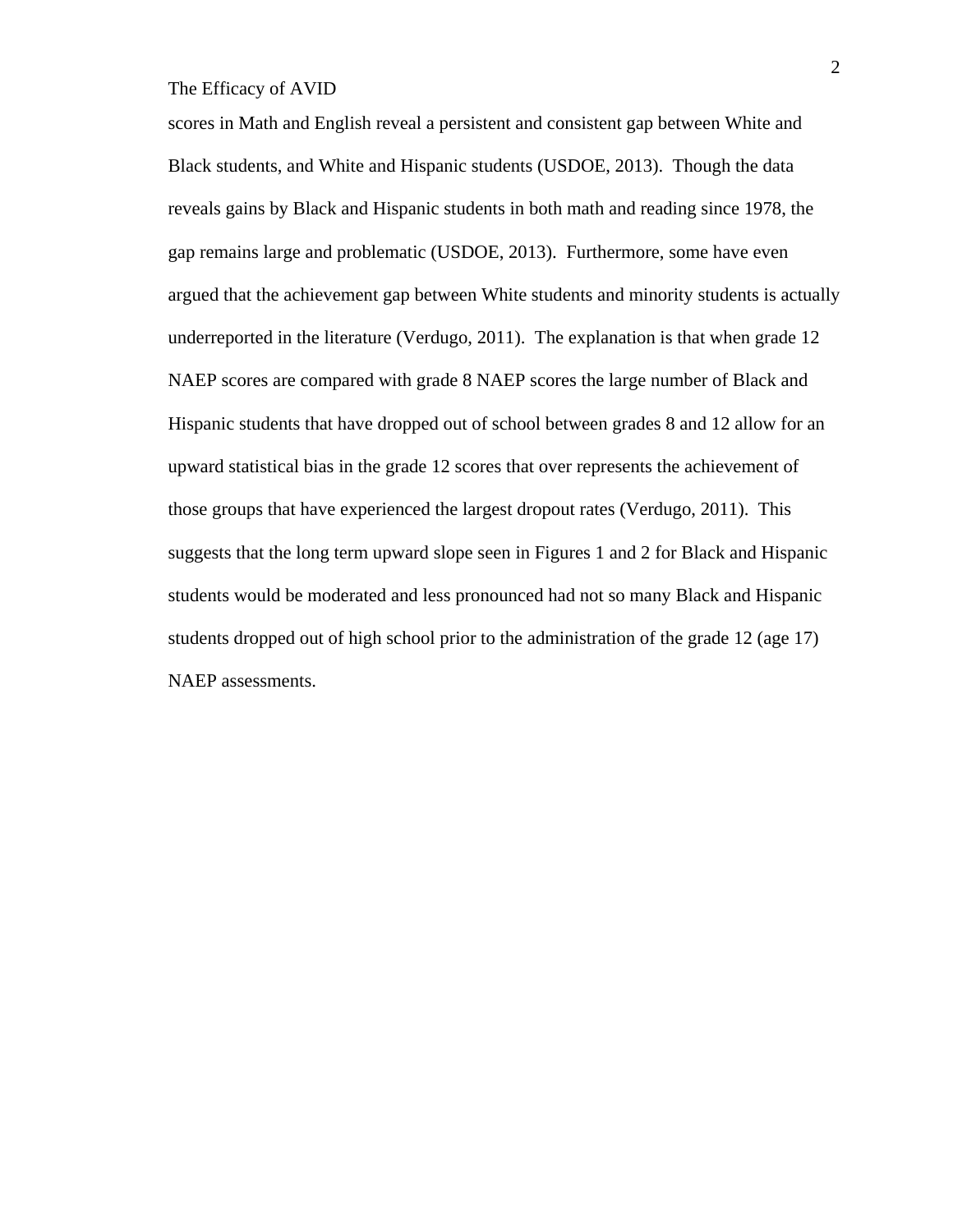scores in Math and English reveal a persistent and consistent gap between White and Black students, and White and Hispanic students (USDOE, 2013). Though the data reveals gains by Black and Hispanic students in both math and reading since 1978, the gap remains large and problematic (USDOE, 2013). Furthermore, some have even argued that the achievement gap between White students and minority students is actually underreported in the literature (Verdugo, 2011). The explanation is that when grade 12 NAEP scores are compared with grade 8 NAEP scores the large number of Black and Hispanic students that have dropped out of school between grades 8 and 12 allow for an upward statistical bias in the grade 12 scores that over represents the achievement of those groups that have experienced the largest dropout rates (Verdugo, 2011). This suggests that the long term upward slope seen in Figures 1 and 2 for Black and Hispanic students would be moderated and less pronounced had not so many Black and Hispanic students dropped out of high school prior to the administration of the grade 12 (age 17) NAEP assessments.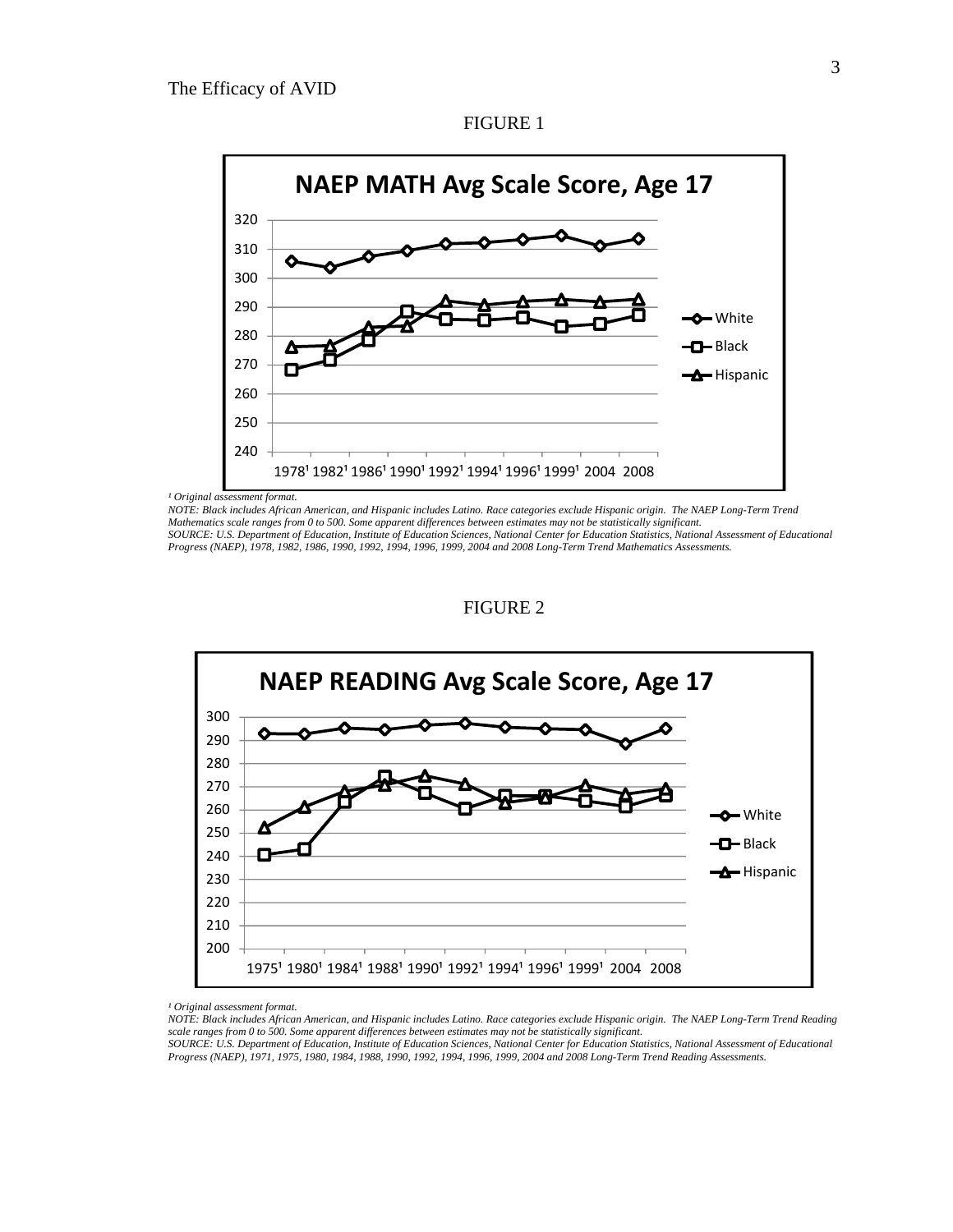

FIGURE 1

*NOTE: Black includes African American, and Hispanic includes Latino. Race categories exclude Hispanic origin. The NAEP Long-Term Trend Mathematics scale ranges from 0 to 500. Some apparent differences between estimates may not be statistically significant. SOURCE: U.S. Department of Education, Institute of Education Sciences, National Center for Education Statistics, National Assessment of Educational Progress (NAEP), 1978, 1982, 1986, 1990, 1992, 1994, 1996, 1999, 2004 and 2008 Long-Term Trend Mathematics Assessments.* 





<sup>&</sup>lt;sup>1</sup> Original assessment format.

*NOTE: Black includes African American, and Hispanic includes Latino. Race categories exclude Hispanic origin. The NAEP Long-Term Trend Reading scale ranges from 0 to 500. Some apparent differences between estimates may not be statistically significant.* 

*SOURCE: U.S. Department of Education, Institute of Education Sciences, National Center for Education Statistics, National Assessment of Educational Progress (NAEP), 1971, 1975, 1980, 1984, 1988, 1990, 1992, 1994, 1996, 1999, 2004 and 2008 Long-Term Trend Reading Assessments.*

<sup>&</sup>lt;sup>1</sup> Original assessment format.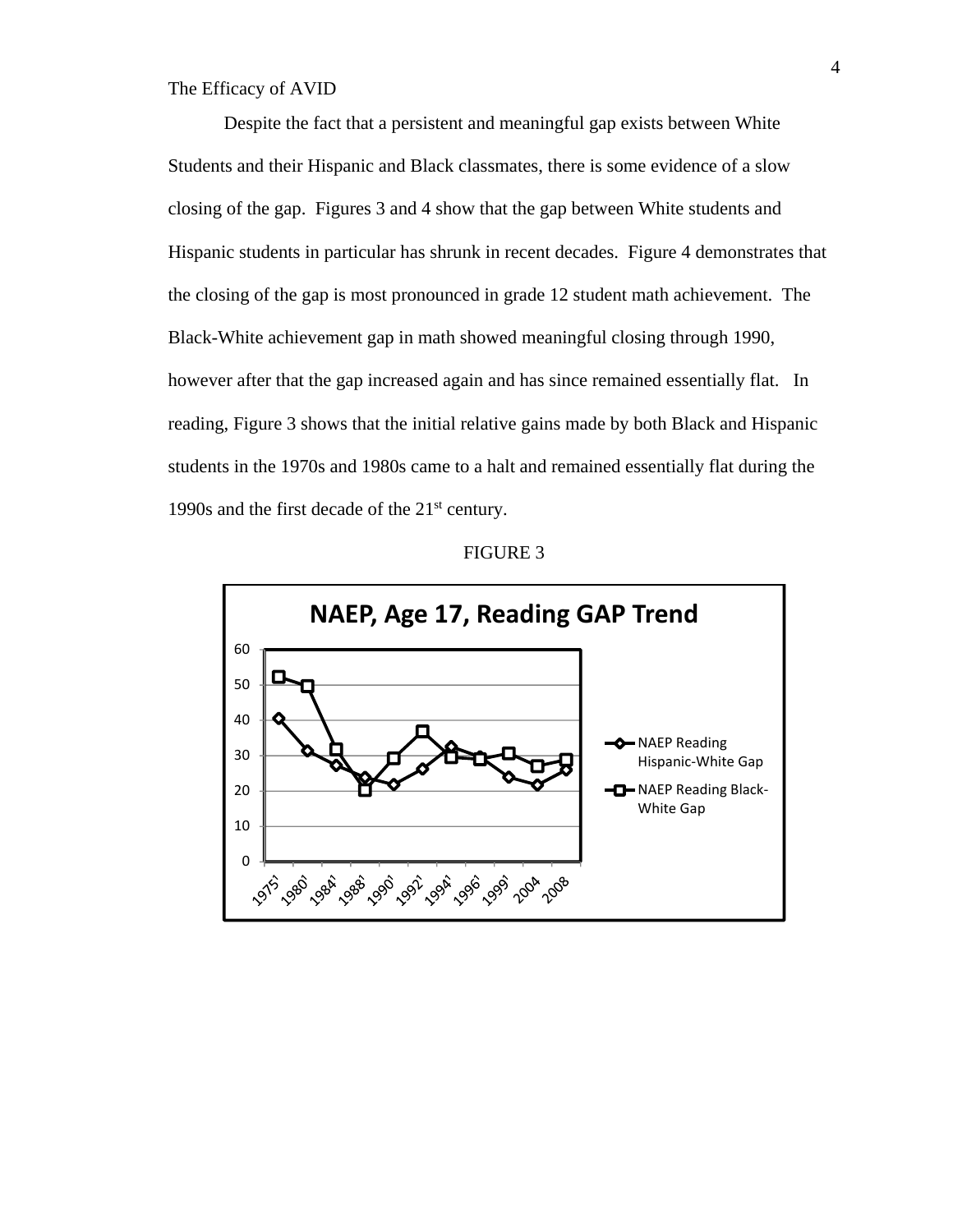Despite the fact that a persistent and meaningful gap exists between White Students and their Hispanic and Black classmates, there is some evidence of a slow closing of the gap. Figures 3 and 4 show that the gap between White students and Hispanic students in particular has shrunk in recent decades. Figure 4 demonstrates that the closing of the gap is most pronounced in grade 12 student math achievement. The Black-White achievement gap in math showed meaningful closing through 1990, however after that the gap increased again and has since remained essentially flat. In reading, Figure 3 shows that the initial relative gains made by both Black and Hispanic students in the 1970s and 1980s came to a halt and remained essentially flat during the 1990s and the first decade of the  $21<sup>st</sup>$  century.



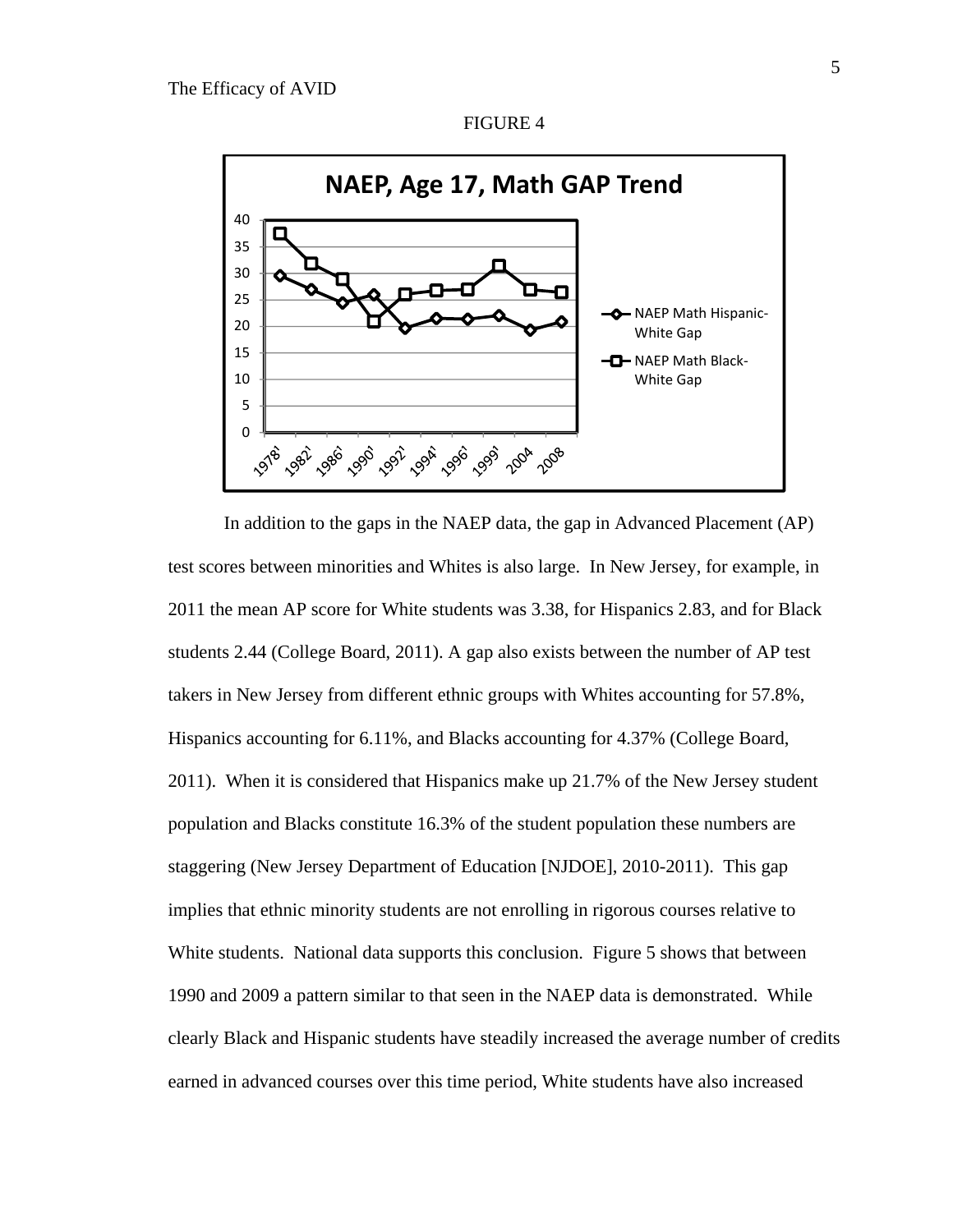



FIGURE 4

NAEP Math Hispanic‐

White Gap **-O** NAEP Math Black-White Gap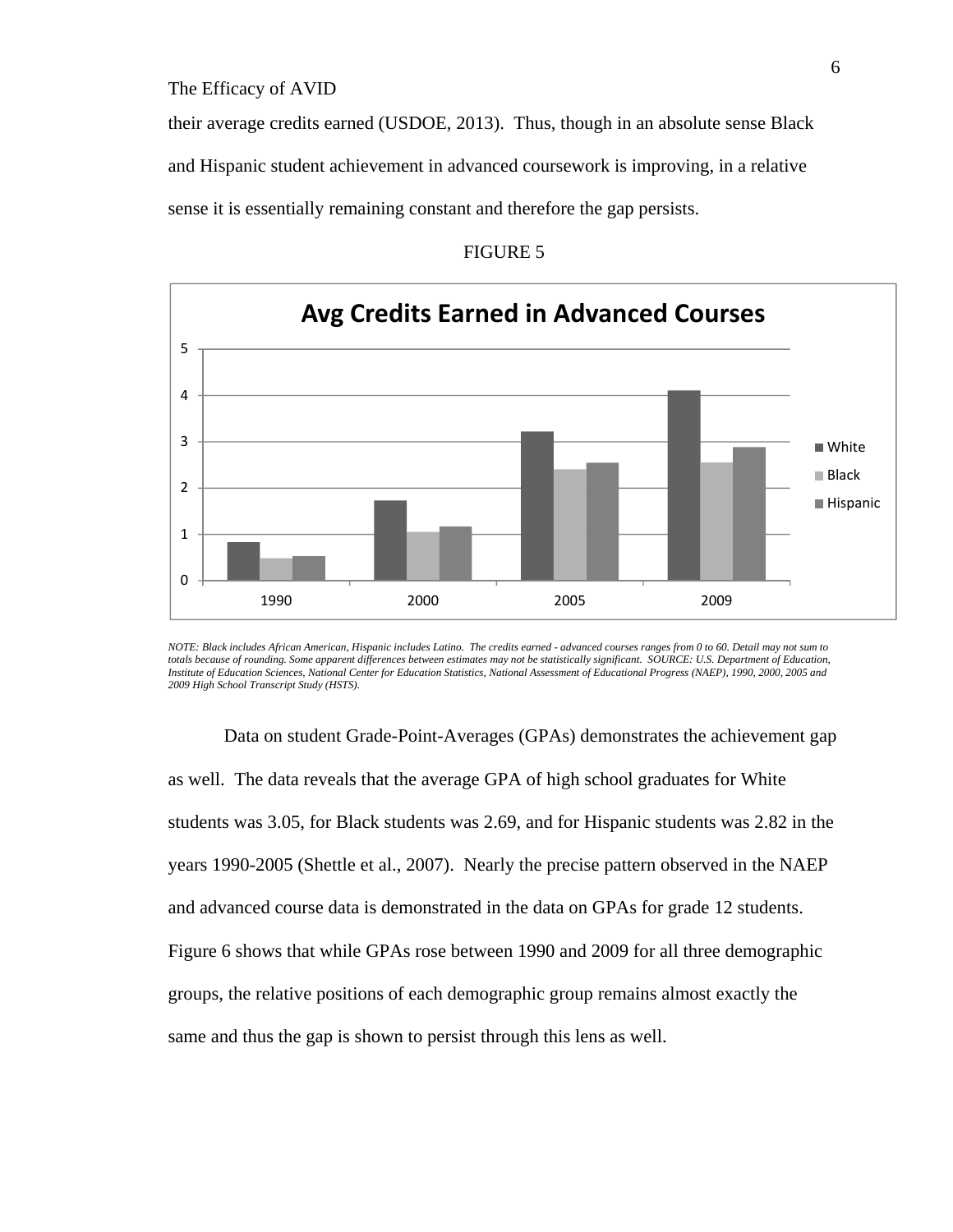their average credits earned (USDOE, 2013). Thus, though in an absolute sense Black and Hispanic student achievement in advanced coursework is improving, in a relative sense it is essentially remaining constant and therefore the gap persists.





*NOTE: Black includes African American, Hispanic includes Latino. The credits earned - advanced courses ranges from 0 to 60. Detail may not sum to totals because of rounding. Some apparent differences between estimates may not be statistically significant. SOURCE: U.S. Department of Education, Institute of Education Sciences, National Center for Education Statistics, National Assessment of Educational Progress (NAEP), 1990, 2000, 2005 and 2009 High School Transcript Study (HSTS).* 

Data on student Grade-Point-Averages (GPAs) demonstrates the achievement gap as well. The data reveals that the average GPA of high school graduates for White students was 3.05, for Black students was 2.69, and for Hispanic students was 2.82 in the years 1990-2005 (Shettle et al., 2007). Nearly the precise pattern observed in the NAEP and advanced course data is demonstrated in the data on GPAs for grade 12 students. Figure 6 shows that while GPAs rose between 1990 and 2009 for all three demographic groups, the relative positions of each demographic group remains almost exactly the same and thus the gap is shown to persist through this lens as well.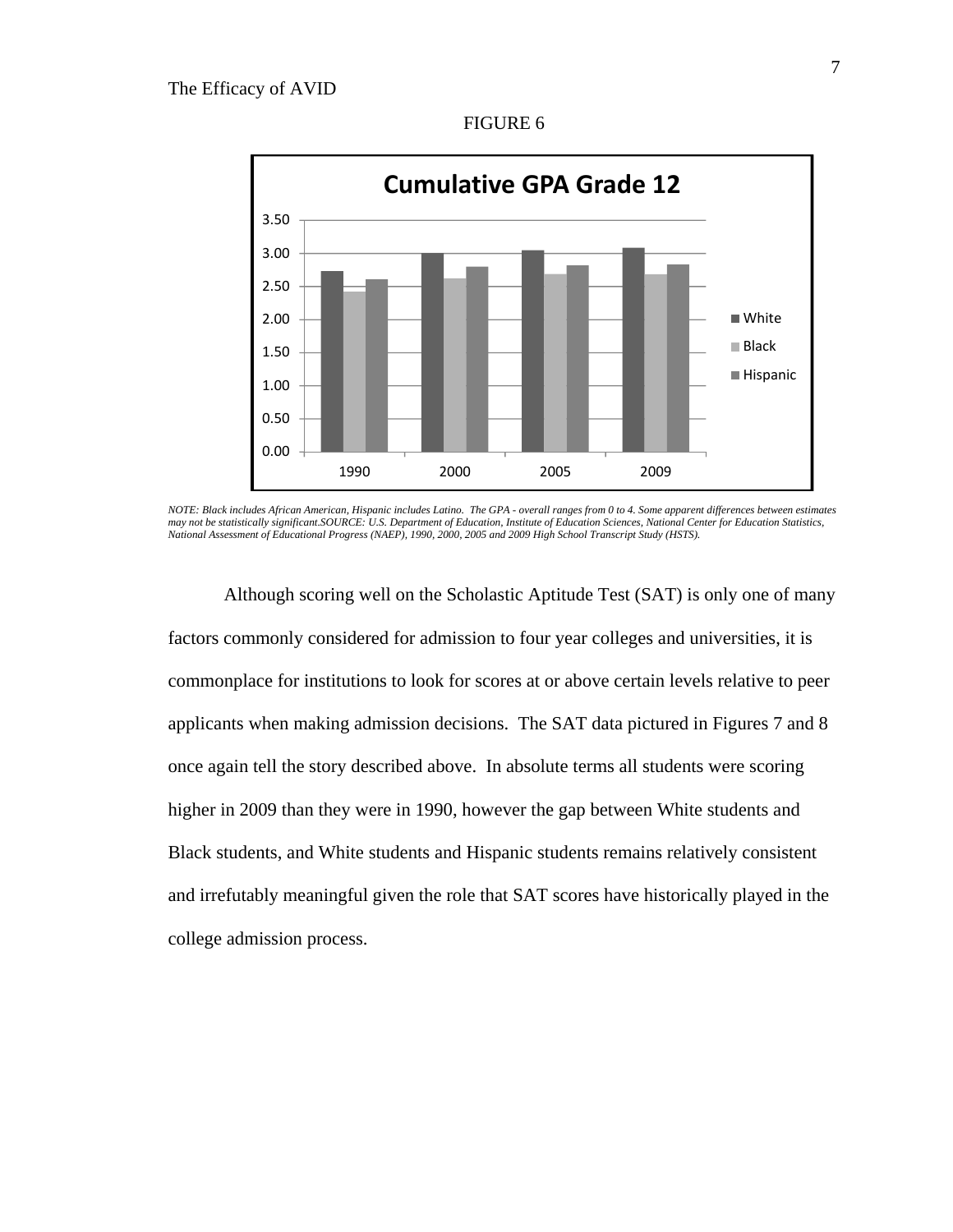

FIGURE 6

Although scoring well on the Scholastic Aptitude Test (SAT) is only one of many factors commonly considered for admission to four year colleges and universities, it is commonplace for institutions to look for scores at or above certain levels relative to peer applicants when making admission decisions. The SAT data pictured in Figures 7 and 8 once again tell the story described above. In absolute terms all students were scoring higher in 2009 than they were in 1990, however the gap between White students and Black students, and White students and Hispanic students remains relatively consistent and irrefutably meaningful given the role that SAT scores have historically played in the college admission process.

*NOTE: Black includes African American, Hispanic includes Latino. The GPA - overall ranges from 0 to 4. Some apparent differences between estimates may not be statistically significant.SOURCE: U.S. Department of Education, Institute of Education Sciences, National Center for Education Statistics, National Assessment of Educational Progress (NAEP), 1990, 2000, 2005 and 2009 High School Transcript Study (HSTS).*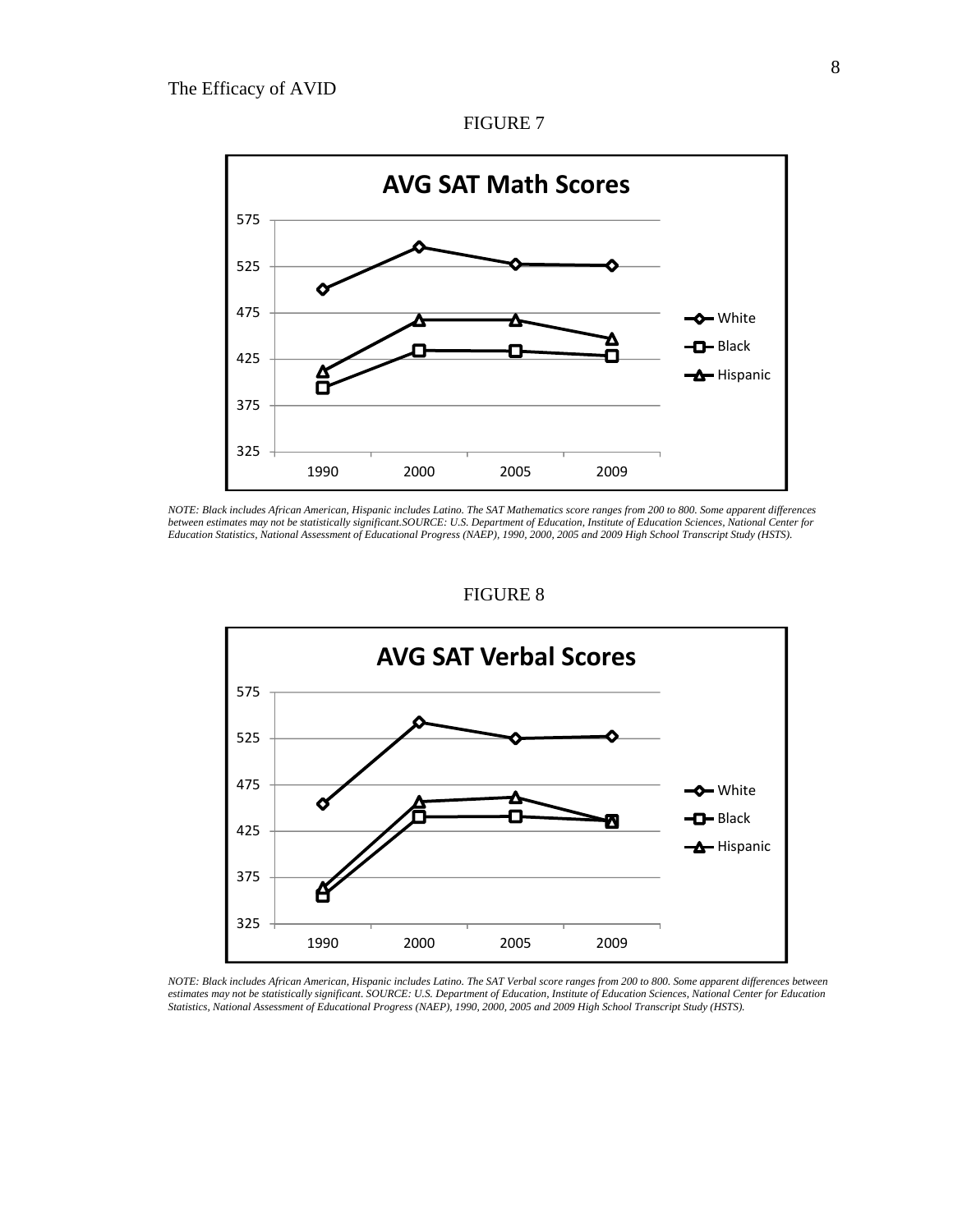

*NOTE: Black includes African American, Hispanic includes Latino. The SAT Mathematics score ranges from 200 to 800. Some apparent differences between estimates may not be statistically significant.SOURCE: U.S. Department of Education, Institute of Education Sciences, National Center for Education Statistics, National Assessment of Educational Progress (NAEP), 1990, 2000, 2005 and 2009 High School Transcript Study (HSTS).* 

### FIGURE 8



*NOTE: Black includes African American, Hispanic includes Latino. The SAT Verbal score ranges from 200 to 800. Some apparent differences between estimates may not be statistically significant. SOURCE: U.S. Department of Education, Institute of Education Sciences, National Center for Education Statistics, National Assessment of Educational Progress (NAEP), 1990, 2000, 2005 and 2009 High School Transcript Study (HSTS).*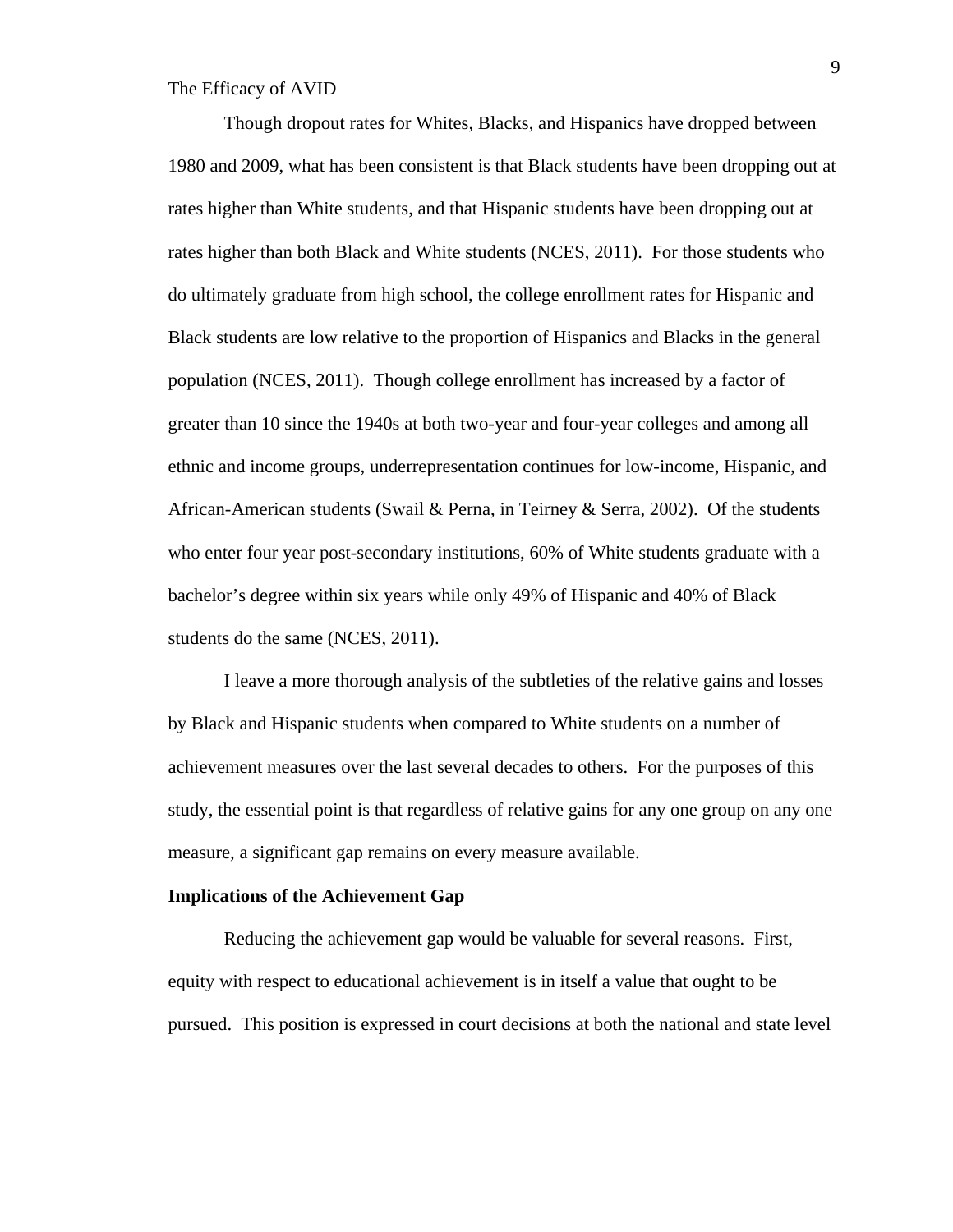Though dropout rates for Whites, Blacks, and Hispanics have dropped between 1980 and 2009, what has been consistent is that Black students have been dropping out at rates higher than White students, and that Hispanic students have been dropping out at rates higher than both Black and White students (NCES, 2011). For those students who do ultimately graduate from high school, the college enrollment rates for Hispanic and Black students are low relative to the proportion of Hispanics and Blacks in the general population (NCES, 2011). Though college enrollment has increased by a factor of greater than 10 since the 1940s at both two-year and four-year colleges and among all ethnic and income groups, underrepresentation continues for low-income, Hispanic, and African-American students (Swail & Perna, in Teirney & Serra, 2002). Of the students who enter four year post-secondary institutions, 60% of White students graduate with a bachelor's degree within six years while only 49% of Hispanic and 40% of Black students do the same (NCES, 2011).

I leave a more thorough analysis of the subtleties of the relative gains and losses by Black and Hispanic students when compared to White students on a number of achievement measures over the last several decades to others. For the purposes of this study, the essential point is that regardless of relative gains for any one group on any one measure, a significant gap remains on every measure available.

#### **Implications of the Achievement Gap**

 Reducing the achievement gap would be valuable for several reasons. First, equity with respect to educational achievement is in itself a value that ought to be pursued. This position is expressed in court decisions at both the national and state level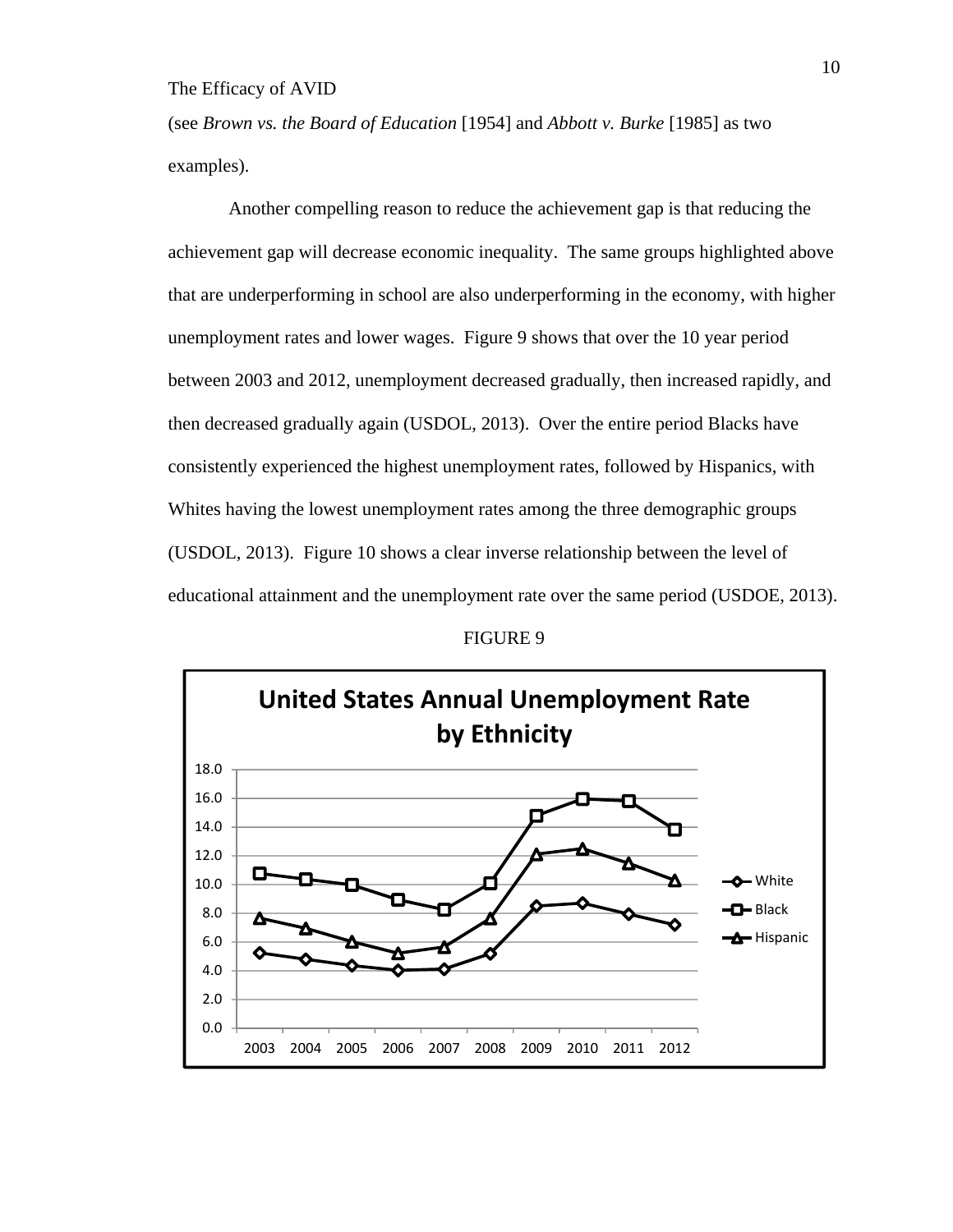(see *Brown vs. the Board of Education* [1954] and *Abbott v. Burke* [1985] as two examples).

 Another compelling reason to reduce the achievement gap is that reducing the achievement gap will decrease economic inequality. The same groups highlighted above that are underperforming in school are also underperforming in the economy, with higher unemployment rates and lower wages. Figure 9 shows that over the 10 year period between 2003 and 2012, unemployment decreased gradually, then increased rapidly, and then decreased gradually again (USDOL, 2013). Over the entire period Blacks have consistently experienced the highest unemployment rates, followed by Hispanics, with Whites having the lowest unemployment rates among the three demographic groups (USDOL, 2013). Figure 10 shows a clear inverse relationship between the level of educational attainment and the unemployment rate over the same period (USDOE, 2013).

FIGURE 9

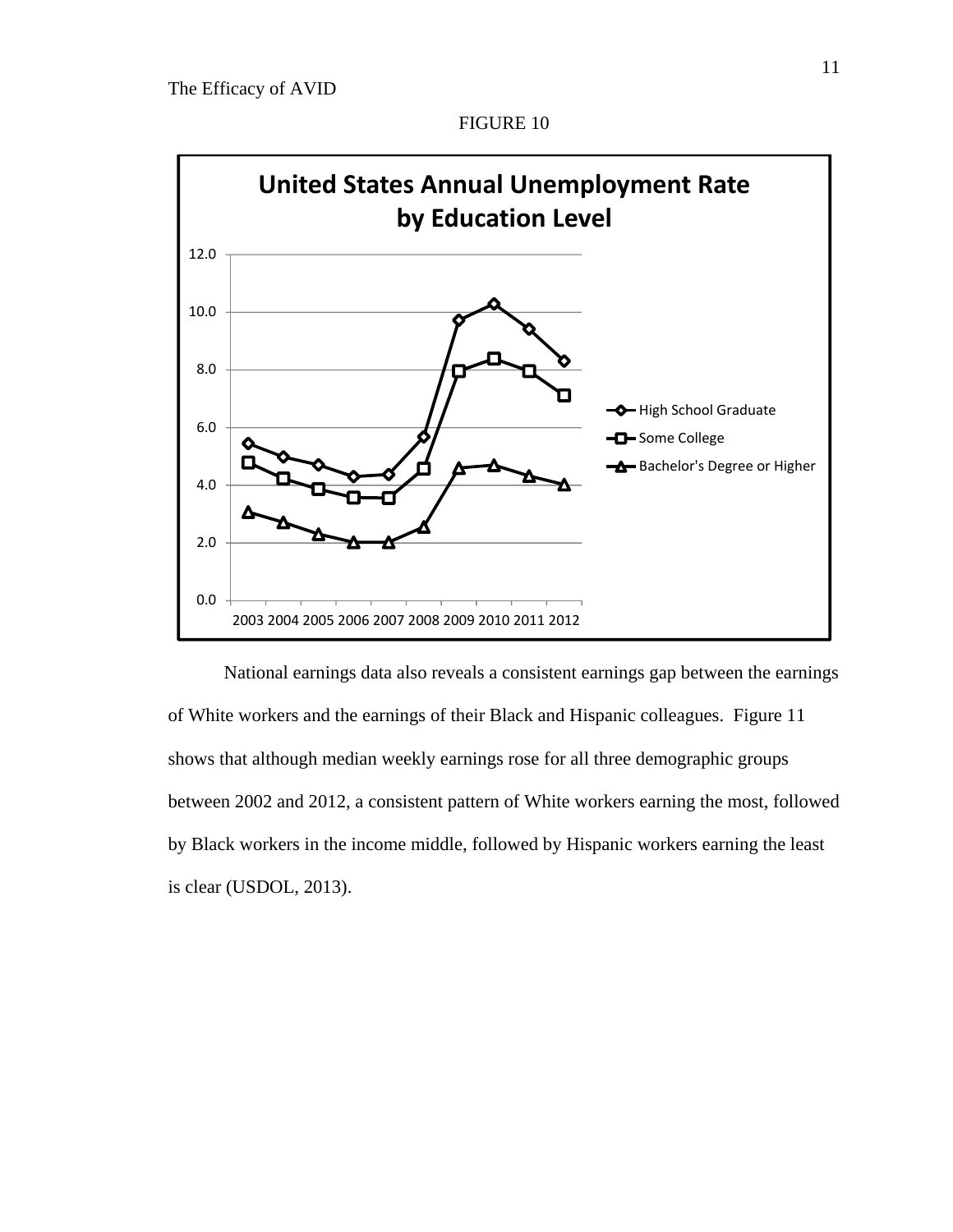

National earnings data also reveals a consistent earnings gap between the earnings of White workers and the earnings of their Black and Hispanic colleagues. Figure 11 shows that although median weekly earnings rose for all three demographic groups between 2002 and 2012, a consistent pattern of White workers earning the most, followed by Black workers in the income middle, followed by Hispanic workers earning the least is clear (USDOL, 2013).

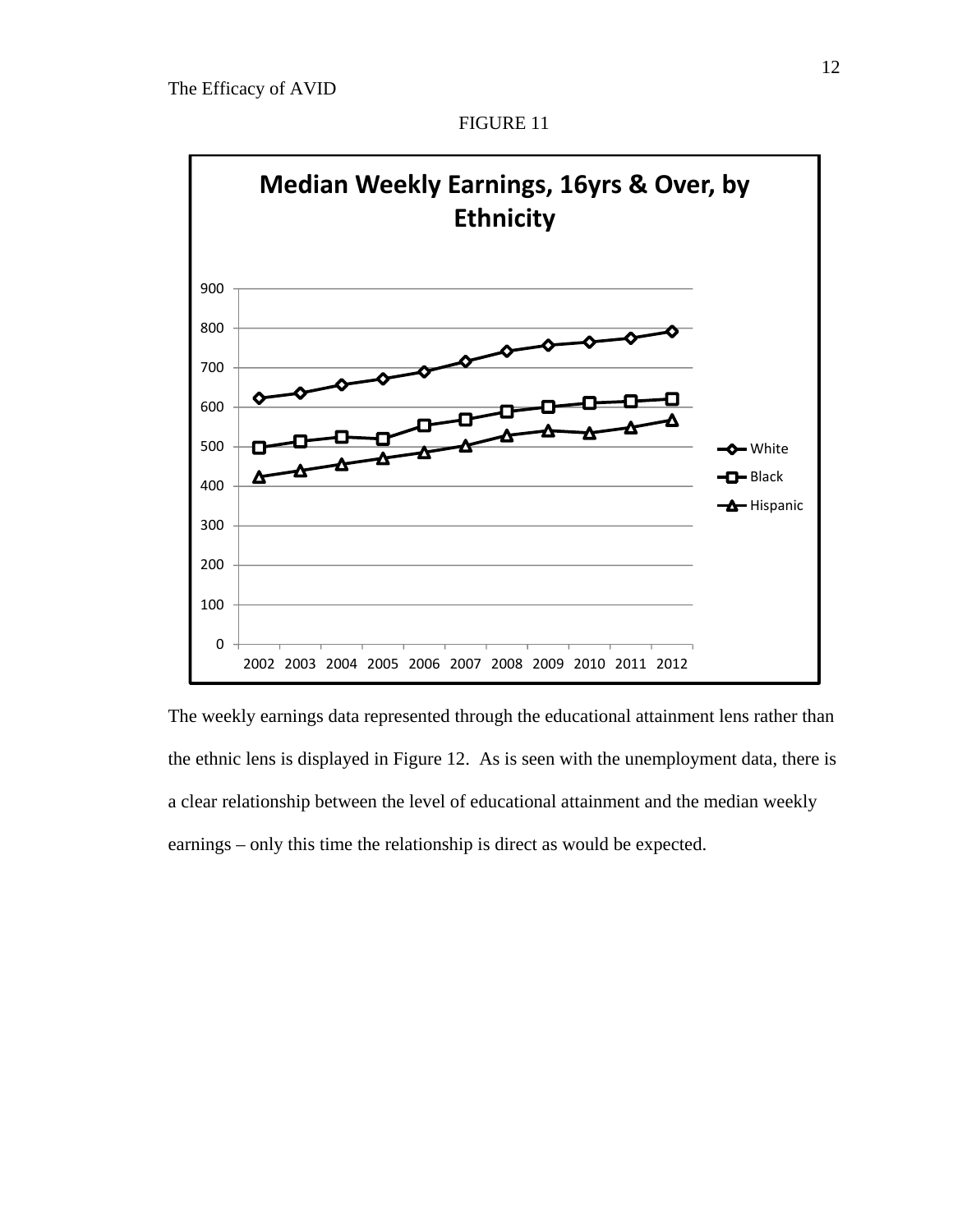

The weekly earnings data represented through the educational attainment lens rather than the ethnic lens is displayed in Figure 12. As is seen with the unemployment data, there is a clear relationship between the level of educational attainment and the median weekly earnings – only this time the relationship is direct as would be expected.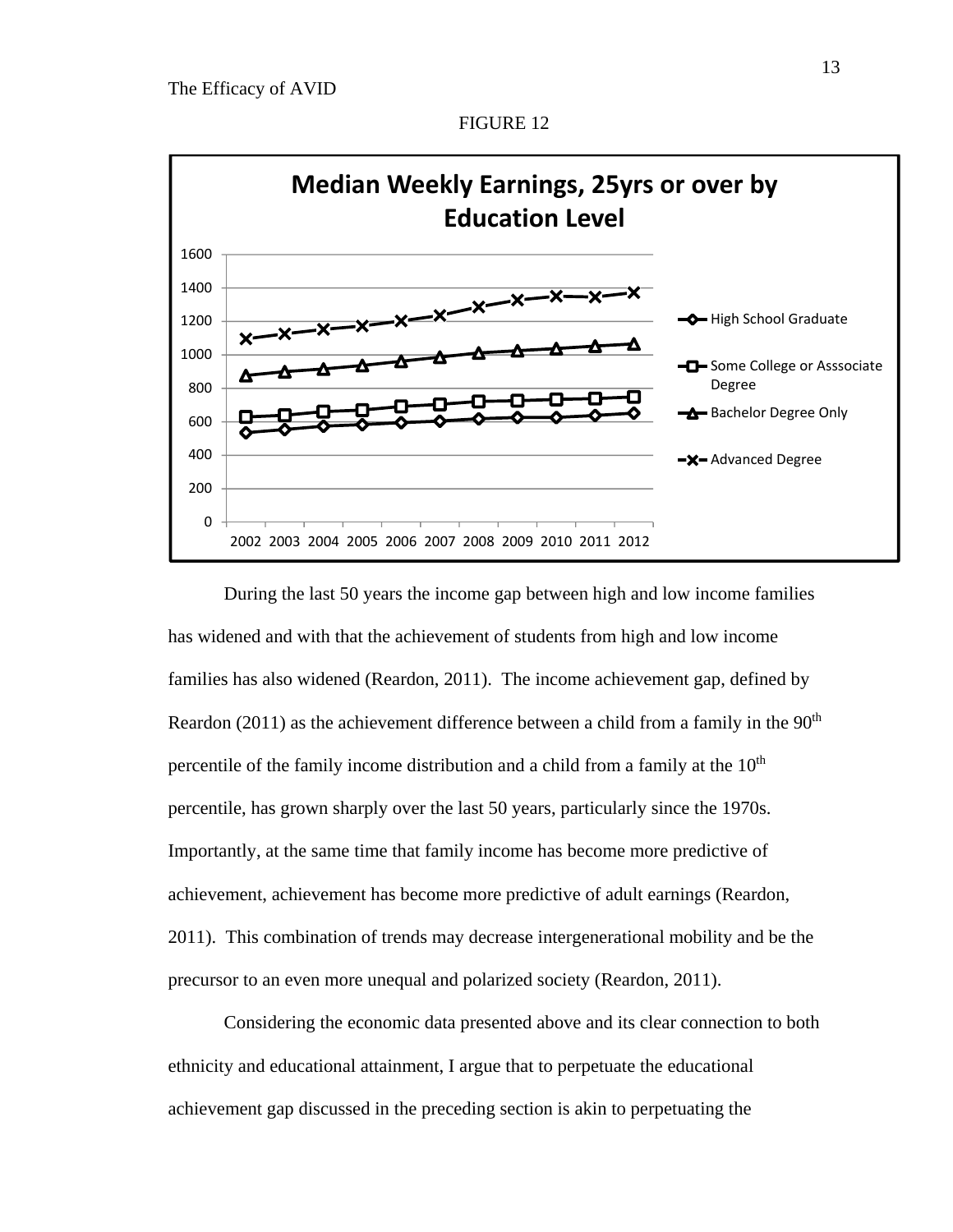

During the last 50 years the income gap between high and low income families has widened and with that the achievement of students from high and low income families has also widened (Reardon, 2011). The income achievement gap, defined by Reardon (2011) as the achievement difference between a child from a family in the  $90<sup>th</sup>$ percentile of the family income distribution and a child from a family at the  $10<sup>th</sup>$ percentile, has grown sharply over the last 50 years, particularly since the 1970s. Importantly, at the same time that family income has become more predictive of achievement, achievement has become more predictive of adult earnings (Reardon, 2011). This combination of trends may decrease intergenerational mobility and be the precursor to an even more unequal and polarized society (Reardon, 2011).

Considering the economic data presented above and its clear connection to both ethnicity and educational attainment, I argue that to perpetuate the educational achievement gap discussed in the preceding section is akin to perpetuating the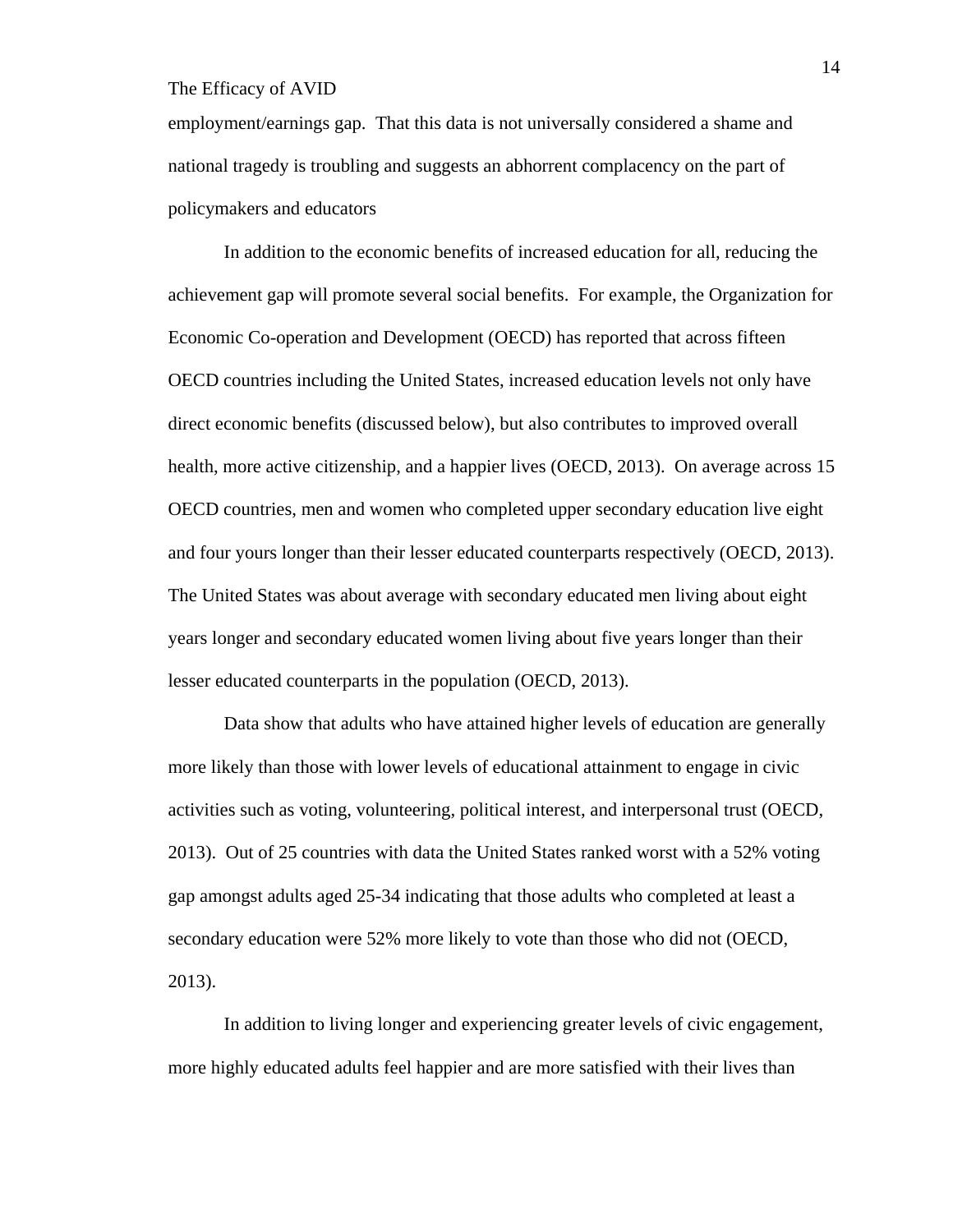employment/earnings gap. That this data is not universally considered a shame and national tragedy is troubling and suggests an abhorrent complacency on the part of policymakers and educators

In addition to the economic benefits of increased education for all, reducing the achievement gap will promote several social benefits. For example, the Organization for Economic Co-operation and Development (OECD) has reported that across fifteen OECD countries including the United States, increased education levels not only have direct economic benefits (discussed below), but also contributes to improved overall health, more active citizenship, and a happier lives (OECD, 2013). On average across 15 OECD countries, men and women who completed upper secondary education live eight and four yours longer than their lesser educated counterparts respectively (OECD, 2013). The United States was about average with secondary educated men living about eight years longer and secondary educated women living about five years longer than their lesser educated counterparts in the population (OECD, 2013).

 Data show that adults who have attained higher levels of education are generally more likely than those with lower levels of educational attainment to engage in civic activities such as voting, volunteering, political interest, and interpersonal trust (OECD, 2013). Out of 25 countries with data the United States ranked worst with a 52% voting gap amongst adults aged 25-34 indicating that those adults who completed at least a secondary education were 52% more likely to vote than those who did not (OECD, 2013).

In addition to living longer and experiencing greater levels of civic engagement, more highly educated adults feel happier and are more satisfied with their lives than

14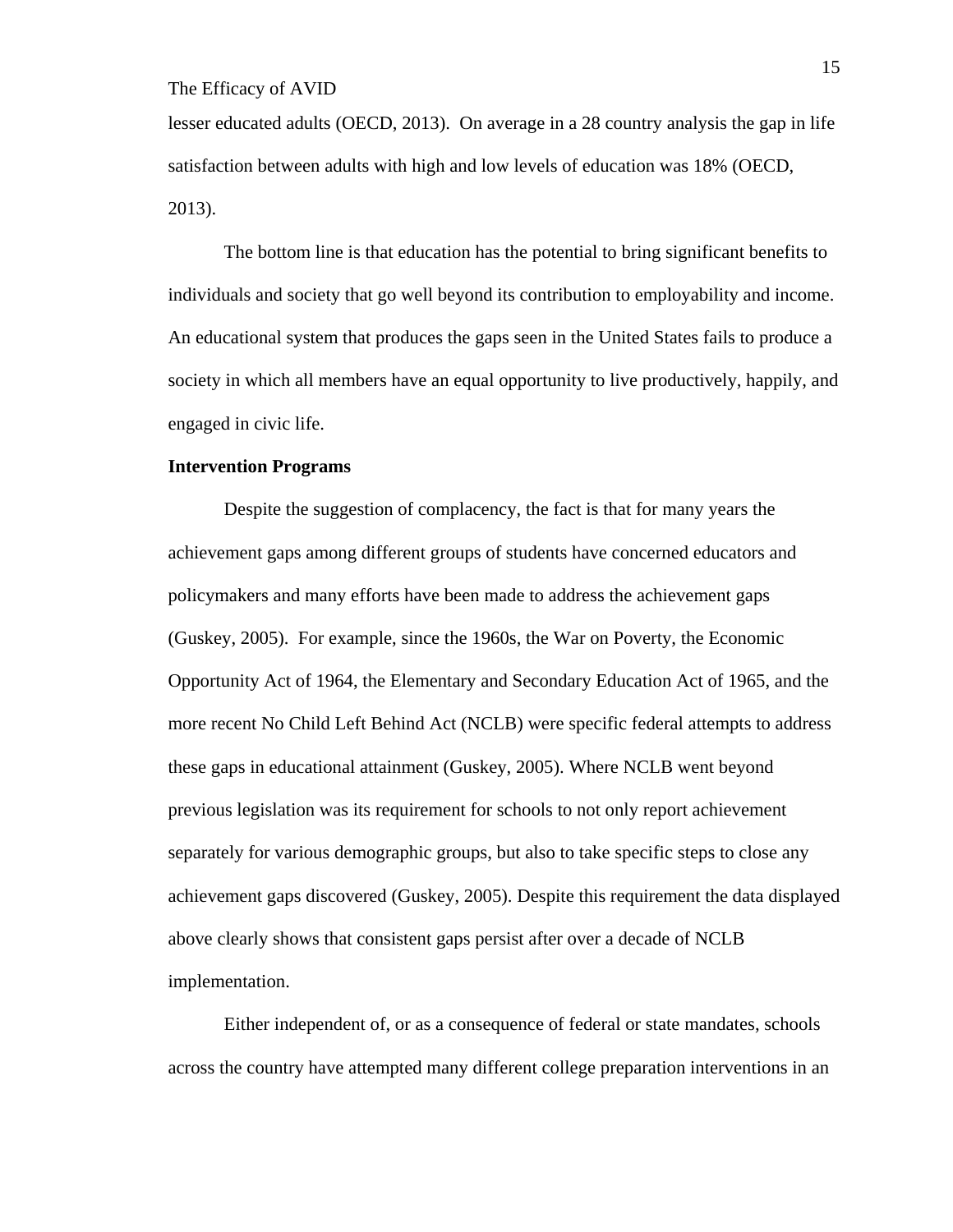lesser educated adults (OECD, 2013). On average in a 28 country analysis the gap in life satisfaction between adults with high and low levels of education was 18% (OECD, 2013).

The bottom line is that education has the potential to bring significant benefits to individuals and society that go well beyond its contribution to employability and income. An educational system that produces the gaps seen in the United States fails to produce a society in which all members have an equal opportunity to live productively, happily, and engaged in civic life.

## **Intervention Programs**

Despite the suggestion of complacency, the fact is that for many years the achievement gaps among different groups of students have concerned educators and policymakers and many efforts have been made to address the achievement gaps (Guskey, 2005). For example, since the 1960s, the War on Poverty, the Economic Opportunity Act of 1964, the Elementary and Secondary Education Act of 1965, and the more recent No Child Left Behind Act (NCLB) were specific federal attempts to address these gaps in educational attainment (Guskey, 2005). Where NCLB went beyond previous legislation was its requirement for schools to not only report achievement separately for various demographic groups, but also to take specific steps to close any achievement gaps discovered (Guskey, 2005). Despite this requirement the data displayed above clearly shows that consistent gaps persist after over a decade of NCLB implementation.

Either independent of, or as a consequence of federal or state mandates, schools across the country have attempted many different college preparation interventions in an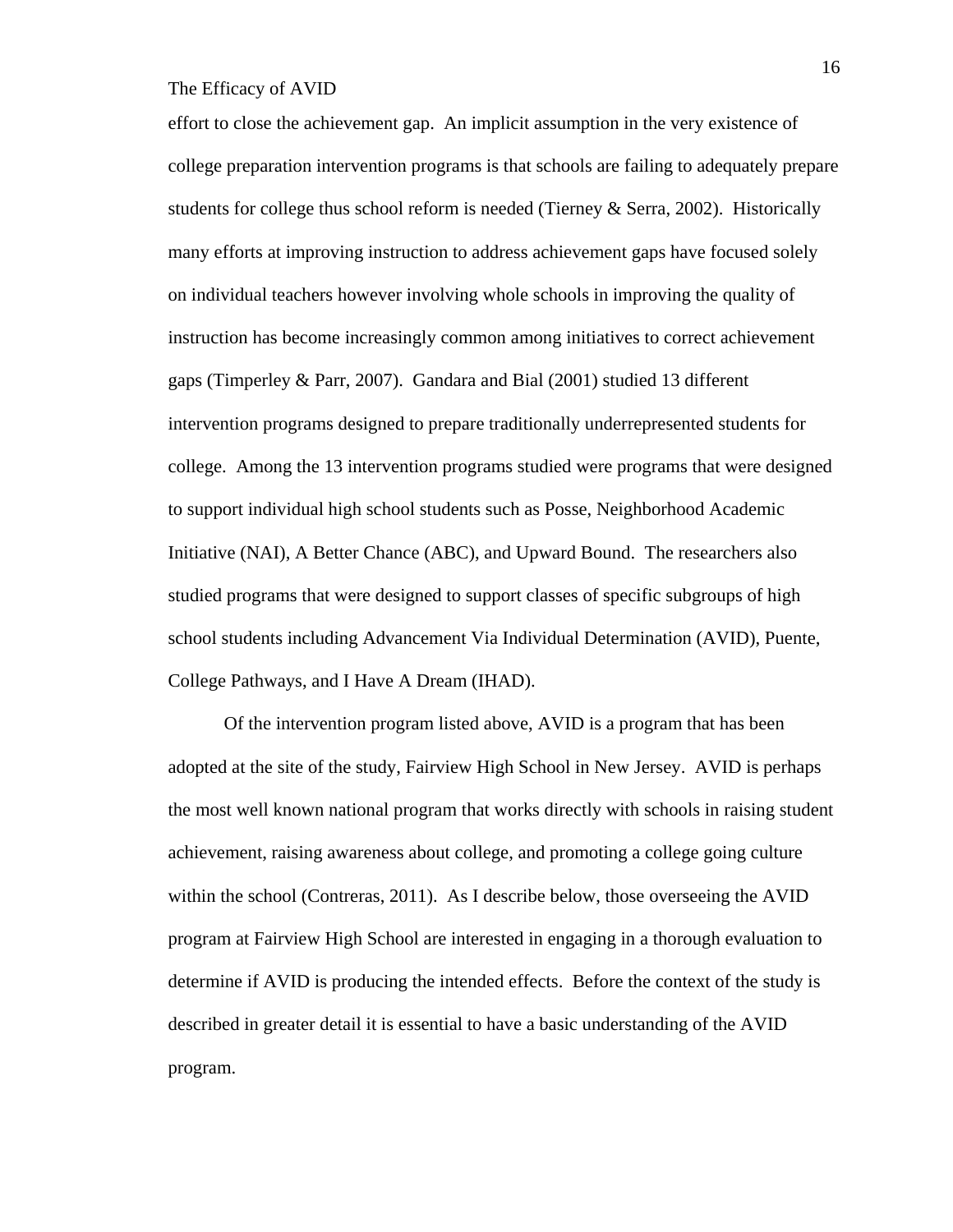effort to close the achievement gap. An implicit assumption in the very existence of college preparation intervention programs is that schools are failing to adequately prepare students for college thus school reform is needed (Tierney & Serra, 2002). Historically many efforts at improving instruction to address achievement gaps have focused solely on individual teachers however involving whole schools in improving the quality of instruction has become increasingly common among initiatives to correct achievement gaps (Timperley & Parr, 2007). Gandara and Bial (2001) studied 13 different intervention programs designed to prepare traditionally underrepresented students for college. Among the 13 intervention programs studied were programs that were designed to support individual high school students such as Posse, Neighborhood Academic Initiative (NAI), A Better Chance (ABC), and Upward Bound. The researchers also studied programs that were designed to support classes of specific subgroups of high school students including Advancement Via Individual Determination (AVID), Puente, College Pathways, and I Have A Dream (IHAD).

Of the intervention program listed above, AVID is a program that has been adopted at the site of the study, Fairview High School in New Jersey. AVID is perhaps the most well known national program that works directly with schools in raising student achievement, raising awareness about college, and promoting a college going culture within the school (Contreras, 2011). As I describe below, those overseeing the AVID program at Fairview High School are interested in engaging in a thorough evaluation to determine if AVID is producing the intended effects. Before the context of the study is described in greater detail it is essential to have a basic understanding of the AVID program.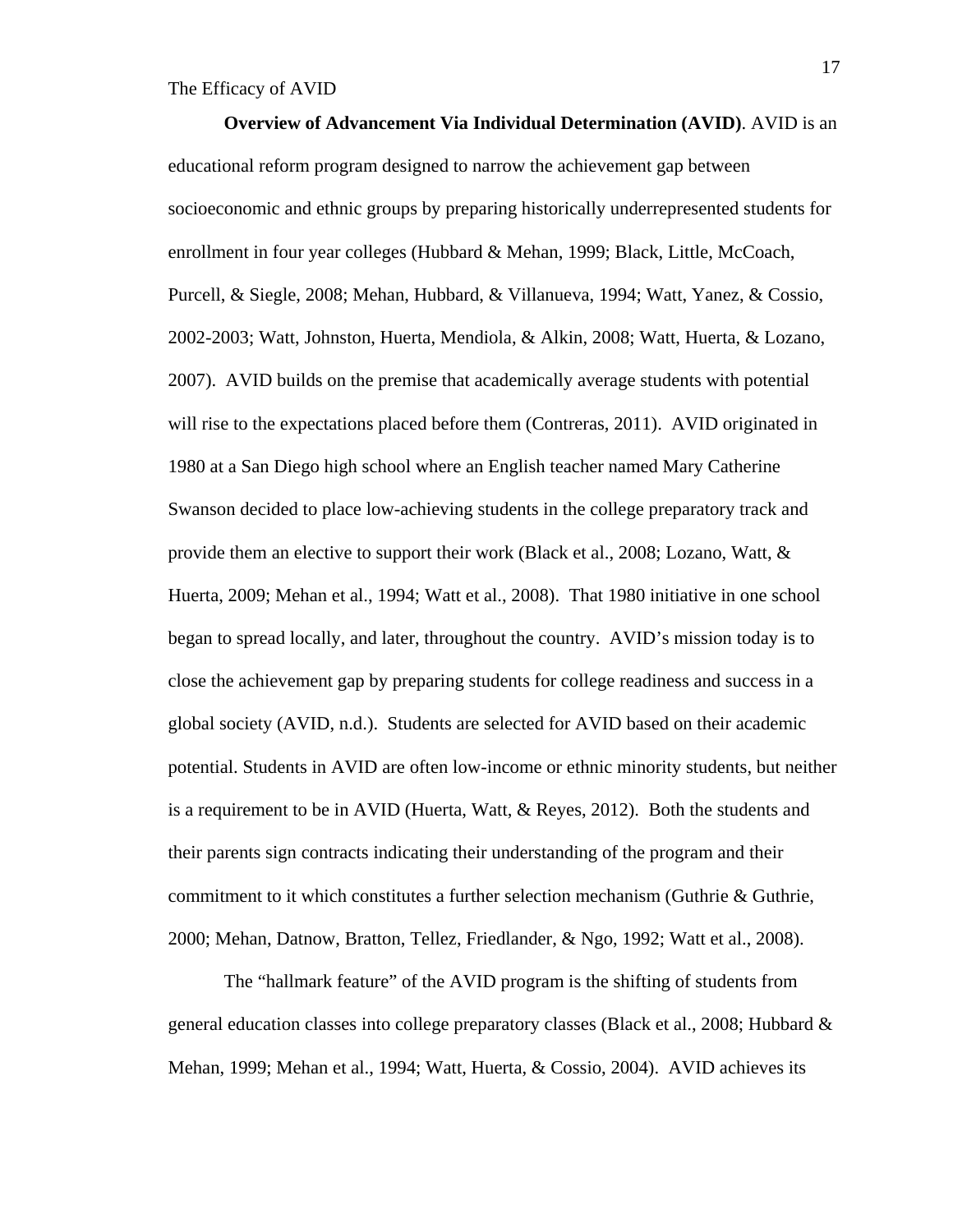**Overview of Advancement Via Individual Determination (AVID)**. AVID is an educational reform program designed to narrow the achievement gap between socioeconomic and ethnic groups by preparing historically underrepresented students for enrollment in four year colleges (Hubbard & Mehan, 1999; Black, Little, McCoach, Purcell, & Siegle, 2008; Mehan, Hubbard, & Villanueva, 1994; Watt, Yanez, & Cossio, 2002-2003; Watt, Johnston, Huerta, Mendiola, & Alkin, 2008; Watt, Huerta, & Lozano, 2007). AVID builds on the premise that academically average students with potential will rise to the expectations placed before them (Contreras, 2011). AVID originated in 1980 at a San Diego high school where an English teacher named Mary Catherine Swanson decided to place low-achieving students in the college preparatory track and provide them an elective to support their work (Black et al., 2008; Lozano, Watt, & Huerta, 2009; Mehan et al., 1994; Watt et al., 2008). That 1980 initiative in one school began to spread locally, and later, throughout the country. AVID's mission today is to close the achievement gap by preparing students for college readiness and success in a global society (AVID, n.d.). Students are selected for AVID based on their academic potential. Students in AVID are often low-income or ethnic minority students, but neither is a requirement to be in AVID (Huerta, Watt, & Reyes, 2012). Both the students and their parents sign contracts indicating their understanding of the program and their commitment to it which constitutes a further selection mechanism (Guthrie  $\&$  Guthrie, 2000; Mehan, Datnow, Bratton, Tellez, Friedlander, & Ngo, 1992; Watt et al., 2008).

The "hallmark feature" of the AVID program is the shifting of students from general education classes into college preparatory classes (Black et al., 2008; Hubbard & Mehan, 1999; Mehan et al., 1994; Watt, Huerta, & Cossio, 2004). AVID achieves its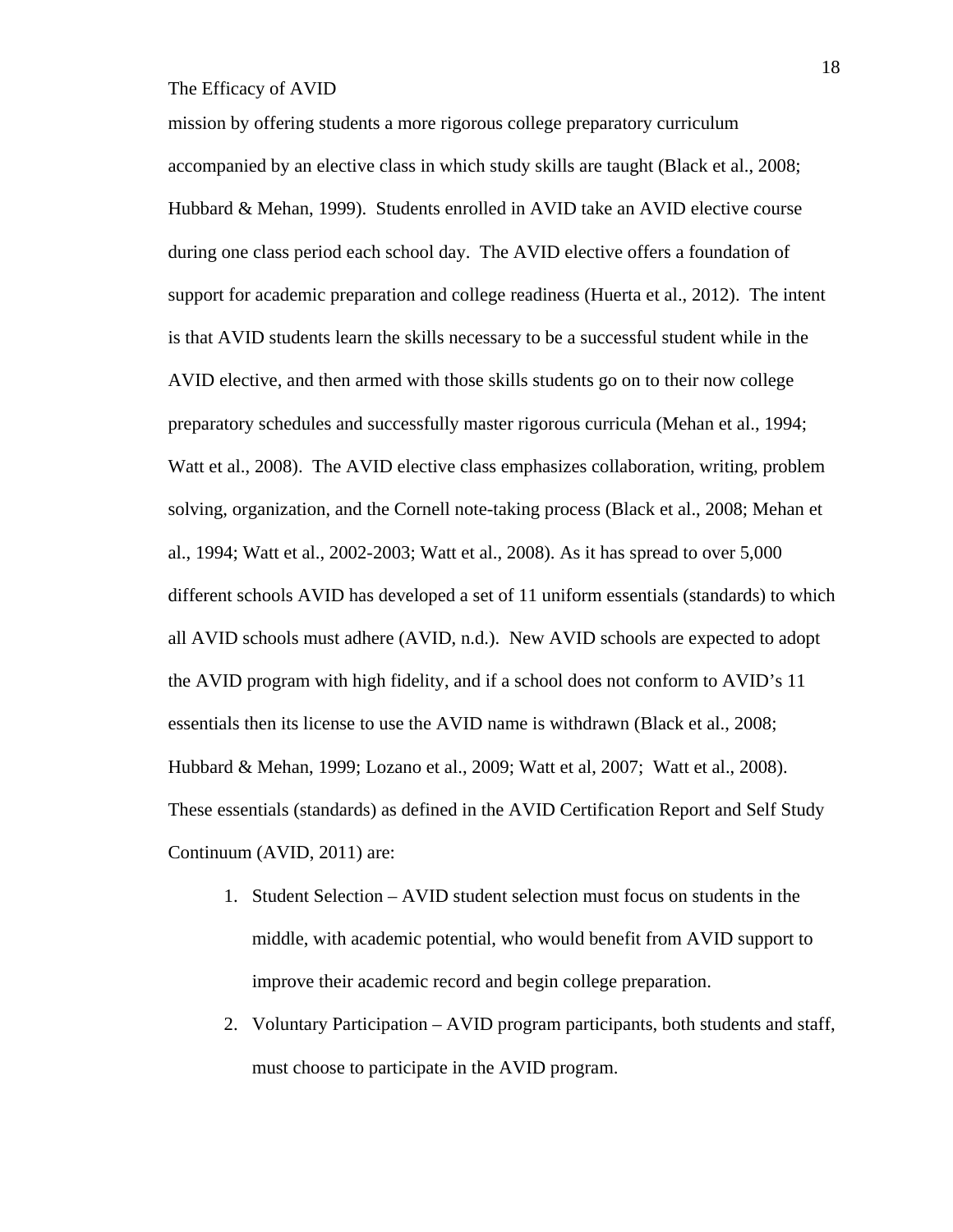mission by offering students a more rigorous college preparatory curriculum accompanied by an elective class in which study skills are taught (Black et al., 2008; Hubbard & Mehan, 1999). Students enrolled in AVID take an AVID elective course during one class period each school day. The AVID elective offers a foundation of support for academic preparation and college readiness (Huerta et al., 2012). The intent is that AVID students learn the skills necessary to be a successful student while in the AVID elective, and then armed with those skills students go on to their now college preparatory schedules and successfully master rigorous curricula (Mehan et al., 1994; Watt et al., 2008). The AVID elective class emphasizes collaboration, writing, problem solving, organization, and the Cornell note-taking process (Black et al., 2008; Mehan et al., 1994; Watt et al., 2002-2003; Watt et al., 2008). As it has spread to over 5,000 different schools AVID has developed a set of 11 uniform essentials (standards) to which all AVID schools must adhere (AVID, n.d.). New AVID schools are expected to adopt the AVID program with high fidelity, and if a school does not conform to AVID's 11 essentials then its license to use the AVID name is withdrawn (Black et al., 2008; Hubbard & Mehan, 1999; Lozano et al., 2009; Watt et al, 2007; Watt et al., 2008). These essentials (standards) as defined in the AVID Certification Report and Self Study Continuum (AVID, 2011) are:

- 1. Student Selection AVID student selection must focus on students in the middle, with academic potential, who would benefit from AVID support to improve their academic record and begin college preparation.
- 2. Voluntary Participation AVID program participants, both students and staff, must choose to participate in the AVID program.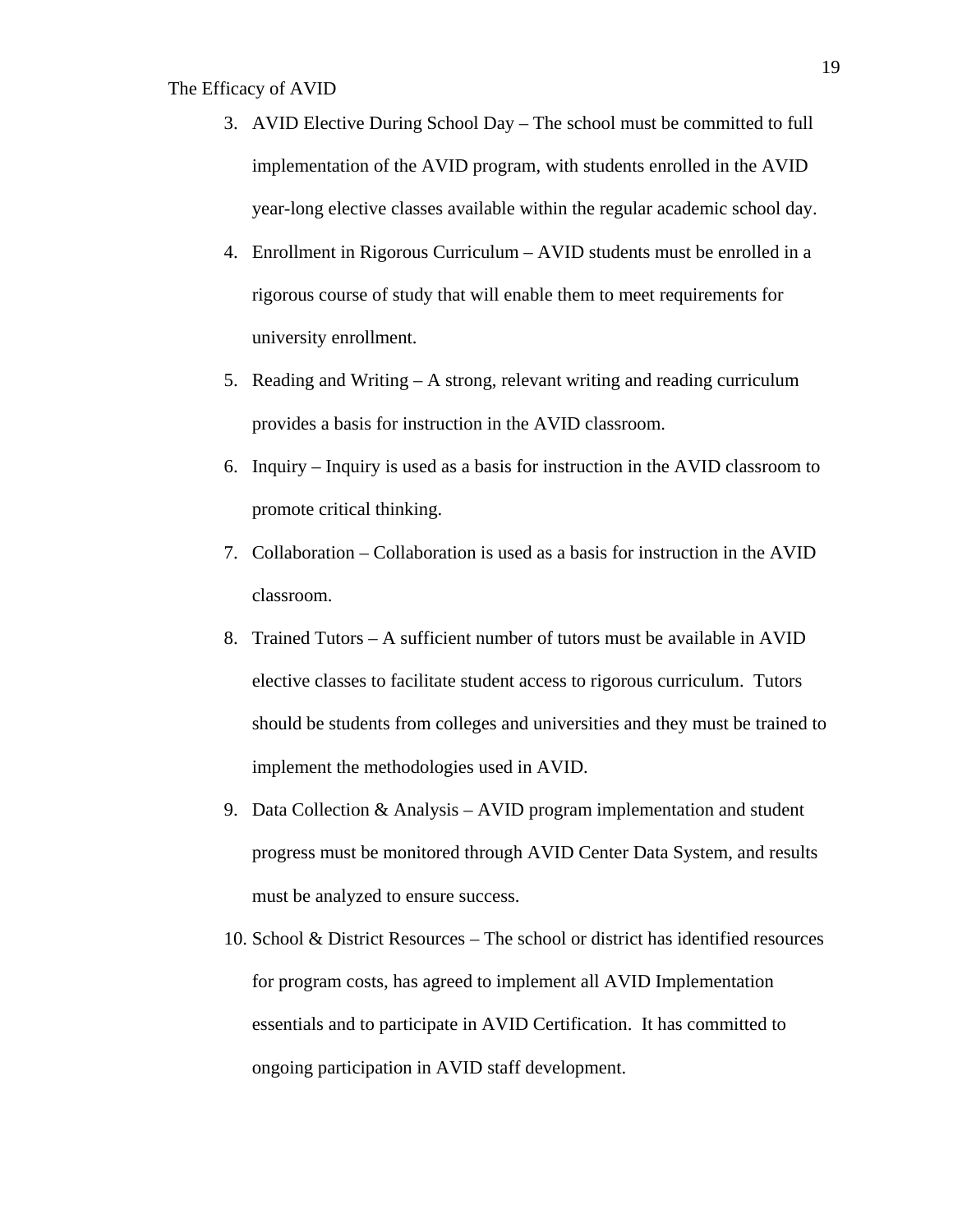- 3. AVID Elective During School Day The school must be committed to full implementation of the AVID program, with students enrolled in the AVID year-long elective classes available within the regular academic school day.
- 4. Enrollment in Rigorous Curriculum AVID students must be enrolled in a rigorous course of study that will enable them to meet requirements for university enrollment.
- 5. Reading and Writing A strong, relevant writing and reading curriculum provides a basis for instruction in the AVID classroom.
- 6. Inquiry Inquiry is used as a basis for instruction in the AVID classroom to promote critical thinking.
- 7. Collaboration Collaboration is used as a basis for instruction in the AVID classroom.
- 8. Trained Tutors A sufficient number of tutors must be available in AVID elective classes to facilitate student access to rigorous curriculum. Tutors should be students from colleges and universities and they must be trained to implement the methodologies used in AVID.
- 9. Data Collection  $\&$  Analysis AVID program implementation and student progress must be monitored through AVID Center Data System, and results must be analyzed to ensure success.
- 10. School & District Resources The school or district has identified resources for program costs, has agreed to implement all AVID Implementation essentials and to participate in AVID Certification. It has committed to ongoing participation in AVID staff development.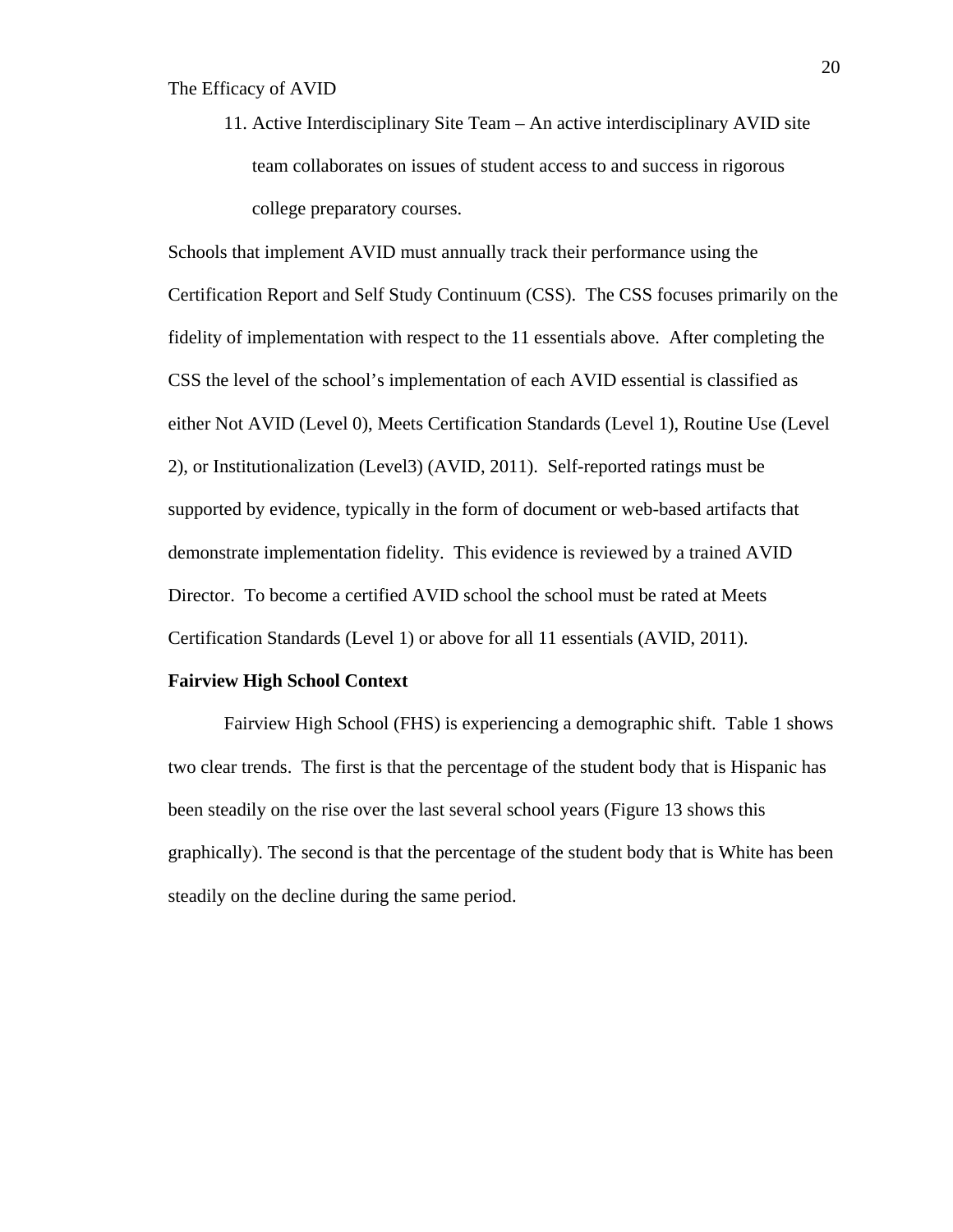11. Active Interdisciplinary Site Team – An active interdisciplinary AVID site team collaborates on issues of student access to and success in rigorous college preparatory courses.

Schools that implement AVID must annually track their performance using the Certification Report and Self Study Continuum (CSS). The CSS focuses primarily on the fidelity of implementation with respect to the 11 essentials above. After completing the CSS the level of the school's implementation of each AVID essential is classified as either Not AVID (Level 0), Meets Certification Standards (Level 1), Routine Use (Level 2), or Institutionalization (Level3) (AVID, 2011). Self-reported ratings must be supported by evidence, typically in the form of document or web-based artifacts that demonstrate implementation fidelity. This evidence is reviewed by a trained AVID Director. To become a certified AVID school the school must be rated at Meets Certification Standards (Level 1) or above for all 11 essentials (AVID, 2011).

#### **Fairview High School Context**

Fairview High School (FHS) is experiencing a demographic shift. Table 1 shows two clear trends. The first is that the percentage of the student body that is Hispanic has been steadily on the rise over the last several school years (Figure 13 shows this graphically). The second is that the percentage of the student body that is White has been steadily on the decline during the same period.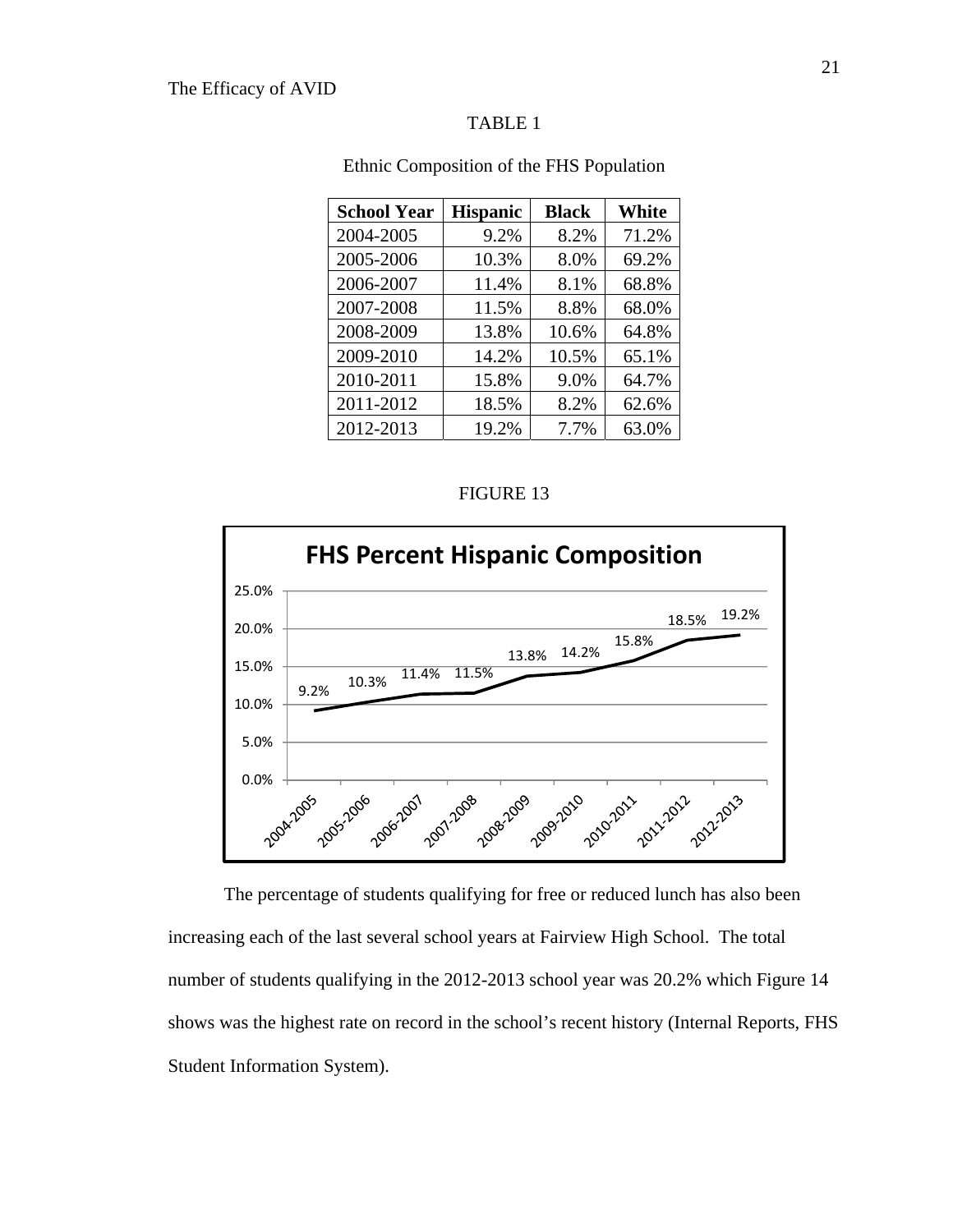## TABLE 1

| <b>School Year</b> | <b>Hispanic</b> | <b>Black</b> | White |
|--------------------|-----------------|--------------|-------|
| 2004-2005          | 9.2%            | 8.2%         | 71.2% |
| 2005-2006          | 10.3%           | 8.0%         | 69.2% |
| 2006-2007          | 11.4%           | 8.1%         | 68.8% |
| 2007-2008          | 11.5%           | 8.8%         | 68.0% |
| 2008-2009          | 13.8%           | 10.6%        | 64.8% |
| 2009-2010          | 14.2%           | 10.5%        | 65.1% |
| 2010-2011          | 15.8%           | 9.0%         | 64.7% |
| 2011-2012          | 18.5%           | 8.2%         | 62.6% |
| 2012-2013          | 19.2%           | 7.7%         | 63.0% |

Ethnic Composition of the FHS Population

## FIGURE 13



The percentage of students qualifying for free or reduced lunch has also been increasing each of the last several school years at Fairview High School. The total number of students qualifying in the 2012-2013 school year was 20.2% which Figure 14 shows was the highest rate on record in the school's recent history (Internal Reports, FHS Student Information System).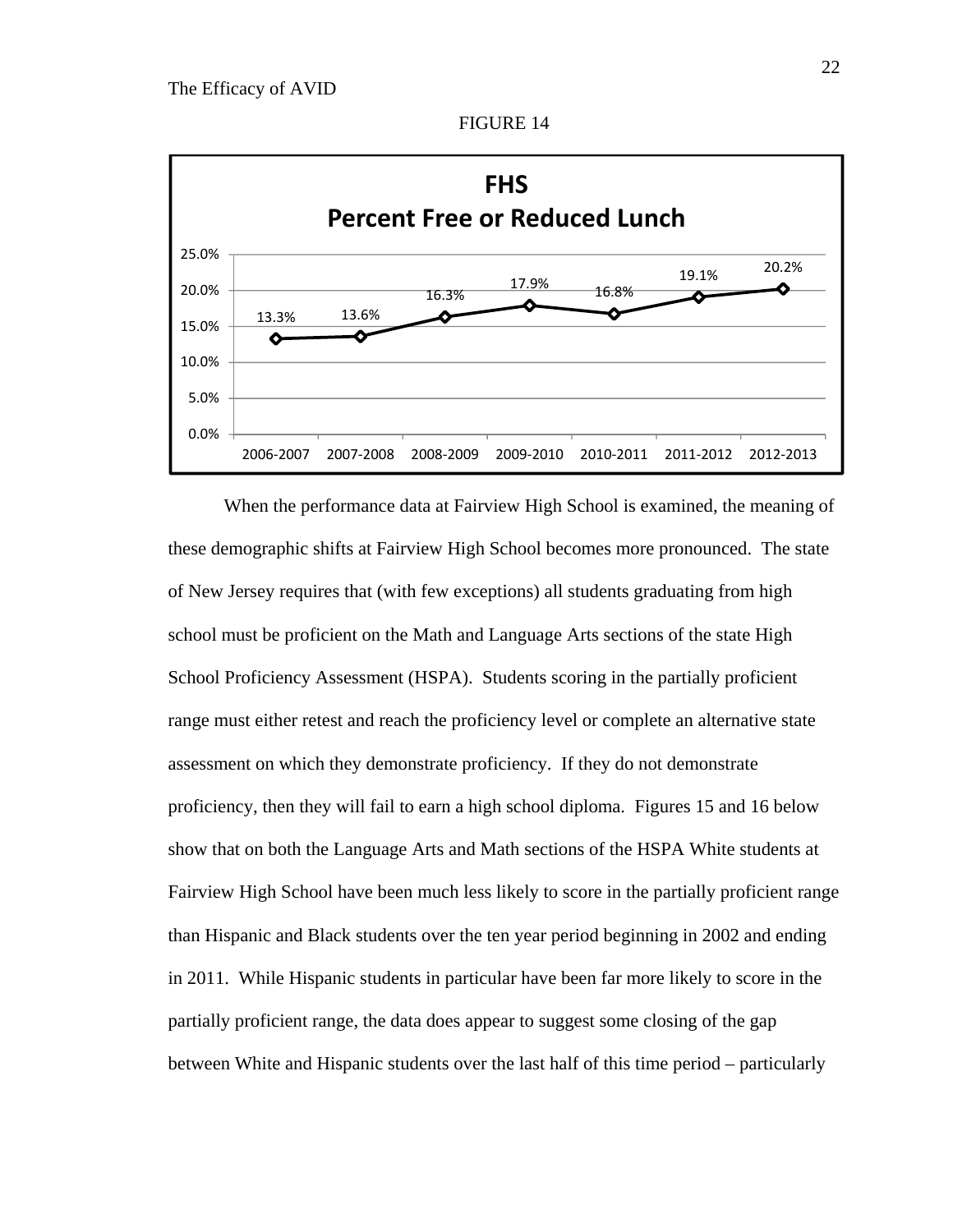





When the performance data at Fairview High School is examined, the meaning of these demographic shifts at Fairview High School becomes more pronounced. The state of New Jersey requires that (with few exceptions) all students graduating from high school must be proficient on the Math and Language Arts sections of the state High School Proficiency Assessment (HSPA). Students scoring in the partially proficient range must either retest and reach the proficiency level or complete an alternative state assessment on which they demonstrate proficiency. If they do not demonstrate proficiency, then they will fail to earn a high school diploma. Figures 15 and 16 below show that on both the Language Arts and Math sections of the HSPA White students at Fairview High School have been much less likely to score in the partially proficient range than Hispanic and Black students over the ten year period beginning in 2002 and ending in 2011. While Hispanic students in particular have been far more likely to score in the partially proficient range, the data does appear to suggest some closing of the gap between White and Hispanic students over the last half of this time period – particularly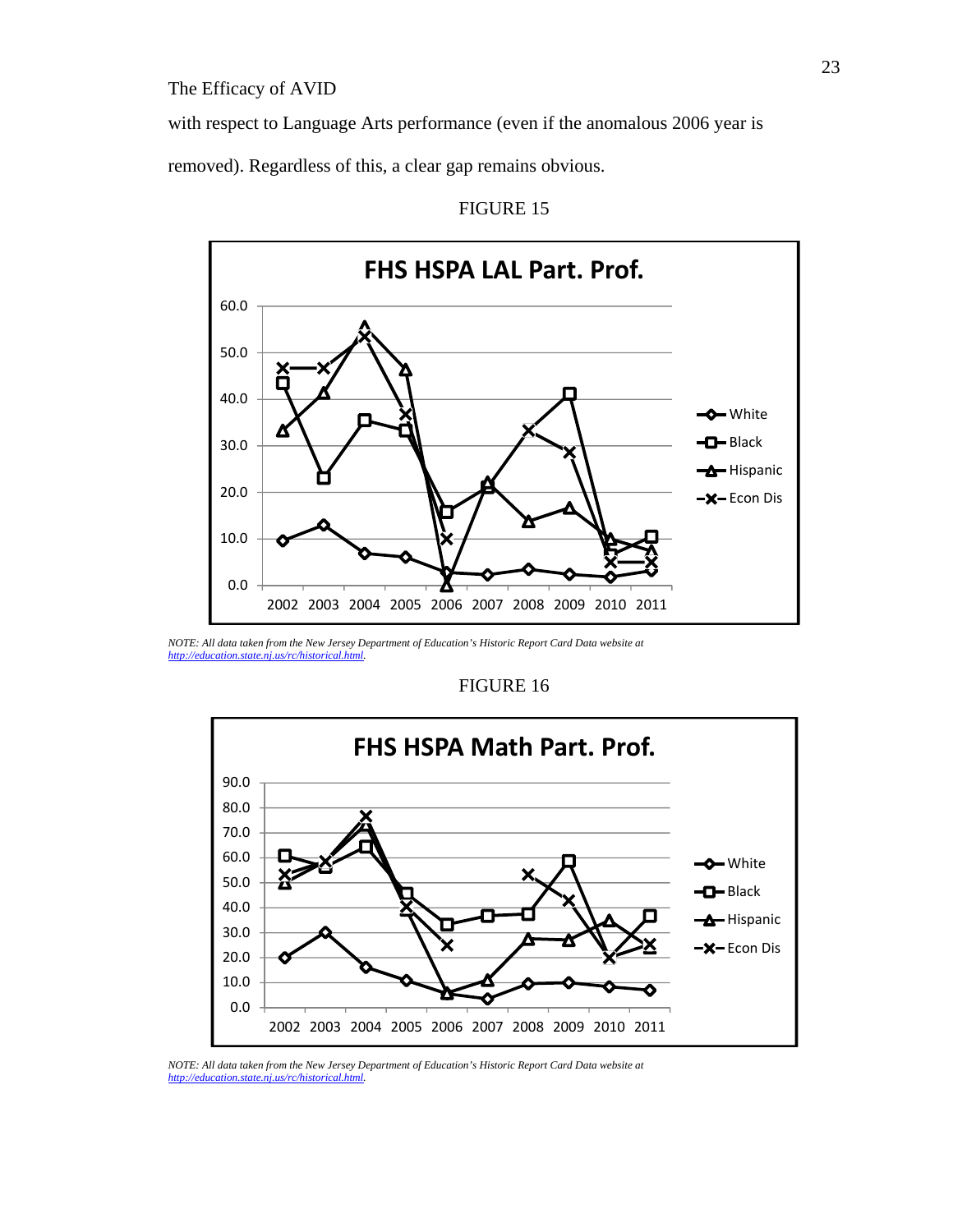with respect to Language Arts performance (even if the anomalous 2006 year is

removed). Regardless of this, a clear gap remains obvious.



FIGURE 15

### FIGURE 16



*NOTE: All data taken from the New Jersey Department of Education's Historic Report Card Data website at http://education.state.nj.us/rc/historical.html.* 

*NOTE: All data taken from the New Jersey Department of Education's Historic Report Card Data website at http://education.state.nj.us/rc/historical.html.*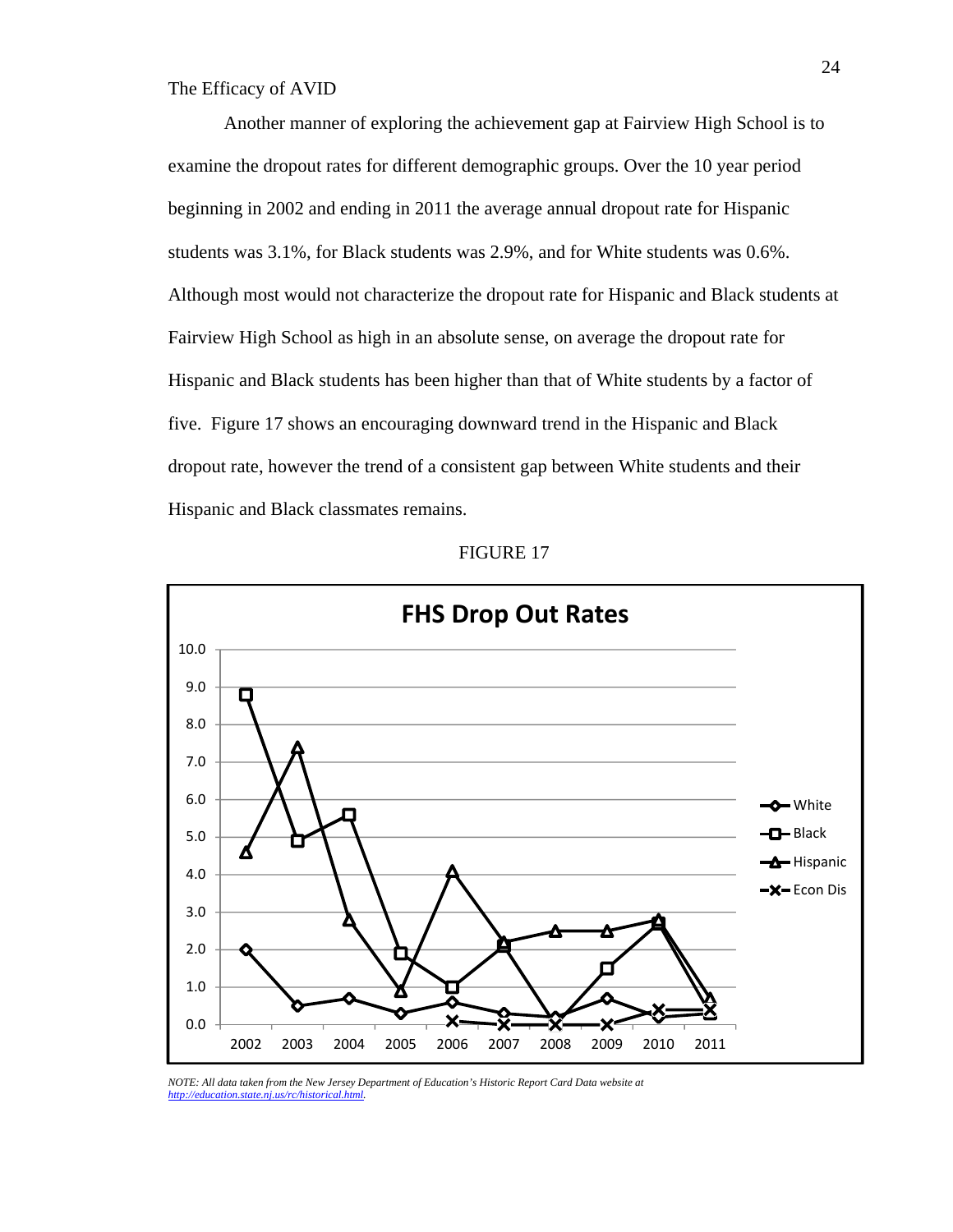Another manner of exploring the achievement gap at Fairview High School is to examine the dropout rates for different demographic groups. Over the 10 year period beginning in 2002 and ending in 2011 the average annual dropout rate for Hispanic students was 3.1%, for Black students was 2.9%, and for White students was 0.6%. Although most would not characterize the dropout rate for Hispanic and Black students at Fairview High School as high in an absolute sense, on average the dropout rate for Hispanic and Black students has been higher than that of White students by a factor of five. Figure 17 shows an encouraging downward trend in the Hispanic and Black dropout rate, however the trend of a consistent gap between White students and their Hispanic and Black classmates remains.



FIGURE 17

*NOTE: All data taken from the New Jersey Department of Education's Historic Report Card Data website at http://education.state.nj.us/rc/historical.html.*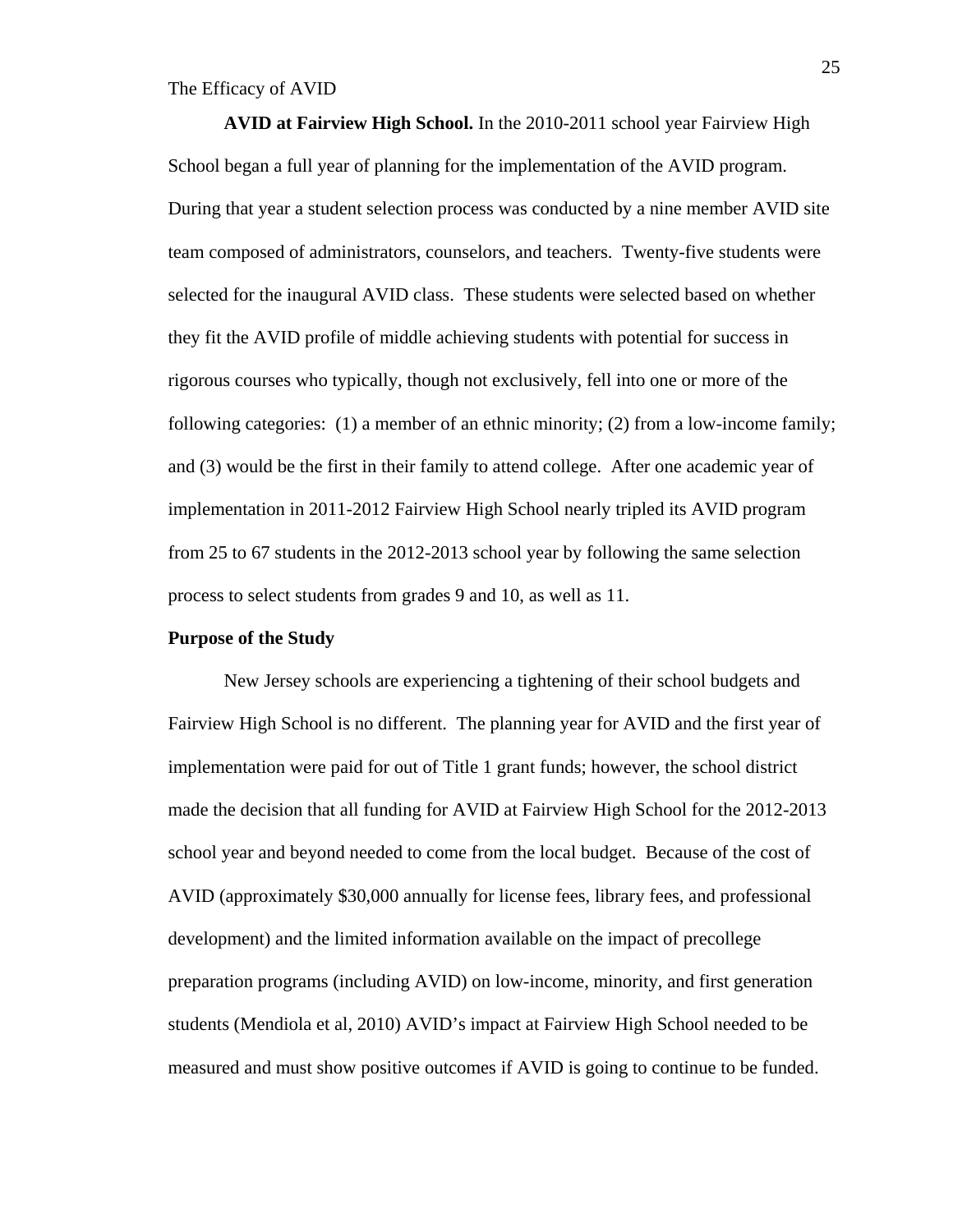**AVID at Fairview High School.** In the 2010-2011 school year Fairview High School began a full year of planning for the implementation of the AVID program. During that year a student selection process was conducted by a nine member AVID site team composed of administrators, counselors, and teachers. Twenty-five students were selected for the inaugural AVID class. These students were selected based on whether they fit the AVID profile of middle achieving students with potential for success in rigorous courses who typically, though not exclusively, fell into one or more of the following categories: (1) a member of an ethnic minority; (2) from a low-income family; and (3) would be the first in their family to attend college. After one academic year of implementation in 2011-2012 Fairview High School nearly tripled its AVID program from 25 to 67 students in the 2012-2013 school year by following the same selection process to select students from grades 9 and 10, as well as 11.

#### **Purpose of the Study**

New Jersey schools are experiencing a tightening of their school budgets and Fairview High School is no different. The planning year for AVID and the first year of implementation were paid for out of Title 1 grant funds; however, the school district made the decision that all funding for AVID at Fairview High School for the 2012-2013 school year and beyond needed to come from the local budget. Because of the cost of AVID (approximately \$30,000 annually for license fees, library fees, and professional development) and the limited information available on the impact of precollege preparation programs (including AVID) on low-income, minority, and first generation students (Mendiola et al, 2010) AVID's impact at Fairview High School needed to be measured and must show positive outcomes if AVID is going to continue to be funded.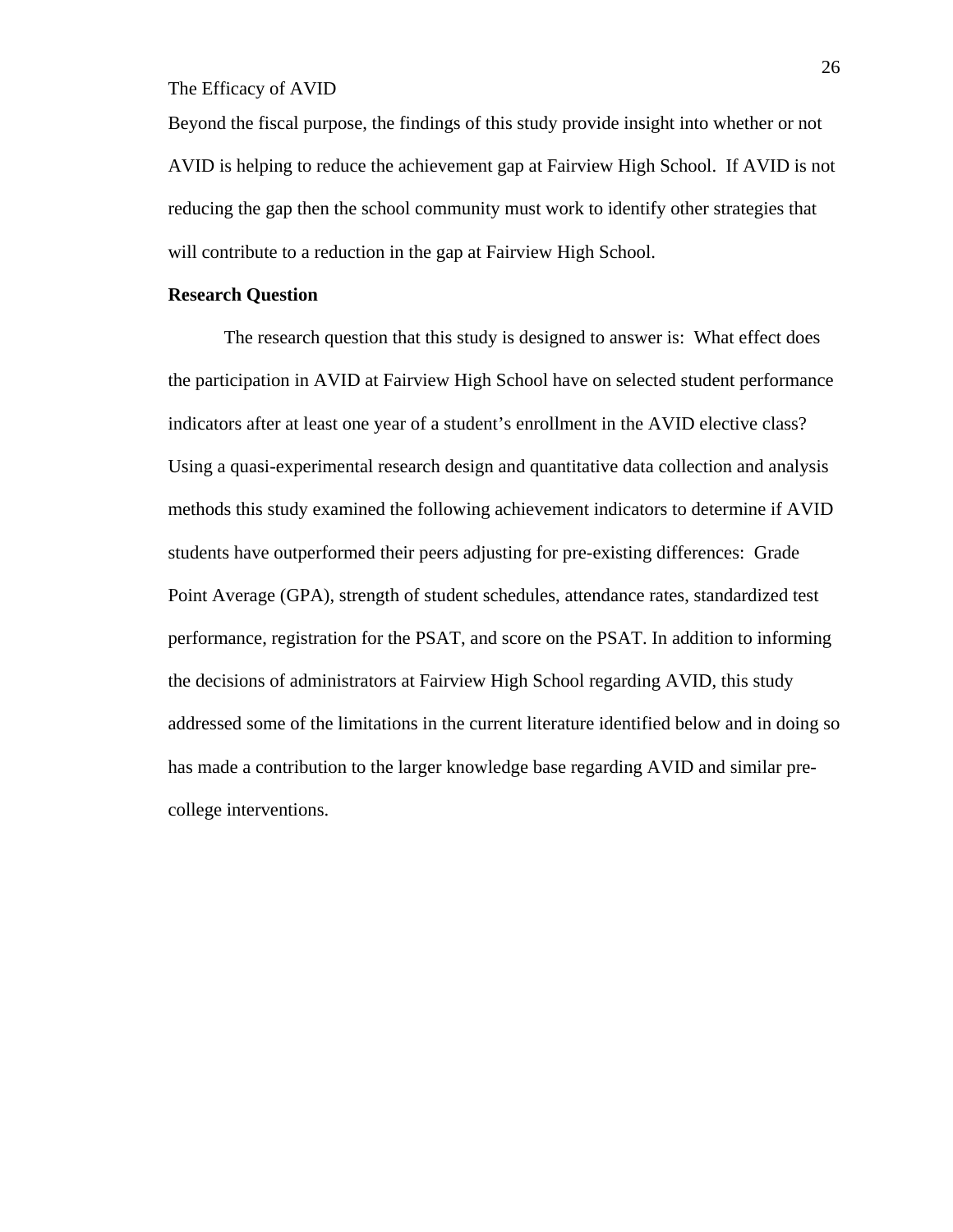Beyond the fiscal purpose, the findings of this study provide insight into whether or not AVID is helping to reduce the achievement gap at Fairview High School. If AVID is not reducing the gap then the school community must work to identify other strategies that will contribute to a reduction in the gap at Fairview High School.

## **Research Question**

The research question that this study is designed to answer is: What effect does the participation in AVID at Fairview High School have on selected student performance indicators after at least one year of a student's enrollment in the AVID elective class? Using a quasi-experimental research design and quantitative data collection and analysis methods this study examined the following achievement indicators to determine if AVID students have outperformed their peers adjusting for pre-existing differences: Grade Point Average (GPA), strength of student schedules, attendance rates, standardized test performance, registration for the PSAT, and score on the PSAT. In addition to informing the decisions of administrators at Fairview High School regarding AVID, this study addressed some of the limitations in the current literature identified below and in doing so has made a contribution to the larger knowledge base regarding AVID and similar precollege interventions.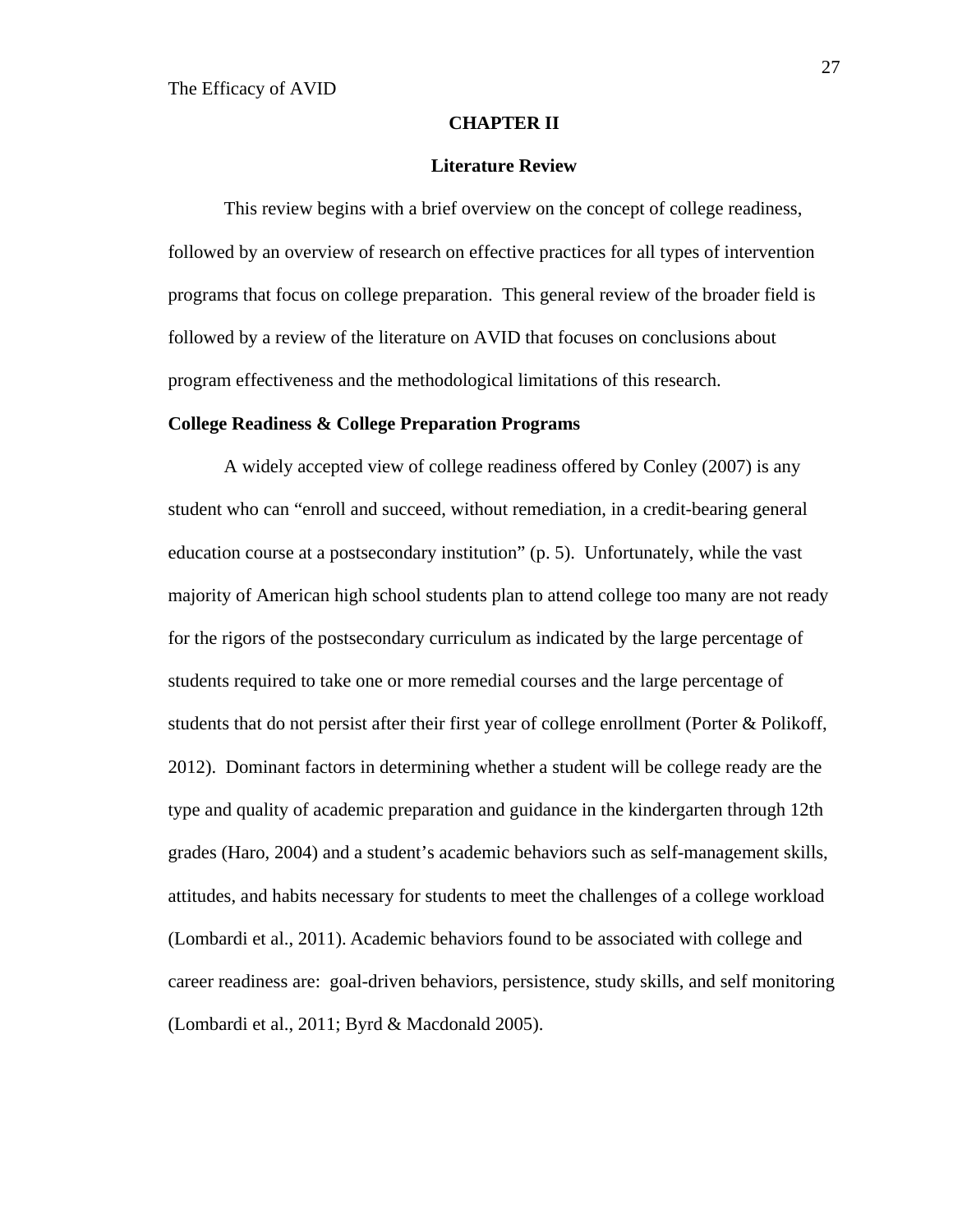#### **CHAPTER II**

#### **Literature Review**

 This review begins with a brief overview on the concept of college readiness, followed by an overview of research on effective practices for all types of intervention programs that focus on college preparation. This general review of the broader field is followed by a review of the literature on AVID that focuses on conclusions about program effectiveness and the methodological limitations of this research.

#### **College Readiness & College Preparation Programs**

A widely accepted view of college readiness offered by Conley (2007) is any student who can "enroll and succeed, without remediation, in a credit-bearing general education course at a postsecondary institution" (p. 5). Unfortunately, while the vast majority of American high school students plan to attend college too many are not ready for the rigors of the postsecondary curriculum as indicated by the large percentage of students required to take one or more remedial courses and the large percentage of students that do not persist after their first year of college enrollment (Porter & Polikoff, 2012). Dominant factors in determining whether a student will be college ready are the type and quality of academic preparation and guidance in the kindergarten through 12th grades (Haro, 2004) and a student's academic behaviors such as self-management skills, attitudes, and habits necessary for students to meet the challenges of a college workload (Lombardi et al., 2011). Academic behaviors found to be associated with college and career readiness are: goal-driven behaviors, persistence, study skills, and self monitoring (Lombardi et al., 2011; Byrd & Macdonald 2005).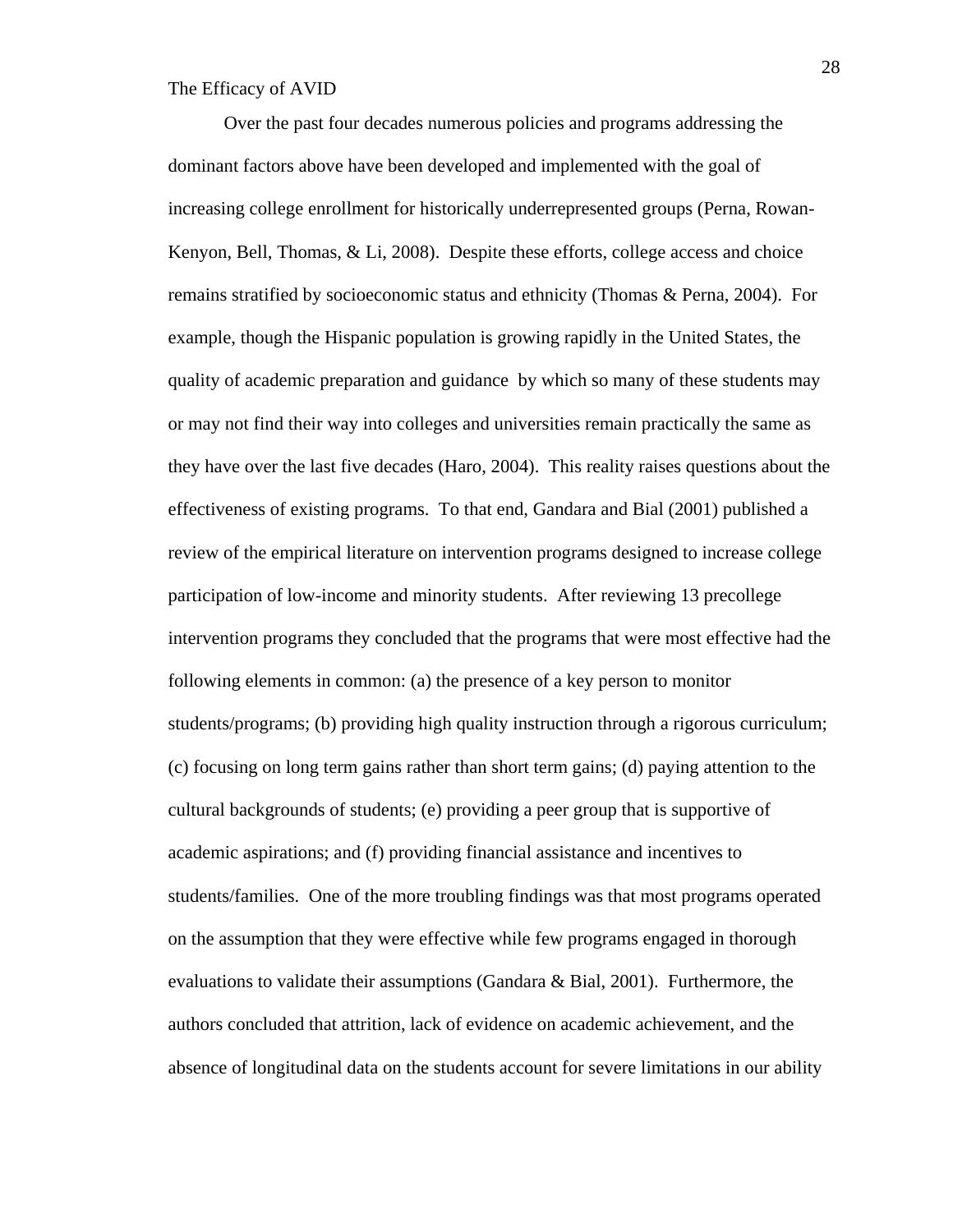Over the past four decades numerous policies and programs addressing the dominant factors above have been developed and implemented with the goal of increasing college enrollment for historically underrepresented groups (Perna, Rowan-Kenyon, Bell, Thomas, & Li, 2008). Despite these efforts, college access and choice remains stratified by socioeconomic status and ethnicity (Thomas & Perna, 2004). For example, though the Hispanic population is growing rapidly in the United States, the quality of academic preparation and guidance by which so many of these students may or may not find their way into colleges and universities remain practically the same as they have over the last five decades (Haro, 2004). This reality raises questions about the effectiveness of existing programs. To that end, Gandara and Bial (2001) published a review of the empirical literature on intervention programs designed to increase college participation of low-income and minority students. After reviewing 13 precollege intervention programs they concluded that the programs that were most effective had the following elements in common: (a) the presence of a key person to monitor students/programs; (b) providing high quality instruction through a rigorous curriculum; (c) focusing on long term gains rather than short term gains; (d) paying attention to the cultural backgrounds of students; (e) providing a peer group that is supportive of academic aspirations; and (f) providing financial assistance and incentives to students/families. One of the more troubling findings was that most programs operated on the assumption that they were effective while few programs engaged in thorough evaluations to validate their assumptions (Gandara & Bial, 2001). Furthermore, the authors concluded that attrition, lack of evidence on academic achievement, and the absence of longitudinal data on the students account for severe limitations in our ability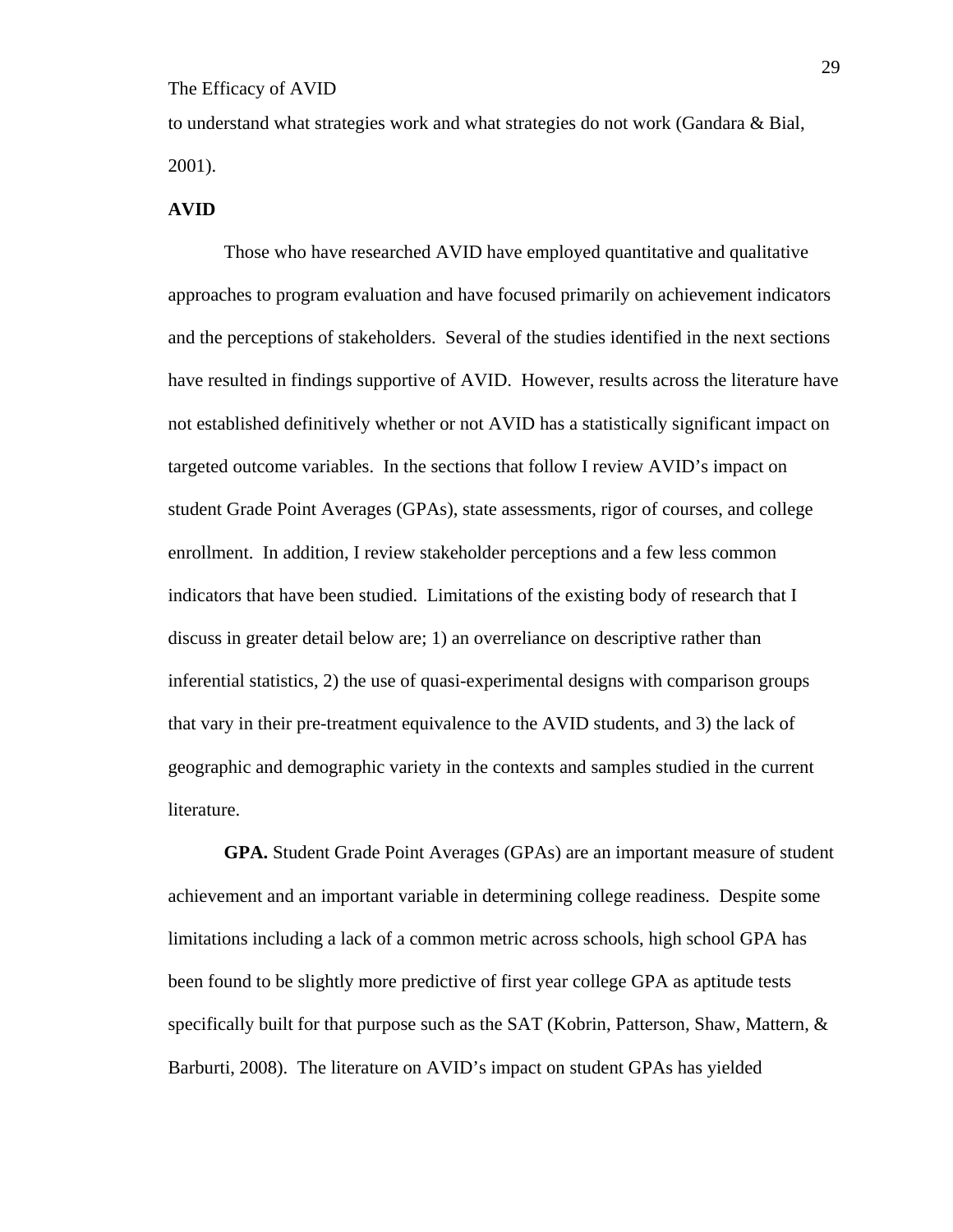to understand what strategies work and what strategies do not work (Gandara & Bial, 2001).

### **AVID**

Those who have researched AVID have employed quantitative and qualitative approaches to program evaluation and have focused primarily on achievement indicators and the perceptions of stakeholders. Several of the studies identified in the next sections have resulted in findings supportive of AVID. However, results across the literature have not established definitively whether or not AVID has a statistically significant impact on targeted outcome variables. In the sections that follow I review AVID's impact on student Grade Point Averages (GPAs), state assessments, rigor of courses, and college enrollment. In addition, I review stakeholder perceptions and a few less common indicators that have been studied. Limitations of the existing body of research that I discuss in greater detail below are; 1) an overreliance on descriptive rather than inferential statistics, 2) the use of quasi-experimental designs with comparison groups that vary in their pre-treatment equivalence to the AVID students, and 3) the lack of geographic and demographic variety in the contexts and samples studied in the current literature.

**GPA.** Student Grade Point Averages (GPAs) are an important measure of student achievement and an important variable in determining college readiness. Despite some limitations including a lack of a common metric across schools, high school GPA has been found to be slightly more predictive of first year college GPA as aptitude tests specifically built for that purpose such as the SAT (Kobrin, Patterson, Shaw, Mattern,  $\&$ Barburti, 2008). The literature on AVID's impact on student GPAs has yielded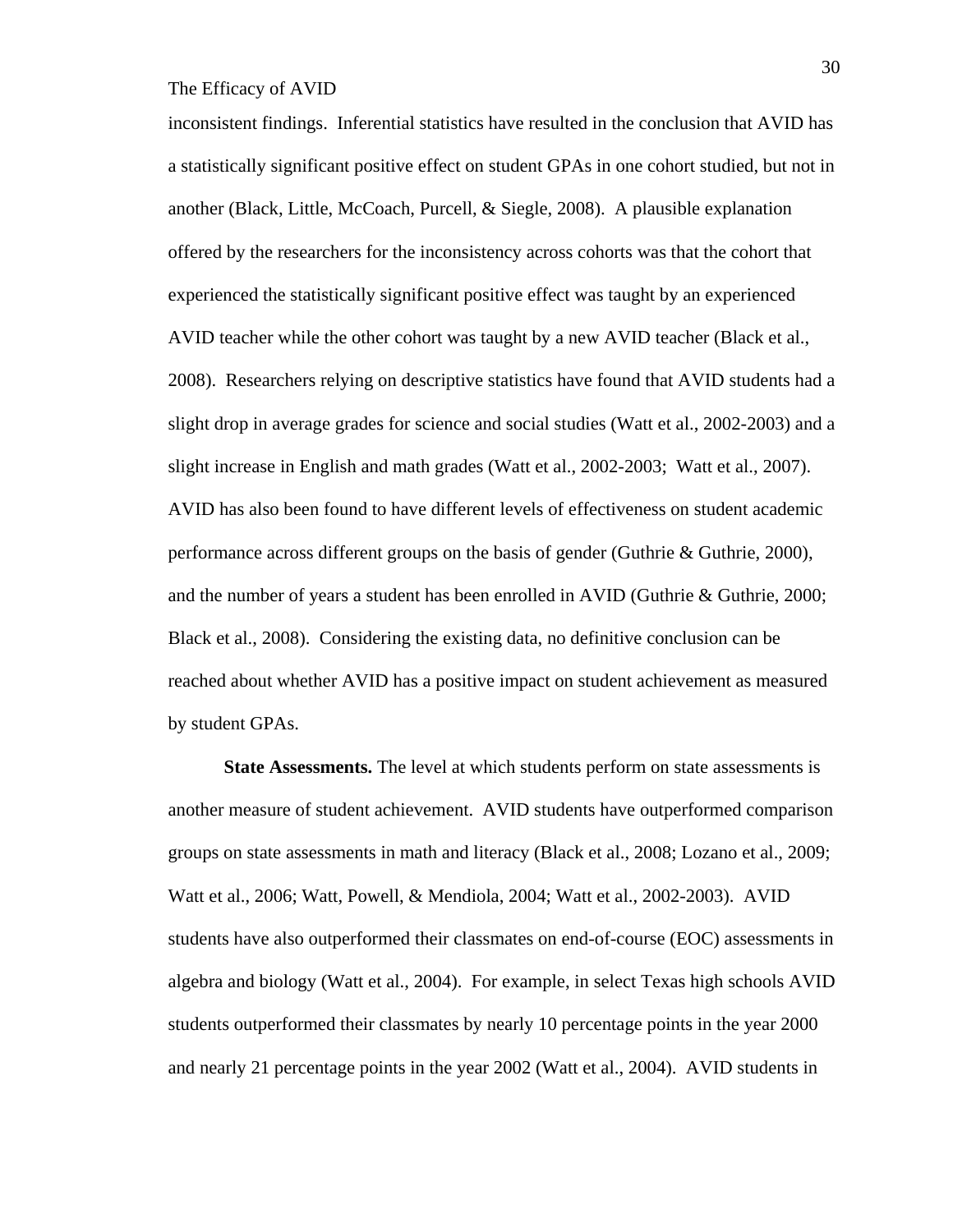inconsistent findings. Inferential statistics have resulted in the conclusion that AVID has a statistically significant positive effect on student GPAs in one cohort studied, but not in another (Black, Little, McCoach, Purcell, & Siegle, 2008). A plausible explanation offered by the researchers for the inconsistency across cohorts was that the cohort that experienced the statistically significant positive effect was taught by an experienced AVID teacher while the other cohort was taught by a new AVID teacher (Black et al., 2008). Researchers relying on descriptive statistics have found that AVID students had a slight drop in average grades for science and social studies (Watt et al., 2002-2003) and a slight increase in English and math grades (Watt et al., 2002-2003; Watt et al., 2007). AVID has also been found to have different levels of effectiveness on student academic performance across different groups on the basis of gender (Guthrie & Guthrie, 2000), and the number of years a student has been enrolled in AVID (Guthrie & Guthrie, 2000; Black et al., 2008). Considering the existing data, no definitive conclusion can be reached about whether AVID has a positive impact on student achievement as measured by student GPAs.

**State Assessments.** The level at which students perform on state assessments is another measure of student achievement. AVID students have outperformed comparison groups on state assessments in math and literacy (Black et al., 2008; Lozano et al., 2009; Watt et al., 2006; Watt, Powell, & Mendiola, 2004; Watt et al., 2002-2003). AVID students have also outperformed their classmates on end-of-course (EOC) assessments in algebra and biology (Watt et al., 2004). For example, in select Texas high schools AVID students outperformed their classmates by nearly 10 percentage points in the year 2000 and nearly 21 percentage points in the year 2002 (Watt et al., 2004). AVID students in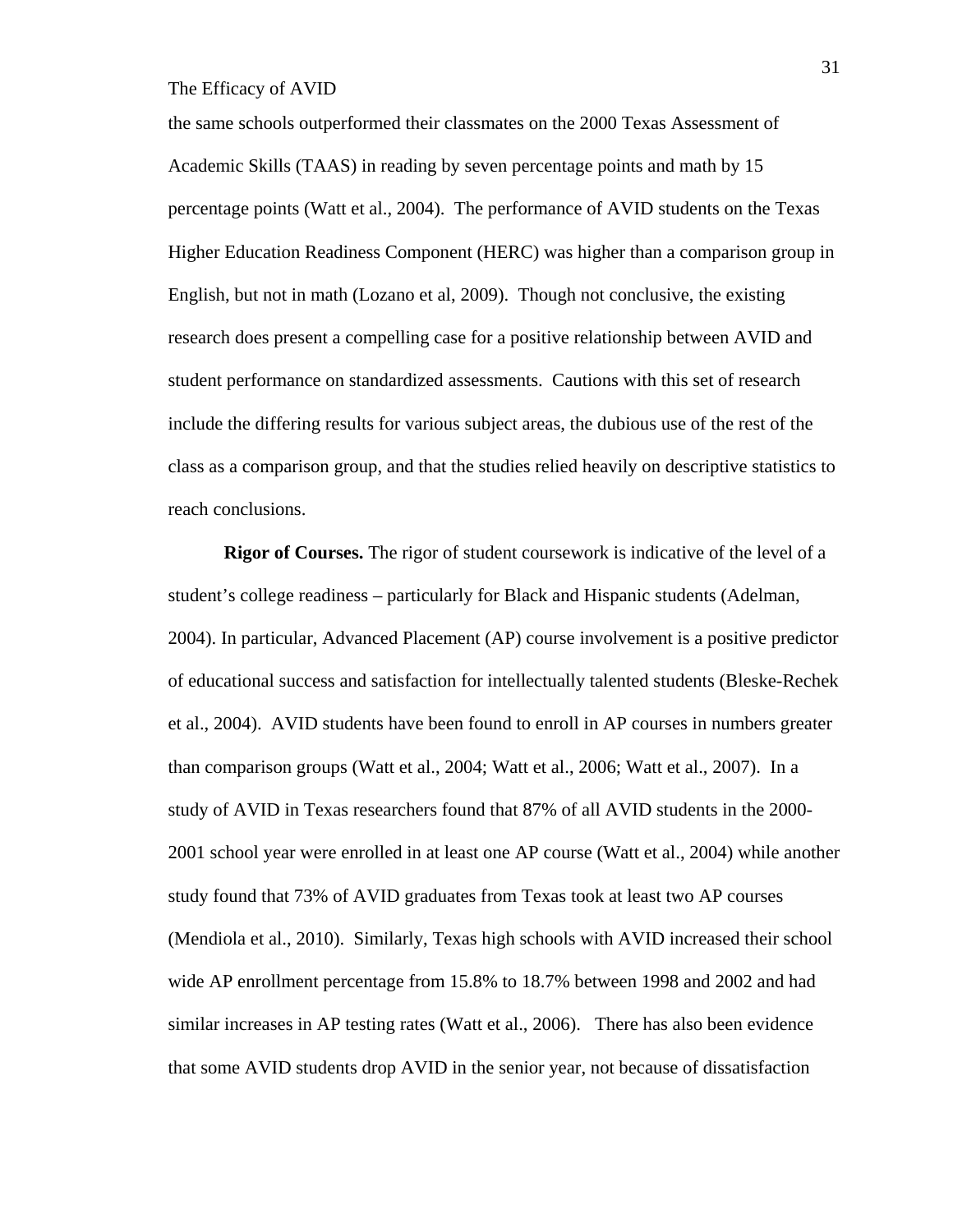the same schools outperformed their classmates on the 2000 Texas Assessment of Academic Skills (TAAS) in reading by seven percentage points and math by 15 percentage points (Watt et al., 2004). The performance of AVID students on the Texas Higher Education Readiness Component (HERC) was higher than a comparison group in English, but not in math (Lozano et al, 2009). Though not conclusive, the existing research does present a compelling case for a positive relationship between AVID and student performance on standardized assessments. Cautions with this set of research include the differing results for various subject areas, the dubious use of the rest of the class as a comparison group, and that the studies relied heavily on descriptive statistics to reach conclusions.

**Rigor of Courses.** The rigor of student coursework is indicative of the level of a student's college readiness – particularly for Black and Hispanic students (Adelman, 2004). In particular, Advanced Placement (AP) course involvement is a positive predictor of educational success and satisfaction for intellectually talented students (Bleske-Rechek et al., 2004). AVID students have been found to enroll in AP courses in numbers greater than comparison groups (Watt et al., 2004; Watt et al., 2006; Watt et al., 2007). In a study of AVID in Texas researchers found that 87% of all AVID students in the 2000- 2001 school year were enrolled in at least one AP course (Watt et al., 2004) while another study found that 73% of AVID graduates from Texas took at least two AP courses (Mendiola et al., 2010). Similarly, Texas high schools with AVID increased their school wide AP enrollment percentage from 15.8% to 18.7% between 1998 and 2002 and had similar increases in AP testing rates (Watt et al., 2006). There has also been evidence that some AVID students drop AVID in the senior year, not because of dissatisfaction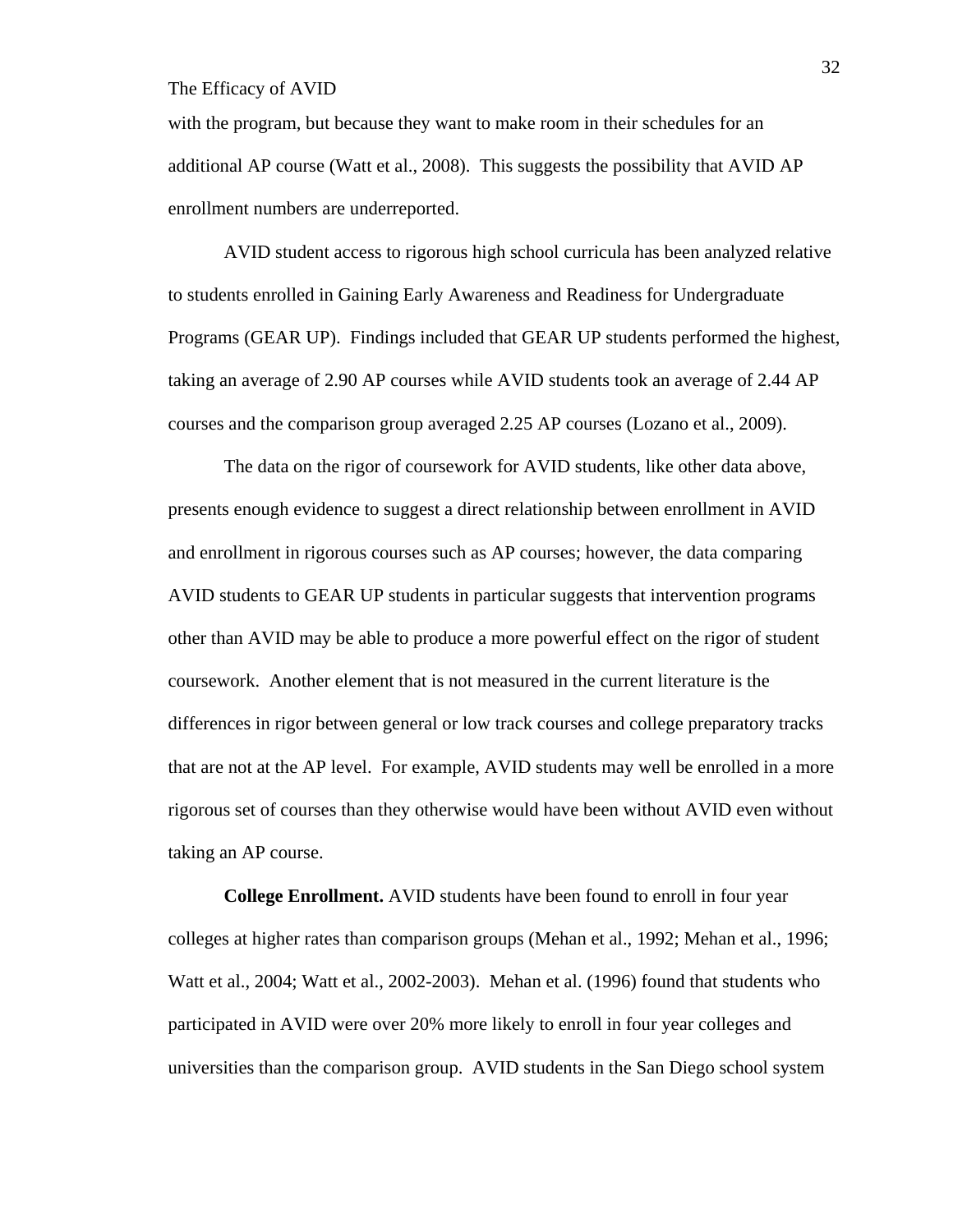with the program, but because they want to make room in their schedules for an additional AP course (Watt et al., 2008). This suggests the possibility that AVID AP enrollment numbers are underreported.

AVID student access to rigorous high school curricula has been analyzed relative to students enrolled in Gaining Early Awareness and Readiness for Undergraduate Programs (GEAR UP). Findings included that GEAR UP students performed the highest, taking an average of 2.90 AP courses while AVID students took an average of 2.44 AP courses and the comparison group averaged 2.25 AP courses (Lozano et al., 2009).

The data on the rigor of coursework for AVID students, like other data above, presents enough evidence to suggest a direct relationship between enrollment in AVID and enrollment in rigorous courses such as AP courses; however, the data comparing AVID students to GEAR UP students in particular suggests that intervention programs other than AVID may be able to produce a more powerful effect on the rigor of student coursework. Another element that is not measured in the current literature is the differences in rigor between general or low track courses and college preparatory tracks that are not at the AP level. For example, AVID students may well be enrolled in a more rigorous set of courses than they otherwise would have been without AVID even without taking an AP course.

**College Enrollment.** AVID students have been found to enroll in four year colleges at higher rates than comparison groups (Mehan et al., 1992; Mehan et al., 1996; Watt et al., 2004; Watt et al., 2002-2003). Mehan et al. (1996) found that students who participated in AVID were over 20% more likely to enroll in four year colleges and universities than the comparison group. AVID students in the San Diego school system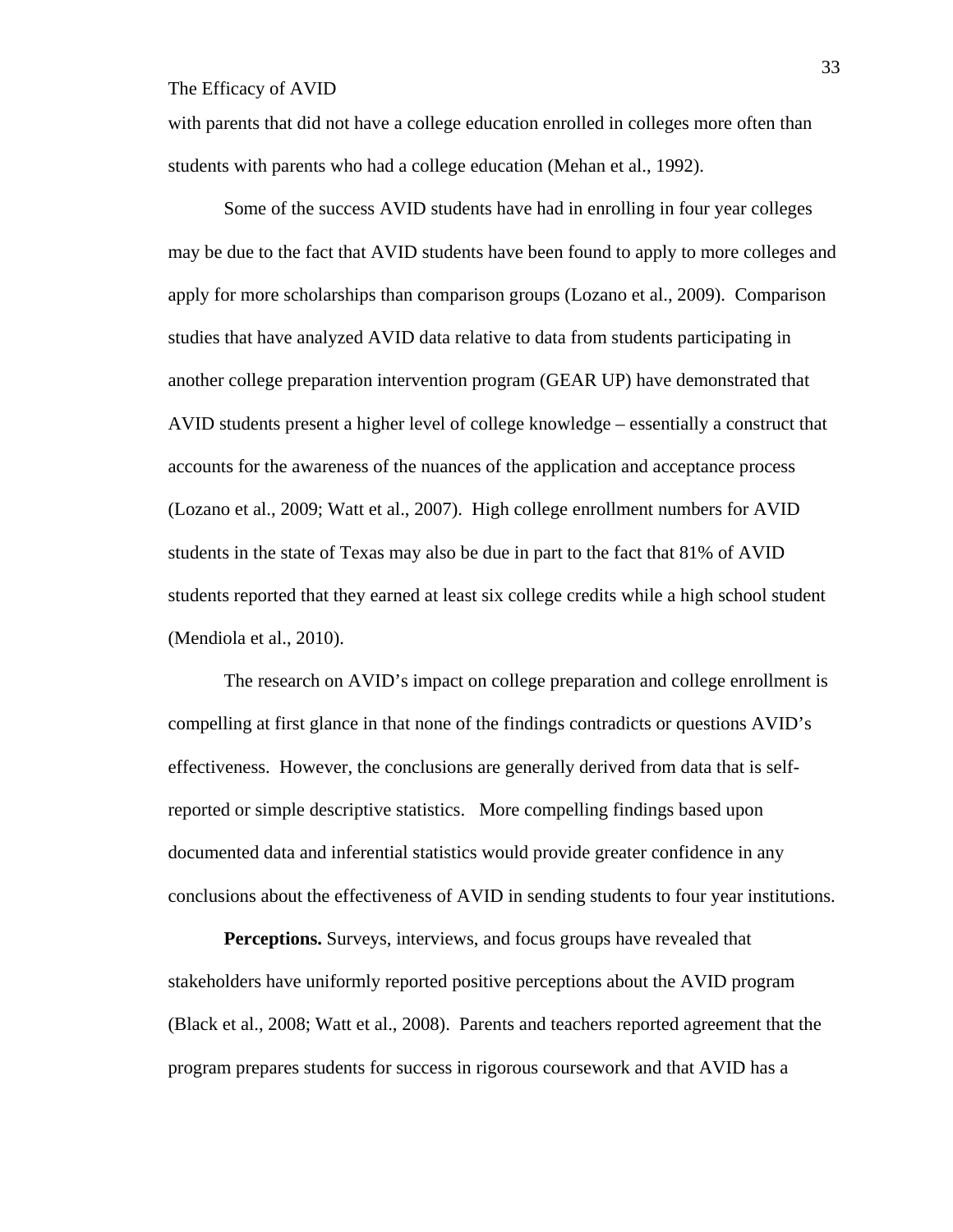with parents that did not have a college education enrolled in colleges more often than students with parents who had a college education (Mehan et al., 1992).

Some of the success AVID students have had in enrolling in four year colleges may be due to the fact that AVID students have been found to apply to more colleges and apply for more scholarships than comparison groups (Lozano et al., 2009). Comparison studies that have analyzed AVID data relative to data from students participating in another college preparation intervention program (GEAR UP) have demonstrated that AVID students present a higher level of college knowledge – essentially a construct that accounts for the awareness of the nuances of the application and acceptance process (Lozano et al., 2009; Watt et al., 2007). High college enrollment numbers for AVID students in the state of Texas may also be due in part to the fact that 81% of AVID students reported that they earned at least six college credits while a high school student (Mendiola et al., 2010).

The research on AVID's impact on college preparation and college enrollment is compelling at first glance in that none of the findings contradicts or questions AVID's effectiveness. However, the conclusions are generally derived from data that is selfreported or simple descriptive statistics. More compelling findings based upon documented data and inferential statistics would provide greater confidence in any conclusions about the effectiveness of AVID in sending students to four year institutions.

**Perceptions.** Surveys, interviews, and focus groups have revealed that stakeholders have uniformly reported positive perceptions about the AVID program (Black et al., 2008; Watt et al., 2008). Parents and teachers reported agreement that the program prepares students for success in rigorous coursework and that AVID has a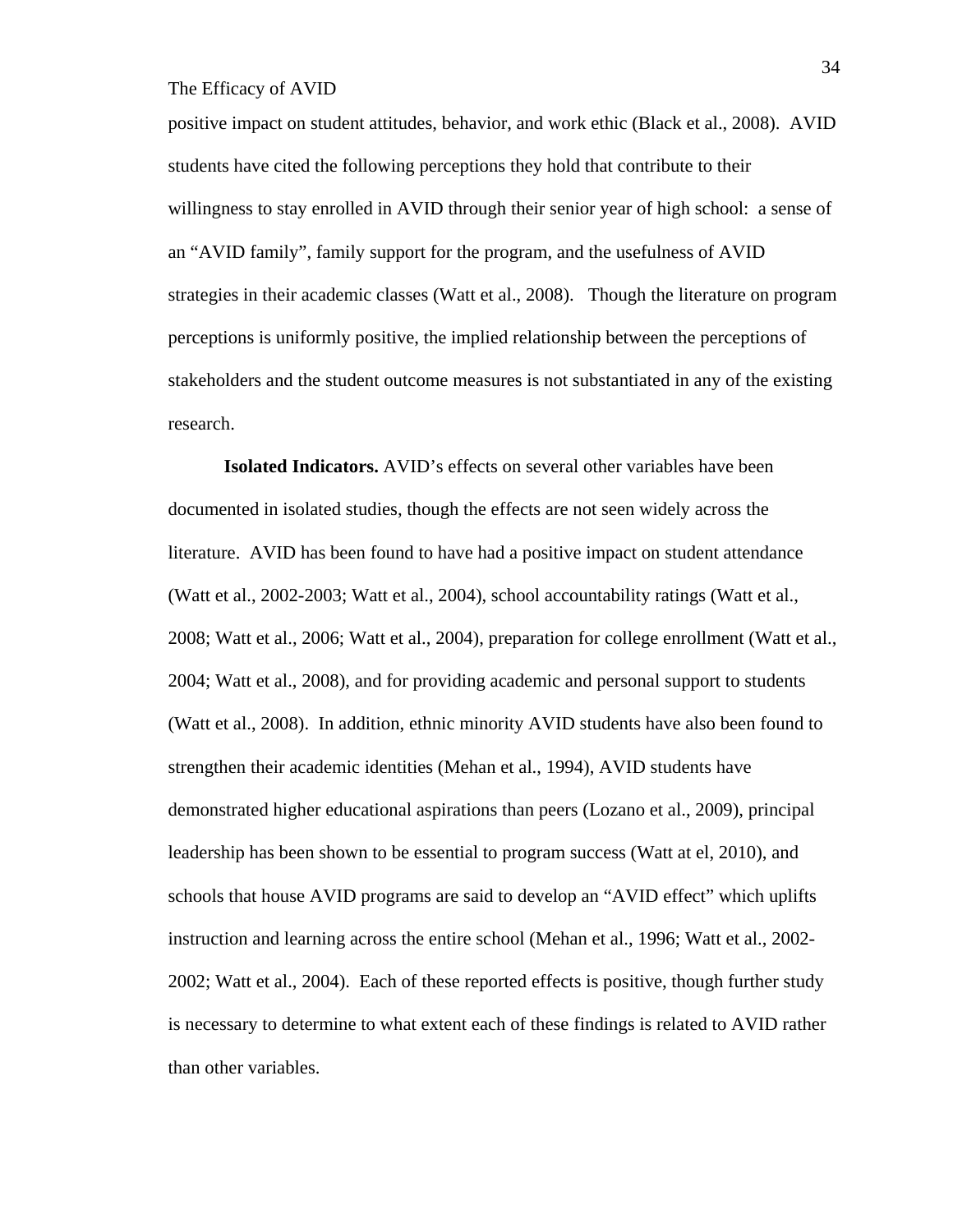positive impact on student attitudes, behavior, and work ethic (Black et al., 2008). AVID students have cited the following perceptions they hold that contribute to their willingness to stay enrolled in AVID through their senior year of high school: a sense of an "AVID family", family support for the program, and the usefulness of AVID strategies in their academic classes (Watt et al., 2008). Though the literature on program perceptions is uniformly positive, the implied relationship between the perceptions of stakeholders and the student outcome measures is not substantiated in any of the existing research.

**Isolated Indicators.** AVID's effects on several other variables have been documented in isolated studies, though the effects are not seen widely across the literature. AVID has been found to have had a positive impact on student attendance (Watt et al., 2002-2003; Watt et al., 2004), school accountability ratings (Watt et al., 2008; Watt et al., 2006; Watt et al., 2004), preparation for college enrollment (Watt et al., 2004; Watt et al., 2008), and for providing academic and personal support to students (Watt et al., 2008). In addition, ethnic minority AVID students have also been found to strengthen their academic identities (Mehan et al., 1994), AVID students have demonstrated higher educational aspirations than peers (Lozano et al., 2009), principal leadership has been shown to be essential to program success (Watt at el, 2010), and schools that house AVID programs are said to develop an "AVID effect" which uplifts instruction and learning across the entire school (Mehan et al., 1996; Watt et al., 2002- 2002; Watt et al., 2004). Each of these reported effects is positive, though further study is necessary to determine to what extent each of these findings is related to AVID rather than other variables.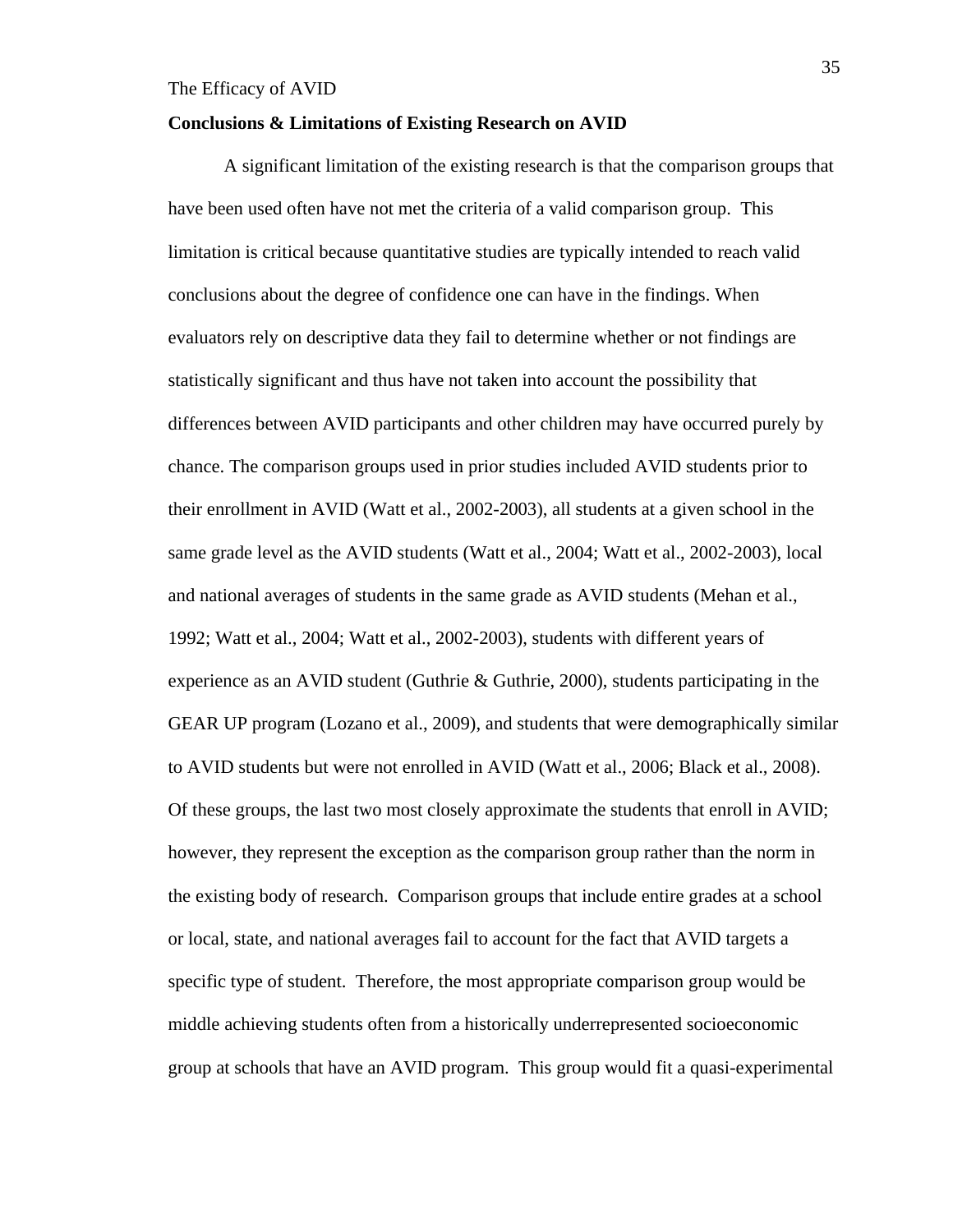#### **Conclusions & Limitations of Existing Research on AVID**

A significant limitation of the existing research is that the comparison groups that have been used often have not met the criteria of a valid comparison group. This limitation is critical because quantitative studies are typically intended to reach valid conclusions about the degree of confidence one can have in the findings. When evaluators rely on descriptive data they fail to determine whether or not findings are statistically significant and thus have not taken into account the possibility that differences between AVID participants and other children may have occurred purely by chance. The comparison groups used in prior studies included AVID students prior to their enrollment in AVID (Watt et al., 2002-2003), all students at a given school in the same grade level as the AVID students (Watt et al., 2004; Watt et al., 2002-2003), local and national averages of students in the same grade as AVID students (Mehan et al., 1992; Watt et al., 2004; Watt et al., 2002-2003), students with different years of experience as an AVID student (Guthrie & Guthrie, 2000), students participating in the GEAR UP program (Lozano et al., 2009), and students that were demographically similar to AVID students but were not enrolled in AVID (Watt et al., 2006; Black et al., 2008). Of these groups, the last two most closely approximate the students that enroll in AVID; however, they represent the exception as the comparison group rather than the norm in the existing body of research. Comparison groups that include entire grades at a school or local, state, and national averages fail to account for the fact that AVID targets a specific type of student. Therefore, the most appropriate comparison group would be middle achieving students often from a historically underrepresented socioeconomic group at schools that have an AVID program. This group would fit a quasi-experimental

35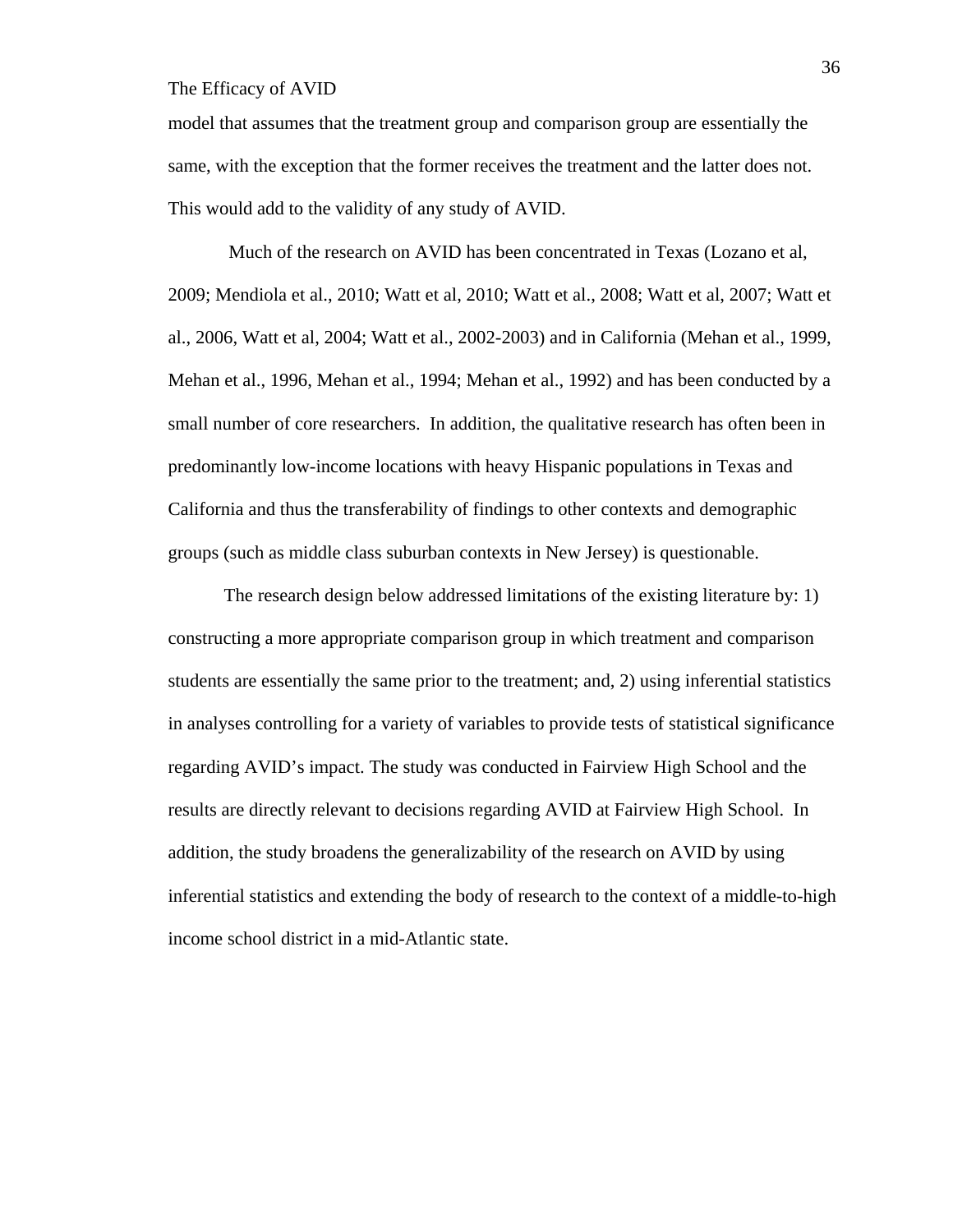model that assumes that the treatment group and comparison group are essentially the same, with the exception that the former receives the treatment and the latter does not. This would add to the validity of any study of AVID.

 Much of the research on AVID has been concentrated in Texas (Lozano et al, 2009; Mendiola et al., 2010; Watt et al, 2010; Watt et al., 2008; Watt et al, 2007; Watt et al., 2006, Watt et al, 2004; Watt et al., 2002-2003) and in California (Mehan et al., 1999, Mehan et al., 1996, Mehan et al., 1994; Mehan et al., 1992) and has been conducted by a small number of core researchers. In addition, the qualitative research has often been in predominantly low-income locations with heavy Hispanic populations in Texas and California and thus the transferability of findings to other contexts and demographic groups (such as middle class suburban contexts in New Jersey) is questionable.

The research design below addressed limitations of the existing literature by: 1) constructing a more appropriate comparison group in which treatment and comparison students are essentially the same prior to the treatment; and, 2) using inferential statistics in analyses controlling for a variety of variables to provide tests of statistical significance regarding AVID's impact. The study was conducted in Fairview High School and the results are directly relevant to decisions regarding AVID at Fairview High School. In addition, the study broadens the generalizability of the research on AVID by using inferential statistics and extending the body of research to the context of a middle-to-high income school district in a mid-Atlantic state.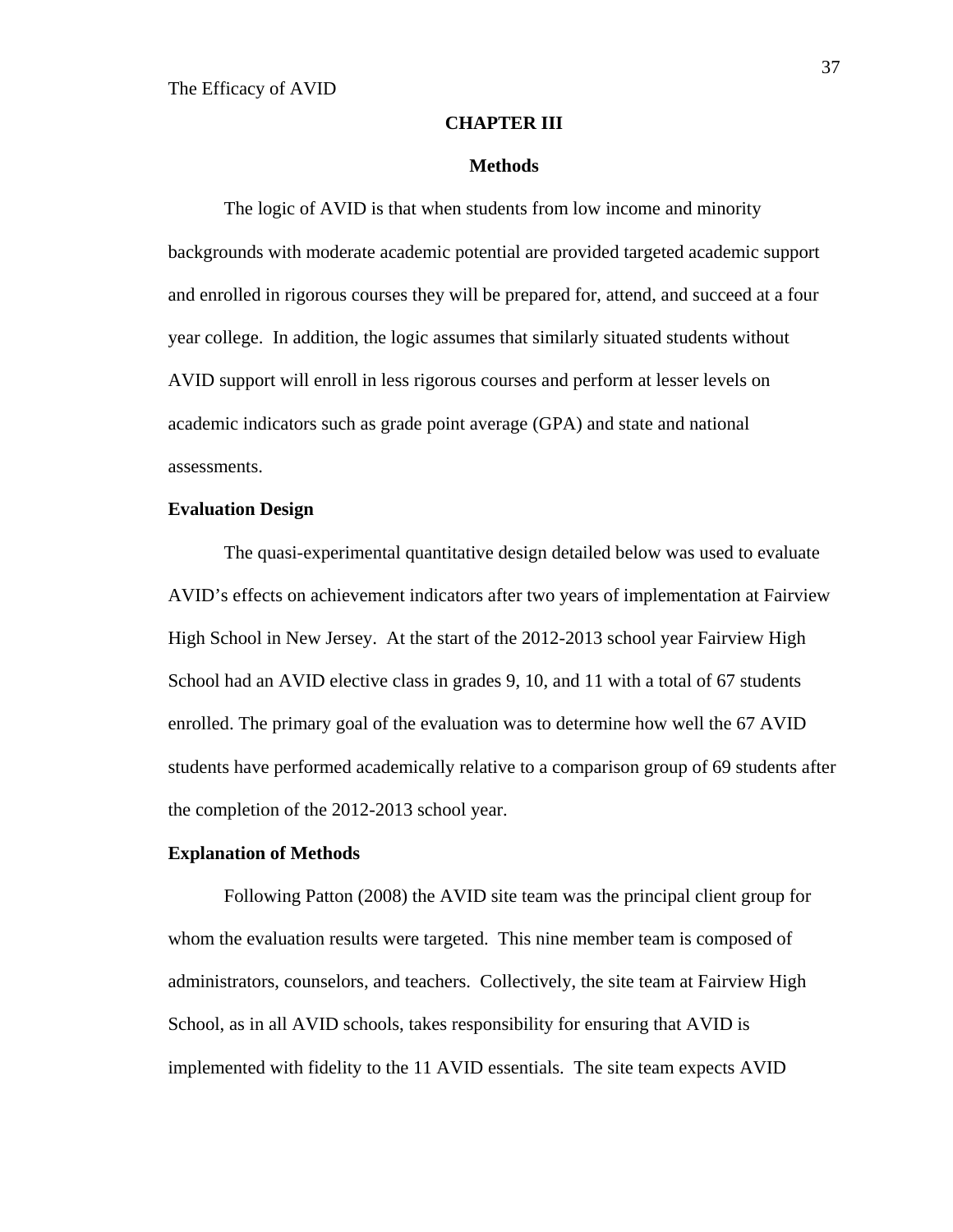#### **CHAPTER III**

#### **Methods**

The logic of AVID is that when students from low income and minority backgrounds with moderate academic potential are provided targeted academic support and enrolled in rigorous courses they will be prepared for, attend, and succeed at a four year college. In addition, the logic assumes that similarly situated students without AVID support will enroll in less rigorous courses and perform at lesser levels on academic indicators such as grade point average (GPA) and state and national assessments.

#### **Evaluation Design**

The quasi-experimental quantitative design detailed below was used to evaluate AVID's effects on achievement indicators after two years of implementation at Fairview High School in New Jersey. At the start of the 2012-2013 school year Fairview High School had an AVID elective class in grades 9, 10, and 11 with a total of 67 students enrolled. The primary goal of the evaluation was to determine how well the 67 AVID students have performed academically relative to a comparison group of 69 students after the completion of the 2012-2013 school year.

#### **Explanation of Methods**

Following Patton (2008) the AVID site team was the principal client group for whom the evaluation results were targeted. This nine member team is composed of administrators, counselors, and teachers. Collectively, the site team at Fairview High School, as in all AVID schools, takes responsibility for ensuring that AVID is implemented with fidelity to the 11 AVID essentials. The site team expects AVID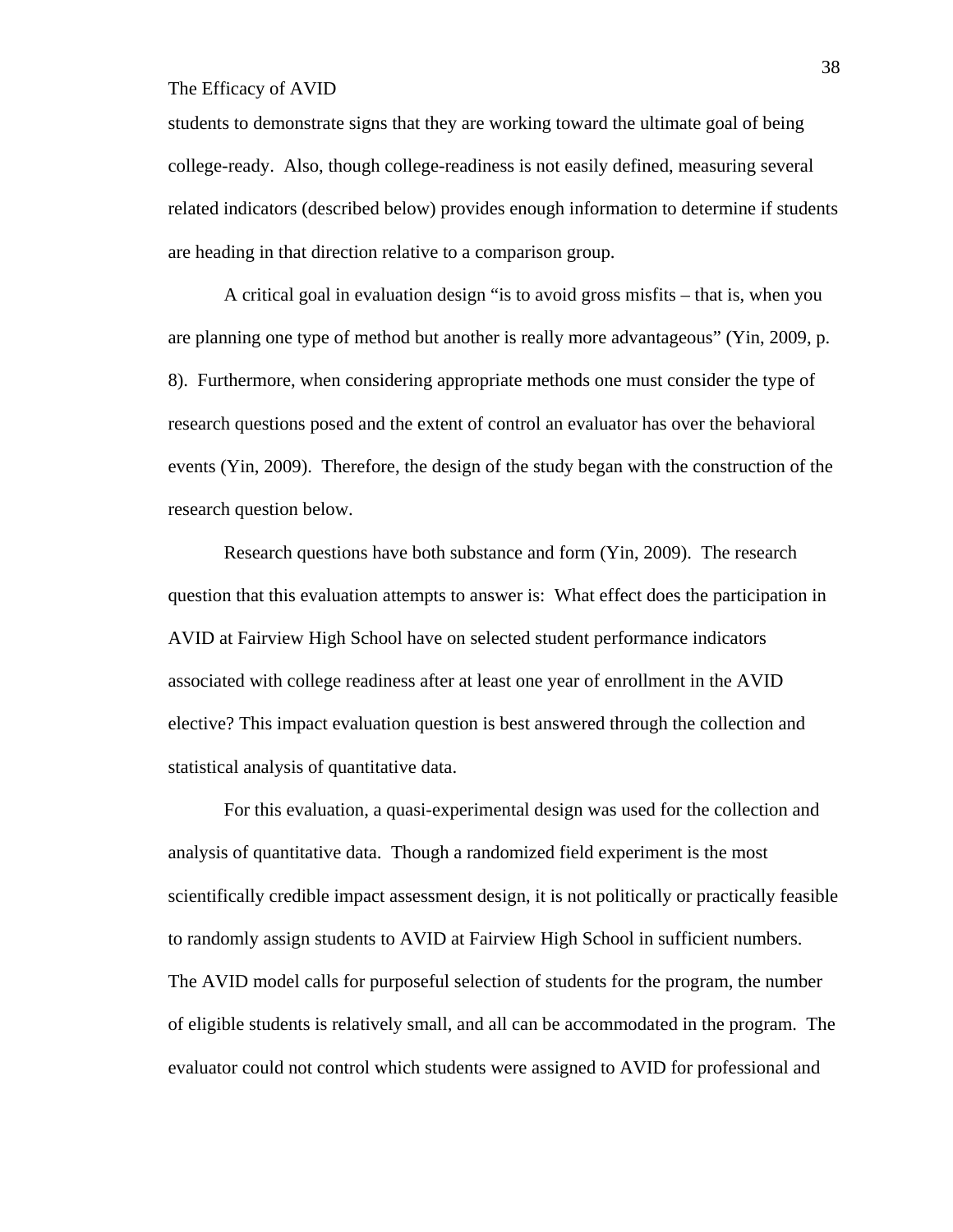students to demonstrate signs that they are working toward the ultimate goal of being college-ready. Also, though college-readiness is not easily defined, measuring several related indicators (described below) provides enough information to determine if students are heading in that direction relative to a comparison group.

A critical goal in evaluation design "is to avoid gross misfits – that is, when you are planning one type of method but another is really more advantageous" (Yin, 2009, p. 8). Furthermore, when considering appropriate methods one must consider the type of research questions posed and the extent of control an evaluator has over the behavioral events (Yin, 2009). Therefore, the design of the study began with the construction of the research question below.

Research questions have both substance and form (Yin, 2009). The research question that this evaluation attempts to answer is: What effect does the participation in AVID at Fairview High School have on selected student performance indicators associated with college readiness after at least one year of enrollment in the AVID elective? This impact evaluation question is best answered through the collection and statistical analysis of quantitative data.

For this evaluation, a quasi-experimental design was used for the collection and analysis of quantitative data. Though a randomized field experiment is the most scientifically credible impact assessment design, it is not politically or practically feasible to randomly assign students to AVID at Fairview High School in sufficient numbers. The AVID model calls for purposeful selection of students for the program, the number of eligible students is relatively small, and all can be accommodated in the program. The evaluator could not control which students were assigned to AVID for professional and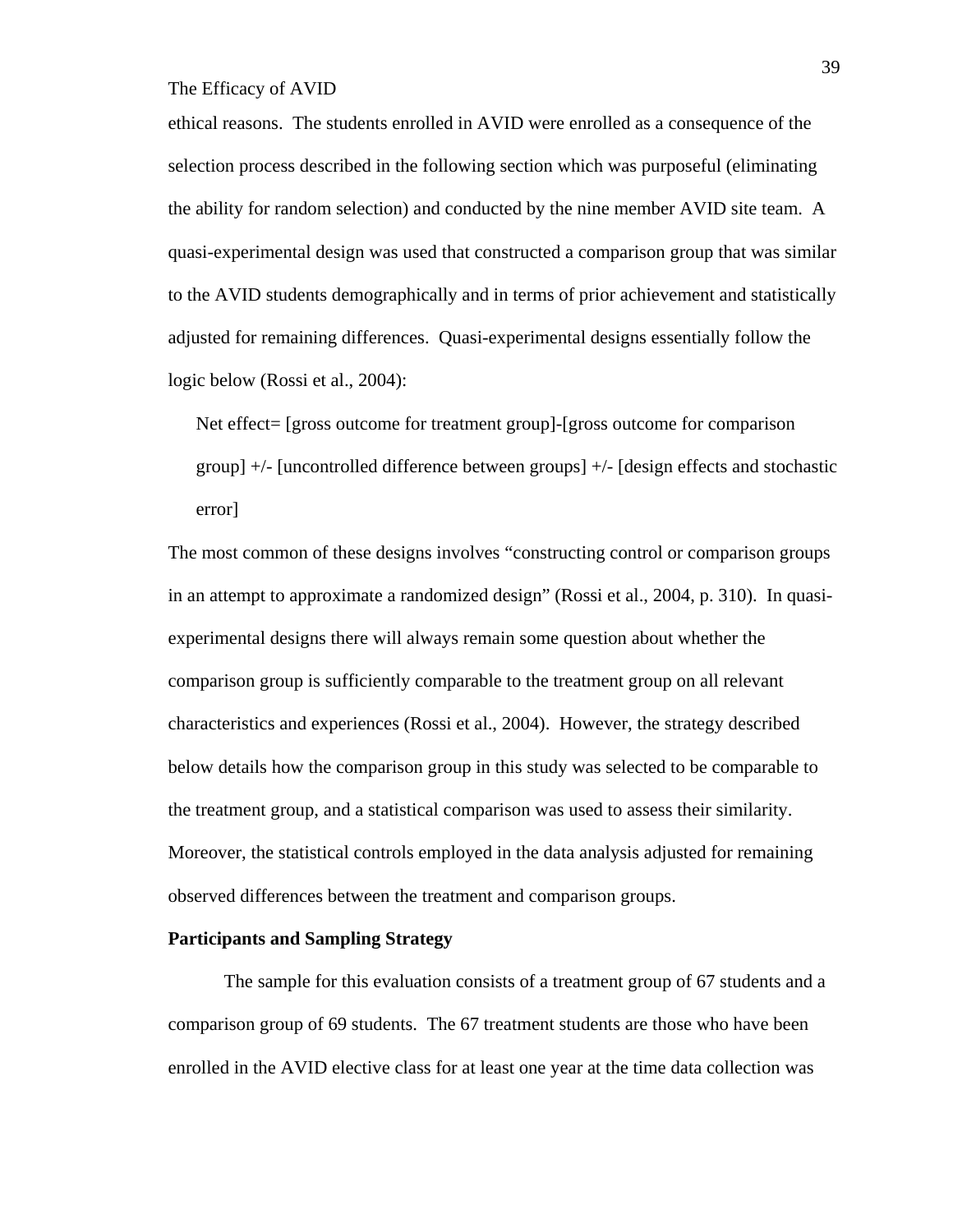ethical reasons. The students enrolled in AVID were enrolled as a consequence of the selection process described in the following section which was purposeful (eliminating the ability for random selection) and conducted by the nine member AVID site team. A quasi-experimental design was used that constructed a comparison group that was similar to the AVID students demographically and in terms of prior achievement and statistically adjusted for remaining differences. Quasi-experimental designs essentially follow the logic below (Rossi et al., 2004):

Net effect= [gross outcome for treatment group]-[gross outcome for comparison group] +/- [uncontrolled difference between groups] +/- [design effects and stochastic error]

The most common of these designs involves "constructing control or comparison groups in an attempt to approximate a randomized design" (Rossi et al., 2004, p. 310). In quasiexperimental designs there will always remain some question about whether the comparison group is sufficiently comparable to the treatment group on all relevant characteristics and experiences (Rossi et al., 2004). However, the strategy described below details how the comparison group in this study was selected to be comparable to the treatment group, and a statistical comparison was used to assess their similarity. Moreover, the statistical controls employed in the data analysis adjusted for remaining observed differences between the treatment and comparison groups.

#### **Participants and Sampling Strategy**

The sample for this evaluation consists of a treatment group of 67 students and a comparison group of 69 students. The 67 treatment students are those who have been enrolled in the AVID elective class for at least one year at the time data collection was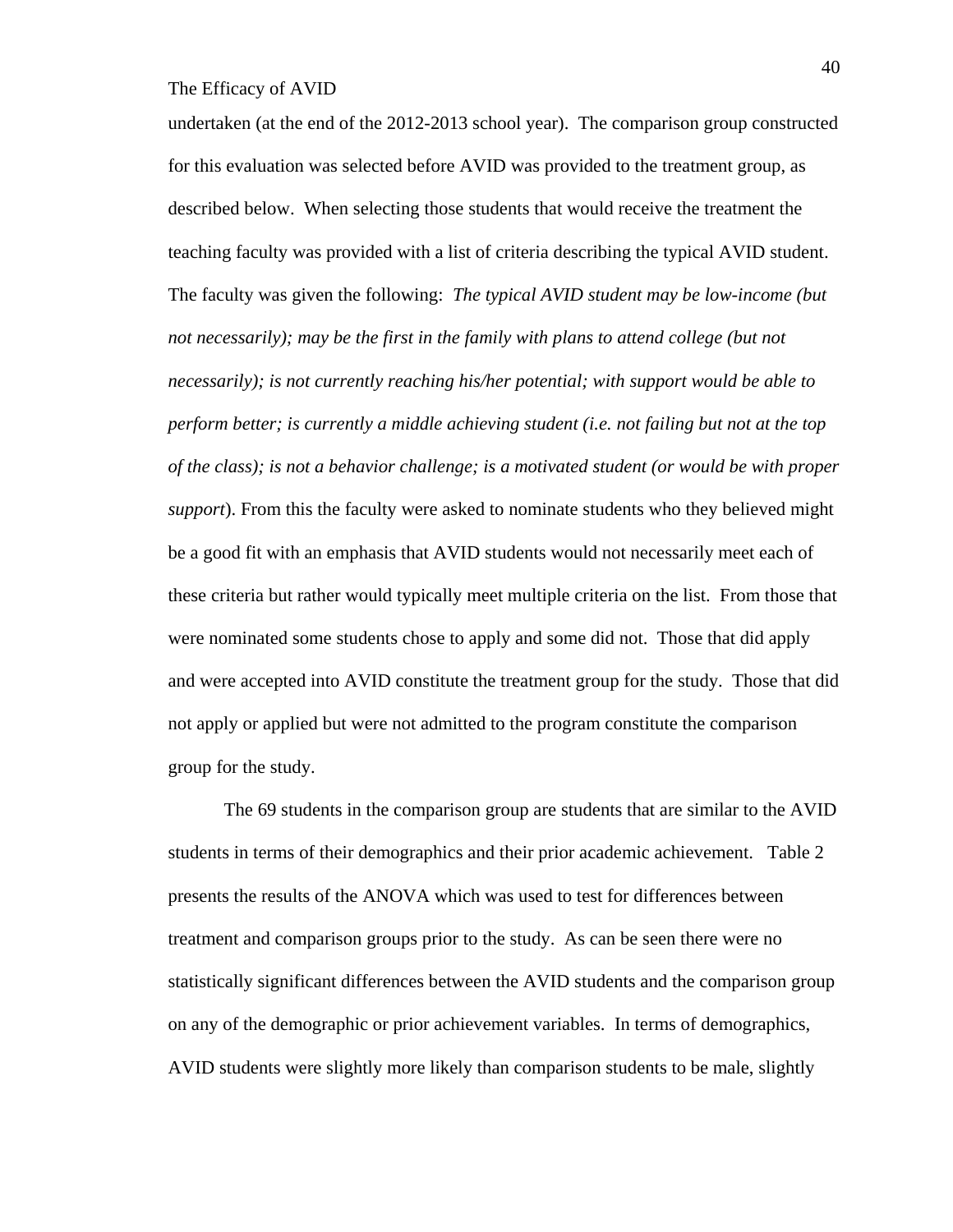undertaken (at the end of the 2012-2013 school year). The comparison group constructed for this evaluation was selected before AVID was provided to the treatment group, as described below. When selecting those students that would receive the treatment the teaching faculty was provided with a list of criteria describing the typical AVID student. The faculty was given the following: *The typical AVID student may be low-income (but not necessarily); may be the first in the family with plans to attend college (but not necessarily); is not currently reaching his/her potential; with support would be able to perform better; is currently a middle achieving student (i.e. not failing but not at the top of the class); is not a behavior challenge; is a motivated student (or would be with proper support*). From this the faculty were asked to nominate students who they believed might be a good fit with an emphasis that AVID students would not necessarily meet each of these criteria but rather would typically meet multiple criteria on the list. From those that were nominated some students chose to apply and some did not. Those that did apply and were accepted into AVID constitute the treatment group for the study. Those that did not apply or applied but were not admitted to the program constitute the comparison group for the study.

The 69 students in the comparison group are students that are similar to the AVID students in terms of their demographics and their prior academic achievement. Table 2 presents the results of the ANOVA which was used to test for differences between treatment and comparison groups prior to the study. As can be seen there were no statistically significant differences between the AVID students and the comparison group on any of the demographic or prior achievement variables. In terms of demographics, AVID students were slightly more likely than comparison students to be male, slightly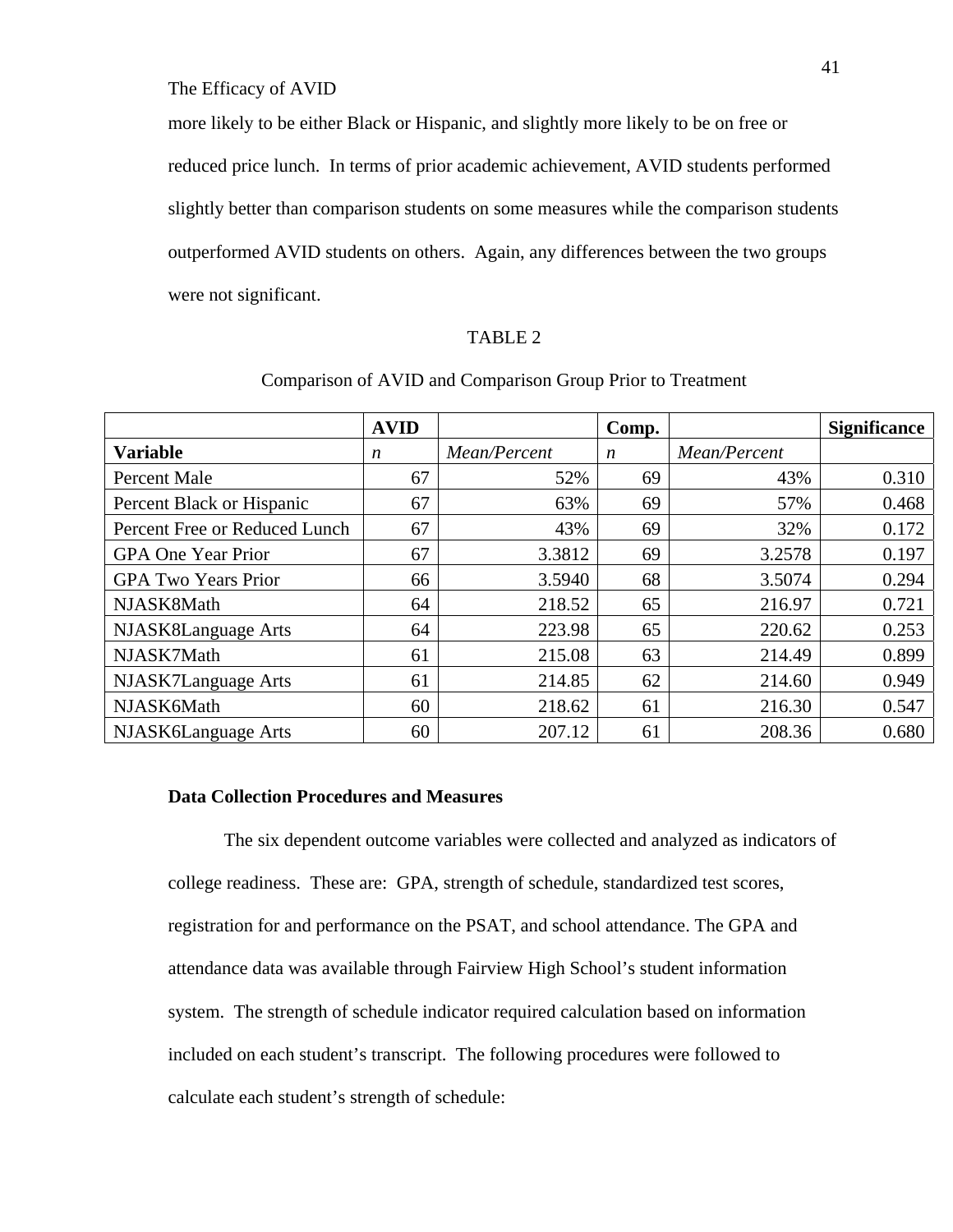more likely to be either Black or Hispanic, and slightly more likely to be on free or reduced price lunch. In terms of prior academic achievement, AVID students performed slightly better than comparison students on some measures while the comparison students outperformed AVID students on others. Again, any differences between the two groups were not significant.

### TABLE 2

|                               | <b>AVID</b>      |              | Comp.            |              | <b>Significance</b> |
|-------------------------------|------------------|--------------|------------------|--------------|---------------------|
| <b>Variable</b>               | $\boldsymbol{n}$ | Mean/Percent | $\boldsymbol{n}$ | Mean/Percent |                     |
| <b>Percent Male</b>           | 67               | 52%          | 69               | 43%          | 0.310               |
| Percent Black or Hispanic     | 67               | 63%          | 69               | 57%          | 0.468               |
| Percent Free or Reduced Lunch | 67               | 43%          | 69               | 32%          | 0.172               |
| <b>GPA One Year Prior</b>     | 67               | 3.3812       | 69               | 3.2578       | 0.197               |
| <b>GPA Two Years Prior</b>    | 66               | 3.5940       | 68               | 3.5074       | 0.294               |
| NJASK8Math                    | 64               | 218.52       | 65               | 216.97       | 0.721               |
| NJASK8Language Arts           | 64               | 223.98       | 65               | 220.62       | 0.253               |
| NJASK7Math                    | 61               | 215.08       | 63               | 214.49       | 0.899               |
| NJASK7Language Arts           | 61               | 214.85       | 62               | 214.60       | 0.949               |
| NJASK6Math                    | 60               | 218.62       | 61               | 216.30       | 0.547               |
| NJASK6Language Arts           | 60               | 207.12       | 61               | 208.36       | 0.680               |

# Comparison of AVID and Comparison Group Prior to Treatment

# **Data Collection Procedures and Measures**

The six dependent outcome variables were collected and analyzed as indicators of college readiness. These are: GPA, strength of schedule, standardized test scores, registration for and performance on the PSAT, and school attendance. The GPA and attendance data was available through Fairview High School's student information system. The strength of schedule indicator required calculation based on information included on each student's transcript. The following procedures were followed to calculate each student's strength of schedule: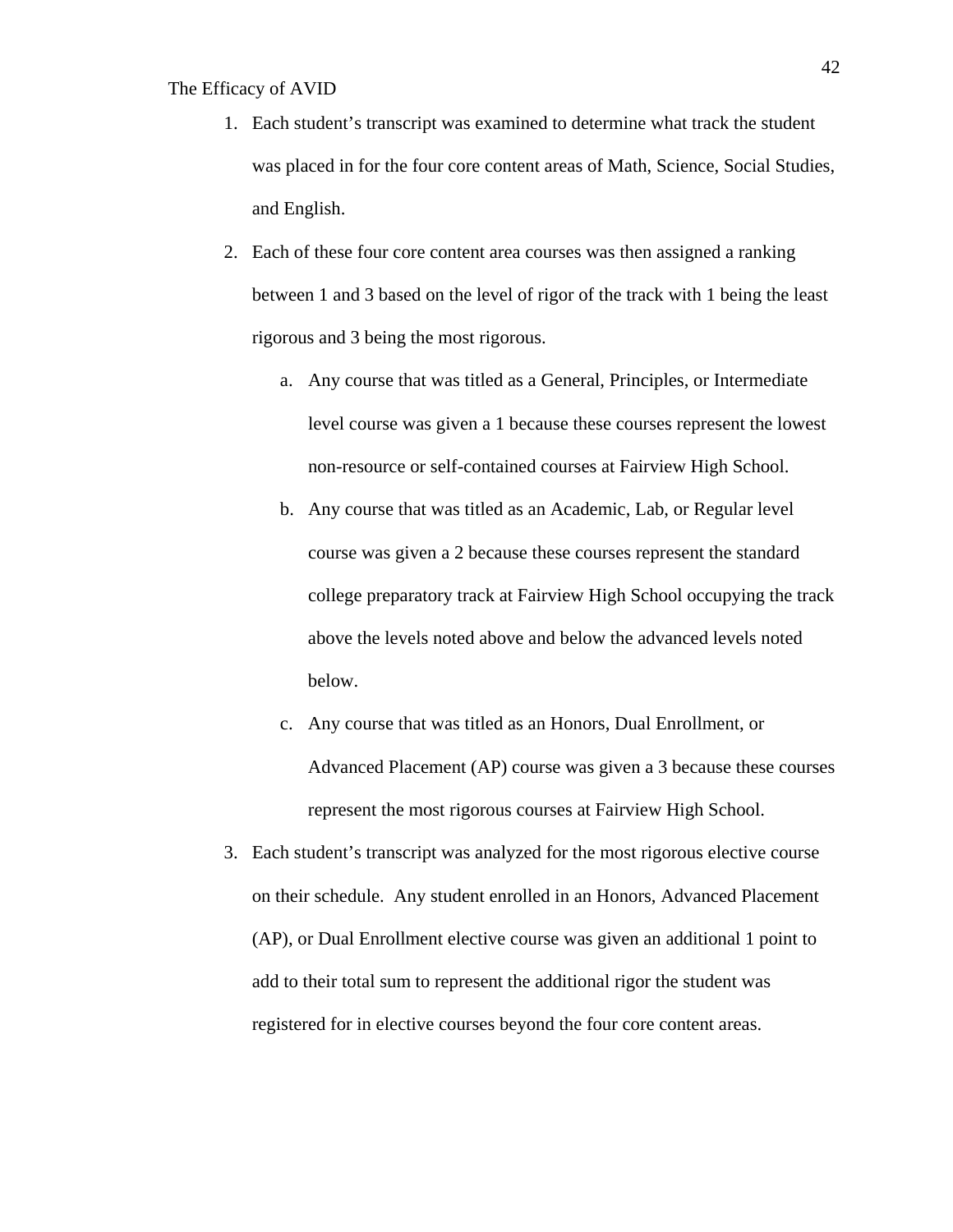- 1. Each student's transcript was examined to determine what track the student was placed in for the four core content areas of Math, Science, Social Studies, and English.
- 2. Each of these four core content area courses was then assigned a ranking between 1 and 3 based on the level of rigor of the track with 1 being the least rigorous and 3 being the most rigorous.
	- a. Any course that was titled as a General, Principles, or Intermediate level course was given a 1 because these courses represent the lowest non-resource or self-contained courses at Fairview High School.
	- b. Any course that was titled as an Academic, Lab, or Regular level course was given a 2 because these courses represent the standard college preparatory track at Fairview High School occupying the track above the levels noted above and below the advanced levels noted below.
	- c. Any course that was titled as an Honors, Dual Enrollment, or Advanced Placement (AP) course was given a 3 because these courses represent the most rigorous courses at Fairview High School.
- 3. Each student's transcript was analyzed for the most rigorous elective course on their schedule. Any student enrolled in an Honors, Advanced Placement (AP), or Dual Enrollment elective course was given an additional 1 point to add to their total sum to represent the additional rigor the student was registered for in elective courses beyond the four core content areas.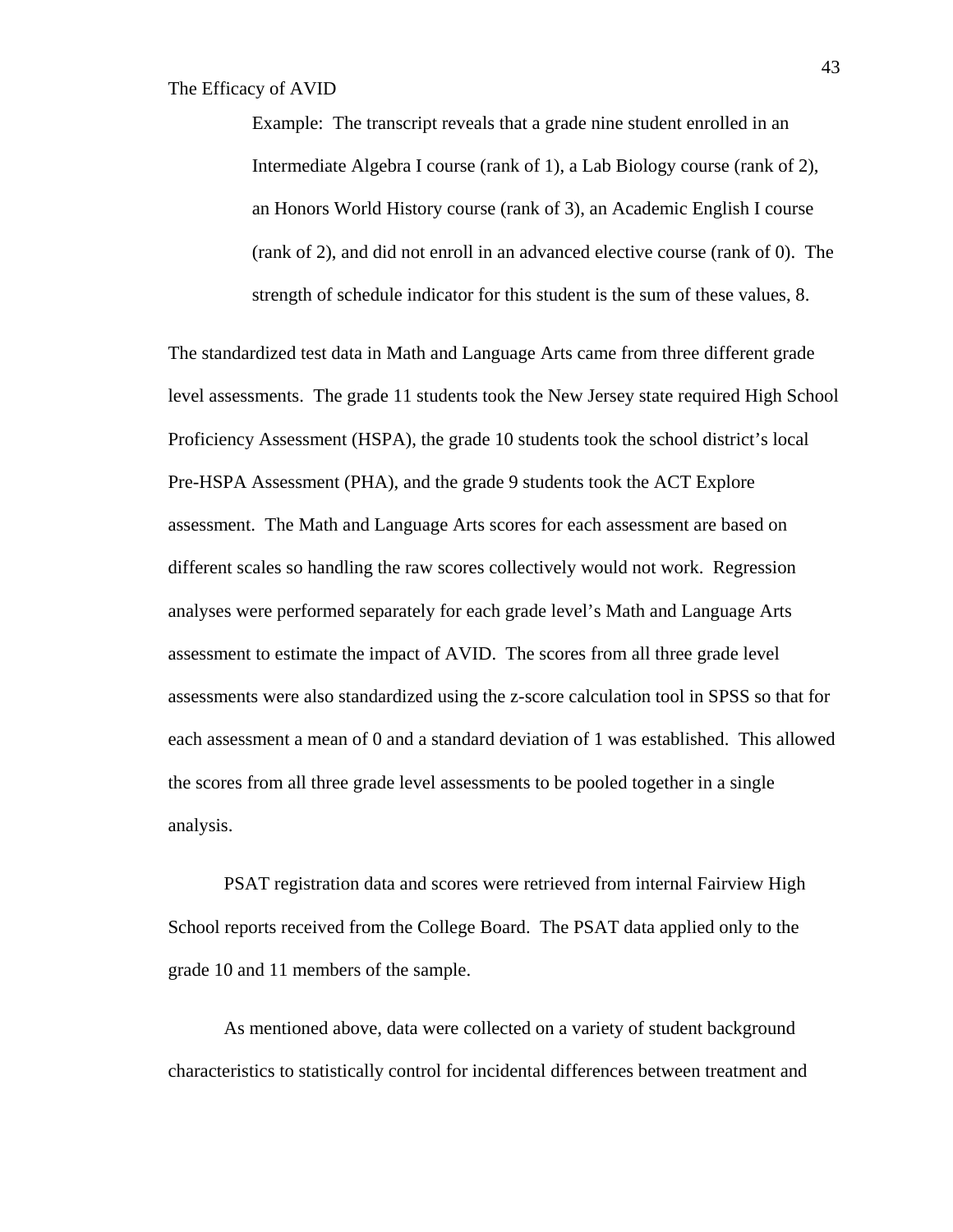Example: The transcript reveals that a grade nine student enrolled in an Intermediate Algebra I course (rank of 1), a Lab Biology course (rank of 2), an Honors World History course (rank of 3), an Academic English I course (rank of 2), and did not enroll in an advanced elective course (rank of 0). The strength of schedule indicator for this student is the sum of these values, 8.

The standardized test data in Math and Language Arts came from three different grade level assessments. The grade 11 students took the New Jersey state required High School Proficiency Assessment (HSPA), the grade 10 students took the school district's local Pre-HSPA Assessment (PHA), and the grade 9 students took the ACT Explore assessment. The Math and Language Arts scores for each assessment are based on different scales so handling the raw scores collectively would not work. Regression analyses were performed separately for each grade level's Math and Language Arts assessment to estimate the impact of AVID. The scores from all three grade level assessments were also standardized using the z-score calculation tool in SPSS so that for each assessment a mean of 0 and a standard deviation of 1 was established. This allowed the scores from all three grade level assessments to be pooled together in a single analysis.

PSAT registration data and scores were retrieved from internal Fairview High School reports received from the College Board. The PSAT data applied only to the grade 10 and 11 members of the sample.

 As mentioned above, data were collected on a variety of student background characteristics to statistically control for incidental differences between treatment and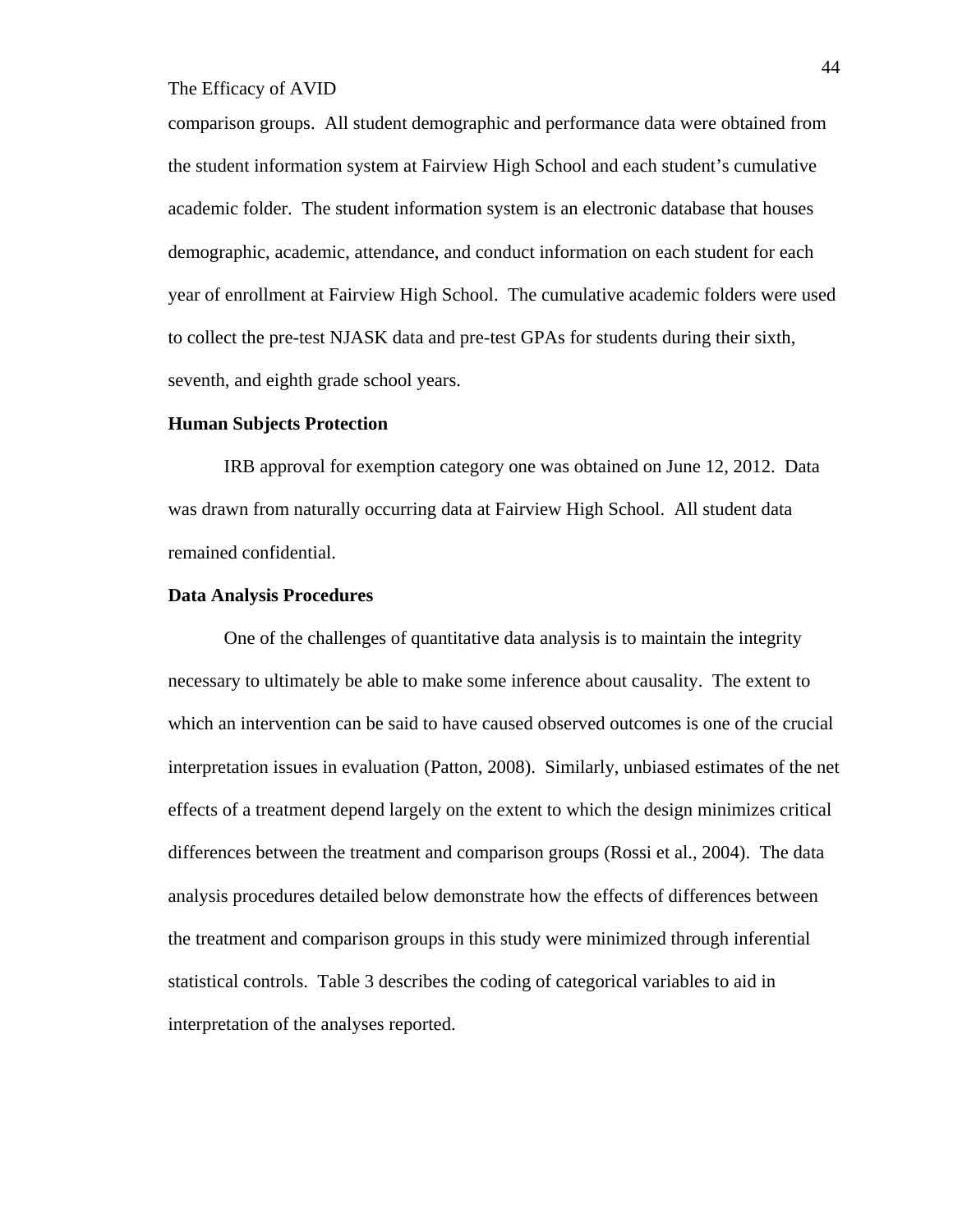comparison groups. All student demographic and performance data were obtained from the student information system at Fairview High School and each student's cumulative academic folder. The student information system is an electronic database that houses demographic, academic, attendance, and conduct information on each student for each year of enrollment at Fairview High School. The cumulative academic folders were used to collect the pre-test NJASK data and pre-test GPAs for students during their sixth, seventh, and eighth grade school years.

#### **Human Subjects Protection**

IRB approval for exemption category one was obtained on June 12, 2012. Data was drawn from naturally occurring data at Fairview High School. All student data remained confidential.

#### **Data Analysis Procedures**

One of the challenges of quantitative data analysis is to maintain the integrity necessary to ultimately be able to make some inference about causality. The extent to which an intervention can be said to have caused observed outcomes is one of the crucial interpretation issues in evaluation (Patton, 2008). Similarly, unbiased estimates of the net effects of a treatment depend largely on the extent to which the design minimizes critical differences between the treatment and comparison groups (Rossi et al., 2004). The data analysis procedures detailed below demonstrate how the effects of differences between the treatment and comparison groups in this study were minimized through inferential statistical controls. Table 3 describes the coding of categorical variables to aid in interpretation of the analyses reported.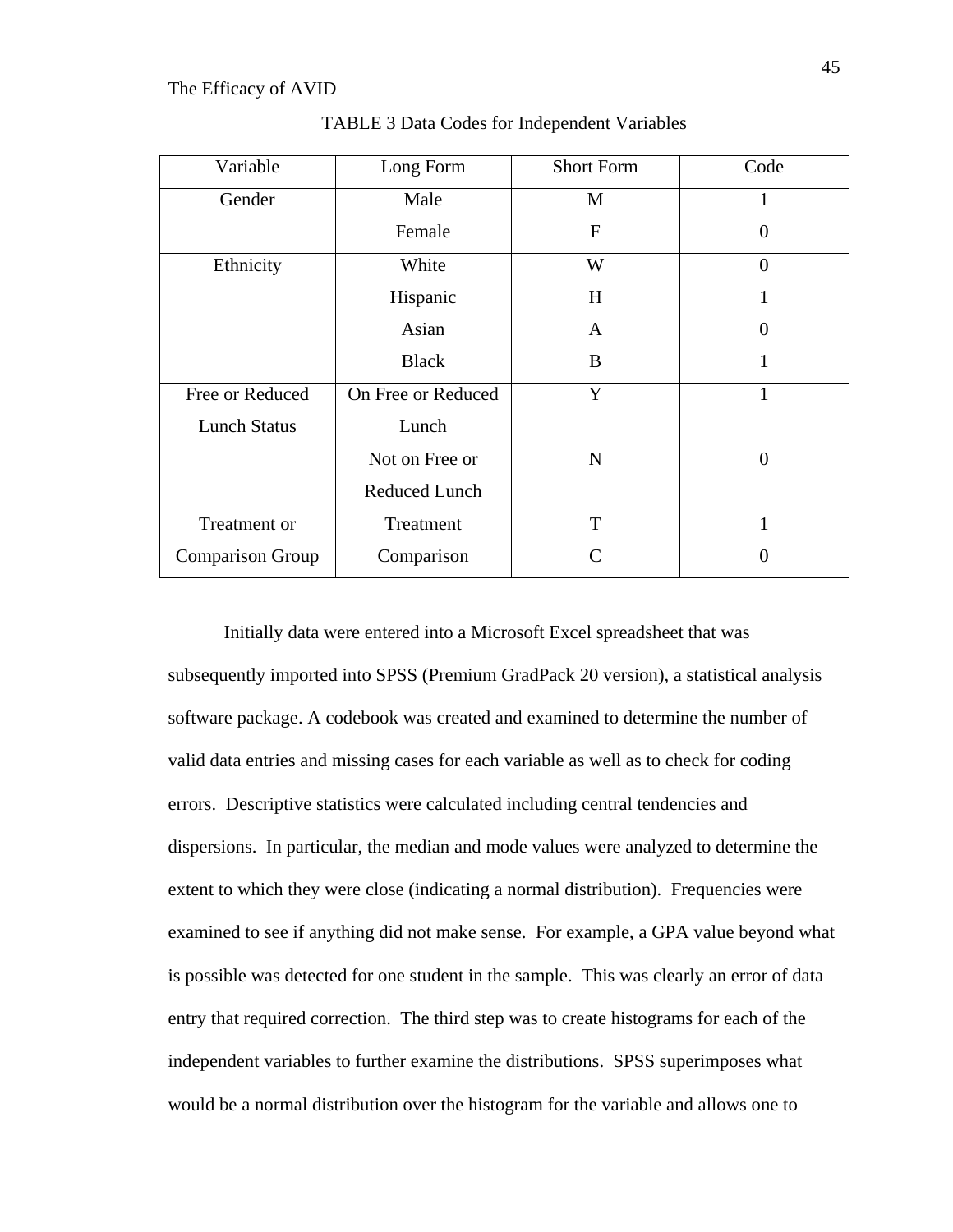| Variable                | Long Form            | <b>Short Form</b> | Code           |
|-------------------------|----------------------|-------------------|----------------|
| Gender                  | Male                 | M                 | 1              |
|                         | Female               | F                 | $\Omega$       |
| Ethnicity               | White                | W                 | $\overline{0}$ |
|                         | Hispanic             | H                 |                |
|                         | Asian                | A                 | $\Omega$       |
|                         | <b>Black</b>         | B                 | 1              |
| Free or Reduced         | On Free or Reduced   | Y                 | $\mathbf{1}$   |
| <b>Lunch Status</b>     | Lunch                |                   |                |
|                         | Not on Free or       | N                 | 0              |
|                         | <b>Reduced Lunch</b> |                   |                |
| Treatment or            | Treatment            | T                 | $\mathbf{1}$   |
| <b>Comparison Group</b> | Comparison           | C                 | $\theta$       |

TABLE 3 Data Codes for Independent Variables

Initially data were entered into a Microsoft Excel spreadsheet that was subsequently imported into SPSS (Premium GradPack 20 version), a statistical analysis software package. A codebook was created and examined to determine the number of valid data entries and missing cases for each variable as well as to check for coding errors. Descriptive statistics were calculated including central tendencies and dispersions. In particular, the median and mode values were analyzed to determine the extent to which they were close (indicating a normal distribution). Frequencies were examined to see if anything did not make sense. For example, a GPA value beyond what is possible was detected for one student in the sample. This was clearly an error of data entry that required correction. The third step was to create histograms for each of the independent variables to further examine the distributions. SPSS superimposes what would be a normal distribution over the histogram for the variable and allows one to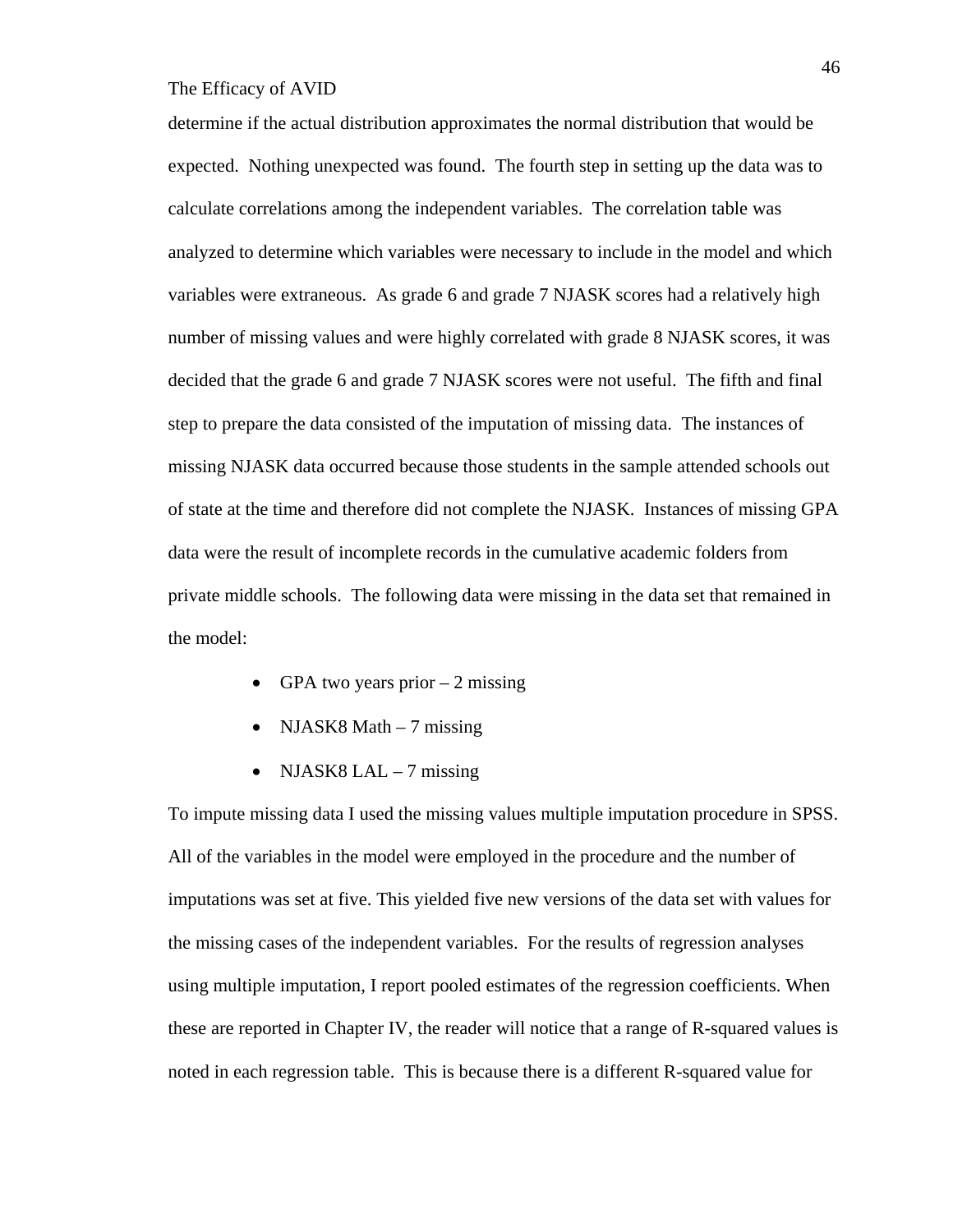determine if the actual distribution approximates the normal distribution that would be expected. Nothing unexpected was found. The fourth step in setting up the data was to calculate correlations among the independent variables. The correlation table was analyzed to determine which variables were necessary to include in the model and which variables were extraneous. As grade 6 and grade 7 NJASK scores had a relatively high number of missing values and were highly correlated with grade 8 NJASK scores, it was decided that the grade 6 and grade 7 NJASK scores were not useful. The fifth and final step to prepare the data consisted of the imputation of missing data. The instances of missing NJASK data occurred because those students in the sample attended schools out of state at the time and therefore did not complete the NJASK. Instances of missing GPA data were the result of incomplete records in the cumulative academic folders from private middle schools. The following data were missing in the data set that remained in the model:

- GPA two years prior  $-2$  missing
- NJASK8 Math  $-7$  missing
- NJASK8 LAL 7 missing

To impute missing data I used the missing values multiple imputation procedure in SPSS. All of the variables in the model were employed in the procedure and the number of imputations was set at five. This yielded five new versions of the data set with values for the missing cases of the independent variables. For the results of regression analyses using multiple imputation, I report pooled estimates of the regression coefficients. When these are reported in Chapter IV, the reader will notice that a range of R-squared values is noted in each regression table. This is because there is a different R-squared value for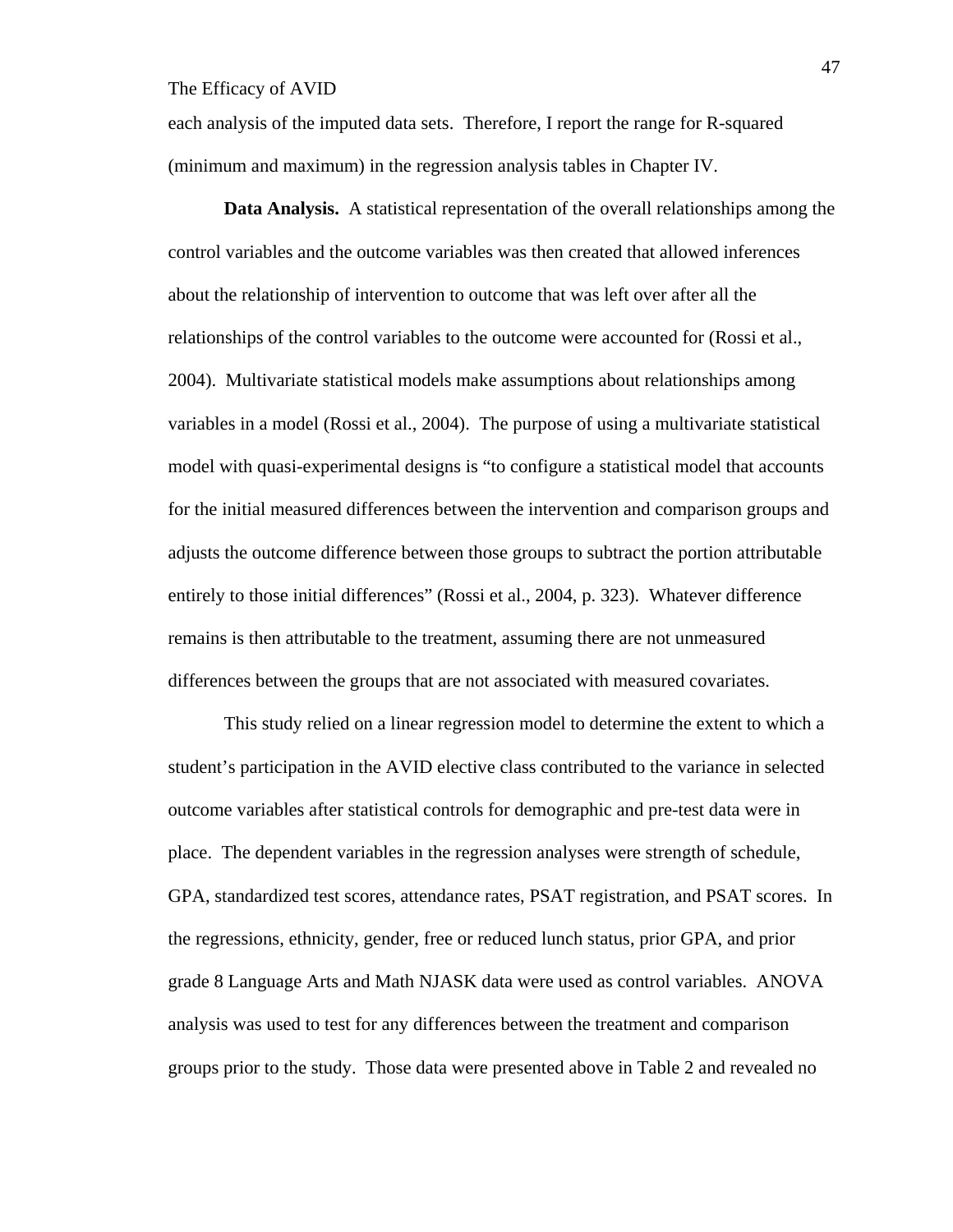each analysis of the imputed data sets. Therefore, I report the range for R-squared (minimum and maximum) in the regression analysis tables in Chapter IV.

**Data Analysis.** A statistical representation of the overall relationships among the control variables and the outcome variables was then created that allowed inferences about the relationship of intervention to outcome that was left over after all the relationships of the control variables to the outcome were accounted for (Rossi et al., 2004). Multivariate statistical models make assumptions about relationships among variables in a model (Rossi et al., 2004). The purpose of using a multivariate statistical model with quasi-experimental designs is "to configure a statistical model that accounts for the initial measured differences between the intervention and comparison groups and adjusts the outcome difference between those groups to subtract the portion attributable entirely to those initial differences" (Rossi et al., 2004, p. 323). Whatever difference remains is then attributable to the treatment, assuming there are not unmeasured differences between the groups that are not associated with measured covariates.

This study relied on a linear regression model to determine the extent to which a student's participation in the AVID elective class contributed to the variance in selected outcome variables after statistical controls for demographic and pre-test data were in place. The dependent variables in the regression analyses were strength of schedule, GPA, standardized test scores, attendance rates, PSAT registration, and PSAT scores. In the regressions, ethnicity, gender, free or reduced lunch status, prior GPA, and prior grade 8 Language Arts and Math NJASK data were used as control variables. ANOVA analysis was used to test for any differences between the treatment and comparison groups prior to the study. Those data were presented above in Table 2 and revealed no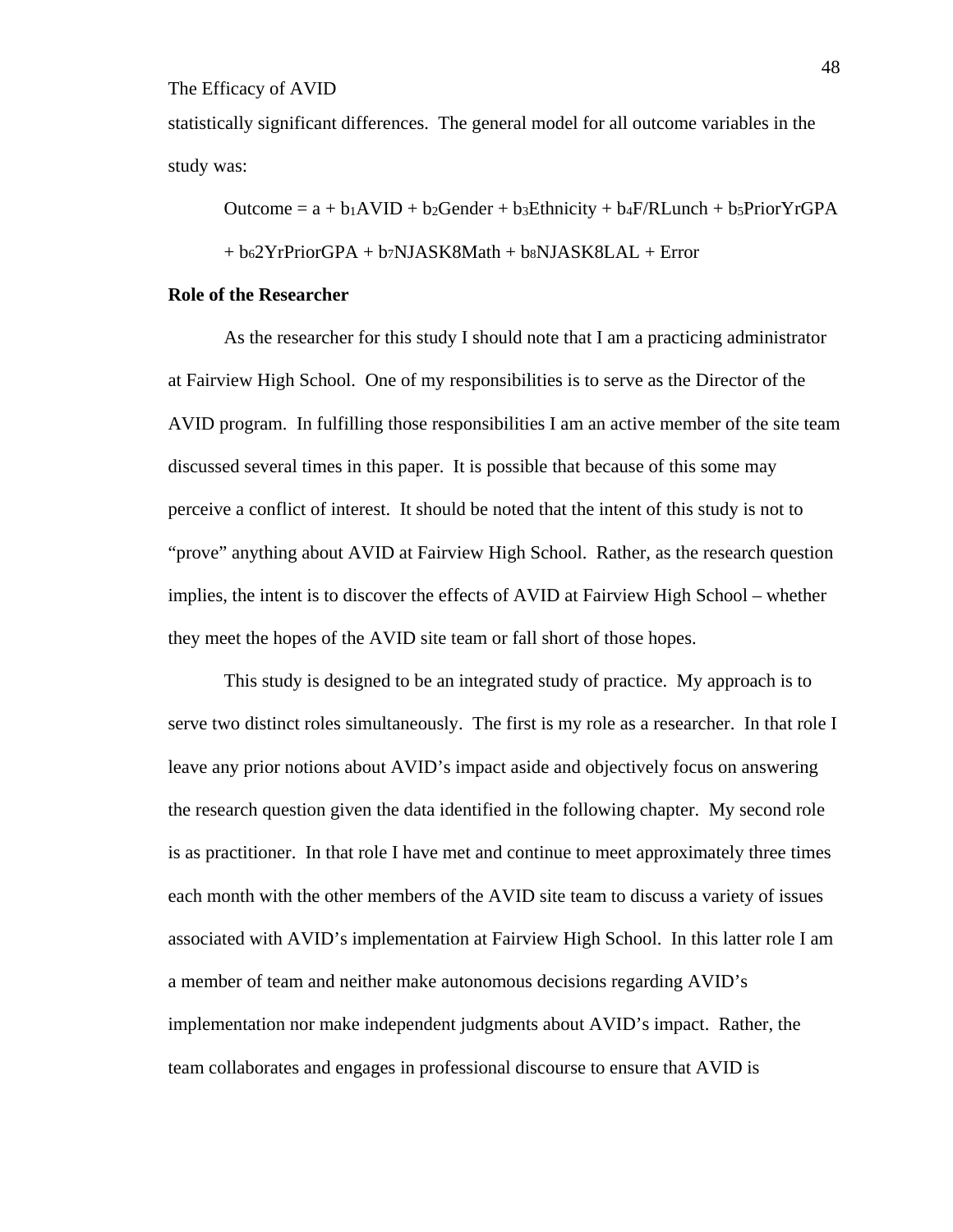statistically significant differences. The general model for all outcome variables in the study was:

Outcome =  $a + b_1AVID + b_2Gender + b_3Ethnicity + b_4F/RLunch + b_5PriorYrGPA$ 

 $+ b_62YrPriorGPA + b_7NJASK8Math + b_8NJASK8LAL + Error$ 

#### **Role of the Researcher**

 As the researcher for this study I should note that I am a practicing administrator at Fairview High School. One of my responsibilities is to serve as the Director of the AVID program. In fulfilling those responsibilities I am an active member of the site team discussed several times in this paper. It is possible that because of this some may perceive a conflict of interest. It should be noted that the intent of this study is not to "prove" anything about AVID at Fairview High School. Rather, as the research question implies, the intent is to discover the effects of AVID at Fairview High School – whether they meet the hopes of the AVID site team or fall short of those hopes.

 This study is designed to be an integrated study of practice. My approach is to serve two distinct roles simultaneously. The first is my role as a researcher. In that role I leave any prior notions about AVID's impact aside and objectively focus on answering the research question given the data identified in the following chapter. My second role is as practitioner. In that role I have met and continue to meet approximately three times each month with the other members of the AVID site team to discuss a variety of issues associated with AVID's implementation at Fairview High School. In this latter role I am a member of team and neither make autonomous decisions regarding AVID's implementation nor make independent judgments about AVID's impact. Rather, the team collaborates and engages in professional discourse to ensure that AVID is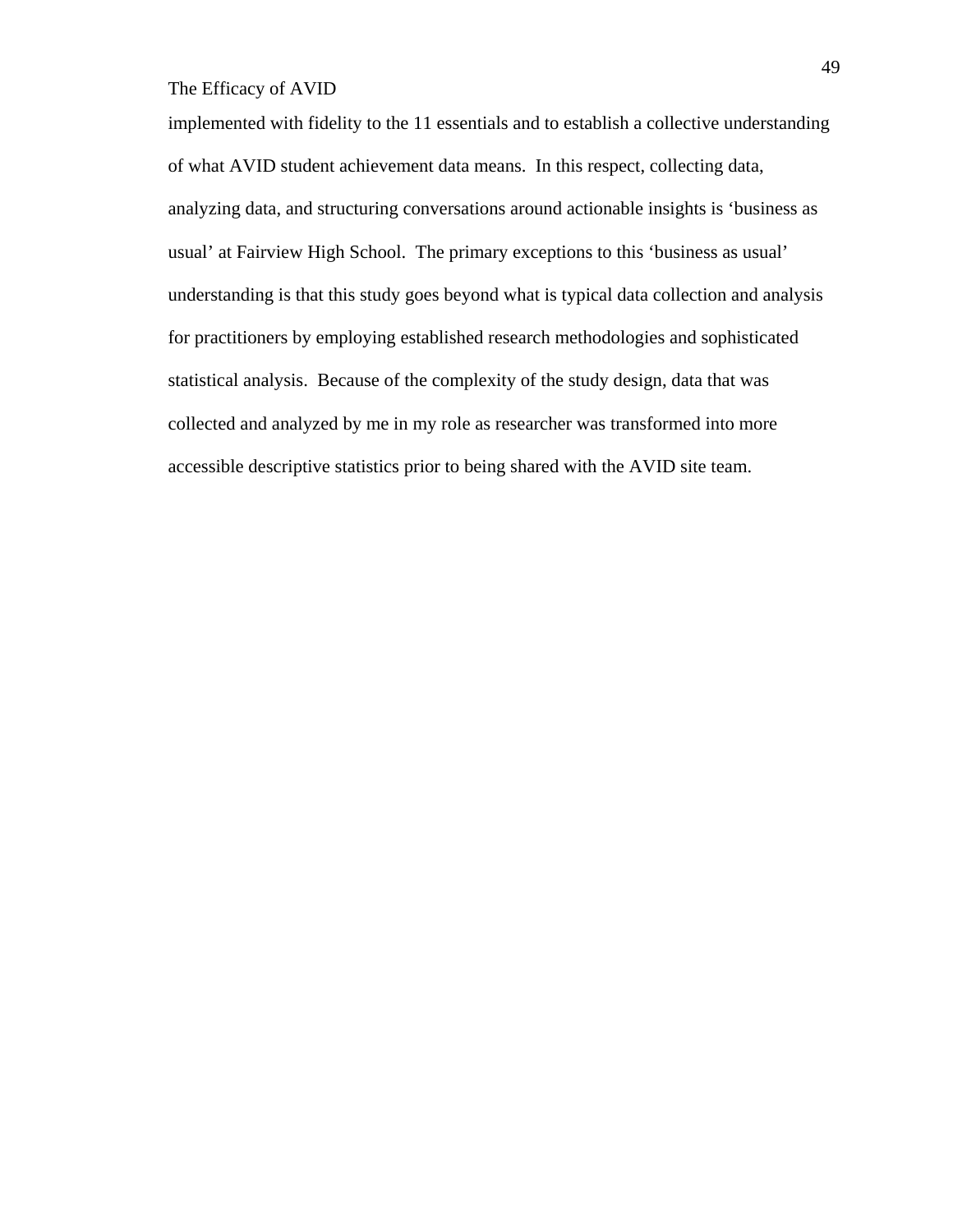implemented with fidelity to the 11 essentials and to establish a collective understanding of what AVID student achievement data means. In this respect, collecting data, analyzing data, and structuring conversations around actionable insights is 'business as usual' at Fairview High School. The primary exceptions to this 'business as usual' understanding is that this study goes beyond what is typical data collection and analysis for practitioners by employing established research methodologies and sophisticated statistical analysis. Because of the complexity of the study design, data that was collected and analyzed by me in my role as researcher was transformed into more accessible descriptive statistics prior to being shared with the AVID site team.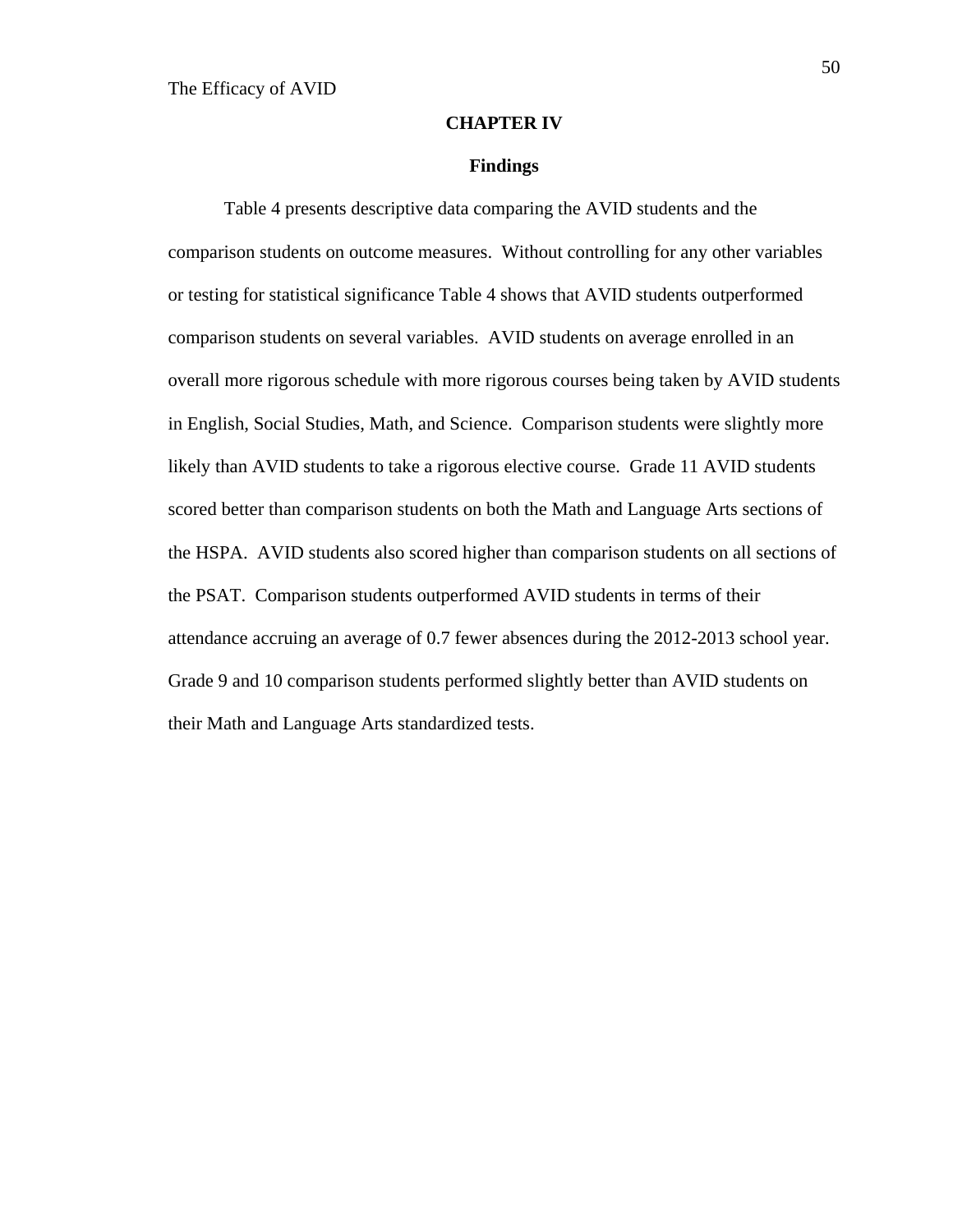#### **CHAPTER IV**

#### **Findings**

Table 4 presents descriptive data comparing the AVID students and the comparison students on outcome measures. Without controlling for any other variables or testing for statistical significance Table 4 shows that AVID students outperformed comparison students on several variables. AVID students on average enrolled in an overall more rigorous schedule with more rigorous courses being taken by AVID students in English, Social Studies, Math, and Science. Comparison students were slightly more likely than AVID students to take a rigorous elective course. Grade 11 AVID students scored better than comparison students on both the Math and Language Arts sections of the HSPA. AVID students also scored higher than comparison students on all sections of the PSAT. Comparison students outperformed AVID students in terms of their attendance accruing an average of 0.7 fewer absences during the 2012-2013 school year. Grade 9 and 10 comparison students performed slightly better than AVID students on their Math and Language Arts standardized tests.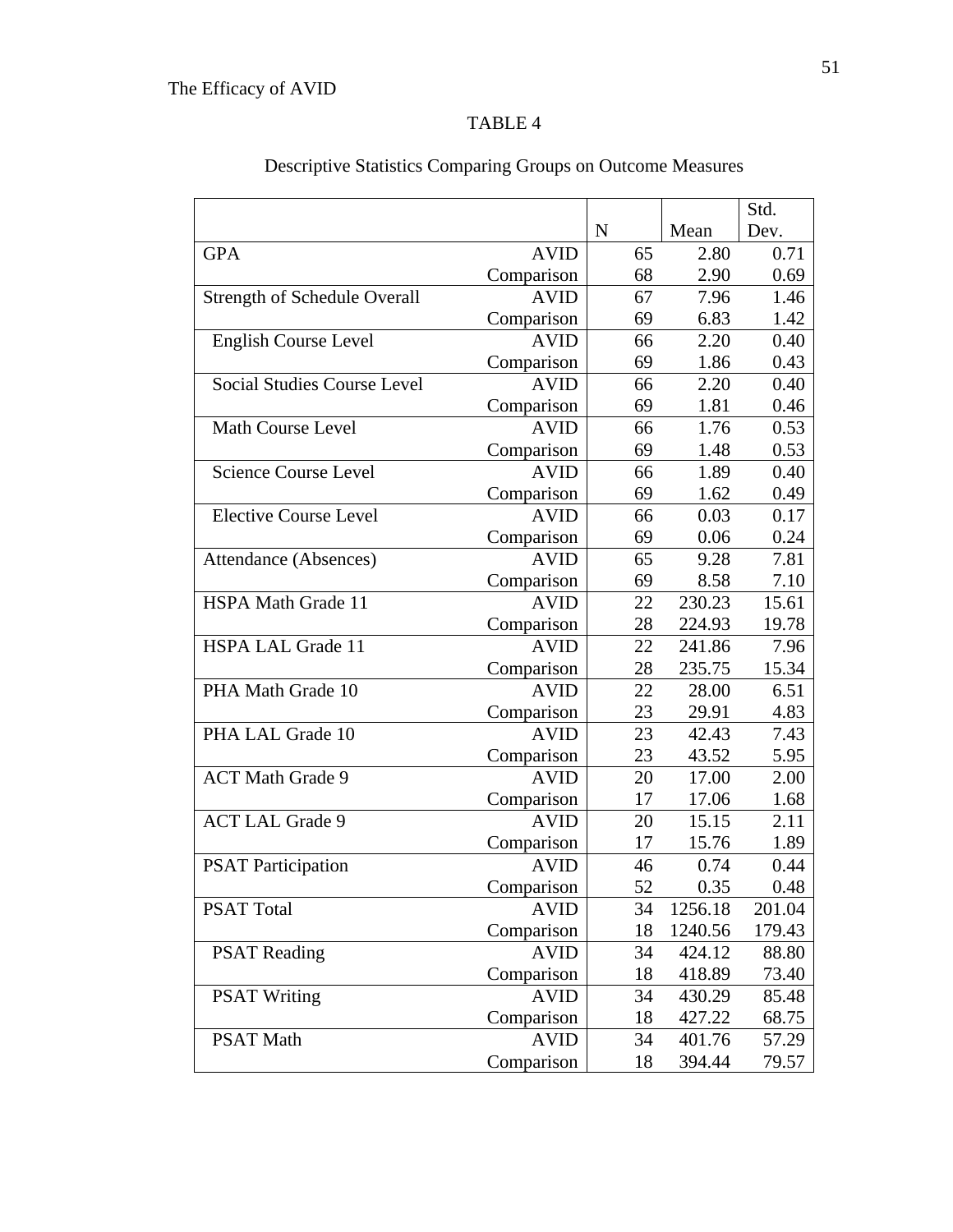|                                     |             |             |         | Std.   |
|-------------------------------------|-------------|-------------|---------|--------|
|                                     |             | $\mathbf N$ | Mean    | Dev.   |
| <b>GPA</b>                          | <b>AVID</b> | 65          | 2.80    | 0.71   |
|                                     | Comparison  | 68          | 2.90    | 0.69   |
| <b>Strength of Schedule Overall</b> | <b>AVID</b> | 67          | 7.96    | 1.46   |
|                                     | Comparison  | 69          | 6.83    | 1.42   |
| English Course Level                | <b>AVID</b> | 66          | 2.20    | 0.40   |
|                                     | Comparison  | 69          | 1.86    | 0.43   |
| <b>Social Studies Course Level</b>  | <b>AVID</b> | 66          | 2.20    | 0.40   |
|                                     | Comparison  | 69          | 1.81    | 0.46   |
| <b>Math Course Level</b>            | <b>AVID</b> | 66          | 1.76    | 0.53   |
|                                     | Comparison  | 69          | 1.48    | 0.53   |
| <b>Science Course Level</b>         | <b>AVID</b> | 66          | 1.89    | 0.40   |
|                                     | Comparison  | 69          | 1.62    | 0.49   |
| <b>Elective Course Level</b>        | <b>AVID</b> | 66          | 0.03    | 0.17   |
|                                     | Comparison  | 69          | 0.06    | 0.24   |
| Attendance (Absences)               | <b>AVID</b> | 65          | 9.28    | 7.81   |
|                                     | Comparison  | 69          | 8.58    | 7.10   |
| <b>HSPA Math Grade 11</b>           | <b>AVID</b> | 22          | 230.23  | 15.61  |
|                                     | Comparison  | 28          | 224.93  | 19.78  |
| <b>HSPA LAL Grade 11</b>            | <b>AVID</b> | 22          | 241.86  | 7.96   |
|                                     | Comparison  | 28          | 235.75  | 15.34  |
| PHA Math Grade 10                   | <b>AVID</b> | 22          | 28.00   | 6.51   |
|                                     | Comparison  | 23          | 29.91   | 4.83   |
| PHA LAL Grade 10                    | <b>AVID</b> | 23          | 42.43   | 7.43   |
|                                     | Comparison  | 23          | 43.52   | 5.95   |
| <b>ACT Math Grade 9</b>             | <b>AVID</b> | 20          | 17.00   | 2.00   |
|                                     | Comparison  | 17          | 17.06   | 1.68   |
| <b>ACT LAL Grade 9</b>              | <b>AVID</b> | 20          | 15.15   | 2.11   |
|                                     | Comparison  | 17          | 15.76   | 1.89   |
| <b>PSAT Participation</b>           | <b>AVID</b> | 46          | 0.74    | 0.44   |
|                                     | Comparison  | 52          | 0.35    | 0.48   |
| <b>PSAT Total</b>                   | <b>AVID</b> | 34          | 1256.18 | 201.04 |
|                                     | Comparison  | 18          | 1240.56 | 179.43 |
| <b>PSAT Reading</b>                 | <b>AVID</b> | 34          | 424.12  | 88.80  |
|                                     | Comparison  | 18          | 418.89  | 73.40  |
| <b>PSAT Writing</b>                 | <b>AVID</b> | 34          | 430.29  | 85.48  |
|                                     | Comparison  | 18          | 427.22  | 68.75  |
| <b>PSAT Math</b>                    | <b>AVID</b> | 34          | 401.76  | 57.29  |
|                                     | Comparison  | 18          | 394.44  | 79.57  |

# Descriptive Statistics Comparing Groups on Outcome Measures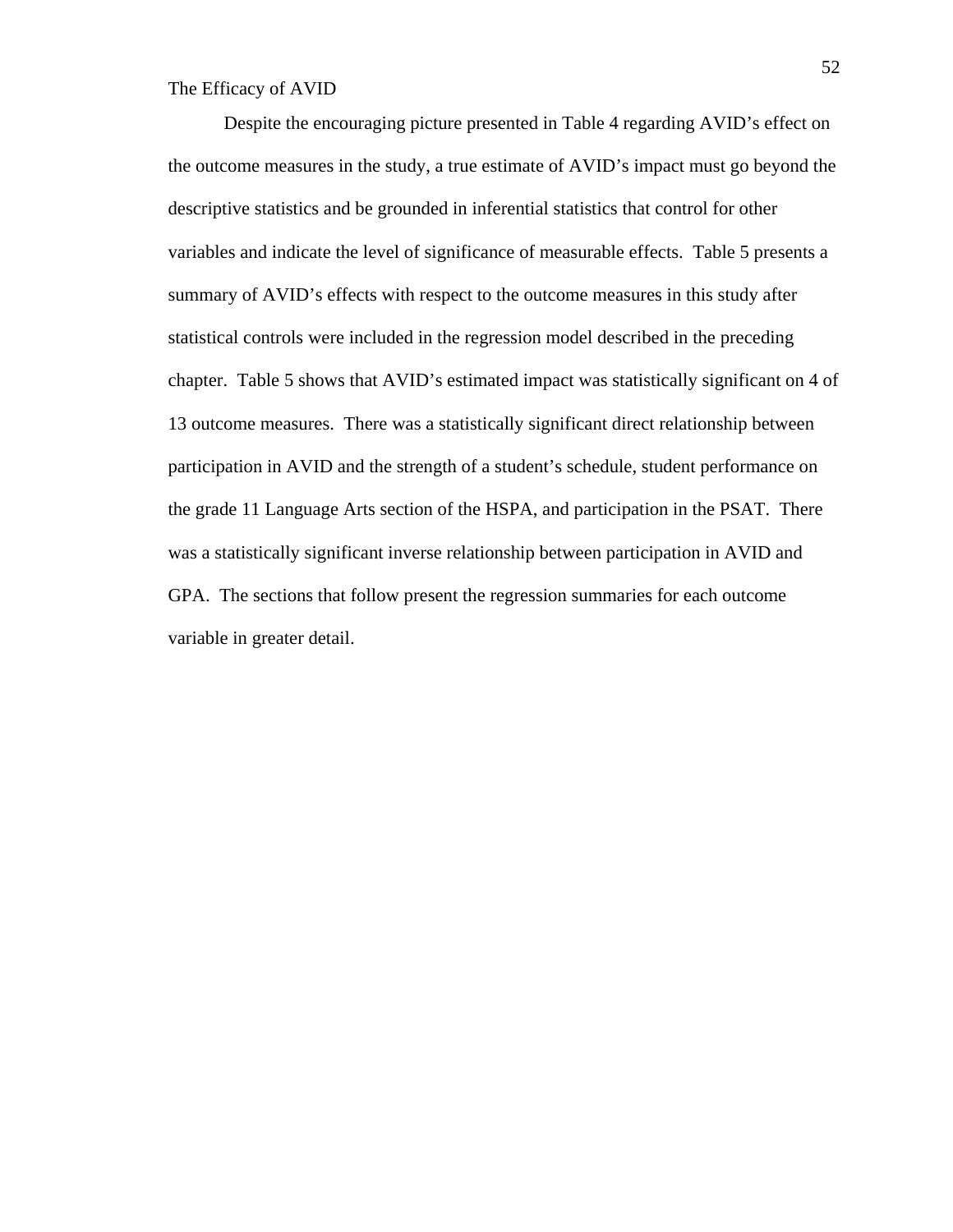Despite the encouraging picture presented in Table 4 regarding AVID's effect on the outcome measures in the study, a true estimate of AVID's impact must go beyond the descriptive statistics and be grounded in inferential statistics that control for other variables and indicate the level of significance of measurable effects. Table 5 presents a summary of AVID's effects with respect to the outcome measures in this study after statistical controls were included in the regression model described in the preceding chapter. Table 5 shows that AVID's estimated impact was statistically significant on 4 of 13 outcome measures. There was a statistically significant direct relationship between participation in AVID and the strength of a student's schedule, student performance on the grade 11 Language Arts section of the HSPA, and participation in the PSAT. There was a statistically significant inverse relationship between participation in AVID and GPA. The sections that follow present the regression summaries for each outcome variable in greater detail.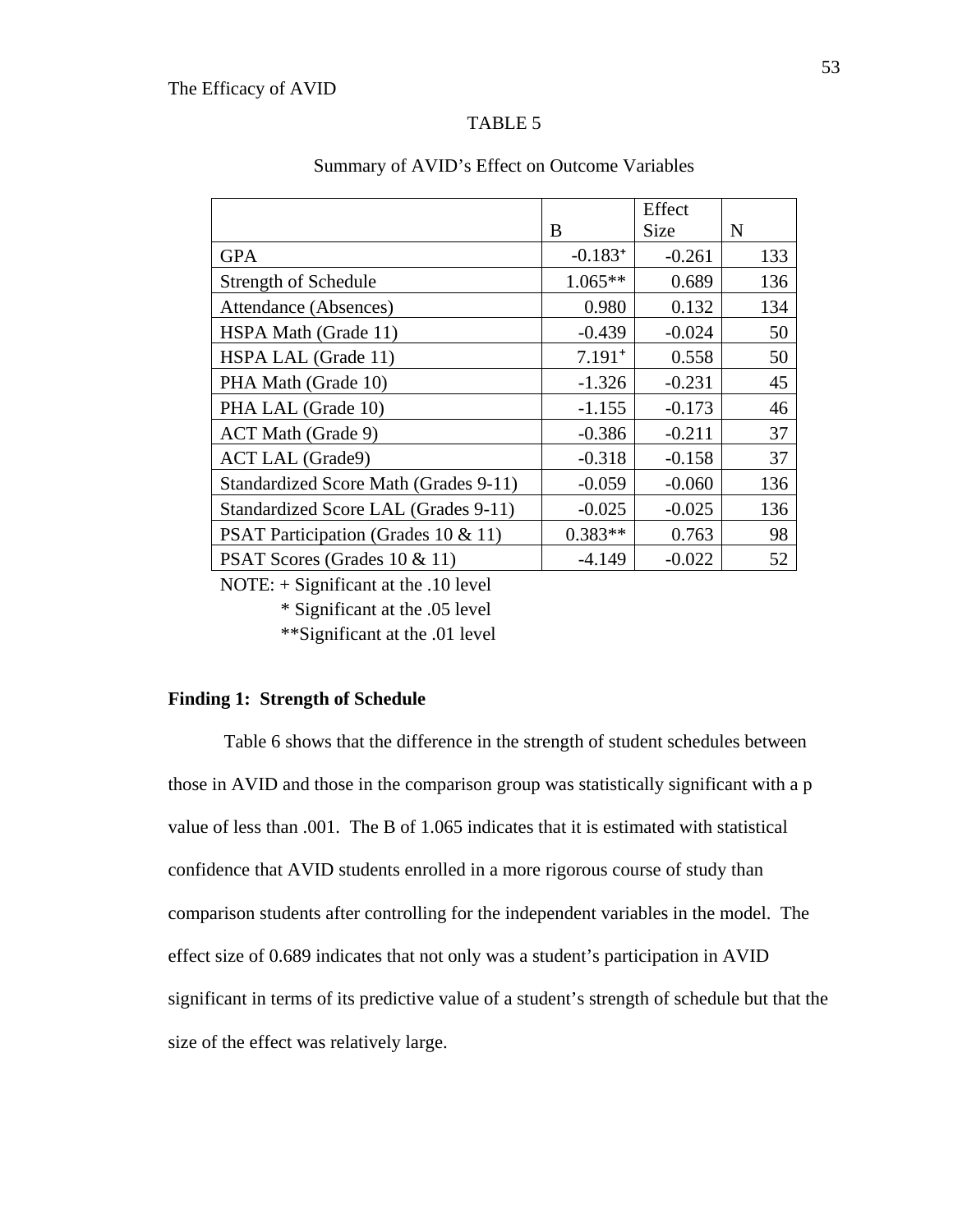|                                       |              | Effect      |     |
|---------------------------------------|--------------|-------------|-----|
|                                       | B            | <b>Size</b> | N   |
| <b>GPA</b>                            | $-0.183^{+}$ | $-0.261$    | 133 |
| Strength of Schedule                  | $1.065**$    | 0.689       | 136 |
| Attendance (Absences)                 | 0.980        | 0.132       | 134 |
| HSPA Math (Grade 11)                  | $-0.439$     | $-0.024$    | 50  |
| HSPA LAL (Grade 11)                   | $7.191+$     | 0.558       | 50  |
| PHA Math (Grade 10)                   | $-1.326$     | $-0.231$    | 45  |
| PHA LAL (Grade 10)                    | $-1.155$     | $-0.173$    | 46  |
| ACT Math (Grade 9)                    | $-0.386$     | $-0.211$    | 37  |
| <b>ACT LAL (Grade9)</b>               | $-0.318$     | $-0.158$    | 37  |
| Standardized Score Math (Grades 9-11) | $-0.059$     | $-0.060$    | 136 |
| Standardized Score LAL (Grades 9-11)  | $-0.025$     | $-0.025$    | 136 |
| PSAT Participation (Grades 10 & 11)   | $0.383**$    | 0.763       | 98  |
| PSAT Scores (Grades 10 & 11)          | $-4.149$     | $-0.022$    | 52  |

#### Summary of AVID's Effect on Outcome Variables

NOTE: + Significant at the .10 level

\* Significant at the .05 level

\*\*Significant at the .01 level

## **Finding 1: Strength of Schedule**

 Table 6 shows that the difference in the strength of student schedules between those in AVID and those in the comparison group was statistically significant with a p value of less than .001. The B of 1.065 indicates that it is estimated with statistical confidence that AVID students enrolled in a more rigorous course of study than comparison students after controlling for the independent variables in the model. The effect size of 0.689 indicates that not only was a student's participation in AVID significant in terms of its predictive value of a student's strength of schedule but that the size of the effect was relatively large.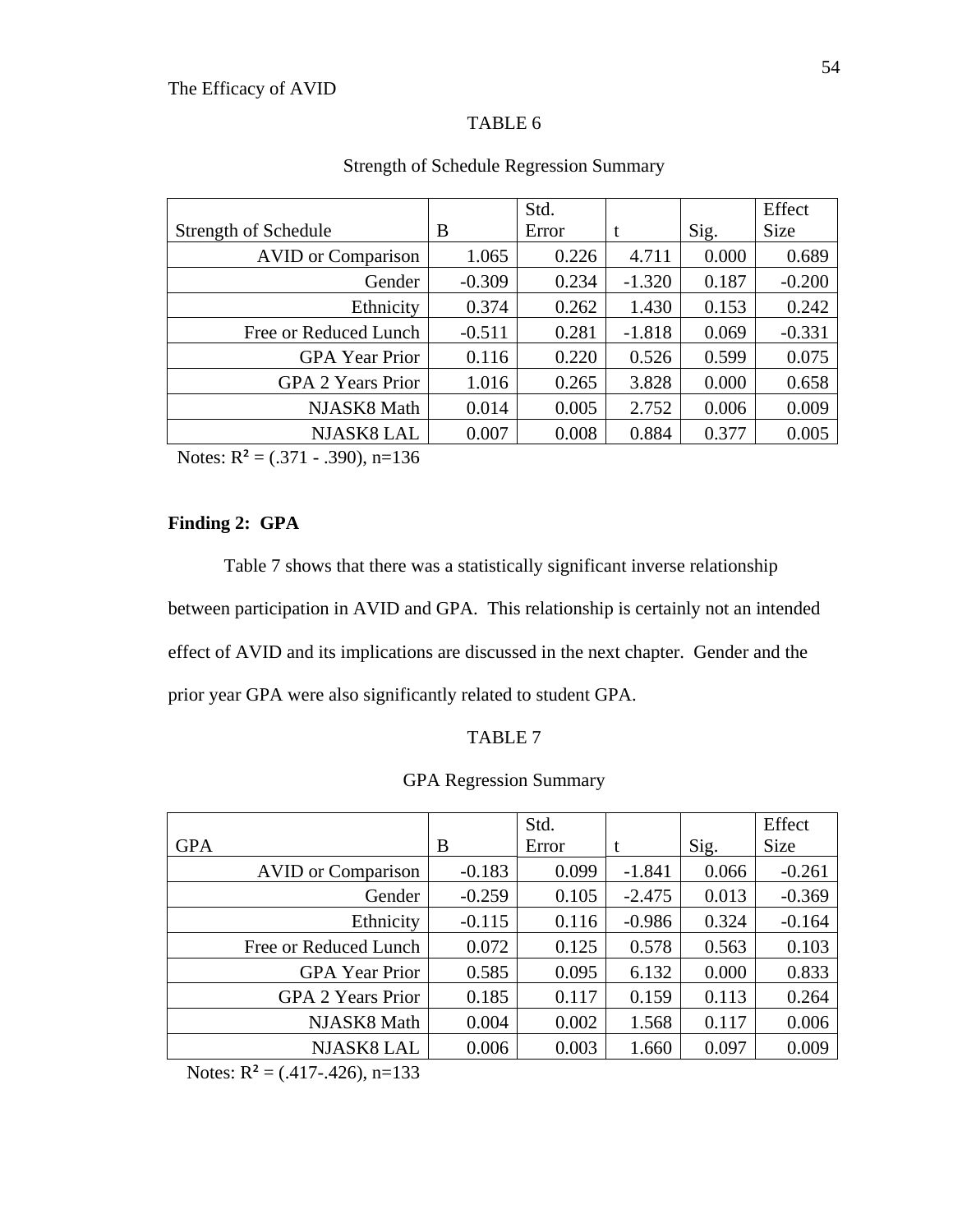|                           |          | Std.  |          |       | Effect   |
|---------------------------|----------|-------|----------|-------|----------|
| Strength of Schedule      | B        | Error | t        | Sig.  | Size     |
| <b>AVID</b> or Comparison | 1.065    | 0.226 | 4.711    | 0.000 | 0.689    |
| Gender                    | $-0.309$ | 0.234 | $-1.320$ | 0.187 | $-0.200$ |
| Ethnicity                 | 0.374    | 0.262 | 1.430    | 0.153 | 0.242    |
| Free or Reduced Lunch     | $-0.511$ | 0.281 | $-1.818$ | 0.069 | $-0.331$ |
| <b>GPA</b> Year Prior     | 0.116    | 0.220 | 0.526    | 0.599 | 0.075    |
| <b>GPA 2 Years Prior</b>  | 1.016    | 0.265 | 3.828    | 0.000 | 0.658    |
| NJASK8 Math               | 0.014    | 0.005 | 2.752    | 0.006 | 0.009    |
| <b>NJASK8 LAL</b>         | 0.007    | 0.008 | 0.884    | 0.377 | 0.005    |

# Strength of Schedule Regression Summary

Notes:  $R^2 = (.371 - .390)$ , n=136

# **Finding 2: GPA**

Table 7 shows that there was a statistically significant inverse relationship between participation in AVID and GPA. This relationship is certainly not an intended effect of AVID and its implications are discussed in the next chapter. Gender and the prior year GPA were also significantly related to student GPA.

# TABLE 7

# GPA Regression Summary

|                           |          | Std.  |          |       | Effect      |
|---------------------------|----------|-------|----------|-------|-------------|
| <b>GPA</b>                | B        | Error | t        | Sig.  | <b>Size</b> |
| <b>AVID</b> or Comparison | $-0.183$ | 0.099 | $-1.841$ | 0.066 | $-0.261$    |
| Gender                    | $-0.259$ | 0.105 | $-2.475$ | 0.013 | $-0.369$    |
| Ethnicity                 | $-0.115$ | 0.116 | $-0.986$ | 0.324 | $-0.164$    |
| Free or Reduced Lunch     | 0.072    | 0.125 | 0.578    | 0.563 | 0.103       |
| <b>GPA</b> Year Prior     | 0.585    | 0.095 | 6.132    | 0.000 | 0.833       |
| <b>GPA 2 Years Prior</b>  | 0.185    | 0.117 | 0.159    | 0.113 | 0.264       |
| NJASK8 Math               | 0.004    | 0.002 | 1.568    | 0.117 | 0.006       |
| NJASK8 LAL                | 0.006    | 0.003 | 1.660    | 0.097 | 0.009       |

Notes:  $R^2 = (.417-.426), n=133$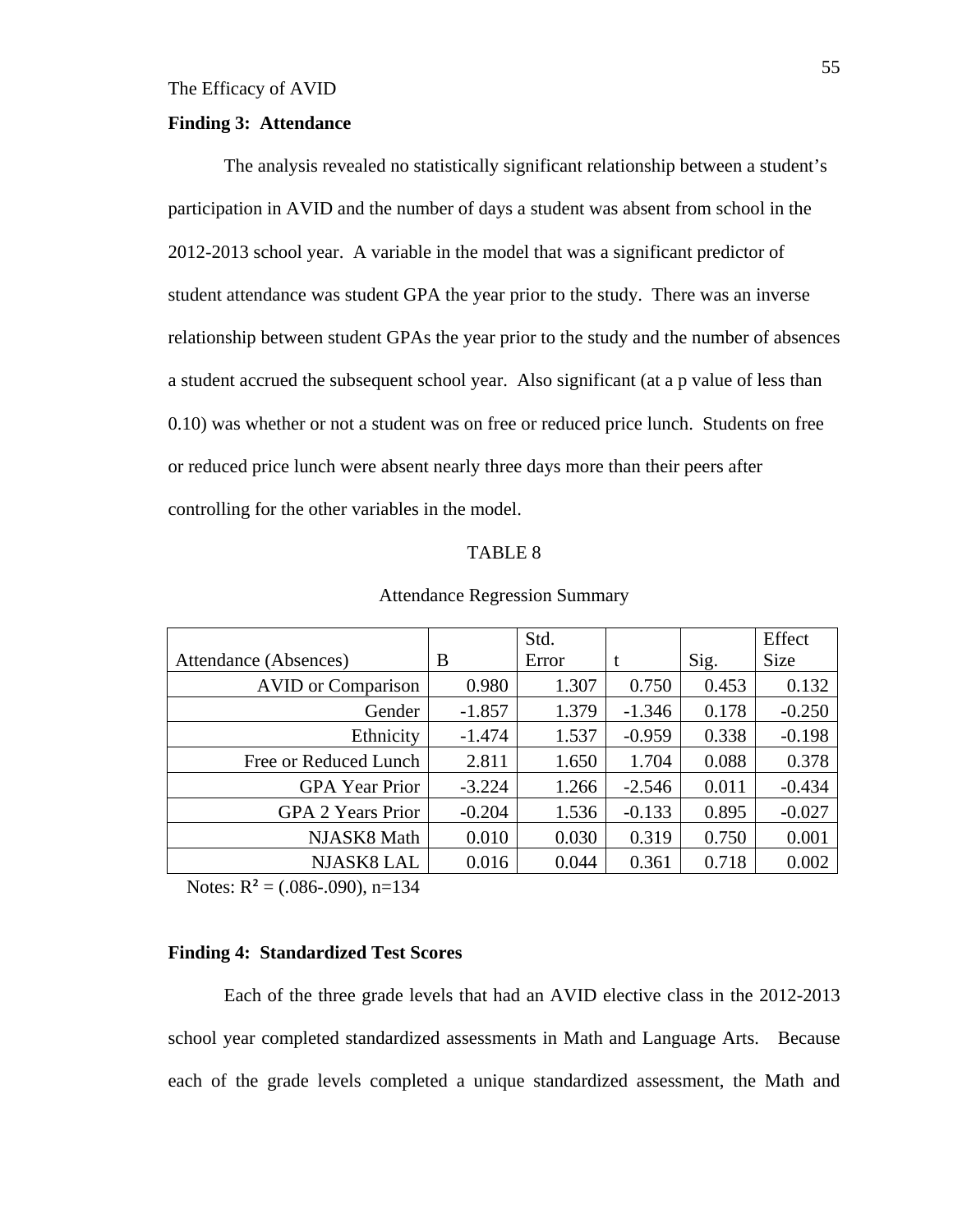#### **Finding 3: Attendance**

 The analysis revealed no statistically significant relationship between a student's participation in AVID and the number of days a student was absent from school in the 2012-2013 school year. A variable in the model that was a significant predictor of student attendance was student GPA the year prior to the study. There was an inverse relationship between student GPAs the year prior to the study and the number of absences a student accrued the subsequent school year. Also significant (at a p value of less than 0.10) was whether or not a student was on free or reduced price lunch. Students on free or reduced price lunch were absent nearly three days more than their peers after controlling for the other variables in the model.

#### TABLE 8

|                           |          | Std.  |          |       | Effect      |
|---------------------------|----------|-------|----------|-------|-------------|
| Attendance (Absences)     | B        | Error | t        | Sig.  | <b>Size</b> |
| <b>AVID</b> or Comparison | 0.980    | 1.307 | 0.750    | 0.453 | 0.132       |
| Gender                    | $-1.857$ | 1.379 | $-1.346$ | 0.178 | $-0.250$    |
| Ethnicity                 | $-1.474$ | 1.537 | $-0.959$ | 0.338 | $-0.198$    |
| Free or Reduced Lunch     | 2.811    | 1.650 | 1.704    | 0.088 | 0.378       |
| <b>GPA</b> Year Prior     | $-3.224$ | 1.266 | $-2.546$ | 0.011 | $-0.434$    |
| <b>GPA 2 Years Prior</b>  | $-0.204$ | 1.536 | $-0.133$ | 0.895 | $-0.027$    |
| NJASK8 Math               | 0.010    | 0.030 | 0.319    | 0.750 | 0.001       |
| <b>NJASK8 LAL</b>         | 0.016    | 0.044 | 0.361    | 0.718 | 0.002       |

Attendance Regression Summary

Notes:  $R^2 = (.086-.090)$ , n=134

#### **Finding 4: Standardized Test Scores**

Each of the three grade levels that had an AVID elective class in the 2012-2013 school year completed standardized assessments in Math and Language Arts. Because each of the grade levels completed a unique standardized assessment, the Math and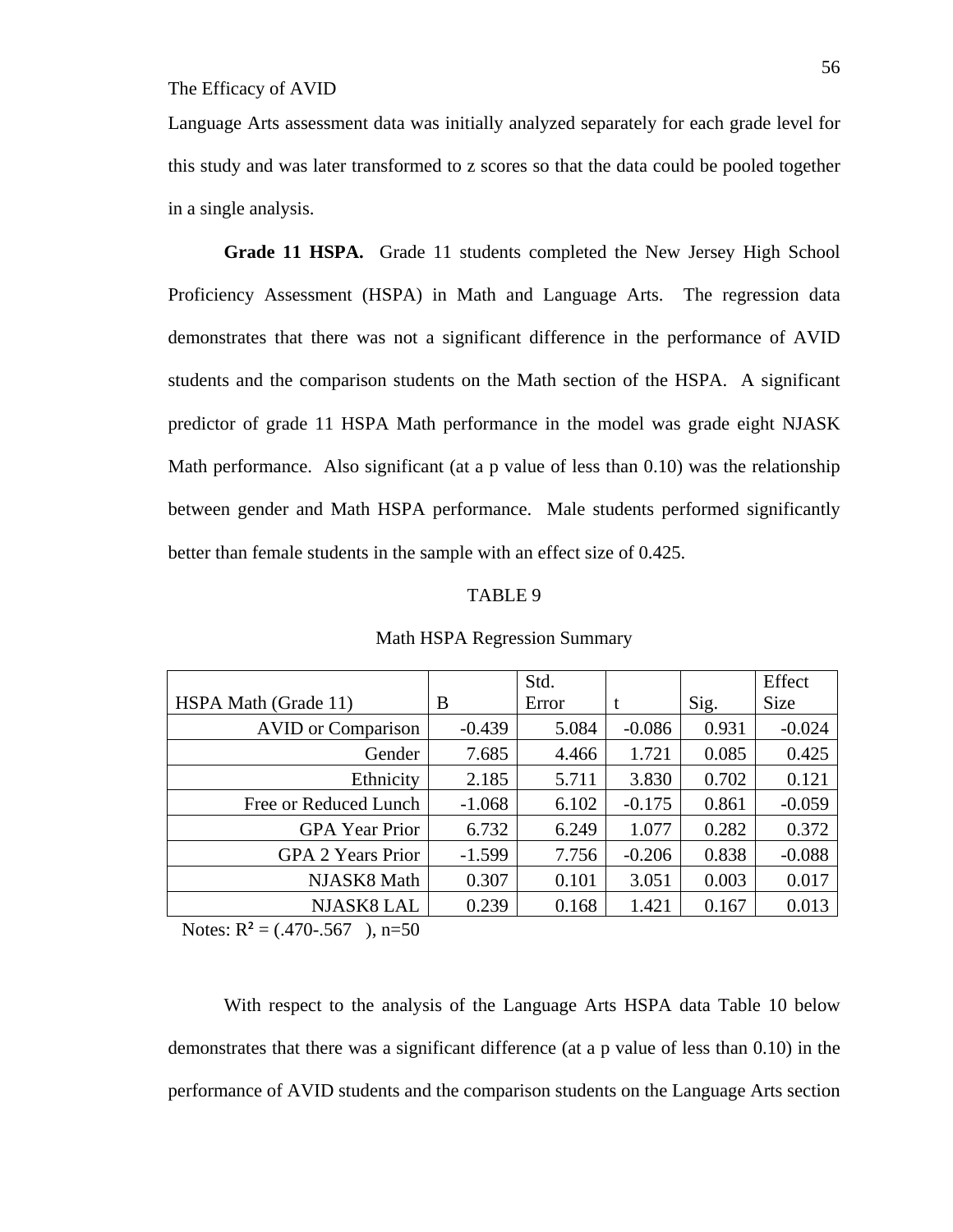Language Arts assessment data was initially analyzed separately for each grade level for this study and was later transformed to z scores so that the data could be pooled together in a single analysis.

**Grade 11 HSPA.** Grade 11 students completed the New Jersey High School Proficiency Assessment (HSPA) in Math and Language Arts. The regression data demonstrates that there was not a significant difference in the performance of AVID students and the comparison students on the Math section of the HSPA. A significant predictor of grade 11 HSPA Math performance in the model was grade eight NJASK Math performance. Also significant (at a p value of less than 0.10) was the relationship between gender and Math HSPA performance. Male students performed significantly better than female students in the sample with an effect size of 0.425.

#### TABLE 9

|                           |          | Std.  |          |       | Effect      |
|---------------------------|----------|-------|----------|-------|-------------|
| HSPA Math (Grade 11)      | B        | Error | t        | Sig.  | <b>Size</b> |
| <b>AVID</b> or Comparison | $-0.439$ | 5.084 | $-0.086$ | 0.931 | $-0.024$    |
| Gender                    | 7.685    | 4.466 | 1.721    | 0.085 | 0.425       |
| Ethnicity                 | 2.185    | 5.711 | 3.830    | 0.702 | 0.121       |
| Free or Reduced Lunch     | $-1.068$ | 6.102 | $-0.175$ | 0.861 | $-0.059$    |
| <b>GPA</b> Year Prior     | 6.732    | 6.249 | 1.077    | 0.282 | 0.372       |
| <b>GPA 2 Years Prior</b>  | $-1.599$ | 7.756 | $-0.206$ | 0.838 | $-0.088$    |
| NJASK8 Math               | 0.307    | 0.101 | 3.051    | 0.003 | 0.017       |
| NJASK8 LAL                | 0.239    | 0.168 | 1.421    | 0.167 | 0.013       |

#### Math HSPA Regression Summary

Notes:  $R^2 = (.470-.567)$ , n=50

 With respect to the analysis of the Language Arts HSPA data Table 10 below demonstrates that there was a significant difference (at a p value of less than 0.10) in the performance of AVID students and the comparison students on the Language Arts section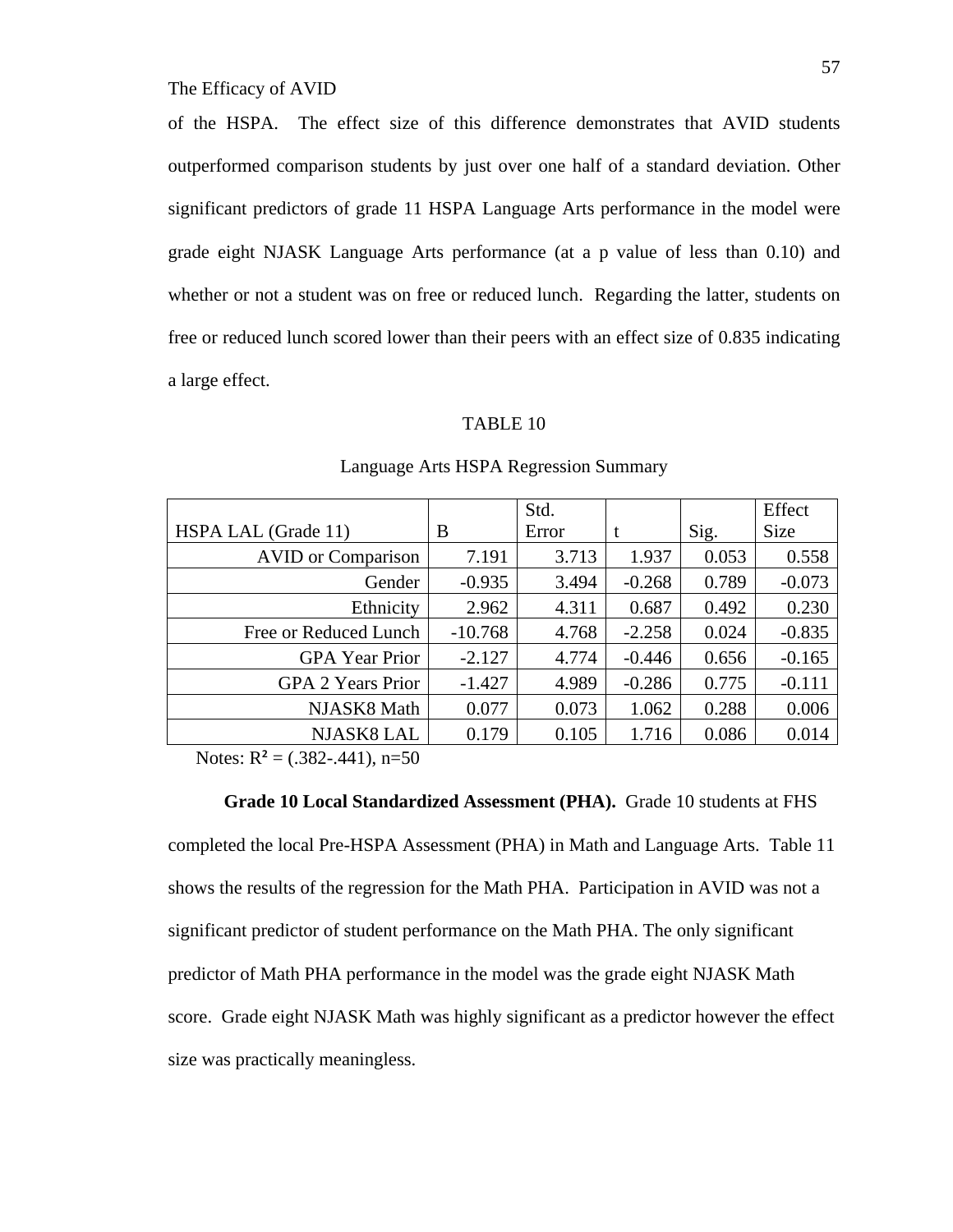of the HSPA. The effect size of this difference demonstrates that AVID students outperformed comparison students by just over one half of a standard deviation. Other significant predictors of grade 11 HSPA Language Arts performance in the model were grade eight NJASK Language Arts performance (at a p value of less than 0.10) and whether or not a student was on free or reduced lunch. Regarding the latter, students on free or reduced lunch scored lower than their peers with an effect size of 0.835 indicating a large effect.

#### TABLE 10

|                           |           | Std.  |          |       | Effect      |
|---------------------------|-----------|-------|----------|-------|-------------|
| HSPA LAL (Grade 11)       | B         | Error | t        | Sig.  | <b>Size</b> |
| <b>AVID</b> or Comparison | 7.191     | 3.713 | 1.937    | 0.053 | 0.558       |
| Gender                    | $-0.935$  | 3.494 | $-0.268$ | 0.789 | $-0.073$    |
| Ethnicity                 | 2.962     | 4.311 | 0.687    | 0.492 | 0.230       |
| Free or Reduced Lunch     | $-10.768$ | 4.768 | $-2.258$ | 0.024 | $-0.835$    |
| <b>GPA</b> Year Prior     | $-2.127$  | 4.774 | $-0.446$ | 0.656 | $-0.165$    |
| <b>GPA 2 Years Prior</b>  | $-1.427$  | 4.989 | $-0.286$ | 0.775 | $-0.111$    |
| NJASK8 Math               | 0.077     | 0.073 | 1.062    | 0.288 | 0.006       |
| NJASK8 LAL                | 0.179     | 0.105 | 1.716    | 0.086 | 0.014       |

# Language Arts HSPA Regression Summary

Notes:  $R^2 = (.382-.441)$ , n=50

 **Grade 10 Local Standardized Assessment (PHA).** Grade 10 students at FHS completed the local Pre-HSPA Assessment (PHA) in Math and Language Arts. Table 11 shows the results of the regression for the Math PHA. Participation in AVID was not a significant predictor of student performance on the Math PHA. The only significant predictor of Math PHA performance in the model was the grade eight NJASK Math score. Grade eight NJASK Math was highly significant as a predictor however the effect size was practically meaningless.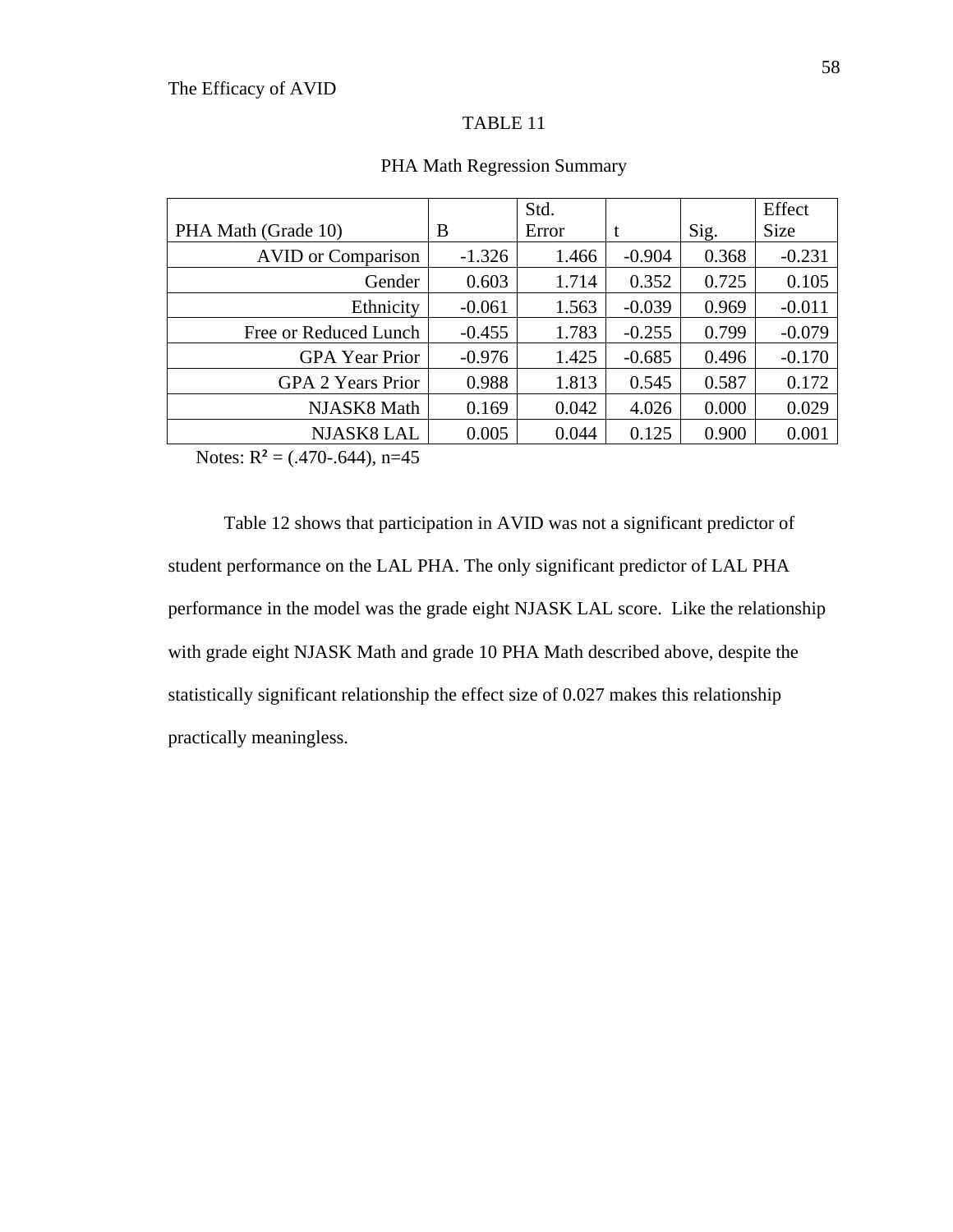|                           |          | Std.  |          |       | Effect      |
|---------------------------|----------|-------|----------|-------|-------------|
| PHA Math (Grade 10)       | B        | Error | t        | Sig.  | <b>Size</b> |
| <b>AVID</b> or Comparison | $-1.326$ | 1.466 | $-0.904$ | 0.368 | $-0.231$    |
| Gender                    | 0.603    | 1.714 | 0.352    | 0.725 | 0.105       |
| Ethnicity                 | $-0.061$ | 1.563 | $-0.039$ | 0.969 | $-0.011$    |
| Free or Reduced Lunch     | $-0.455$ | 1.783 | $-0.255$ | 0.799 | $-0.079$    |
| <b>GPA</b> Year Prior     | $-0.976$ | 1.425 | $-0.685$ | 0.496 | $-0.170$    |
| <b>GPA 2 Years Prior</b>  | 0.988    | 1.813 | 0.545    | 0.587 | 0.172       |
| NJASK8 Math               | 0.169    | 0.042 | 4.026    | 0.000 | 0.029       |
| <b>NJASK8 LAL</b>         | 0.005    | 0.044 | 0.125    | 0.900 | 0.001       |

#### PHA Math Regression Summary

Notes:  $R^2 = (.470-.644)$ , n=45

Table 12 shows that participation in AVID was not a significant predictor of student performance on the LAL PHA. The only significant predictor of LAL PHA performance in the model was the grade eight NJASK LAL score. Like the relationship with grade eight NJASK Math and grade 10 PHA Math described above, despite the statistically significant relationship the effect size of 0.027 makes this relationship practically meaningless.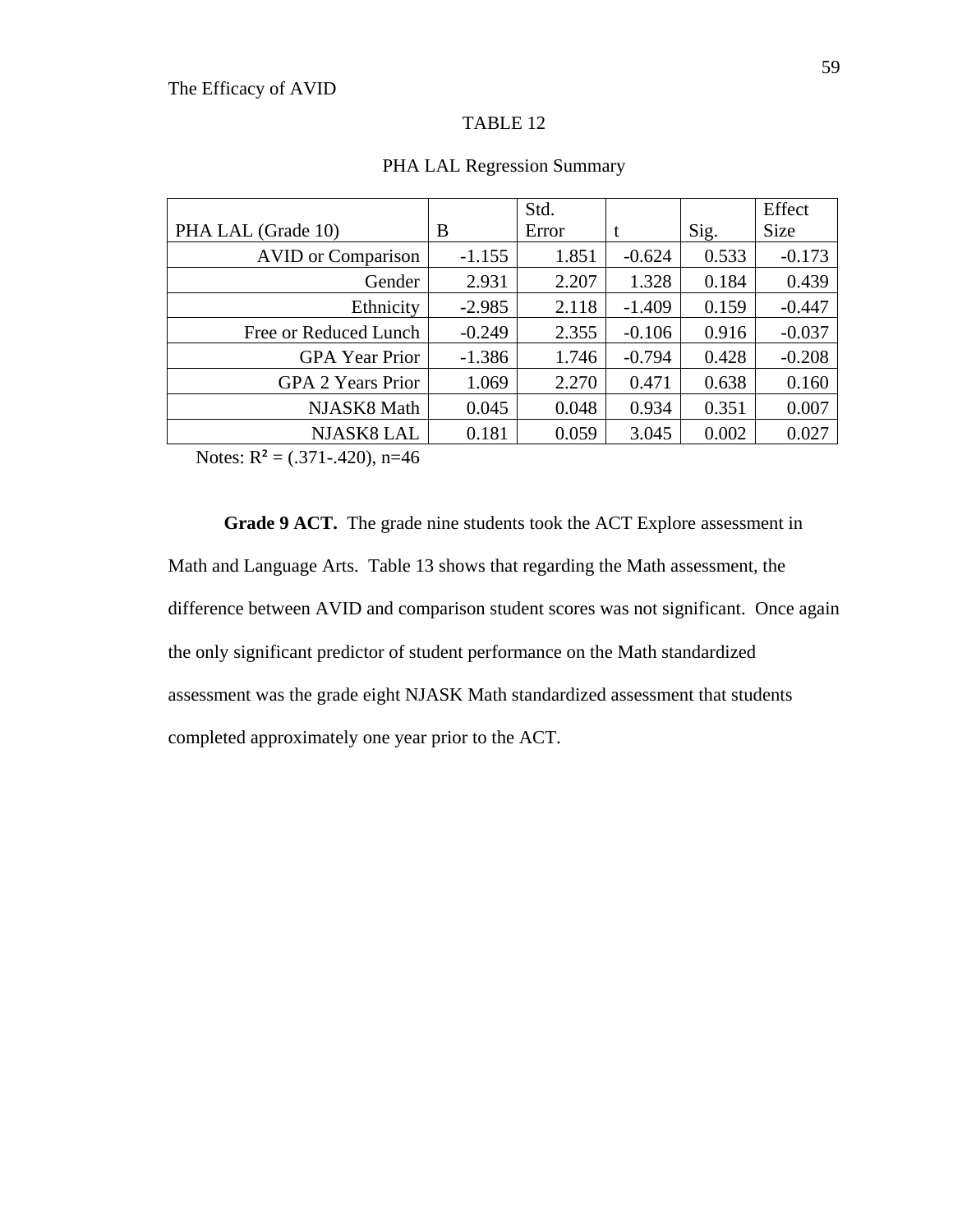|                           |          | Std.  |          |       | Effect      |
|---------------------------|----------|-------|----------|-------|-------------|
| PHA LAL (Grade 10)        | B        | Error | t        | Sig.  | <b>Size</b> |
| <b>AVID</b> or Comparison | $-1.155$ | 1.851 | $-0.624$ | 0.533 | $-0.173$    |
| Gender                    | 2.931    | 2.207 | 1.328    | 0.184 | 0.439       |
| Ethnicity                 | $-2.985$ | 2.118 | $-1.409$ | 0.159 | $-0.447$    |
| Free or Reduced Lunch     | $-0.249$ | 2.355 | $-0.106$ | 0.916 | $-0.037$    |
| <b>GPA</b> Year Prior     | $-1.386$ | 1.746 | $-0.794$ | 0.428 | $-0.208$    |
| <b>GPA 2 Years Prior</b>  | 1.069    | 2.270 | 0.471    | 0.638 | 0.160       |
| NJASK8 Math               | 0.045    | 0.048 | 0.934    | 0.351 | 0.007       |
| <b>NJASK8 LAL</b>         | 0.181    | 0.059 | 3.045    | 0.002 | 0.027       |

#### PHA LAL Regression Summary

Notes:  $R^2 = (.371-.420)$ , n=46

**Grade 9 ACT.** The grade nine students took the ACT Explore assessment in Math and Language Arts. Table 13 shows that regarding the Math assessment, the difference between AVID and comparison student scores was not significant. Once again the only significant predictor of student performance on the Math standardized assessment was the grade eight NJASK Math standardized assessment that students completed approximately one year prior to the ACT.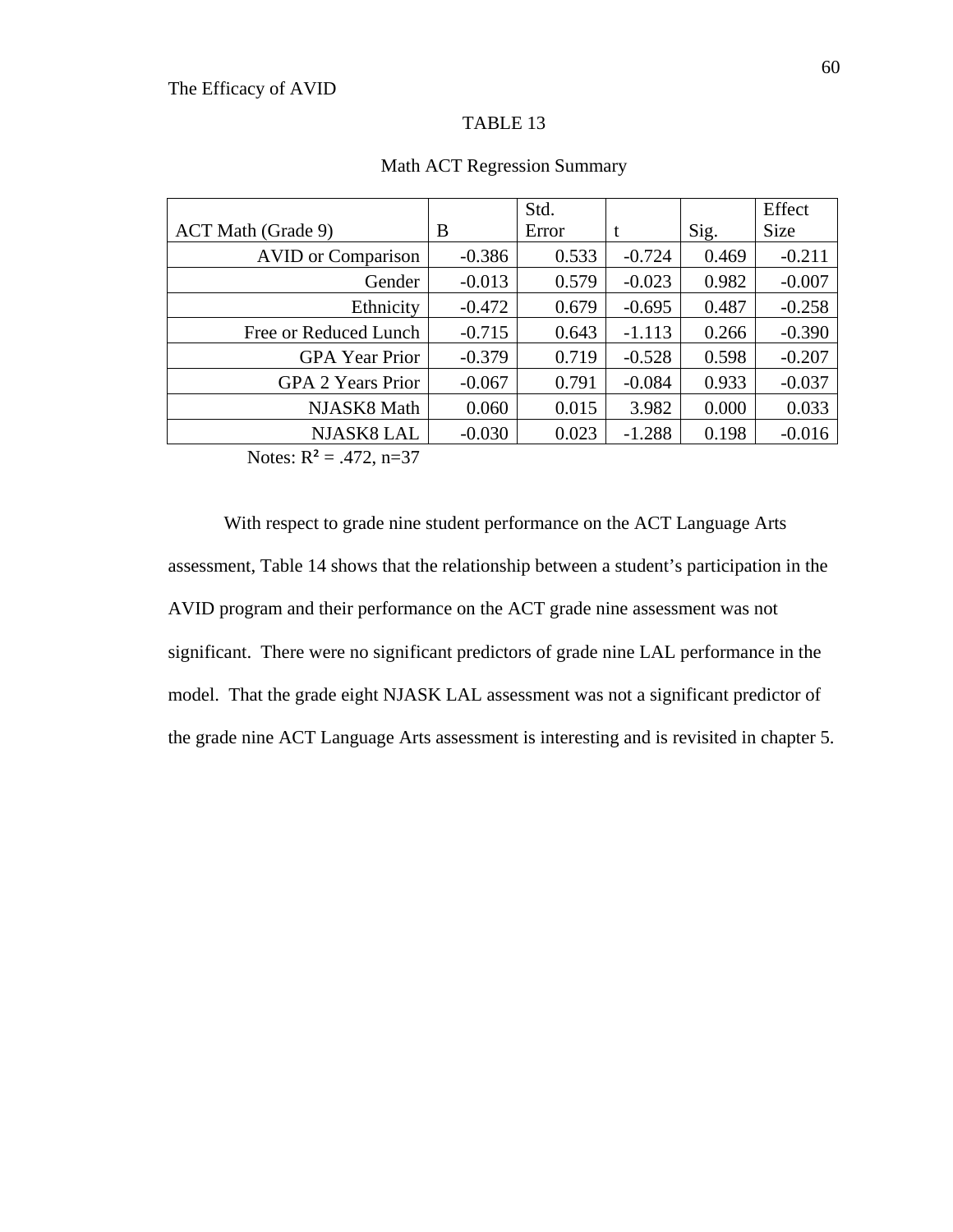|                           |          | Std.  |          |       | Effect   |
|---------------------------|----------|-------|----------|-------|----------|
| ACT Math (Grade 9)        | B        | Error | t        | Sig.  | Size     |
| <b>AVID</b> or Comparison | $-0.386$ | 0.533 | $-0.724$ | 0.469 | $-0.211$ |
| Gender                    | $-0.013$ | 0.579 | $-0.023$ | 0.982 | $-0.007$ |
| Ethnicity                 | $-0.472$ | 0.679 | $-0.695$ | 0.487 | $-0.258$ |
| Free or Reduced Lunch     | $-0.715$ | 0.643 | $-1.113$ | 0.266 | $-0.390$ |
| <b>GPA</b> Year Prior     | $-0.379$ | 0.719 | $-0.528$ | 0.598 | $-0.207$ |
| <b>GPA 2 Years Prior</b>  | $-0.067$ | 0.791 | $-0.084$ | 0.933 | $-0.037$ |
| NJASK8 Math               | 0.060    | 0.015 | 3.982    | 0.000 | 0.033    |
| <b>NJASK8 LAL</b>         | $-0.030$ | 0.023 | $-1.288$ | 0.198 | $-0.016$ |

## Math ACT Regression Summary

Notes:  $R^2 = .472$ , n=37

 With respect to grade nine student performance on the ACT Language Arts assessment, Table 14 shows that the relationship between a student's participation in the AVID program and their performance on the ACT grade nine assessment was not significant. There were no significant predictors of grade nine LAL performance in the model. That the grade eight NJASK LAL assessment was not a significant predictor of the grade nine ACT Language Arts assessment is interesting and is revisited in chapter 5.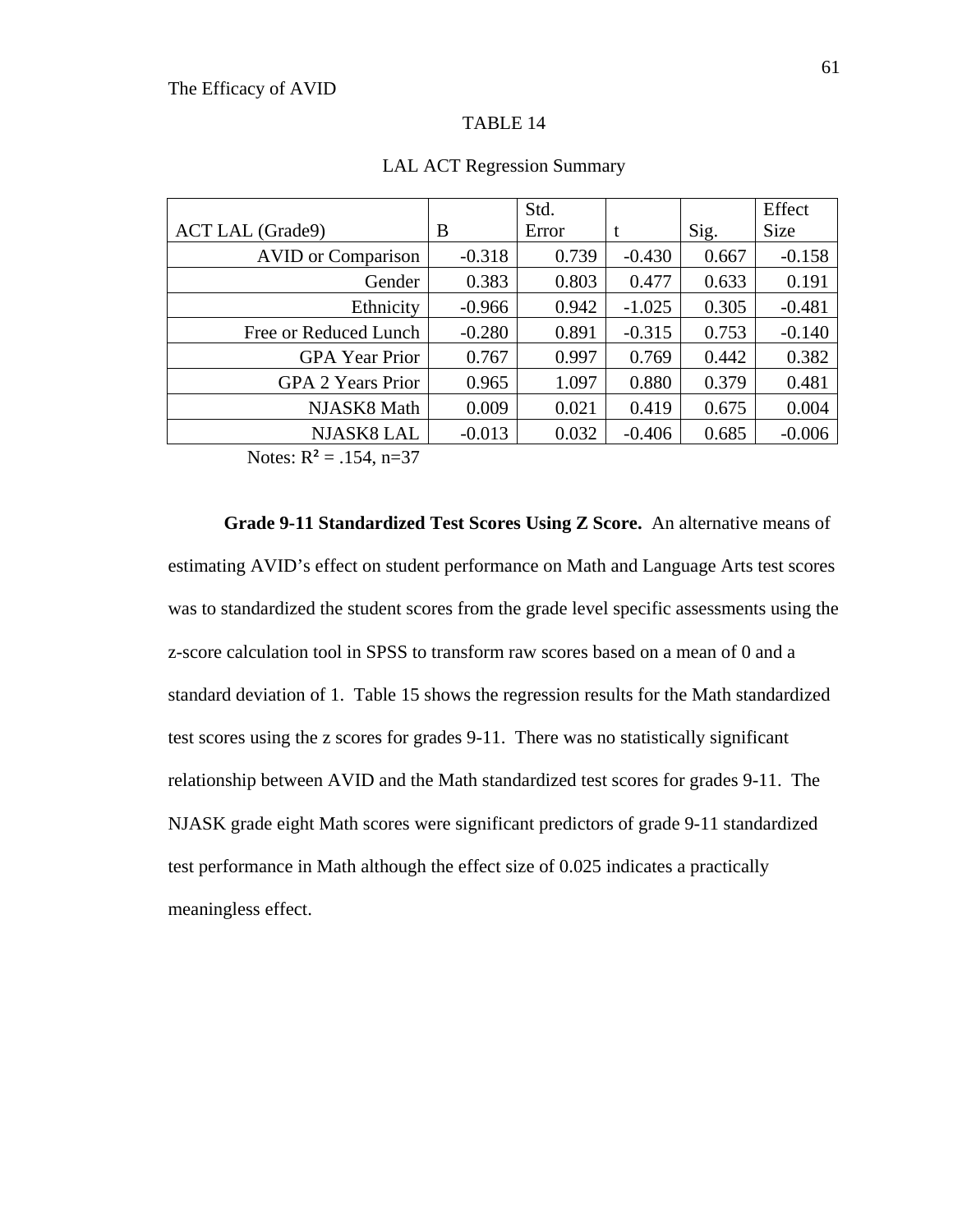|                           |          | Std.  |          |       | Effect      |
|---------------------------|----------|-------|----------|-------|-------------|
| <b>ACT LAL (Grade9)</b>   | B        | Error | t        | Sig.  | <b>Size</b> |
| <b>AVID</b> or Comparison | $-0.318$ | 0.739 | $-0.430$ | 0.667 | $-0.158$    |
| Gender                    | 0.383    | 0.803 | 0.477    | 0.633 | 0.191       |
| Ethnicity                 | $-0.966$ | 0.942 | $-1.025$ | 0.305 | $-0.481$    |
| Free or Reduced Lunch     | $-0.280$ | 0.891 | $-0.315$ | 0.753 | $-0.140$    |
| <b>GPA</b> Year Prior     | 0.767    | 0.997 | 0.769    | 0.442 | 0.382       |
| <b>GPA 2 Years Prior</b>  | 0.965    | 1.097 | 0.880    | 0.379 | 0.481       |
| NJASK8 Math               | 0.009    | 0.021 | 0.419    | 0.675 | 0.004       |
| <b>NJASK8 LAL</b>         | $-0.013$ | 0.032 | $-0.406$ | 0.685 | $-0.006$    |

#### LAL ACT Regression Summary

Notes:  $R^2 = .154$ , n=37

**Grade 9-11 Standardized Test Scores Using Z Score.** An alternative means of estimating AVID's effect on student performance on Math and Language Arts test scores was to standardized the student scores from the grade level specific assessments using the z-score calculation tool in SPSS to transform raw scores based on a mean of 0 and a standard deviation of 1. Table 15 shows the regression results for the Math standardized test scores using the z scores for grades 9-11. There was no statistically significant relationship between AVID and the Math standardized test scores for grades 9-11. The NJASK grade eight Math scores were significant predictors of grade 9-11 standardized test performance in Math although the effect size of 0.025 indicates a practically meaningless effect.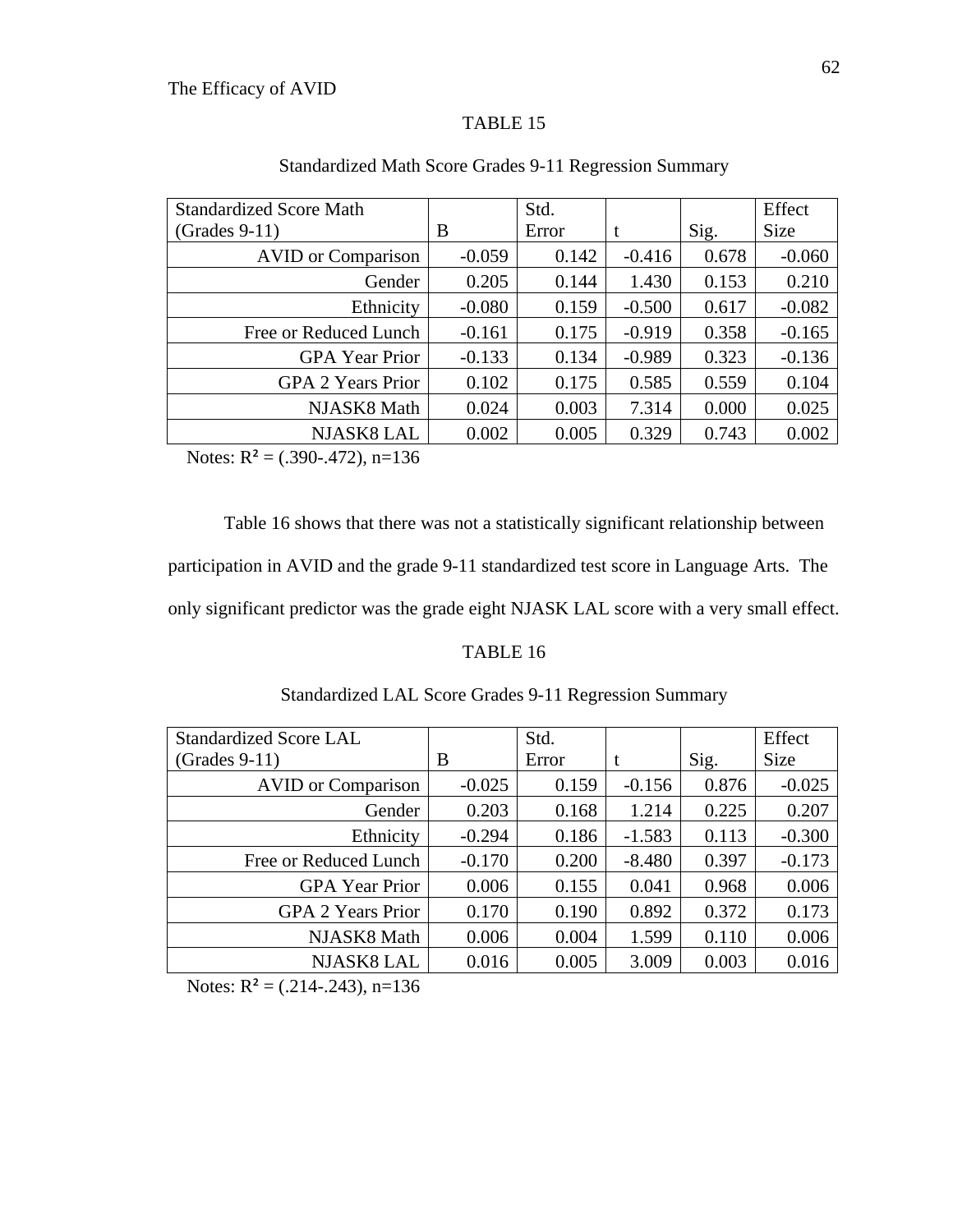# TABLE 15

| <b>Standardized Score Math</b> |          | Std.  |          |       | Effect      |
|--------------------------------|----------|-------|----------|-------|-------------|
| $(Grades 9-11)$                | B        | Error | t        | Sig.  | <b>Size</b> |
| <b>AVID</b> or Comparison      | $-0.059$ | 0.142 | $-0.416$ | 0.678 | $-0.060$    |
| Gender                         | 0.205    | 0.144 | 1.430    | 0.153 | 0.210       |
| Ethnicity                      | $-0.080$ | 0.159 | $-0.500$ | 0.617 | $-0.082$    |
| Free or Reduced Lunch          | $-0.161$ | 0.175 | $-0.919$ | 0.358 | $-0.165$    |
| <b>GPA</b> Year Prior          | $-0.133$ | 0.134 | $-0.989$ | 0.323 | $-0.136$    |
| <b>GPA 2 Years Prior</b>       | 0.102    | 0.175 | 0.585    | 0.559 | 0.104       |
| NJASK8 Math                    | 0.024    | 0.003 | 7.314    | 0.000 | 0.025       |
| <b>NJASK8 LAL</b>              | 0.002    | 0.005 | 0.329    | 0.743 | 0.002       |

# Standardized Math Score Grades 9-11 Regression Summary

Notes:  $R^2 = (.390-.472)$ , n=136

 Table 16 shows that there was not a statistically significant relationship between participation in AVID and the grade 9-11 standardized test score in Language Arts. The only significant predictor was the grade eight NJASK LAL score with a very small effect.

## TABLE 16

| <b>Standardized Score LAL</b> |          | Std.  |          |       | Effect      |
|-------------------------------|----------|-------|----------|-------|-------------|
| $(Grades 9-11)$               | B        | Error | t        | Sig.  | <b>Size</b> |
| <b>AVID</b> or Comparison     | $-0.025$ | 0.159 | $-0.156$ | 0.876 | $-0.025$    |
| Gender                        | 0.203    | 0.168 | 1.214    | 0.225 | 0.207       |
| Ethnicity                     | $-0.294$ | 0.186 | $-1.583$ | 0.113 | $-0.300$    |
| Free or Reduced Lunch         | $-0.170$ | 0.200 | $-8.480$ | 0.397 | $-0.173$    |
| <b>GPA</b> Year Prior         | 0.006    | 0.155 | 0.041    | 0.968 | 0.006       |
| <b>GPA 2 Years Prior</b>      | 0.170    | 0.190 | 0.892    | 0.372 | 0.173       |
| NJASK8 Math                   | 0.006    | 0.004 | 1.599    | 0.110 | 0.006       |
| NJASK8 LAL                    | 0.016    | 0.005 | 3.009    | 0.003 | 0.016       |

## Standardized LAL Score Grades 9-11 Regression Summary

Notes:  $R^2 = (.214-.243), n=136$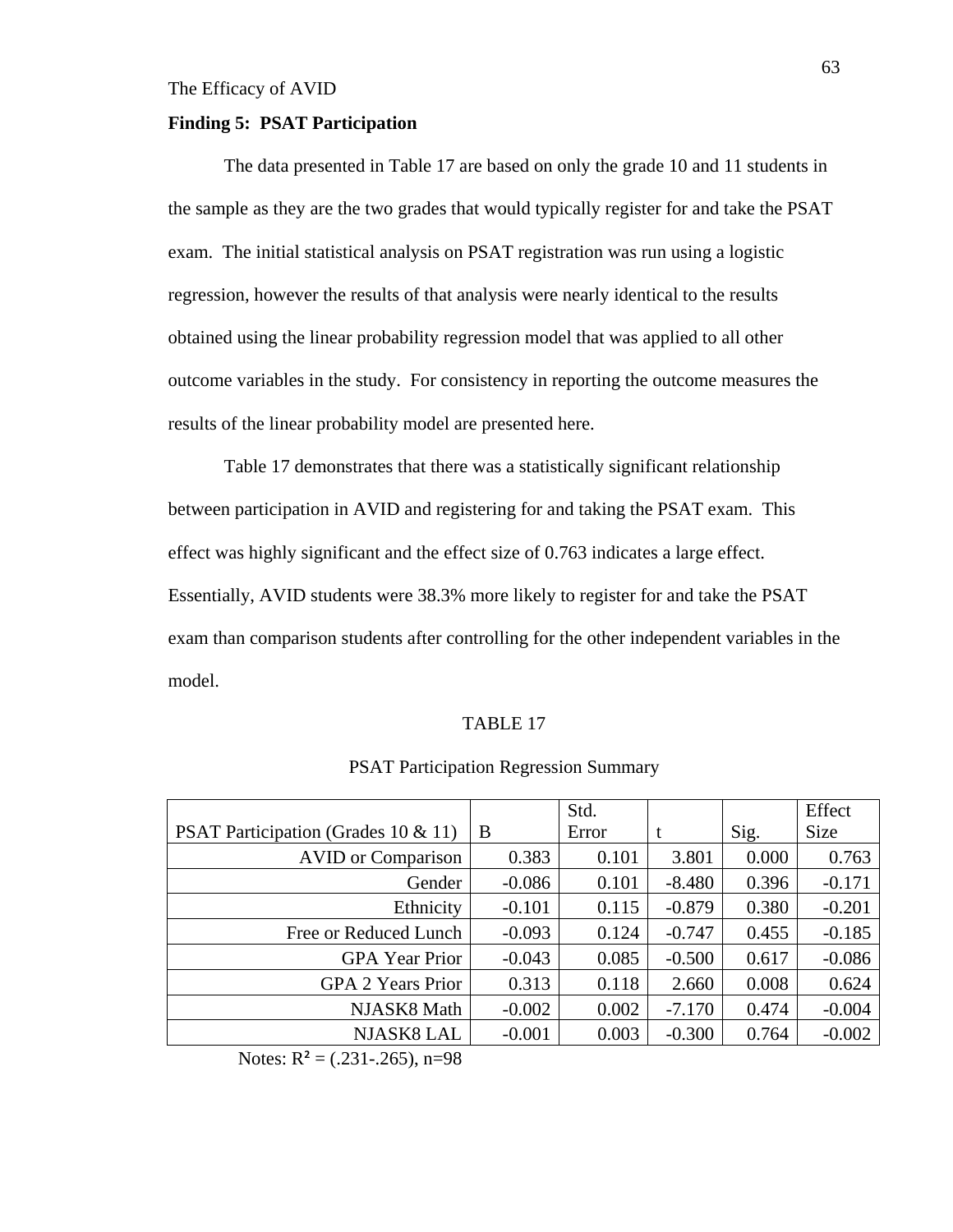#### **Finding 5: PSAT Participation**

 The data presented in Table 17 are based on only the grade 10 and 11 students in the sample as they are the two grades that would typically register for and take the PSAT exam. The initial statistical analysis on PSAT registration was run using a logistic regression, however the results of that analysis were nearly identical to the results obtained using the linear probability regression model that was applied to all other outcome variables in the study. For consistency in reporting the outcome measures the results of the linear probability model are presented here.

Table 17 demonstrates that there was a statistically significant relationship between participation in AVID and registering for and taking the PSAT exam. This effect was highly significant and the effect size of 0.763 indicates a large effect. Essentially, AVID students were 38.3% more likely to register for and take the PSAT exam than comparison students after controlling for the other independent variables in the model.

#### TABLE 17

|                                                |          | Std.  |          |       | Effect      |
|------------------------------------------------|----------|-------|----------|-------|-------------|
| <b>PSAT Participation (Grades 10 &amp; 11)</b> | B        | Error |          | Sig.  | <b>Size</b> |
| <b>AVID</b> or Comparison                      | 0.383    | 0.101 | 3.801    | 0.000 | 0.763       |
| Gender                                         | $-0.086$ | 0.101 | $-8.480$ | 0.396 | $-0.171$    |
| Ethnicity                                      | $-0.101$ | 0.115 | $-0.879$ | 0.380 | $-0.201$    |
| Free or Reduced Lunch                          | $-0.093$ | 0.124 | $-0.747$ | 0.455 | $-0.185$    |
| <b>GPA Year Prior</b>                          | $-0.043$ | 0.085 | $-0.500$ | 0.617 | $-0.086$    |
| <b>GPA 2 Years Prior</b>                       | 0.313    | 0.118 | 2.660    | 0.008 | 0.624       |
| NJASK8 Math                                    | $-0.002$ | 0.002 | $-7.170$ | 0.474 | $-0.004$    |
| <b>NJASK8 LAL</b>                              | $-0.001$ | 0.003 | $-0.300$ | 0.764 | $-0.002$    |

# PSAT Participation Regression Summary

Notes:  $R^2 = (.231-.265)$ , n=98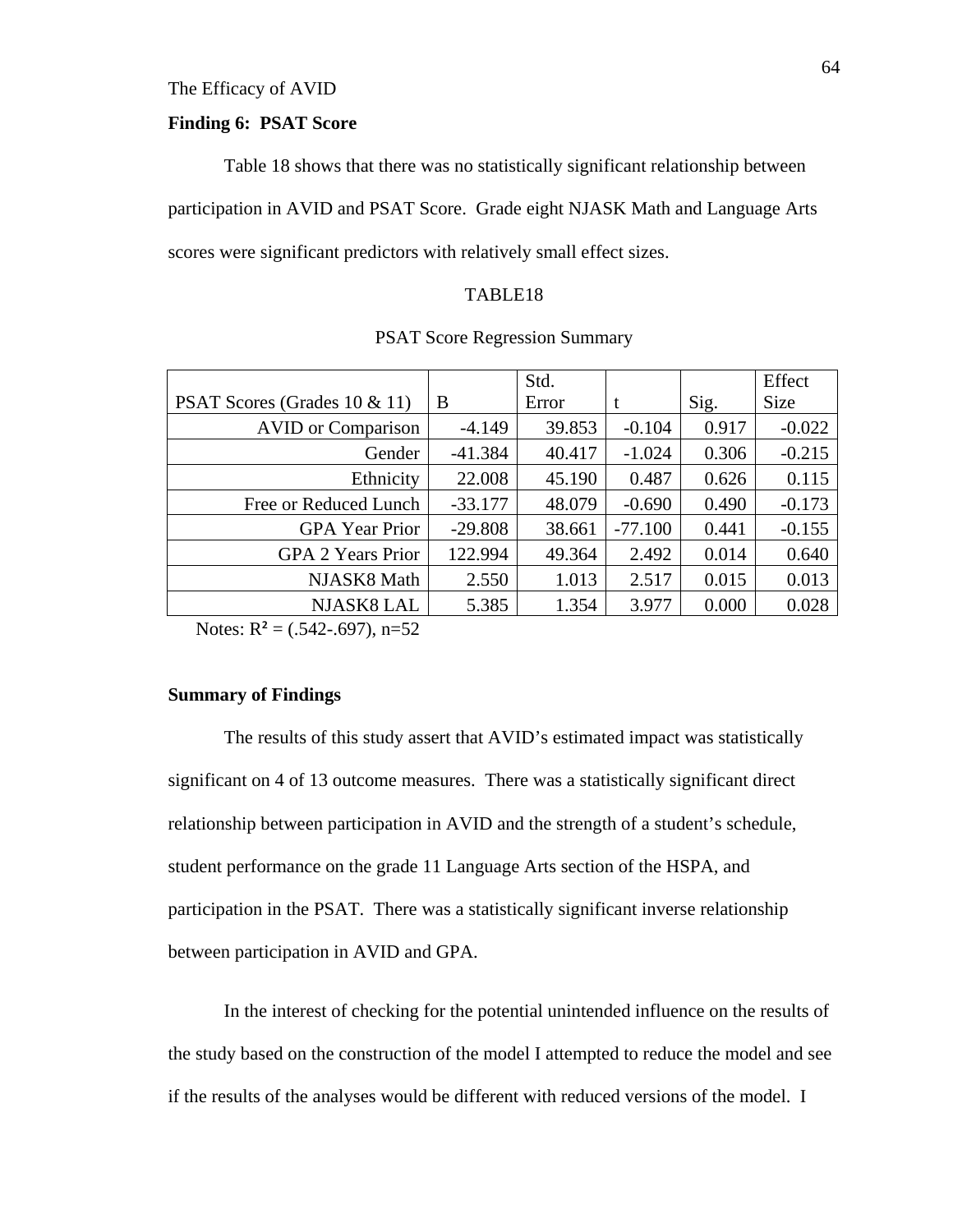## **Finding 6: PSAT Score**

Table 18 shows that there was no statistically significant relationship between participation in AVID and PSAT Score. Grade eight NJASK Math and Language Arts scores were significant predictors with relatively small effect sizes.

# TABLE18

|                              |           | Std.   |           |       | Effect   |
|------------------------------|-----------|--------|-----------|-------|----------|
| PSAT Scores (Grades 10 & 11) | B         | Error  | t         | Sig.  | Size     |
| <b>AVID</b> or Comparison    | $-4.149$  | 39.853 | $-0.104$  | 0.917 | $-0.022$ |
| Gender                       | $-41.384$ | 40.417 | $-1.024$  | 0.306 | $-0.215$ |
| Ethnicity                    | 22.008    | 45.190 | 0.487     | 0.626 | 0.115    |
| Free or Reduced Lunch        | $-33.177$ | 48.079 | $-0.690$  | 0.490 | $-0.173$ |
| <b>GPA</b> Year Prior        | $-29.808$ | 38.661 | $-77.100$ | 0.441 | $-0.155$ |
| <b>GPA 2 Years Prior</b>     | 122.994   | 49.364 | 2.492     | 0.014 | 0.640    |
| NJASK8 Math                  | 2.550     | 1.013  | 2.517     | 0.015 | 0.013    |
| <b>NJASK8 LAL</b>            | 5.385     | 1.354  | 3.977     | 0.000 | 0.028    |

PSAT Score Regression Summary

Notes:  $R^2 = (.542-.697)$ , n=52

#### **Summary of Findings**

The results of this study assert that AVID's estimated impact was statistically significant on 4 of 13 outcome measures. There was a statistically significant direct relationship between participation in AVID and the strength of a student's schedule, student performance on the grade 11 Language Arts section of the HSPA, and participation in the PSAT. There was a statistically significant inverse relationship between participation in AVID and GPA.

In the interest of checking for the potential unintended influence on the results of the study based on the construction of the model I attempted to reduce the model and see if the results of the analyses would be different with reduced versions of the model. I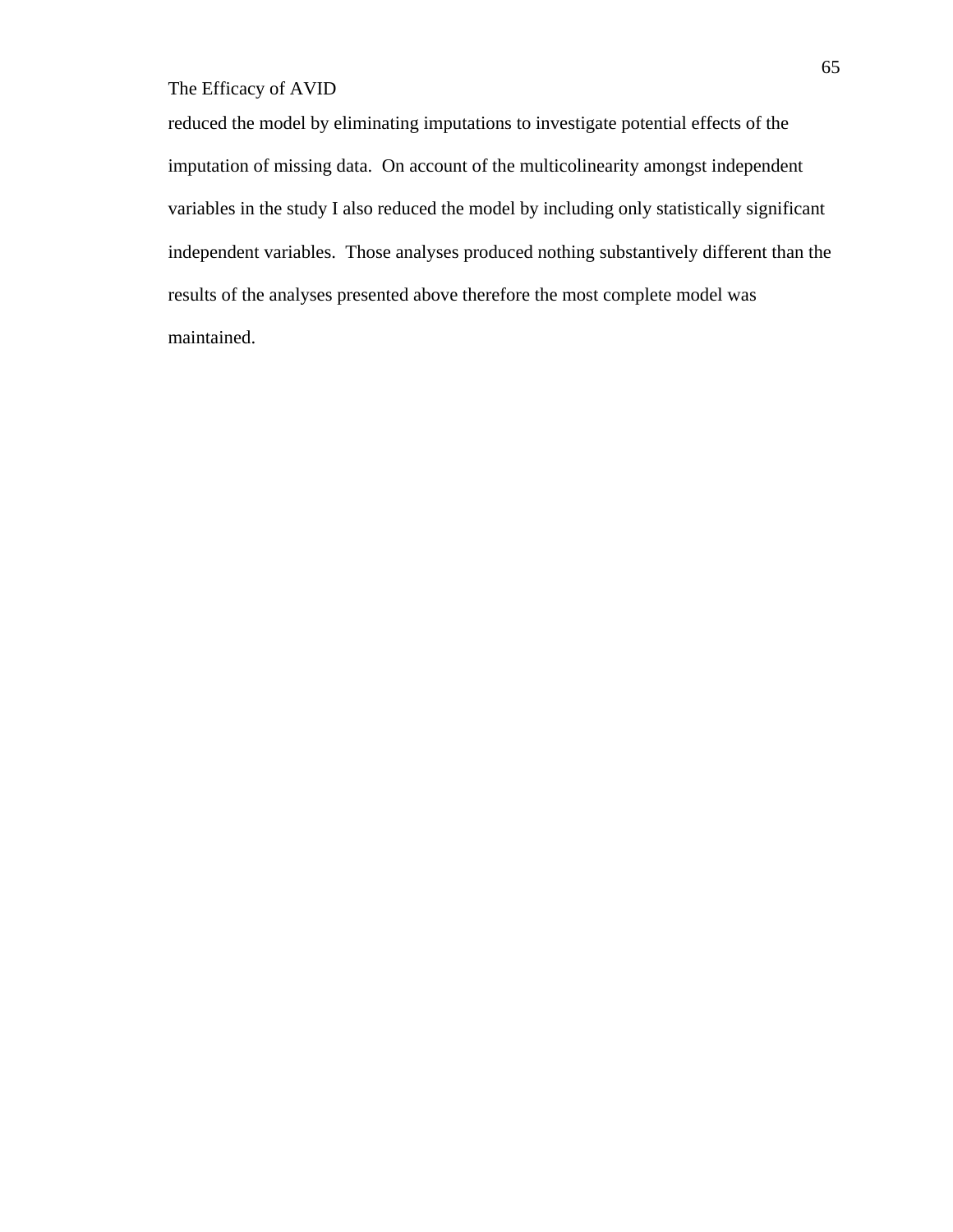reduced the model by eliminating imputations to investigate potential effects of the imputation of missing data. On account of the multicolinearity amongst independent variables in the study I also reduced the model by including only statistically significant independent variables. Those analyses produced nothing substantively different than the results of the analyses presented above therefore the most complete model was maintained.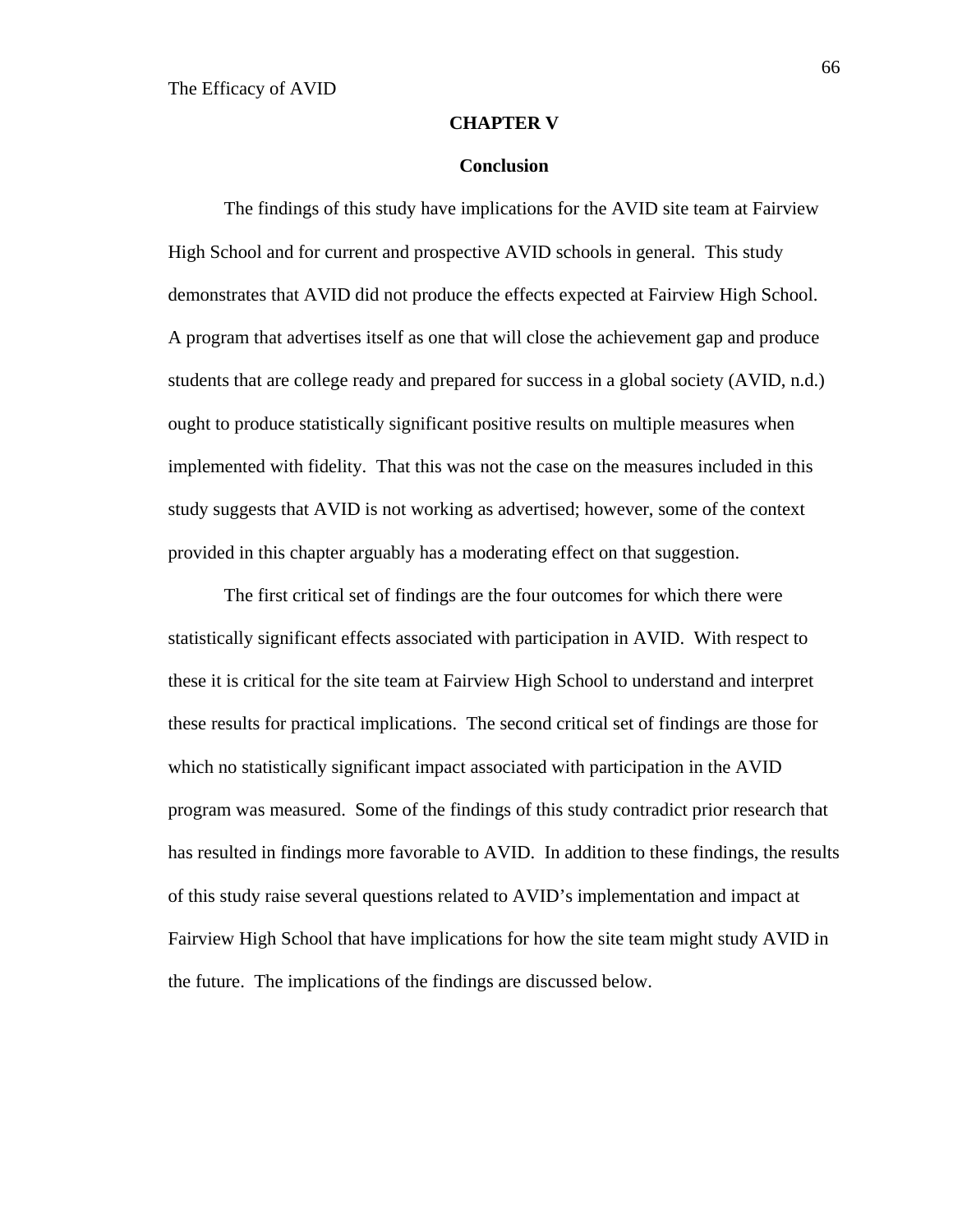#### **CHAPTER V**

#### **Conclusion**

The findings of this study have implications for the AVID site team at Fairview High School and for current and prospective AVID schools in general. This study demonstrates that AVID did not produce the effects expected at Fairview High School. A program that advertises itself as one that will close the achievement gap and produce students that are college ready and prepared for success in a global society (AVID, n.d.) ought to produce statistically significant positive results on multiple measures when implemented with fidelity. That this was not the case on the measures included in this study suggests that AVID is not working as advertised; however, some of the context provided in this chapter arguably has a moderating effect on that suggestion.

The first critical set of findings are the four outcomes for which there were statistically significant effects associated with participation in AVID. With respect to these it is critical for the site team at Fairview High School to understand and interpret these results for practical implications. The second critical set of findings are those for which no statistically significant impact associated with participation in the AVID program was measured. Some of the findings of this study contradict prior research that has resulted in findings more favorable to AVID. In addition to these findings, the results of this study raise several questions related to AVID's implementation and impact at Fairview High School that have implications for how the site team might study AVID in the future. The implications of the findings are discussed below.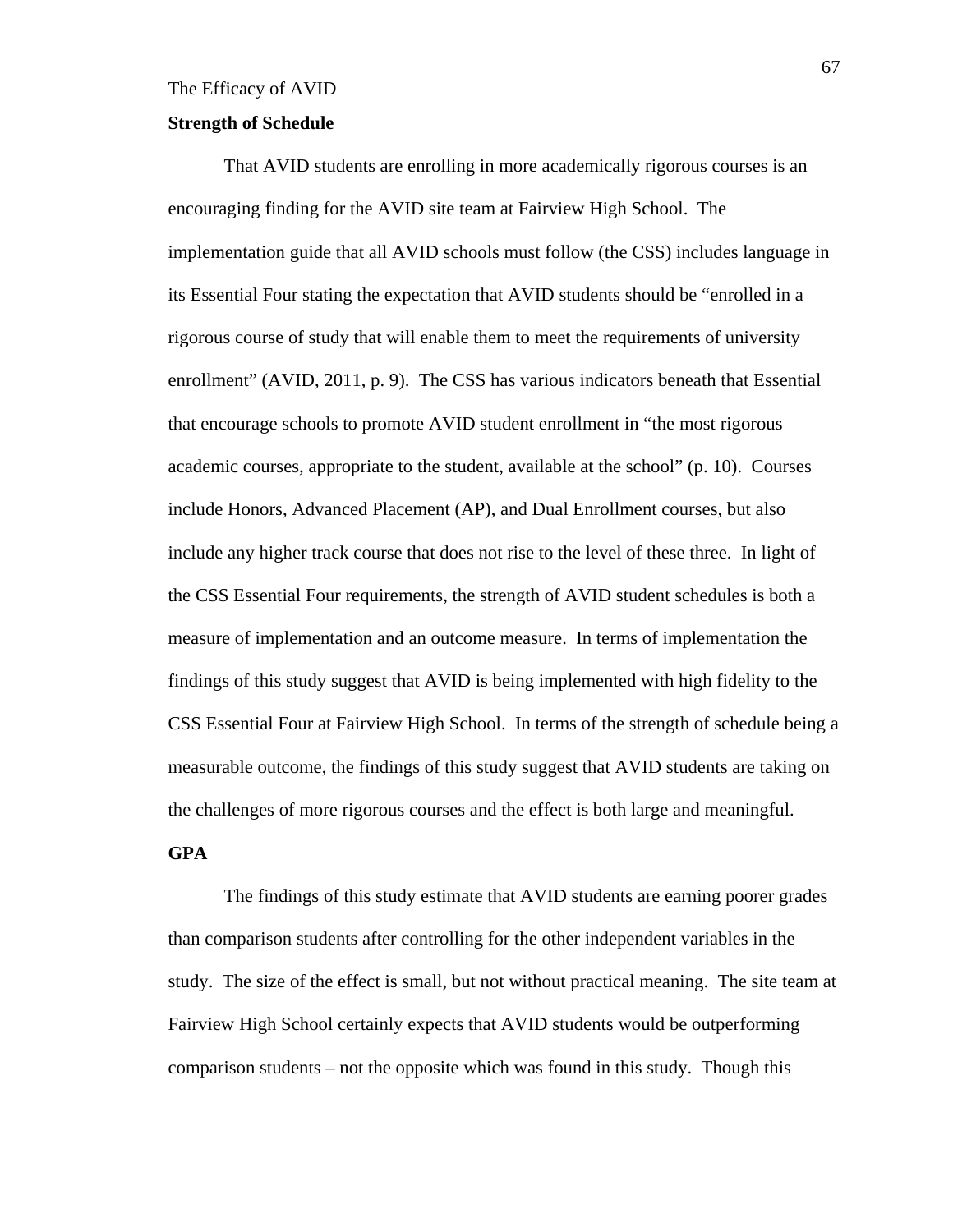#### **Strength of Schedule**

That AVID students are enrolling in more academically rigorous courses is an encouraging finding for the AVID site team at Fairview High School. The implementation guide that all AVID schools must follow (the CSS) includes language in its Essential Four stating the expectation that AVID students should be "enrolled in a rigorous course of study that will enable them to meet the requirements of university enrollment" (AVID, 2011, p. 9). The CSS has various indicators beneath that Essential that encourage schools to promote AVID student enrollment in "the most rigorous academic courses, appropriate to the student, available at the school" (p. 10). Courses include Honors, Advanced Placement (AP), and Dual Enrollment courses, but also include any higher track course that does not rise to the level of these three. In light of the CSS Essential Four requirements, the strength of AVID student schedules is both a measure of implementation and an outcome measure. In terms of implementation the findings of this study suggest that AVID is being implemented with high fidelity to the CSS Essential Four at Fairview High School. In terms of the strength of schedule being a measurable outcome, the findings of this study suggest that AVID students are taking on the challenges of more rigorous courses and the effect is both large and meaningful.

## **GPA**

The findings of this study estimate that AVID students are earning poorer grades than comparison students after controlling for the other independent variables in the study. The size of the effect is small, but not without practical meaning. The site team at Fairview High School certainly expects that AVID students would be outperforming comparison students – not the opposite which was found in this study. Though this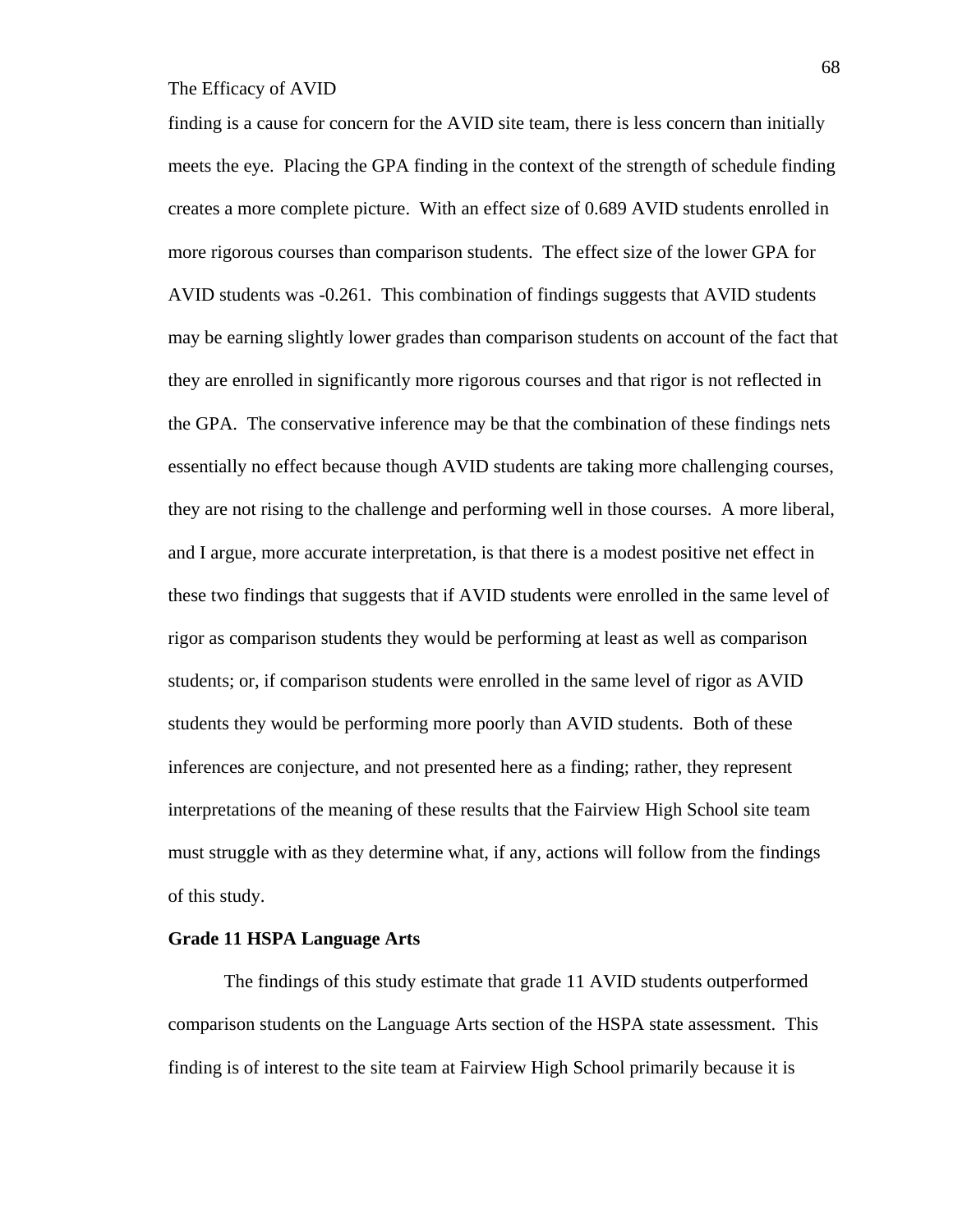finding is a cause for concern for the AVID site team, there is less concern than initially meets the eye. Placing the GPA finding in the context of the strength of schedule finding creates a more complete picture. With an effect size of 0.689 AVID students enrolled in more rigorous courses than comparison students. The effect size of the lower GPA for AVID students was -0.261. This combination of findings suggests that AVID students may be earning slightly lower grades than comparison students on account of the fact that they are enrolled in significantly more rigorous courses and that rigor is not reflected in the GPA. The conservative inference may be that the combination of these findings nets essentially no effect because though AVID students are taking more challenging courses, they are not rising to the challenge and performing well in those courses. A more liberal, and I argue, more accurate interpretation, is that there is a modest positive net effect in these two findings that suggests that if AVID students were enrolled in the same level of rigor as comparison students they would be performing at least as well as comparison students; or, if comparison students were enrolled in the same level of rigor as AVID students they would be performing more poorly than AVID students. Both of these inferences are conjecture, and not presented here as a finding; rather, they represent interpretations of the meaning of these results that the Fairview High School site team must struggle with as they determine what, if any, actions will follow from the findings of this study.

#### **Grade 11 HSPA Language Arts**

The findings of this study estimate that grade 11 AVID students outperformed comparison students on the Language Arts section of the HSPA state assessment. This finding is of interest to the site team at Fairview High School primarily because it is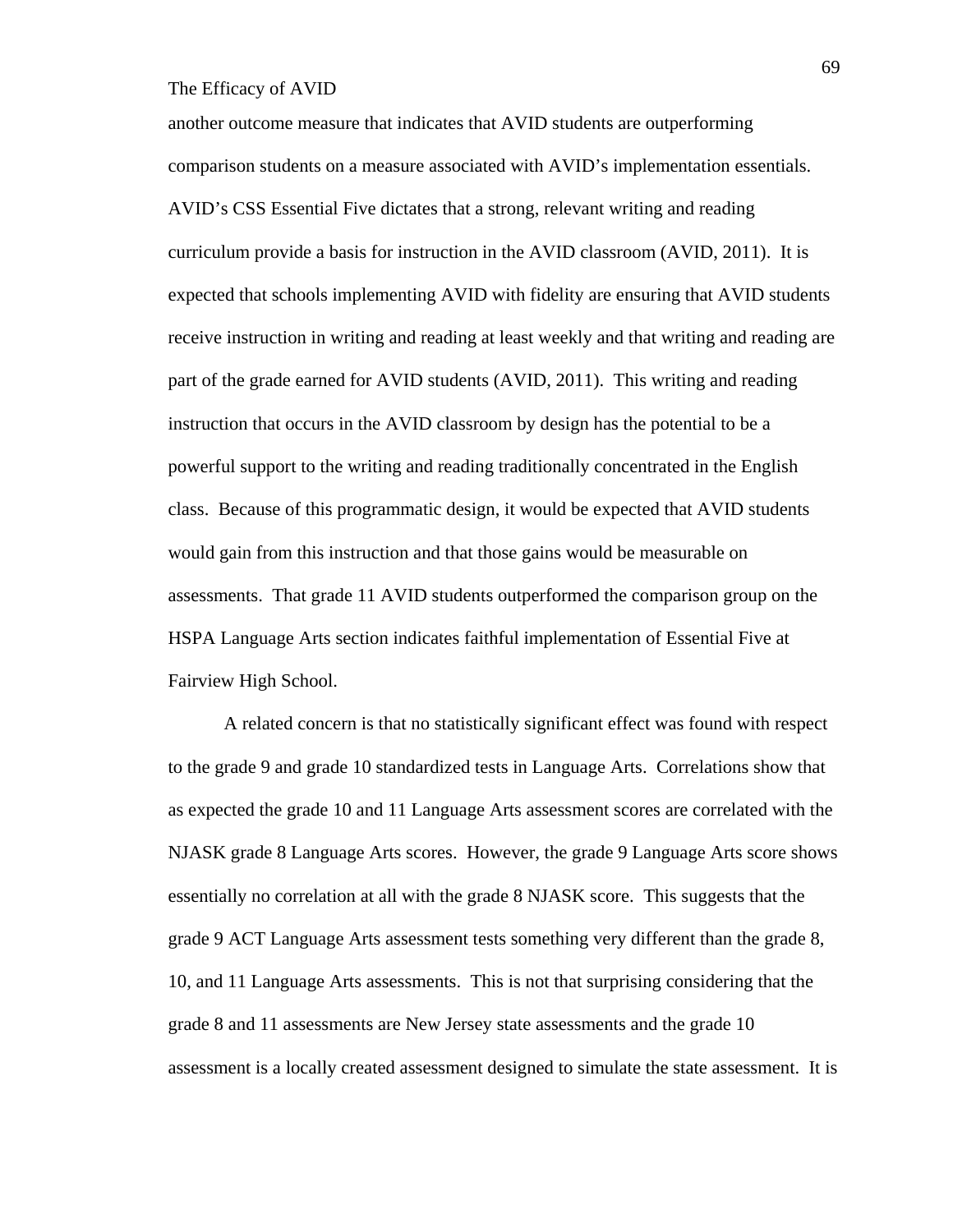another outcome measure that indicates that AVID students are outperforming comparison students on a measure associated with AVID's implementation essentials. AVID's CSS Essential Five dictates that a strong, relevant writing and reading curriculum provide a basis for instruction in the AVID classroom (AVID, 2011). It is expected that schools implementing AVID with fidelity are ensuring that AVID students receive instruction in writing and reading at least weekly and that writing and reading are part of the grade earned for AVID students (AVID, 2011). This writing and reading instruction that occurs in the AVID classroom by design has the potential to be a powerful support to the writing and reading traditionally concentrated in the English class. Because of this programmatic design, it would be expected that AVID students would gain from this instruction and that those gains would be measurable on assessments. That grade 11 AVID students outperformed the comparison group on the HSPA Language Arts section indicates faithful implementation of Essential Five at Fairview High School.

A related concern is that no statistically significant effect was found with respect to the grade 9 and grade 10 standardized tests in Language Arts. Correlations show that as expected the grade 10 and 11 Language Arts assessment scores are correlated with the NJASK grade 8 Language Arts scores. However, the grade 9 Language Arts score shows essentially no correlation at all with the grade 8 NJASK score. This suggests that the grade 9 ACT Language Arts assessment tests something very different than the grade 8, 10, and 11 Language Arts assessments. This is not that surprising considering that the grade 8 and 11 assessments are New Jersey state assessments and the grade 10 assessment is a locally created assessment designed to simulate the state assessment. It is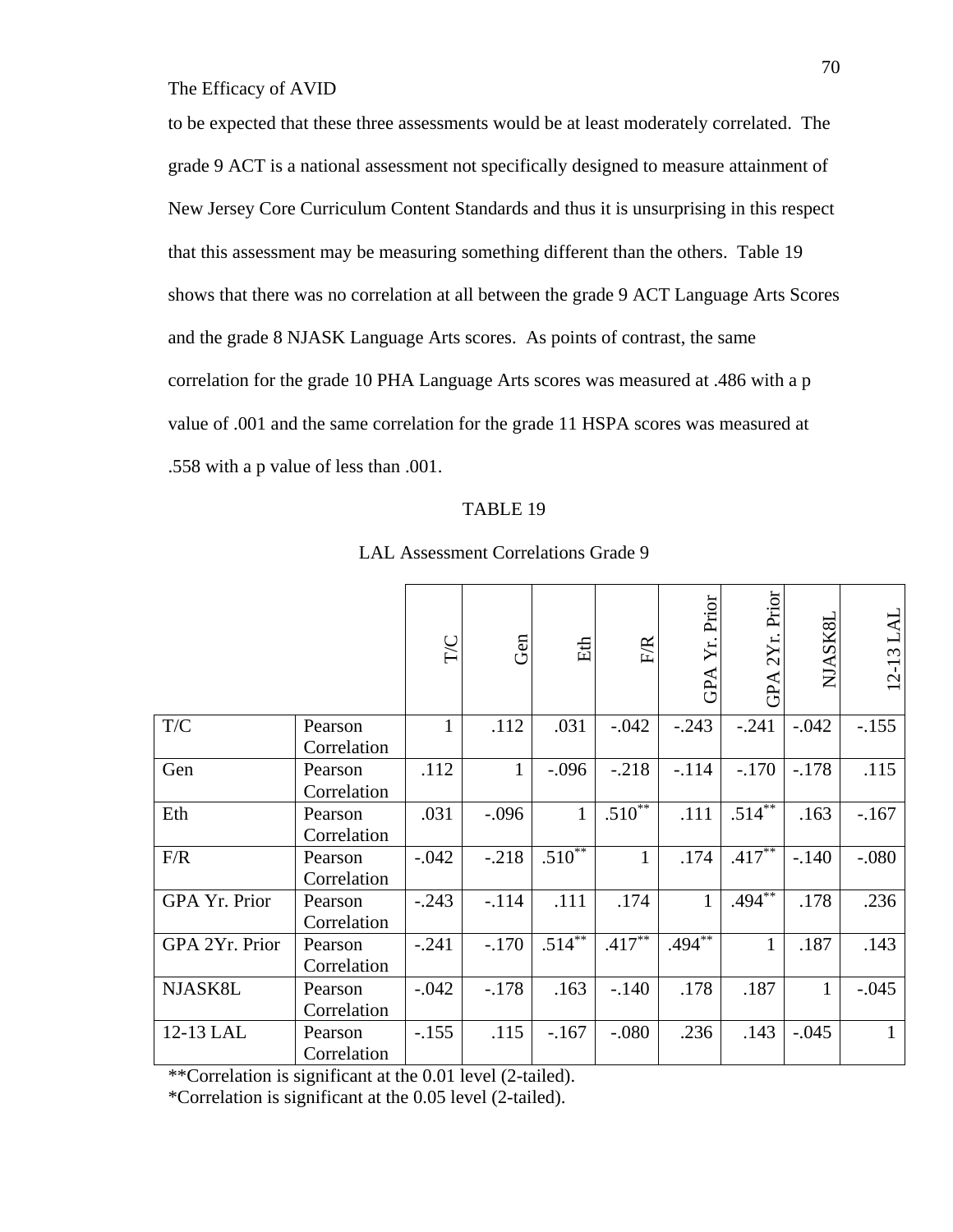to be expected that these three assessments would be at least moderately correlated. The grade 9 ACT is a national assessment not specifically designed to measure attainment of New Jersey Core Curriculum Content Standards and thus it is unsurprising in this respect that this assessment may be measuring something different than the others. Table 19 shows that there was no correlation at all between the grade 9 ACT Language Arts Scores and the grade 8 NJASK Language Arts scores. As points of contrast, the same correlation for the grade 10 PHA Language Arts scores was measured at .486 with a p value of .001 and the same correlation for the grade 11 HSPA scores was measured at .558 with a p value of less than .001.

#### TABLE 19

|                |                        | $\Gamma/C$   | Gen     | Eth          | <b>F/R</b>   | Prior<br>Yr.<br>GPA | Prior<br>2Yr.<br>GPA | NJASK8I | 12-13 LAL    |
|----------------|------------------------|--------------|---------|--------------|--------------|---------------------|----------------------|---------|--------------|
| T/C            | Pearson<br>Correlation | $\mathbf{1}$ | .112    | .031         | $-.042$      | $-.243$             | $-.241$              | $-.042$ | $-.155$      |
| Gen            | Pearson<br>Correlation | .112         |         | $-.096$      | $-.218$      | $-.114$             | $-.170$              | $-.178$ | .115         |
| Eth            | Pearson<br>Correlation | .031         | $-.096$ | $\mathbf{1}$ | $.510**$     | .111                | $.514**$             | .163    | $-167$       |
| F/R            | Pearson<br>Correlation | $-.042$      | $-.218$ | $.510**$     | $\mathbf{1}$ | .174                | $.417***$            | $-.140$ | $-.080$      |
| GPA Yr. Prior  | Pearson<br>Correlation | $-.243$      | $-.114$ | .111         | .174         | $\mathbf{1}$        | $.494***$            | .178    | .236         |
| GPA 2Yr. Prior | Pearson<br>Correlation | $-.241$      | $-.170$ | $.514***$    | $.417***$    | $.494***$           | $\mathbf{1}$         | .187    | .143         |
| NJASK8L        | Pearson<br>Correlation | $-.042$      | $-.178$ | .163         | $-.140$      | .178                | .187                 | 1       | $-.045$      |
| 12-13 LAL      | Pearson<br>Correlation | $-.155$      | .115    | $-167$       | $-.080$      | .236                | .143                 | $-.045$ | $\mathbf{1}$ |

#### LAL Assessment Correlations Grade 9

\*\*Correlation is significant at the 0.01 level (2-tailed).

\*Correlation is significant at the 0.05 level (2-tailed).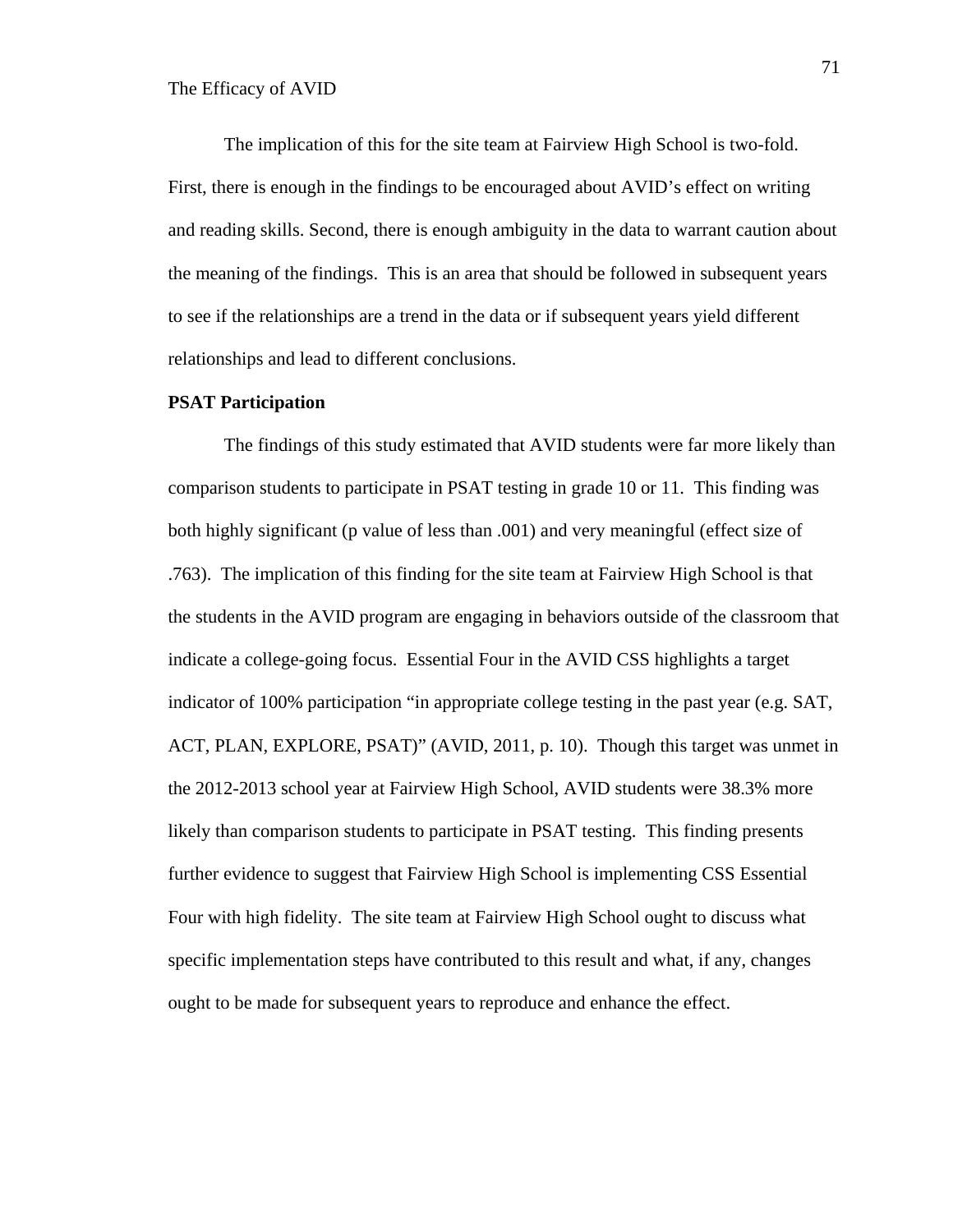The implication of this for the site team at Fairview High School is two-fold. First, there is enough in the findings to be encouraged about AVID's effect on writing and reading skills. Second, there is enough ambiguity in the data to warrant caution about the meaning of the findings. This is an area that should be followed in subsequent years to see if the relationships are a trend in the data or if subsequent years yield different relationships and lead to different conclusions.

#### **PSAT Participation**

The findings of this study estimated that AVID students were far more likely than comparison students to participate in PSAT testing in grade 10 or 11. This finding was both highly significant (p value of less than .001) and very meaningful (effect size of .763). The implication of this finding for the site team at Fairview High School is that the students in the AVID program are engaging in behaviors outside of the classroom that indicate a college-going focus. Essential Four in the AVID CSS highlights a target indicator of 100% participation "in appropriate college testing in the past year (e.g. SAT, ACT, PLAN, EXPLORE, PSAT)" (AVID, 2011, p. 10). Though this target was unmet in the 2012-2013 school year at Fairview High School, AVID students were 38.3% more likely than comparison students to participate in PSAT testing. This finding presents further evidence to suggest that Fairview High School is implementing CSS Essential Four with high fidelity. The site team at Fairview High School ought to discuss what specific implementation steps have contributed to this result and what, if any, changes ought to be made for subsequent years to reproduce and enhance the effect.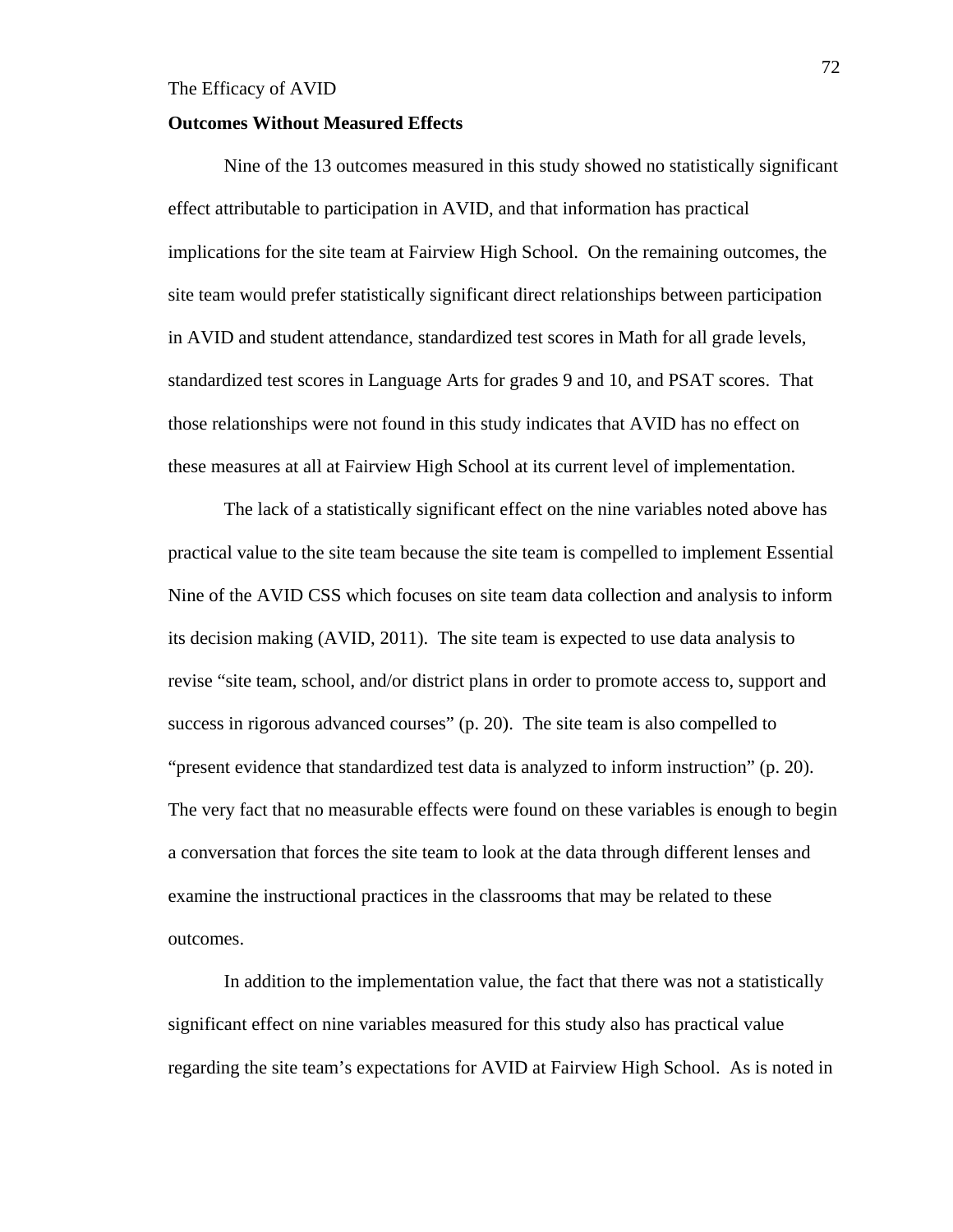#### **Outcomes Without Measured Effects**

Nine of the 13 outcomes measured in this study showed no statistically significant effect attributable to participation in AVID, and that information has practical implications for the site team at Fairview High School. On the remaining outcomes, the site team would prefer statistically significant direct relationships between participation in AVID and student attendance, standardized test scores in Math for all grade levels, standardized test scores in Language Arts for grades 9 and 10, and PSAT scores. That those relationships were not found in this study indicates that AVID has no effect on these measures at all at Fairview High School at its current level of implementation.

The lack of a statistically significant effect on the nine variables noted above has practical value to the site team because the site team is compelled to implement Essential Nine of the AVID CSS which focuses on site team data collection and analysis to inform its decision making (AVID, 2011). The site team is expected to use data analysis to revise "site team, school, and/or district plans in order to promote access to, support and success in rigorous advanced courses" (p. 20). The site team is also compelled to "present evidence that standardized test data is analyzed to inform instruction" (p. 20). The very fact that no measurable effects were found on these variables is enough to begin a conversation that forces the site team to look at the data through different lenses and examine the instructional practices in the classrooms that may be related to these outcomes.

In addition to the implementation value, the fact that there was not a statistically significant effect on nine variables measured for this study also has practical value regarding the site team's expectations for AVID at Fairview High School. As is noted in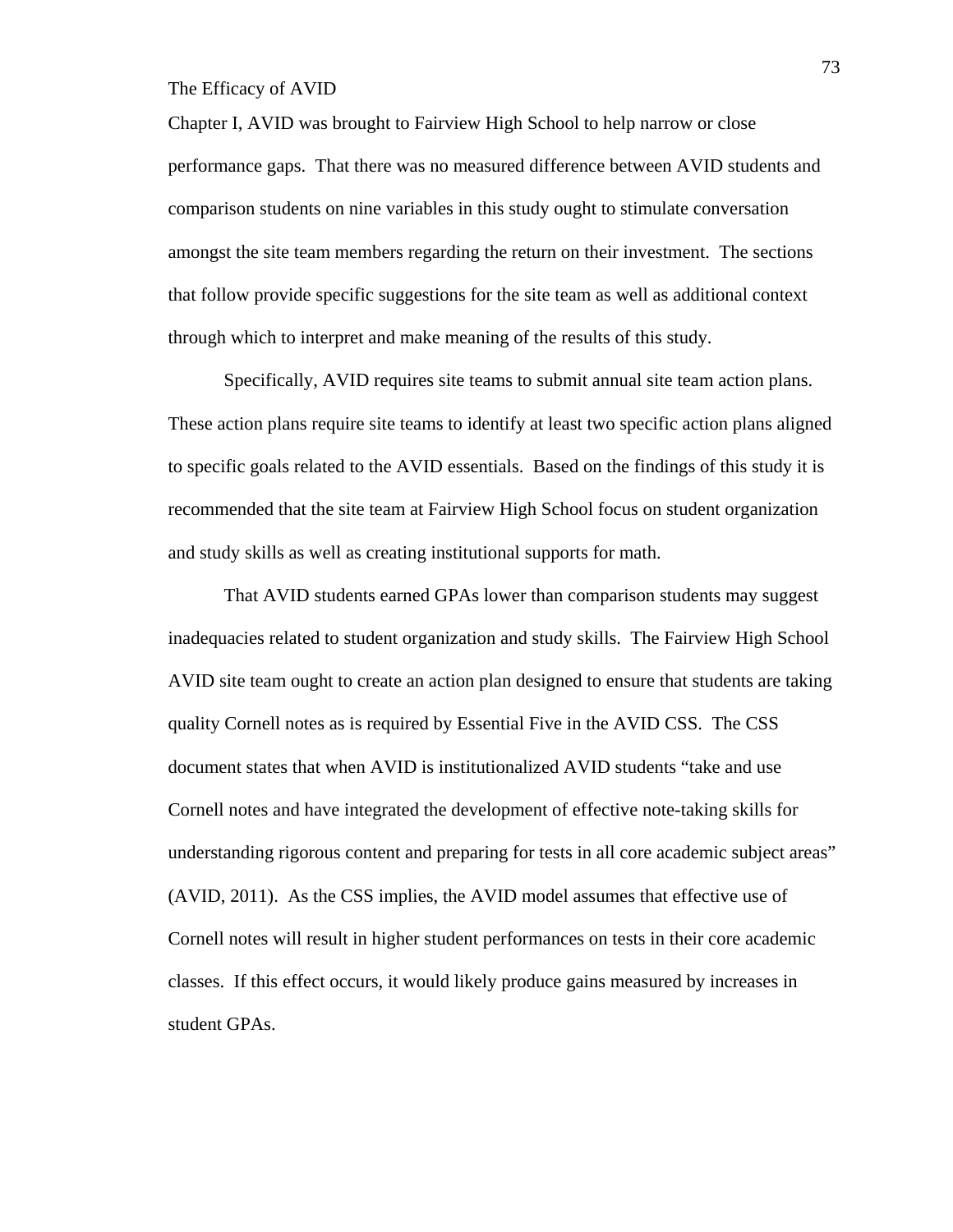Chapter I, AVID was brought to Fairview High School to help narrow or close performance gaps. That there was no measured difference between AVID students and comparison students on nine variables in this study ought to stimulate conversation amongst the site team members regarding the return on their investment. The sections that follow provide specific suggestions for the site team as well as additional context through which to interpret and make meaning of the results of this study.

Specifically, AVID requires site teams to submit annual site team action plans. These action plans require site teams to identify at least two specific action plans aligned to specific goals related to the AVID essentials. Based on the findings of this study it is recommended that the site team at Fairview High School focus on student organization and study skills as well as creating institutional supports for math.

That AVID students earned GPAs lower than comparison students may suggest inadequacies related to student organization and study skills. The Fairview High School AVID site team ought to create an action plan designed to ensure that students are taking quality Cornell notes as is required by Essential Five in the AVID CSS. The CSS document states that when AVID is institutionalized AVID students "take and use Cornell notes and have integrated the development of effective note-taking skills for understanding rigorous content and preparing for tests in all core academic subject areas" (AVID, 2011). As the CSS implies, the AVID model assumes that effective use of Cornell notes will result in higher student performances on tests in their core academic classes. If this effect occurs, it would likely produce gains measured by increases in student GPAs.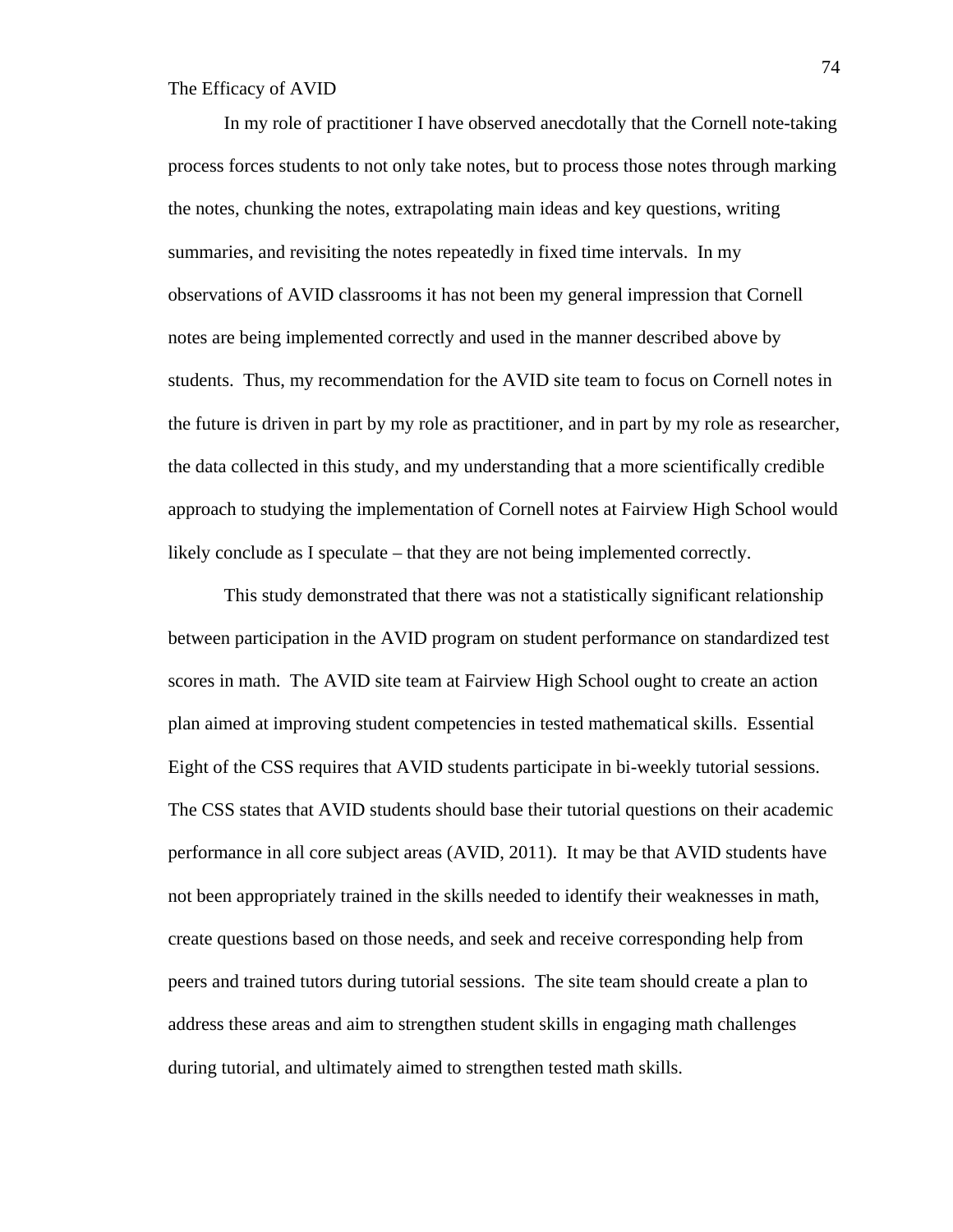In my role of practitioner I have observed anecdotally that the Cornell note-taking process forces students to not only take notes, but to process those notes through marking the notes, chunking the notes, extrapolating main ideas and key questions, writing summaries, and revisiting the notes repeatedly in fixed time intervals. In my observations of AVID classrooms it has not been my general impression that Cornell notes are being implemented correctly and used in the manner described above by students. Thus, my recommendation for the AVID site team to focus on Cornell notes in the future is driven in part by my role as practitioner, and in part by my role as researcher, the data collected in this study, and my understanding that a more scientifically credible approach to studying the implementation of Cornell notes at Fairview High School would likely conclude as I speculate – that they are not being implemented correctly.

This study demonstrated that there was not a statistically significant relationship between participation in the AVID program on student performance on standardized test scores in math. The AVID site team at Fairview High School ought to create an action plan aimed at improving student competencies in tested mathematical skills. Essential Eight of the CSS requires that AVID students participate in bi-weekly tutorial sessions. The CSS states that AVID students should base their tutorial questions on their academic performance in all core subject areas (AVID, 2011). It may be that AVID students have not been appropriately trained in the skills needed to identify their weaknesses in math, create questions based on those needs, and seek and receive corresponding help from peers and trained tutors during tutorial sessions. The site team should create a plan to address these areas and aim to strengthen student skills in engaging math challenges during tutorial, and ultimately aimed to strengthen tested math skills.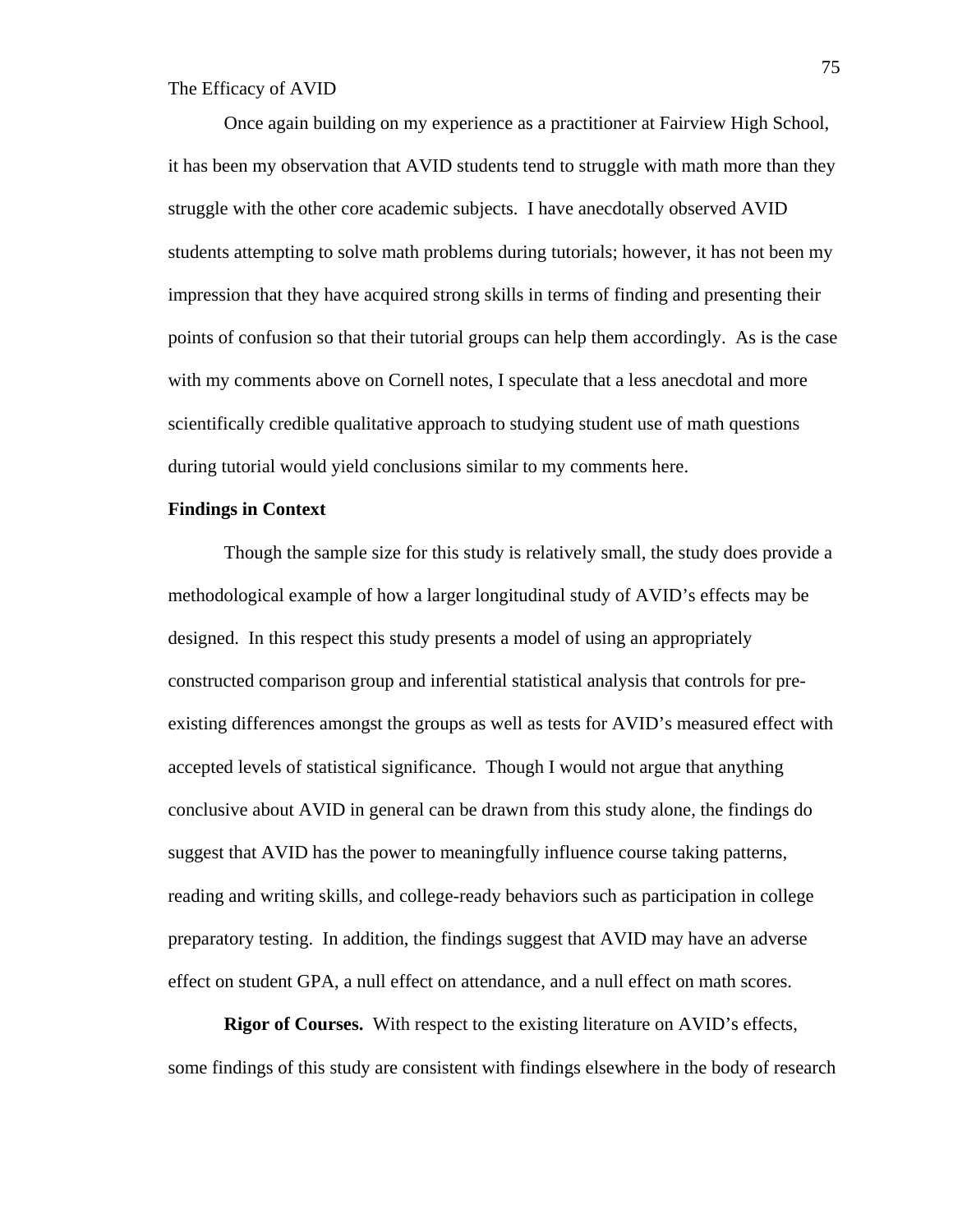Once again building on my experience as a practitioner at Fairview High School, it has been my observation that AVID students tend to struggle with math more than they struggle with the other core academic subjects. I have anecdotally observed AVID students attempting to solve math problems during tutorials; however, it has not been my impression that they have acquired strong skills in terms of finding and presenting their points of confusion so that their tutorial groups can help them accordingly. As is the case with my comments above on Cornell notes, I speculate that a less anecdotal and more scientifically credible qualitative approach to studying student use of math questions during tutorial would yield conclusions similar to my comments here.

## **Findings in Context**

Though the sample size for this study is relatively small, the study does provide a methodological example of how a larger longitudinal study of AVID's effects may be designed. In this respect this study presents a model of using an appropriately constructed comparison group and inferential statistical analysis that controls for preexisting differences amongst the groups as well as tests for AVID's measured effect with accepted levels of statistical significance. Though I would not argue that anything conclusive about AVID in general can be drawn from this study alone, the findings do suggest that AVID has the power to meaningfully influence course taking patterns, reading and writing skills, and college-ready behaviors such as participation in college preparatory testing. In addition, the findings suggest that AVID may have an adverse effect on student GPA, a null effect on attendance, and a null effect on math scores.

**Rigor of Courses.** With respect to the existing literature on AVID's effects, some findings of this study are consistent with findings elsewhere in the body of research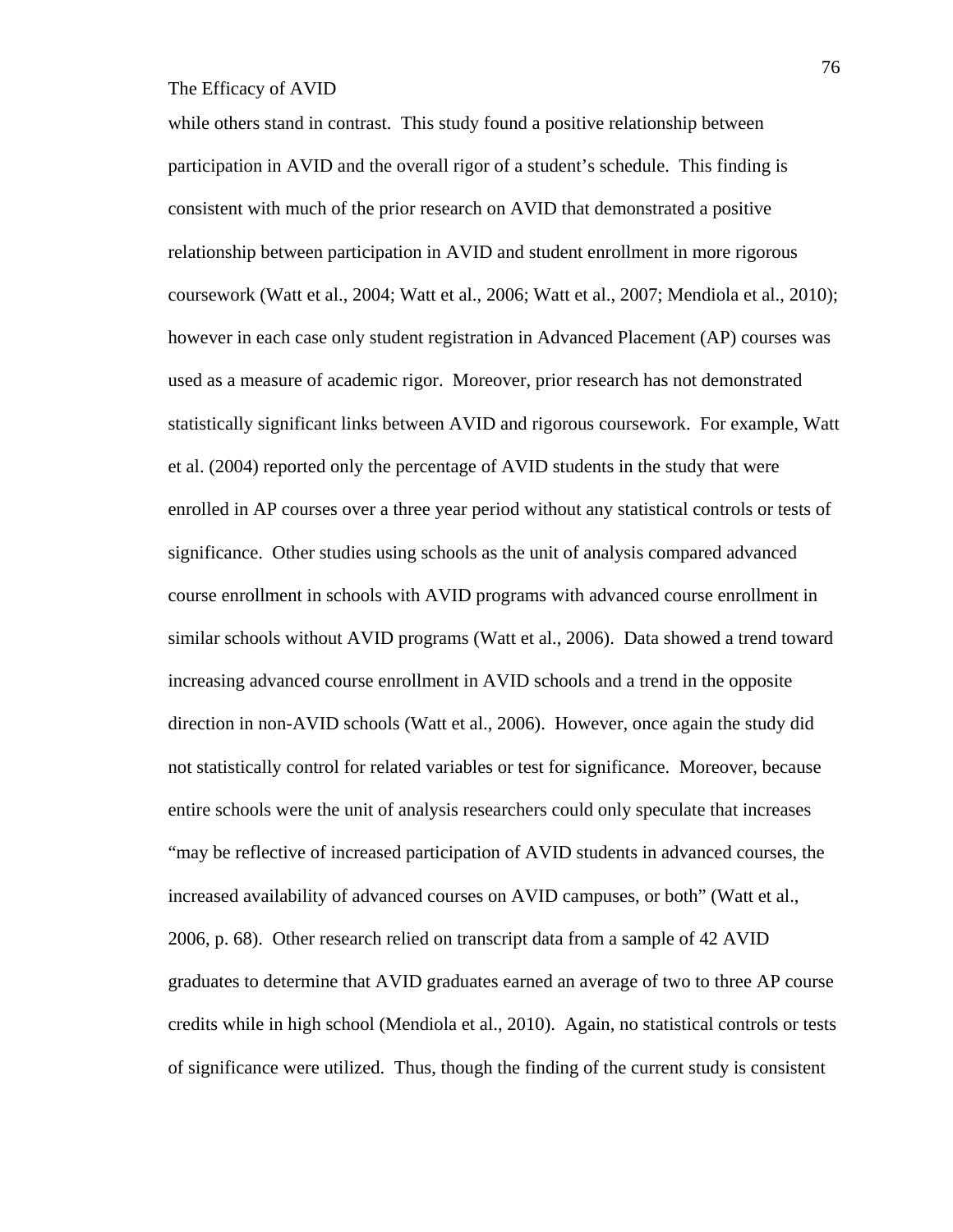while others stand in contrast. This study found a positive relationship between participation in AVID and the overall rigor of a student's schedule. This finding is consistent with much of the prior research on AVID that demonstrated a positive relationship between participation in AVID and student enrollment in more rigorous coursework (Watt et al., 2004; Watt et al., 2006; Watt et al., 2007; Mendiola et al., 2010); however in each case only student registration in Advanced Placement (AP) courses was used as a measure of academic rigor. Moreover, prior research has not demonstrated statistically significant links between AVID and rigorous coursework. For example, Watt et al. (2004) reported only the percentage of AVID students in the study that were enrolled in AP courses over a three year period without any statistical controls or tests of significance. Other studies using schools as the unit of analysis compared advanced course enrollment in schools with AVID programs with advanced course enrollment in similar schools without AVID programs (Watt et al., 2006). Data showed a trend toward increasing advanced course enrollment in AVID schools and a trend in the opposite direction in non-AVID schools (Watt et al., 2006). However, once again the study did not statistically control for related variables or test for significance. Moreover, because entire schools were the unit of analysis researchers could only speculate that increases "may be reflective of increased participation of AVID students in advanced courses, the increased availability of advanced courses on AVID campuses, or both" (Watt et al., 2006, p. 68). Other research relied on transcript data from a sample of 42 AVID graduates to determine that AVID graduates earned an average of two to three AP course credits while in high school (Mendiola et al., 2010). Again, no statistical controls or tests of significance were utilized. Thus, though the finding of the current study is consistent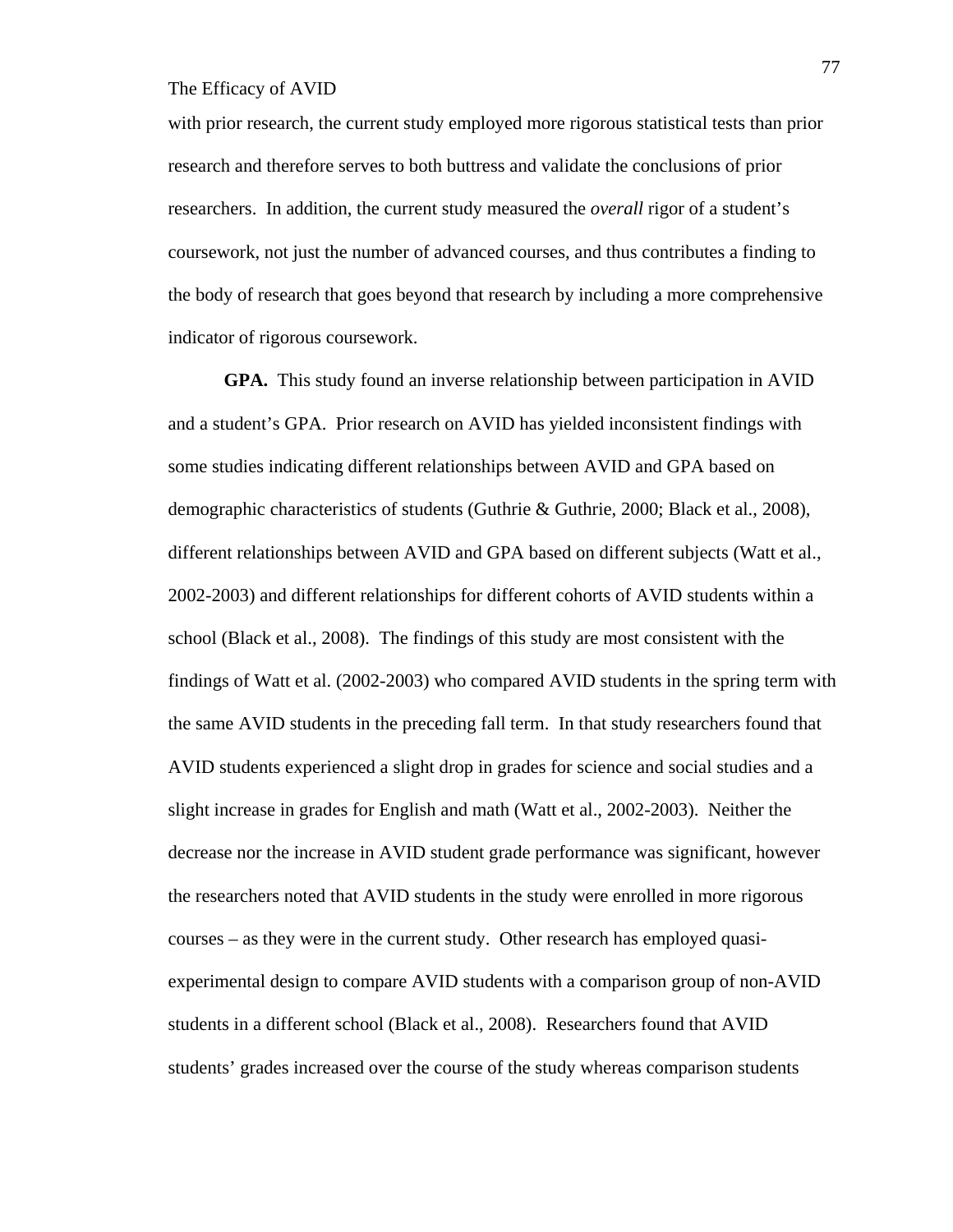with prior research, the current study employed more rigorous statistical tests than prior research and therefore serves to both buttress and validate the conclusions of prior researchers. In addition, the current study measured the *overall* rigor of a student's coursework, not just the number of advanced courses, and thus contributes a finding to the body of research that goes beyond that research by including a more comprehensive indicator of rigorous coursework.

**GPA.** This study found an inverse relationship between participation in AVID and a student's GPA. Prior research on AVID has yielded inconsistent findings with some studies indicating different relationships between AVID and GPA based on demographic characteristics of students (Guthrie & Guthrie, 2000; Black et al., 2008), different relationships between AVID and GPA based on different subjects (Watt et al., 2002-2003) and different relationships for different cohorts of AVID students within a school (Black et al., 2008). The findings of this study are most consistent with the findings of Watt et al. (2002-2003) who compared AVID students in the spring term with the same AVID students in the preceding fall term. In that study researchers found that AVID students experienced a slight drop in grades for science and social studies and a slight increase in grades for English and math (Watt et al., 2002-2003). Neither the decrease nor the increase in AVID student grade performance was significant, however the researchers noted that AVID students in the study were enrolled in more rigorous courses – as they were in the current study. Other research has employed quasiexperimental design to compare AVID students with a comparison group of non-AVID students in a different school (Black et al., 2008). Researchers found that AVID students' grades increased over the course of the study whereas comparison students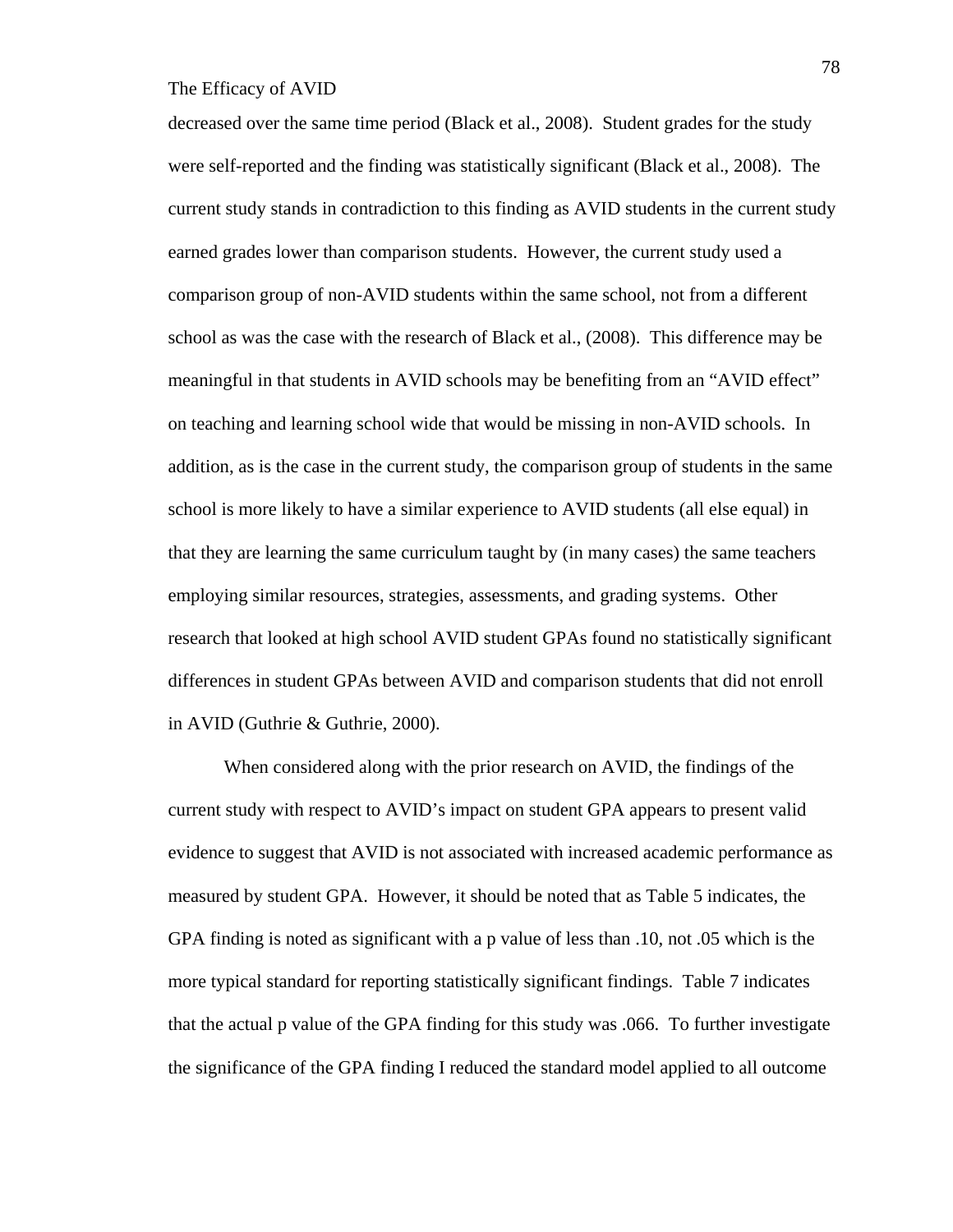decreased over the same time period (Black et al., 2008). Student grades for the study were self-reported and the finding was statistically significant (Black et al., 2008). The current study stands in contradiction to this finding as AVID students in the current study earned grades lower than comparison students. However, the current study used a comparison group of non-AVID students within the same school, not from a different school as was the case with the research of Black et al., (2008). This difference may be meaningful in that students in AVID schools may be benefiting from an "AVID effect" on teaching and learning school wide that would be missing in non-AVID schools. In addition, as is the case in the current study, the comparison group of students in the same school is more likely to have a similar experience to AVID students (all else equal) in that they are learning the same curriculum taught by (in many cases) the same teachers employing similar resources, strategies, assessments, and grading systems. Other research that looked at high school AVID student GPAs found no statistically significant differences in student GPAs between AVID and comparison students that did not enroll in AVID (Guthrie & Guthrie, 2000).

When considered along with the prior research on AVID, the findings of the current study with respect to AVID's impact on student GPA appears to present valid evidence to suggest that AVID is not associated with increased academic performance as measured by student GPA. However, it should be noted that as Table 5 indicates, the GPA finding is noted as significant with a p value of less than .10, not .05 which is the more typical standard for reporting statistically significant findings. Table 7 indicates that the actual p value of the GPA finding for this study was .066. To further investigate the significance of the GPA finding I reduced the standard model applied to all outcome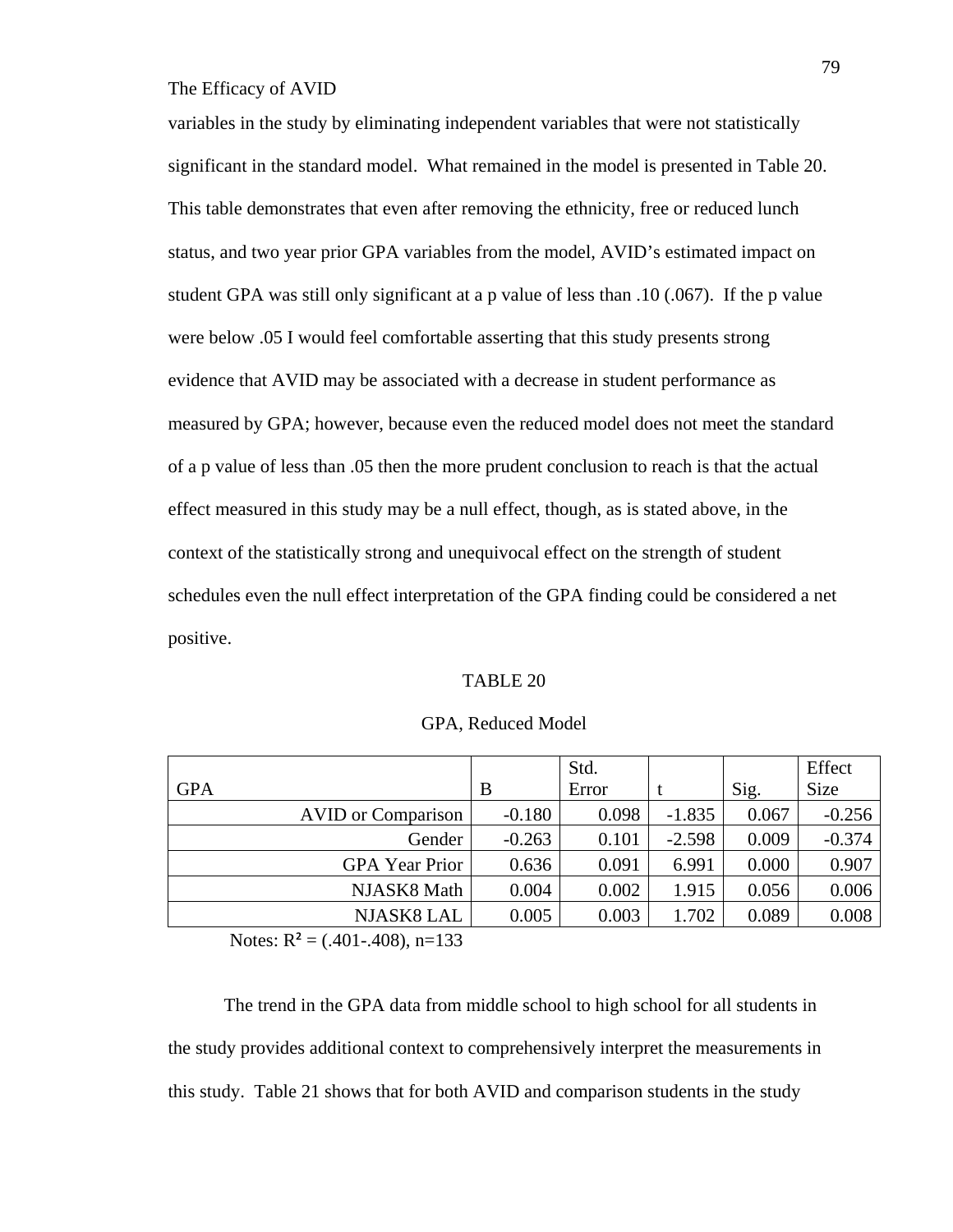variables in the study by eliminating independent variables that were not statistically significant in the standard model. What remained in the model is presented in Table 20. This table demonstrates that even after removing the ethnicity, free or reduced lunch status, and two year prior GPA variables from the model, AVID's estimated impact on student GPA was still only significant at a p value of less than .10 (.067). If the p value were below .05 I would feel comfortable asserting that this study presents strong evidence that AVID may be associated with a decrease in student performance as measured by GPA; however, because even the reduced model does not meet the standard of a p value of less than .05 then the more prudent conclusion to reach is that the actual effect measured in this study may be a null effect, though, as is stated above, in the context of the statistically strong and unequivocal effect on the strength of student schedules even the null effect interpretation of the GPA finding could be considered a net positive.

#### TABLE 20

|            |                           |          | Std.  |          |       | Effect   |
|------------|---------------------------|----------|-------|----------|-------|----------|
| <b>GPA</b> |                           | B        | Error |          | Sig.  | Size     |
|            | <b>AVID</b> or Comparison | $-0.180$ | 0.098 | $-1.835$ | 0.067 | $-0.256$ |
|            | Gender                    | $-0.263$ | 0.101 | $-2.598$ | 0.009 | $-0.374$ |
|            | <b>GPA</b> Year Prior     | 0.636    | 0.091 | 6.991    | 0.000 | 0.907    |
|            | NJASK8 Math               | 0.004    | 0.002 | 1.915    | 0.056 | 0.006    |
|            | NJASK8 LAL                | 0.005    | 0.003 | 1.702    | 0.089 | 0.008    |

GPA, Reduced Model

Notes:  $R^2 = (.401-.408), n=133$ 

 The trend in the GPA data from middle school to high school for all students in the study provides additional context to comprehensively interpret the measurements in this study. Table 21 shows that for both AVID and comparison students in the study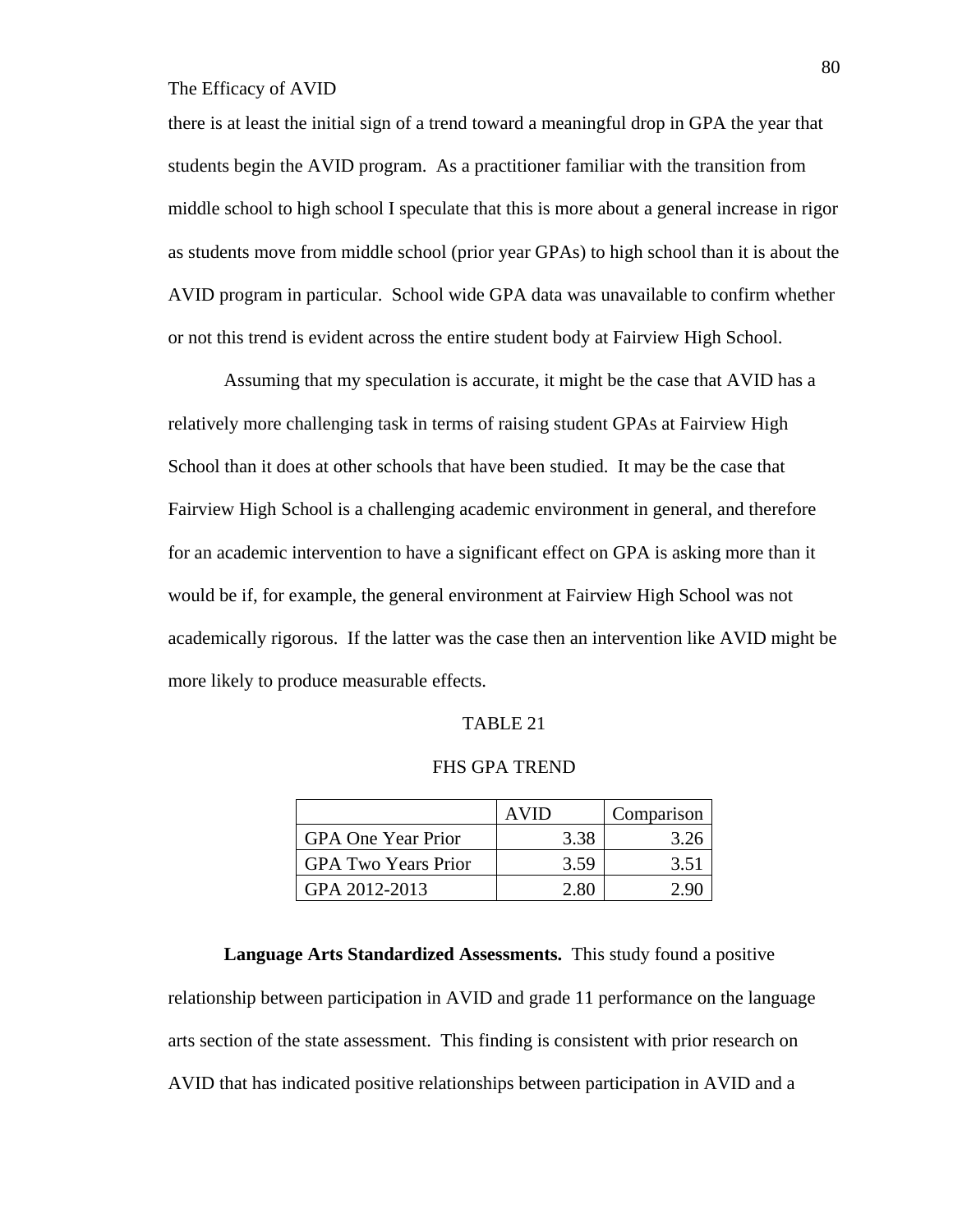there is at least the initial sign of a trend toward a meaningful drop in GPA the year that students begin the AVID program. As a practitioner familiar with the transition from middle school to high school I speculate that this is more about a general increase in rigor as students move from middle school (prior year GPAs) to high school than it is about the AVID program in particular. School wide GPA data was unavailable to confirm whether or not this trend is evident across the entire student body at Fairview High School.

Assuming that my speculation is accurate, it might be the case that AVID has a relatively more challenging task in terms of raising student GPAs at Fairview High School than it does at other schools that have been studied. It may be the case that Fairview High School is a challenging academic environment in general, and therefore for an academic intervention to have a significant effect on GPA is asking more than it would be if, for example, the general environment at Fairview High School was not academically rigorous. If the latter was the case then an intervention like AVID might be more likely to produce measurable effects.

#### TABLE 21

#### FHS GPA TREND

|                            | AVID | Comparison |
|----------------------------|------|------------|
| <b>GPA One Year Prior</b>  | 3.38 | 3.26       |
| <b>GPA Two Years Prior</b> | 3.59 | 3.51       |
| GPA 2012-2013              | 2.80 |            |

**Language Arts Standardized Assessments.** This study found a positive relationship between participation in AVID and grade 11 performance on the language arts section of the state assessment. This finding is consistent with prior research on AVID that has indicated positive relationships between participation in AVID and a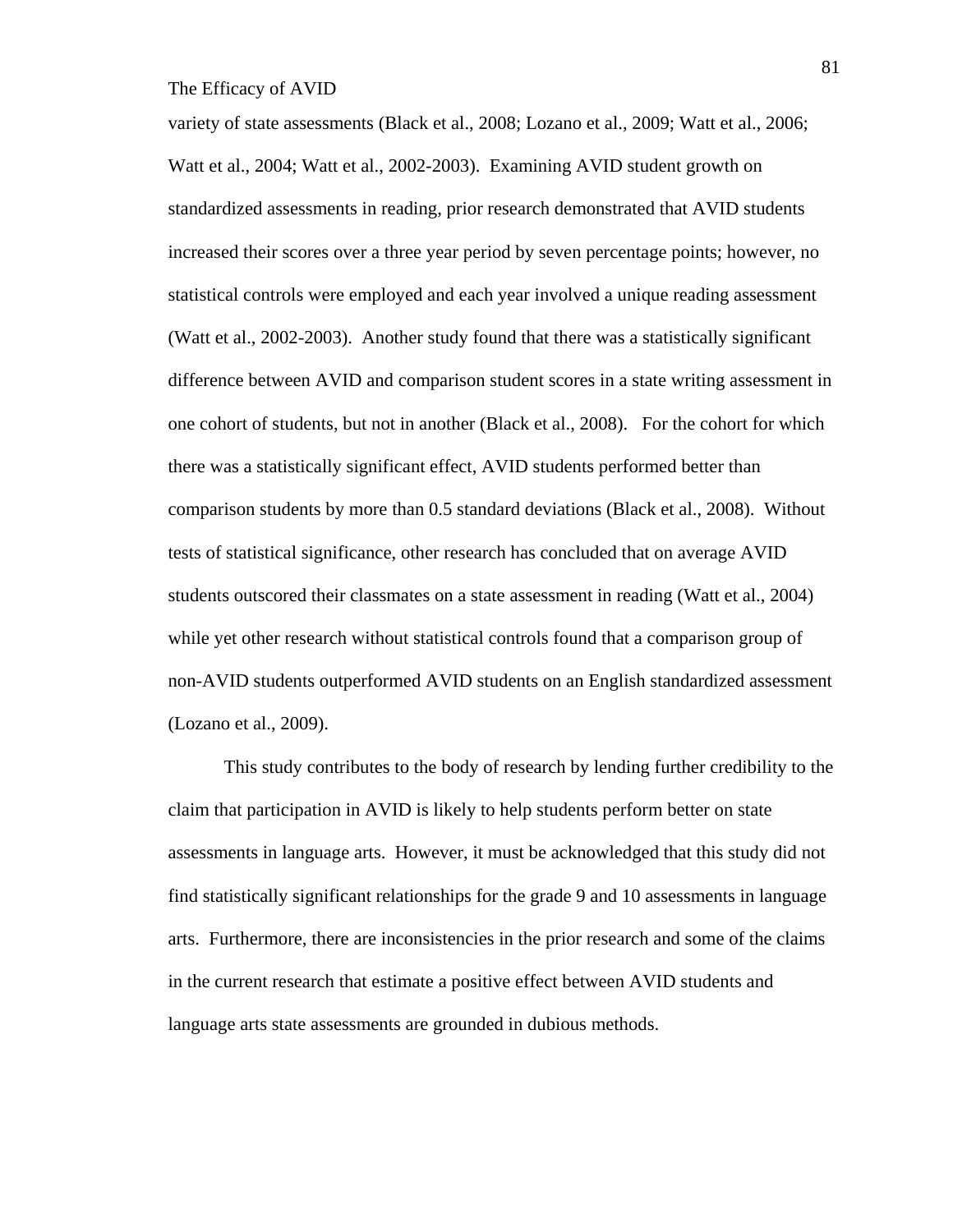variety of state assessments (Black et al., 2008; Lozano et al., 2009; Watt et al., 2006; Watt et al., 2004; Watt et al., 2002-2003). Examining AVID student growth on standardized assessments in reading, prior research demonstrated that AVID students increased their scores over a three year period by seven percentage points; however, no statistical controls were employed and each year involved a unique reading assessment (Watt et al., 2002-2003). Another study found that there was a statistically significant difference between AVID and comparison student scores in a state writing assessment in one cohort of students, but not in another (Black et al., 2008). For the cohort for which there was a statistically significant effect, AVID students performed better than comparison students by more than 0.5 standard deviations (Black et al., 2008). Without tests of statistical significance, other research has concluded that on average AVID students outscored their classmates on a state assessment in reading (Watt et al., 2004) while yet other research without statistical controls found that a comparison group of non-AVID students outperformed AVID students on an English standardized assessment (Lozano et al., 2009).

This study contributes to the body of research by lending further credibility to the claim that participation in AVID is likely to help students perform better on state assessments in language arts. However, it must be acknowledged that this study did not find statistically significant relationships for the grade 9 and 10 assessments in language arts. Furthermore, there are inconsistencies in the prior research and some of the claims in the current research that estimate a positive effect between AVID students and language arts state assessments are grounded in dubious methods.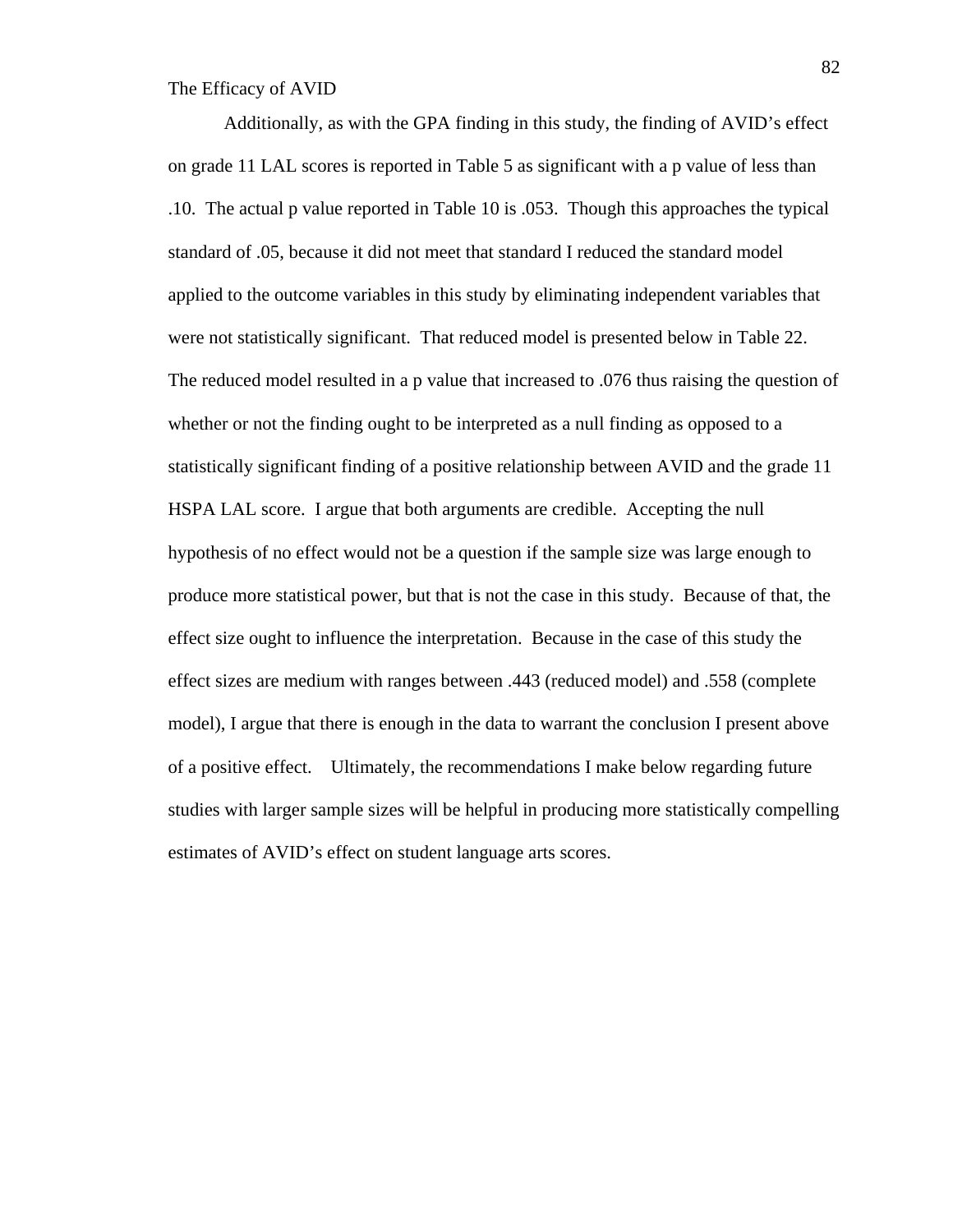Additionally, as with the GPA finding in this study, the finding of AVID's effect on grade 11 LAL scores is reported in Table 5 as significant with a p value of less than .10. The actual p value reported in Table 10 is .053. Though this approaches the typical standard of .05, because it did not meet that standard I reduced the standard model applied to the outcome variables in this study by eliminating independent variables that were not statistically significant. That reduced model is presented below in Table 22. The reduced model resulted in a p value that increased to .076 thus raising the question of whether or not the finding ought to be interpreted as a null finding as opposed to a statistically significant finding of a positive relationship between AVID and the grade 11 HSPA LAL score. I argue that both arguments are credible. Accepting the null hypothesis of no effect would not be a question if the sample size was large enough to produce more statistical power, but that is not the case in this study. Because of that, the effect size ought to influence the interpretation. Because in the case of this study the effect sizes are medium with ranges between .443 (reduced model) and .558 (complete model), I argue that there is enough in the data to warrant the conclusion I present above of a positive effect. Ultimately, the recommendations I make below regarding future studies with larger sample sizes will be helpful in producing more statistically compelling estimates of AVID's effect on student language arts scores.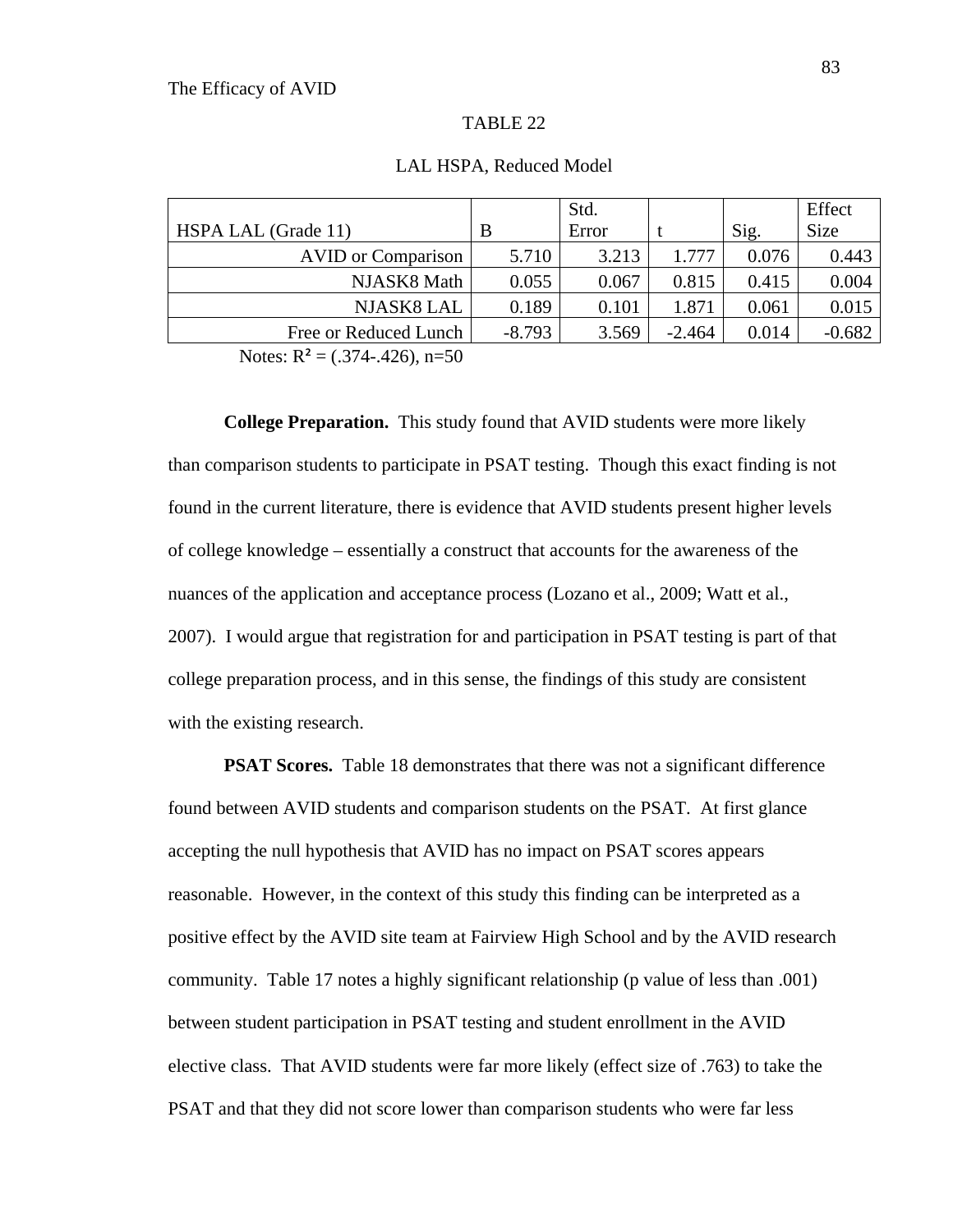#### TABLE 22

|                           |          | Std.  |          |       | Effect      |
|---------------------------|----------|-------|----------|-------|-------------|
| HSPA LAL (Grade 11)       | B        | Error |          | Sig.  | <b>Size</b> |
| <b>AVID</b> or Comparison | 5.710    | 3.213 | 1.777    | 0.076 | 0.443       |
| NJASK8 Math               | 0.055    | 0.067 | 0.815    | 0.415 | 0.004       |
| <b>NJASK8 LAL</b>         | 0.189    | 0.101 | 1.871    | 0.061 | 0.015       |
| Free or Reduced Lunch     | $-8.793$ | 3.569 | $-2.464$ | 0.014 | $-0.682$    |

#### LAL HSPA, Reduced Model

Notes:  $R^2 = (.374-.426), n=50$ 

**College Preparation.** This study found that AVID students were more likely than comparison students to participate in PSAT testing. Though this exact finding is not found in the current literature, there is evidence that AVID students present higher levels of college knowledge – essentially a construct that accounts for the awareness of the nuances of the application and acceptance process (Lozano et al., 2009; Watt et al., 2007). I would argue that registration for and participation in PSAT testing is part of that college preparation process, and in this sense, the findings of this study are consistent with the existing research.

**PSAT Scores.** Table 18 demonstrates that there was not a significant difference found between AVID students and comparison students on the PSAT. At first glance accepting the null hypothesis that AVID has no impact on PSAT scores appears reasonable. However, in the context of this study this finding can be interpreted as a positive effect by the AVID site team at Fairview High School and by the AVID research community. Table 17 notes a highly significant relationship (p value of less than .001) between student participation in PSAT testing and student enrollment in the AVID elective class. That AVID students were far more likely (effect size of .763) to take the PSAT and that they did not score lower than comparison students who were far less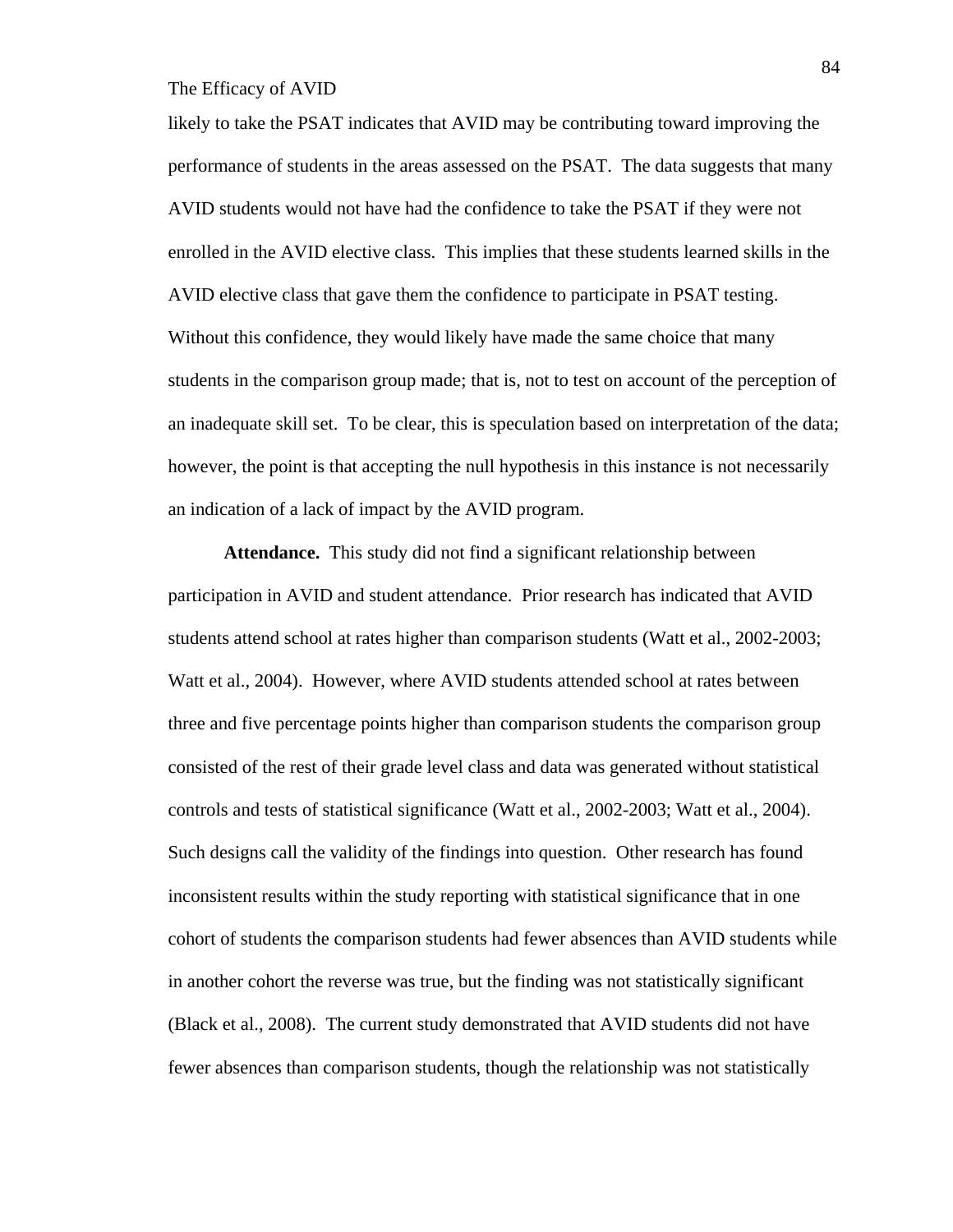likely to take the PSAT indicates that AVID may be contributing toward improving the performance of students in the areas assessed on the PSAT. The data suggests that many AVID students would not have had the confidence to take the PSAT if they were not enrolled in the AVID elective class. This implies that these students learned skills in the AVID elective class that gave them the confidence to participate in PSAT testing. Without this confidence, they would likely have made the same choice that many students in the comparison group made; that is, not to test on account of the perception of an inadequate skill set. To be clear, this is speculation based on interpretation of the data; however, the point is that accepting the null hypothesis in this instance is not necessarily an indication of a lack of impact by the AVID program.

**Attendance.** This study did not find a significant relationship between participation in AVID and student attendance. Prior research has indicated that AVID students attend school at rates higher than comparison students (Watt et al., 2002-2003; Watt et al., 2004). However, where AVID students attended school at rates between three and five percentage points higher than comparison students the comparison group consisted of the rest of their grade level class and data was generated without statistical controls and tests of statistical significance (Watt et al., 2002-2003; Watt et al., 2004). Such designs call the validity of the findings into question. Other research has found inconsistent results within the study reporting with statistical significance that in one cohort of students the comparison students had fewer absences than AVID students while in another cohort the reverse was true, but the finding was not statistically significant (Black et al., 2008). The current study demonstrated that AVID students did not have fewer absences than comparison students, though the relationship was not statistically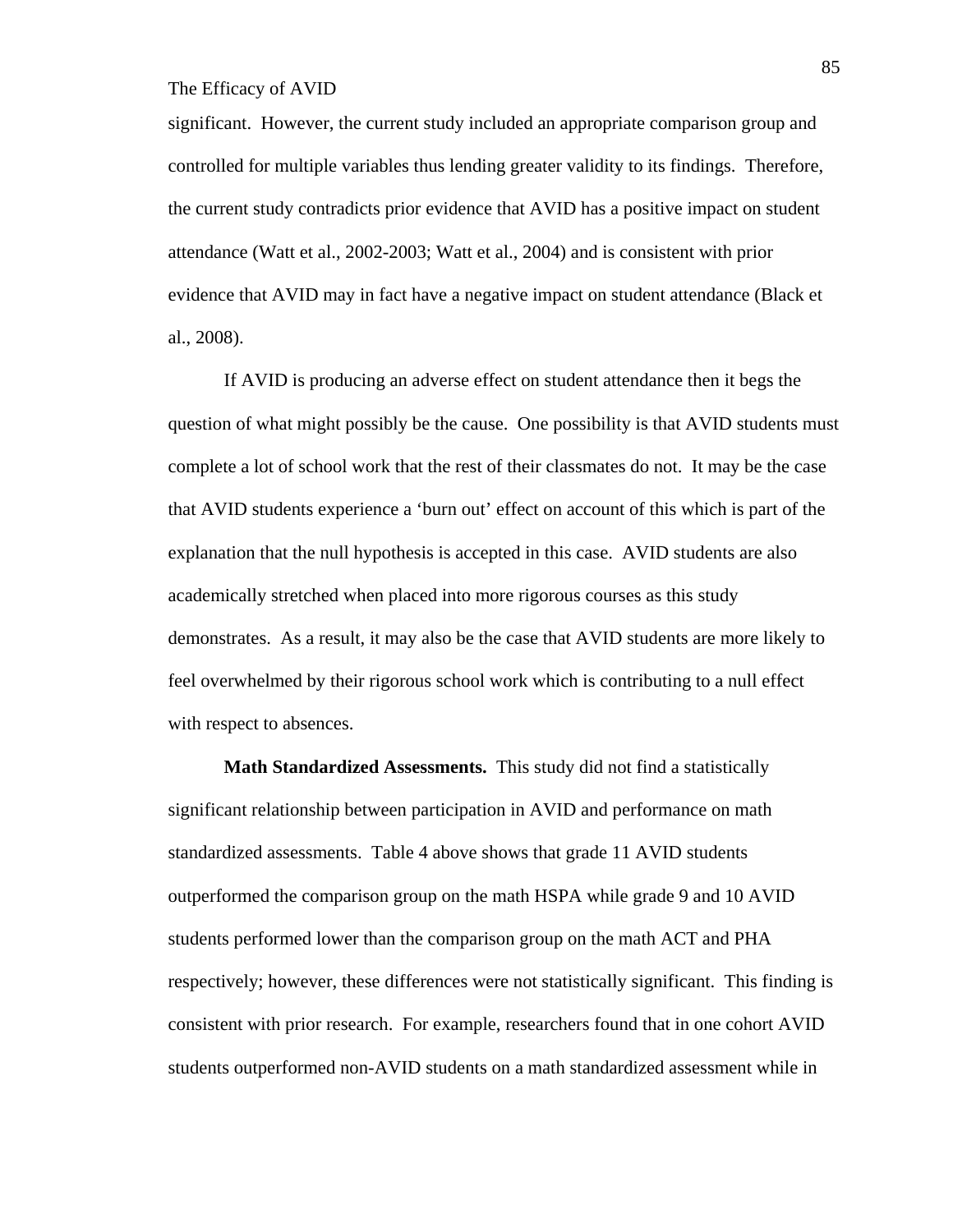significant. However, the current study included an appropriate comparison group and controlled for multiple variables thus lending greater validity to its findings. Therefore, the current study contradicts prior evidence that AVID has a positive impact on student attendance (Watt et al., 2002-2003; Watt et al., 2004) and is consistent with prior evidence that AVID may in fact have a negative impact on student attendance (Black et al., 2008).

If AVID is producing an adverse effect on student attendance then it begs the question of what might possibly be the cause. One possibility is that AVID students must complete a lot of school work that the rest of their classmates do not. It may be the case that AVID students experience a 'burn out' effect on account of this which is part of the explanation that the null hypothesis is accepted in this case. AVID students are also academically stretched when placed into more rigorous courses as this study demonstrates. As a result, it may also be the case that AVID students are more likely to feel overwhelmed by their rigorous school work which is contributing to a null effect with respect to absences.

**Math Standardized Assessments.** This study did not find a statistically significant relationship between participation in AVID and performance on math standardized assessments. Table 4 above shows that grade 11 AVID students outperformed the comparison group on the math HSPA while grade 9 and 10 AVID students performed lower than the comparison group on the math ACT and PHA respectively; however, these differences were not statistically significant. This finding is consistent with prior research. For example, researchers found that in one cohort AVID students outperformed non-AVID students on a math standardized assessment while in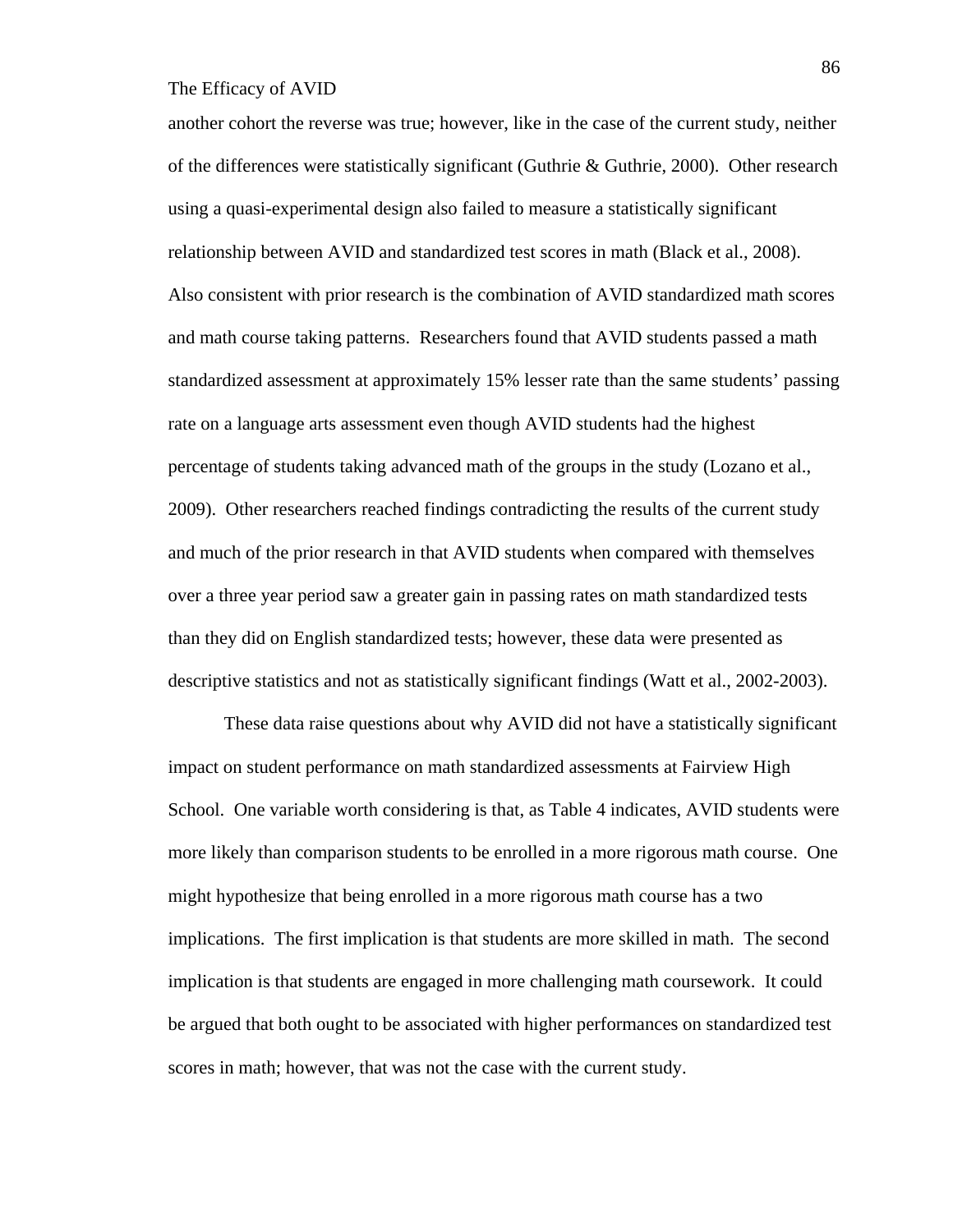another cohort the reverse was true; however, like in the case of the current study, neither of the differences were statistically significant (Guthrie & Guthrie, 2000). Other research using a quasi-experimental design also failed to measure a statistically significant relationship between AVID and standardized test scores in math (Black et al., 2008). Also consistent with prior research is the combination of AVID standardized math scores and math course taking patterns. Researchers found that AVID students passed a math standardized assessment at approximately 15% lesser rate than the same students' passing rate on a language arts assessment even though AVID students had the highest percentage of students taking advanced math of the groups in the study (Lozano et al., 2009). Other researchers reached findings contradicting the results of the current study and much of the prior research in that AVID students when compared with themselves over a three year period saw a greater gain in passing rates on math standardized tests than they did on English standardized tests; however, these data were presented as descriptive statistics and not as statistically significant findings (Watt et al., 2002-2003).

These data raise questions about why AVID did not have a statistically significant impact on student performance on math standardized assessments at Fairview High School. One variable worth considering is that, as Table 4 indicates, AVID students were more likely than comparison students to be enrolled in a more rigorous math course. One might hypothesize that being enrolled in a more rigorous math course has a two implications. The first implication is that students are more skilled in math. The second implication is that students are engaged in more challenging math coursework. It could be argued that both ought to be associated with higher performances on standardized test scores in math; however, that was not the case with the current study.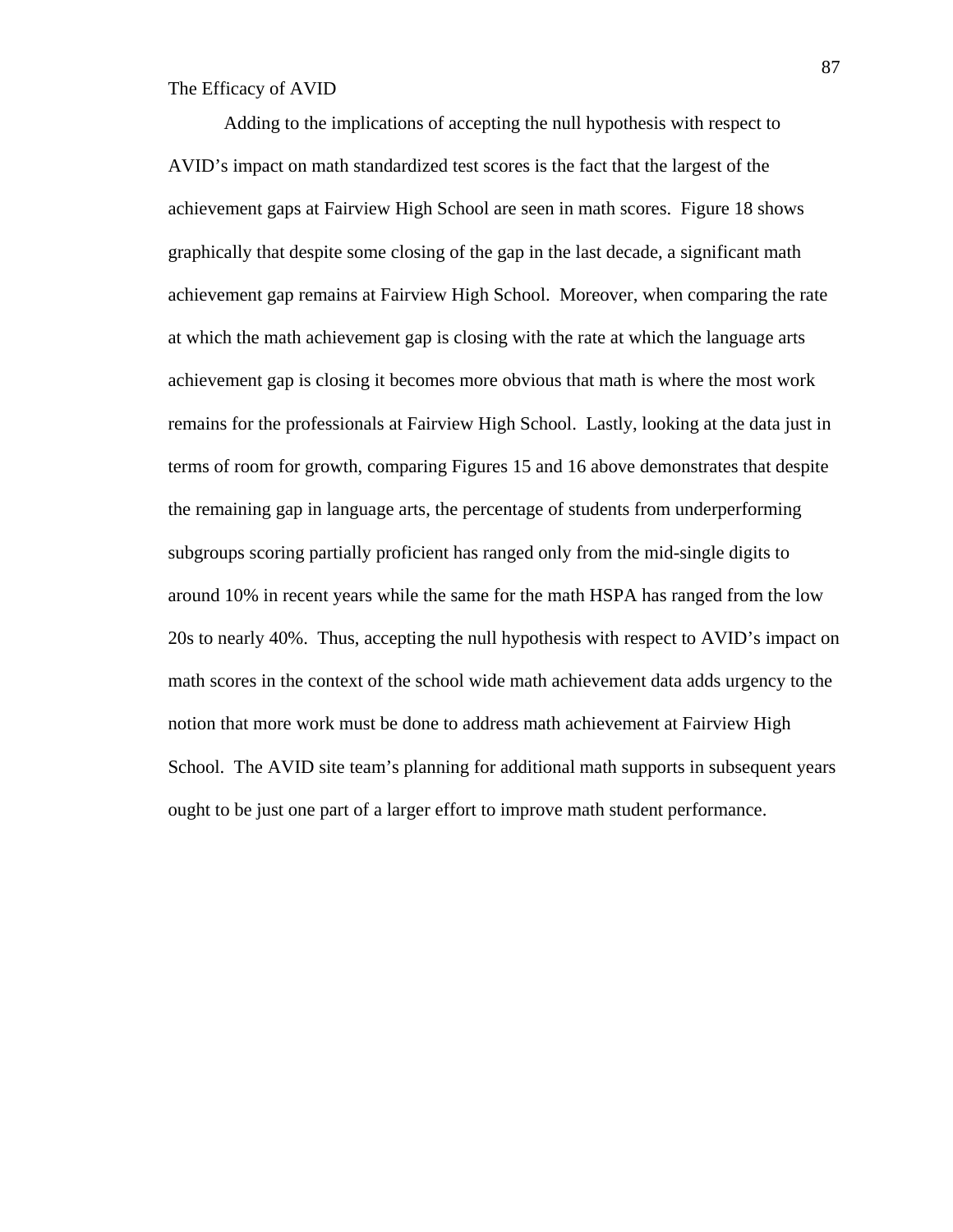Adding to the implications of accepting the null hypothesis with respect to AVID's impact on math standardized test scores is the fact that the largest of the achievement gaps at Fairview High School are seen in math scores. Figure 18 shows graphically that despite some closing of the gap in the last decade, a significant math achievement gap remains at Fairview High School. Moreover, when comparing the rate at which the math achievement gap is closing with the rate at which the language arts achievement gap is closing it becomes more obvious that math is where the most work remains for the professionals at Fairview High School. Lastly, looking at the data just in terms of room for growth, comparing Figures 15 and 16 above demonstrates that despite the remaining gap in language arts, the percentage of students from underperforming subgroups scoring partially proficient has ranged only from the mid-single digits to around 10% in recent years while the same for the math HSPA has ranged from the low 20s to nearly 40%. Thus, accepting the null hypothesis with respect to AVID's impact on math scores in the context of the school wide math achievement data adds urgency to the notion that more work must be done to address math achievement at Fairview High School. The AVID site team's planning for additional math supports in subsequent years ought to be just one part of a larger effort to improve math student performance.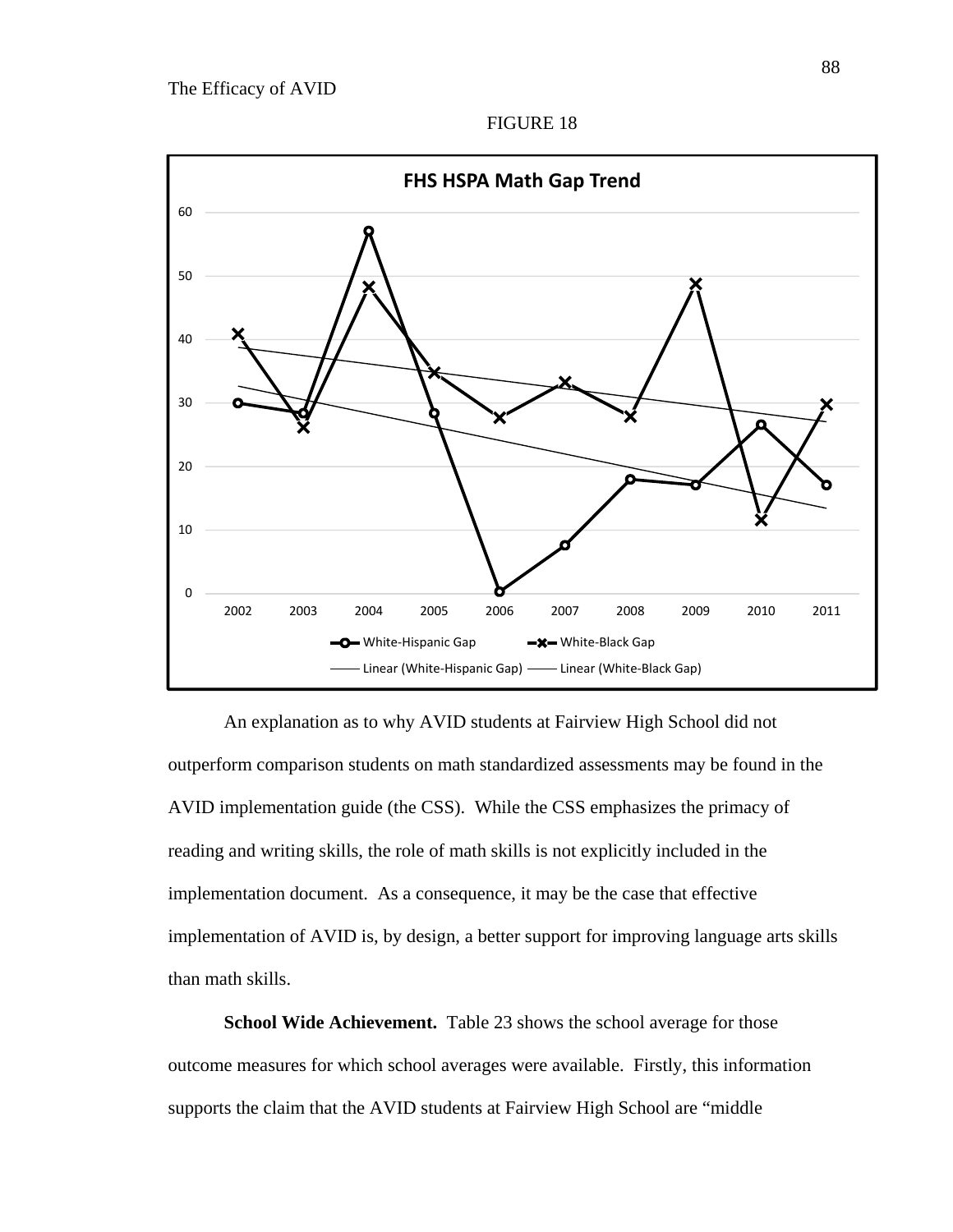

An explanation as to why AVID students at Fairview High School did not outperform comparison students on math standardized assessments may be found in the AVID implementation guide (the CSS). While the CSS emphasizes the primacy of reading and writing skills, the role of math skills is not explicitly included in the implementation document. As a consequence, it may be the case that effective implementation of AVID is, by design, a better support for improving language arts skills than math skills.

**School Wide Achievement.** Table 23 shows the school average for those outcome measures for which school averages were available. Firstly, this information supports the claim that the AVID students at Fairview High School are "middle

FIGURE 18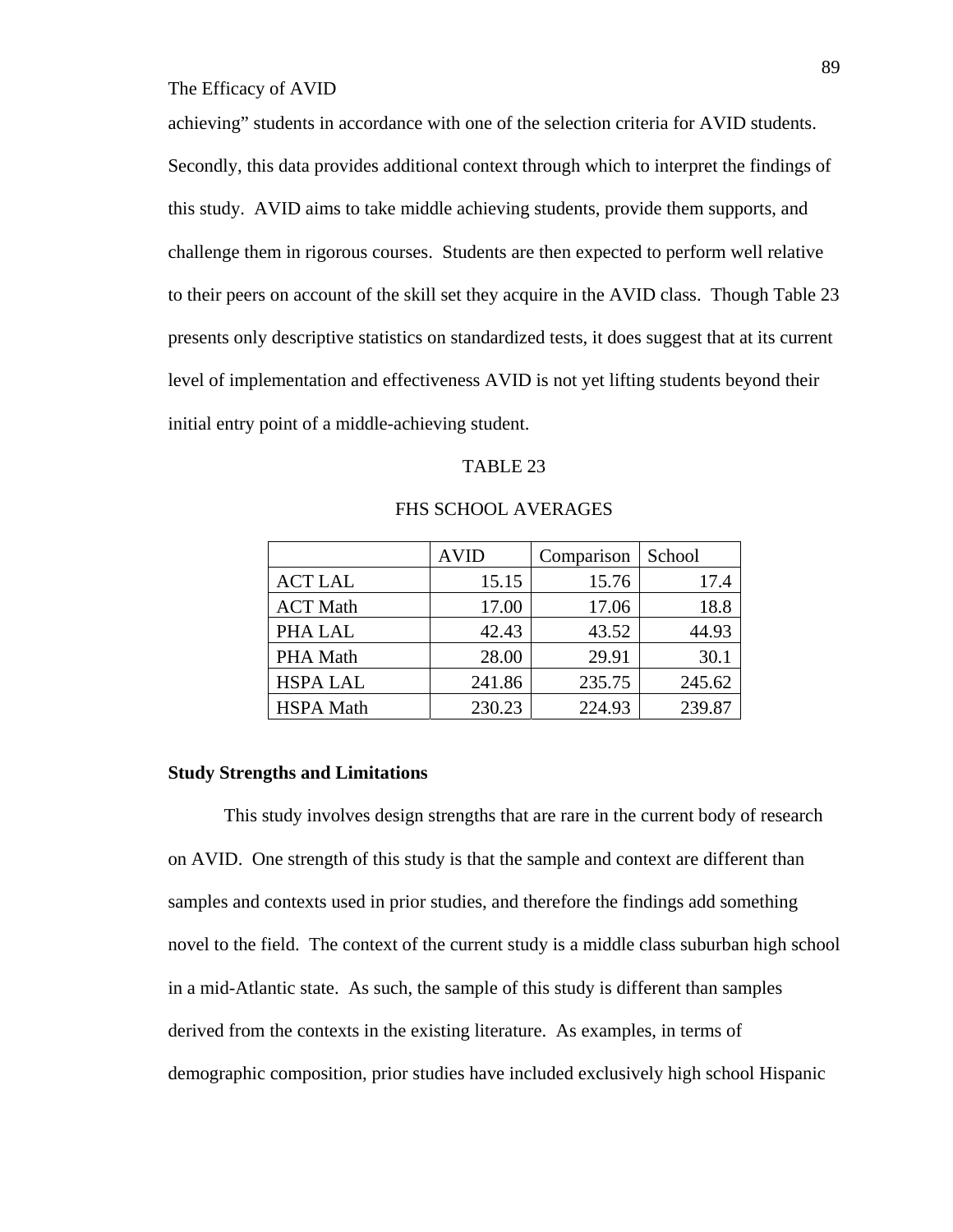achieving" students in accordance with one of the selection criteria for AVID students. Secondly, this data provides additional context through which to interpret the findings of this study. AVID aims to take middle achieving students, provide them supports, and challenge them in rigorous courses. Students are then expected to perform well relative to their peers on account of the skill set they acquire in the AVID class. Though Table 23 presents only descriptive statistics on standardized tests, it does suggest that at its current level of implementation and effectiveness AVID is not yet lifting students beyond their initial entry point of a middle-achieving student.

## TABLE 23

|                  | <b>AVID</b> | Comparison | School |
|------------------|-------------|------------|--------|
| <b>ACT LAL</b>   | 15.15       | 15.76      | 17.4   |
| <b>ACT Math</b>  | 17.00       | 17.06      | 18.8   |
| PHA LAL          | 42.43       | 43.52      | 44.93  |
| PHA Math         | 28.00       | 29.91      | 30.1   |
| <b>HSPA LAL</b>  | 241.86      | 235.75     | 245.62 |
| <b>HSPA</b> Math | 230.23      | 224.93     | 239.87 |

### FHS SCHOOL AVERAGES

#### **Study Strengths and Limitations**

 This study involves design strengths that are rare in the current body of research on AVID. One strength of this study is that the sample and context are different than samples and contexts used in prior studies, and therefore the findings add something novel to the field. The context of the current study is a middle class suburban high school in a mid-Atlantic state. As such, the sample of this study is different than samples derived from the contexts in the existing literature. As examples, in terms of demographic composition, prior studies have included exclusively high school Hispanic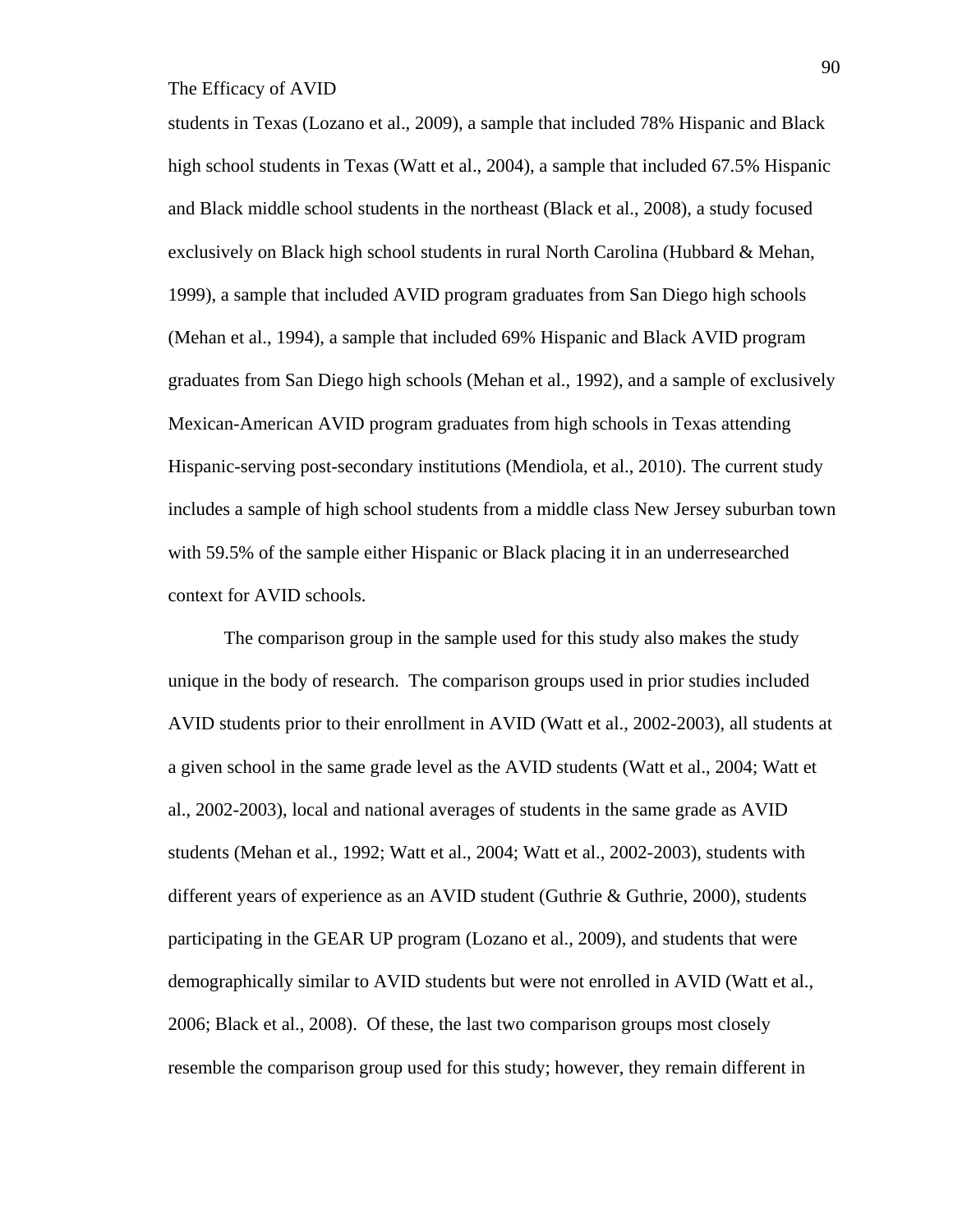students in Texas (Lozano et al., 2009), a sample that included 78% Hispanic and Black high school students in Texas (Watt et al., 2004), a sample that included 67.5% Hispanic and Black middle school students in the northeast (Black et al., 2008), a study focused exclusively on Black high school students in rural North Carolina (Hubbard & Mehan, 1999), a sample that included AVID program graduates from San Diego high schools (Mehan et al., 1994), a sample that included 69% Hispanic and Black AVID program graduates from San Diego high schools (Mehan et al., 1992), and a sample of exclusively Mexican-American AVID program graduates from high schools in Texas attending Hispanic-serving post-secondary institutions (Mendiola, et al., 2010). The current study includes a sample of high school students from a middle class New Jersey suburban town with 59.5% of the sample either Hispanic or Black placing it in an underresearched context for AVID schools.

The comparison group in the sample used for this study also makes the study unique in the body of research. The comparison groups used in prior studies included AVID students prior to their enrollment in AVID (Watt et al., 2002-2003), all students at a given school in the same grade level as the AVID students (Watt et al., 2004; Watt et al., 2002-2003), local and national averages of students in the same grade as AVID students (Mehan et al., 1992; Watt et al., 2004; Watt et al., 2002-2003), students with different years of experience as an AVID student (Guthrie & Guthrie, 2000), students participating in the GEAR UP program (Lozano et al., 2009), and students that were demographically similar to AVID students but were not enrolled in AVID (Watt et al., 2006; Black et al., 2008). Of these, the last two comparison groups most closely resemble the comparison group used for this study; however, they remain different in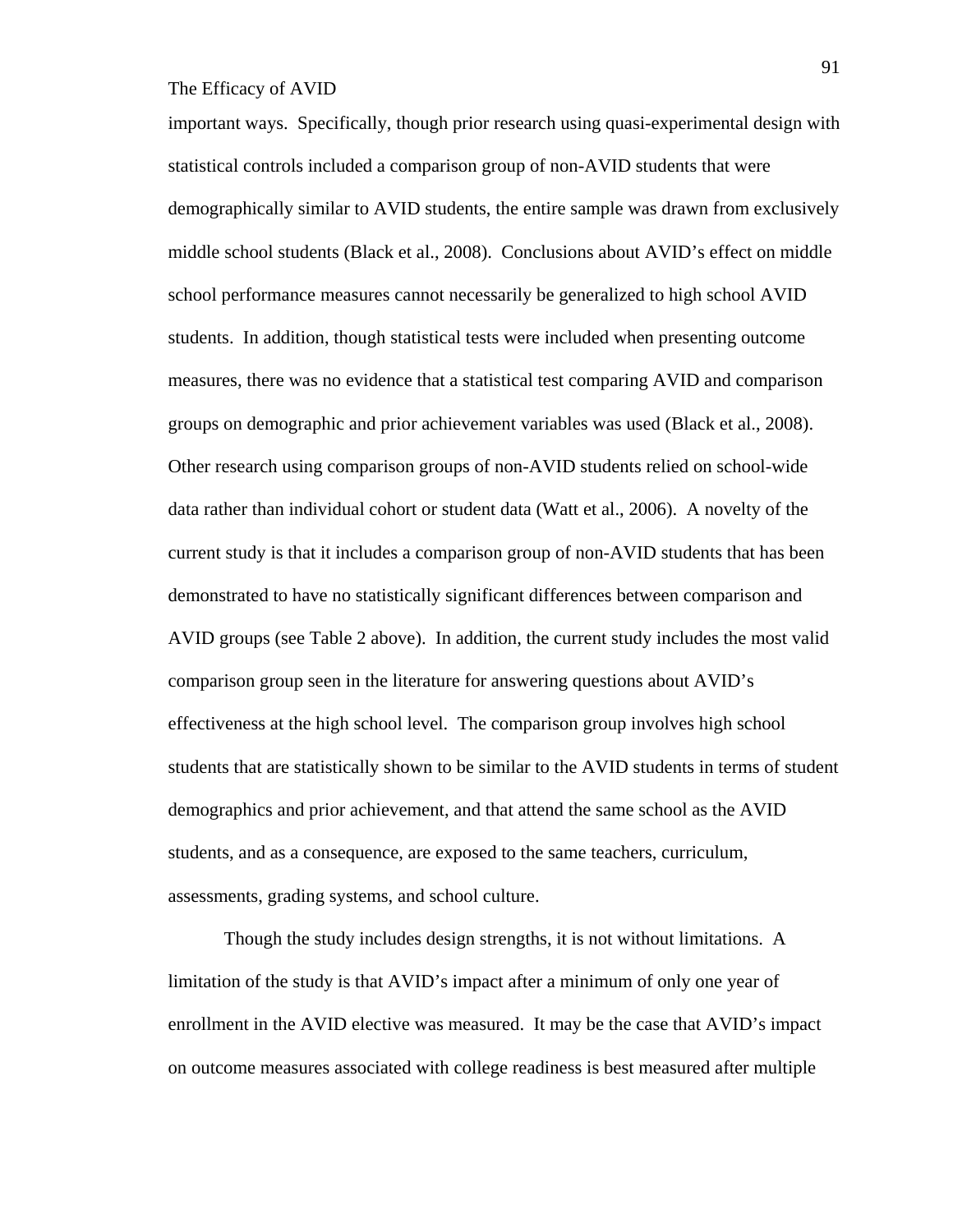important ways. Specifically, though prior research using quasi-experimental design with statistical controls included a comparison group of non-AVID students that were demographically similar to AVID students, the entire sample was drawn from exclusively middle school students (Black et al., 2008). Conclusions about AVID's effect on middle school performance measures cannot necessarily be generalized to high school AVID students. In addition, though statistical tests were included when presenting outcome measures, there was no evidence that a statistical test comparing AVID and comparison groups on demographic and prior achievement variables was used (Black et al., 2008). Other research using comparison groups of non-AVID students relied on school-wide data rather than individual cohort or student data (Watt et al., 2006). A novelty of the current study is that it includes a comparison group of non-AVID students that has been demonstrated to have no statistically significant differences between comparison and AVID groups (see Table 2 above). In addition, the current study includes the most valid comparison group seen in the literature for answering questions about AVID's effectiveness at the high school level. The comparison group involves high school students that are statistically shown to be similar to the AVID students in terms of student demographics and prior achievement, and that attend the same school as the AVID students, and as a consequence, are exposed to the same teachers, curriculum, assessments, grading systems, and school culture.

Though the study includes design strengths, it is not without limitations. A limitation of the study is that AVID's impact after a minimum of only one year of enrollment in the AVID elective was measured. It may be the case that AVID's impact on outcome measures associated with college readiness is best measured after multiple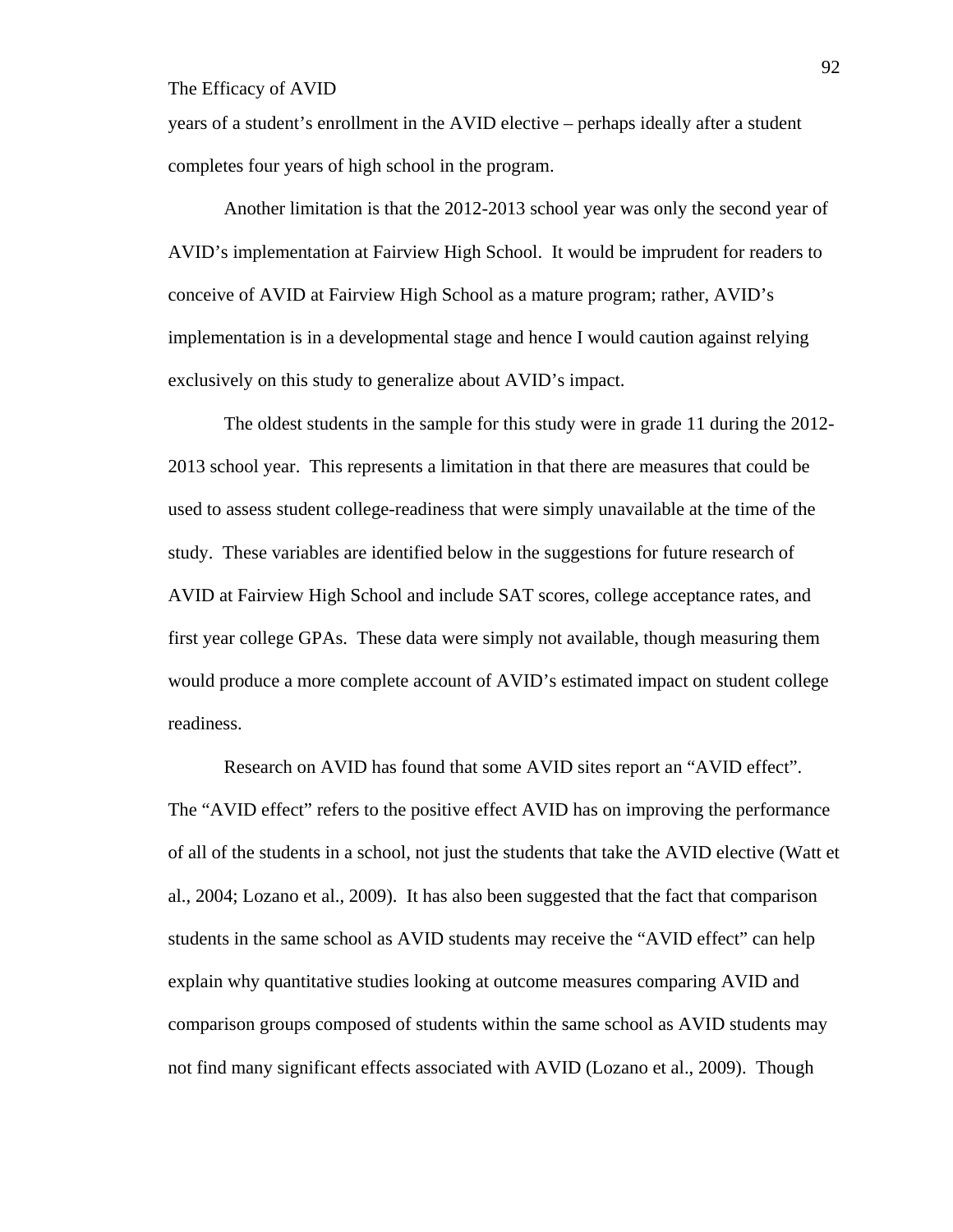years of a student's enrollment in the AVID elective – perhaps ideally after a student completes four years of high school in the program.

Another limitation is that the 2012-2013 school year was only the second year of AVID's implementation at Fairview High School. It would be imprudent for readers to conceive of AVID at Fairview High School as a mature program; rather, AVID's implementation is in a developmental stage and hence I would caution against relying exclusively on this study to generalize about AVID's impact.

The oldest students in the sample for this study were in grade 11 during the 2012- 2013 school year. This represents a limitation in that there are measures that could be used to assess student college-readiness that were simply unavailable at the time of the study. These variables are identified below in the suggestions for future research of AVID at Fairview High School and include SAT scores, college acceptance rates, and first year college GPAs. These data were simply not available, though measuring them would produce a more complete account of AVID's estimated impact on student college readiness.

Research on AVID has found that some AVID sites report an "AVID effect". The "AVID effect" refers to the positive effect AVID has on improving the performance of all of the students in a school, not just the students that take the AVID elective (Watt et al., 2004; Lozano et al., 2009). It has also been suggested that the fact that comparison students in the same school as AVID students may receive the "AVID effect" can help explain why quantitative studies looking at outcome measures comparing AVID and comparison groups composed of students within the same school as AVID students may not find many significant effects associated with AVID (Lozano et al., 2009). Though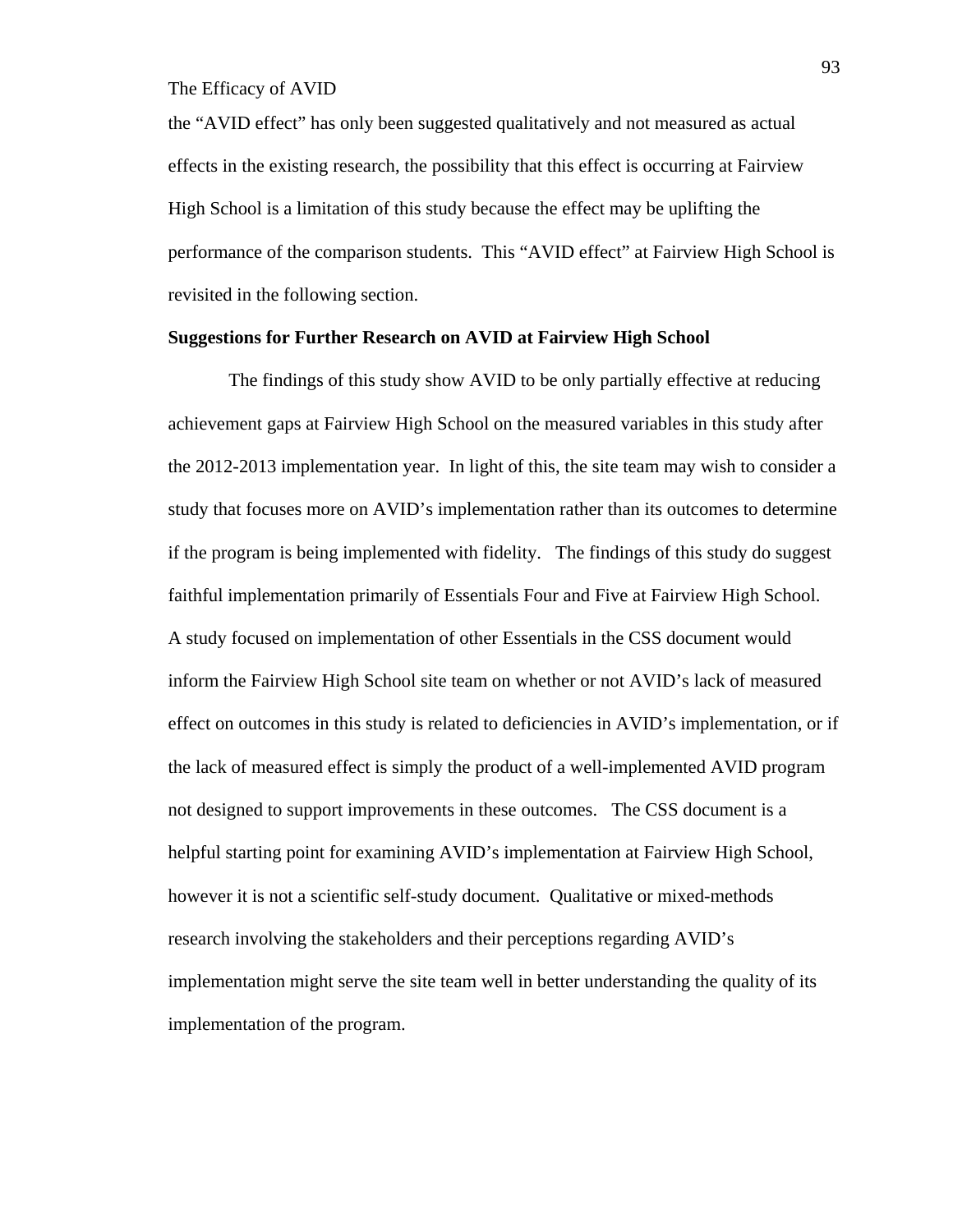the "AVID effect" has only been suggested qualitatively and not measured as actual effects in the existing research, the possibility that this effect is occurring at Fairview High School is a limitation of this study because the effect may be uplifting the performance of the comparison students. This "AVID effect" at Fairview High School is revisited in the following section.

#### **Suggestions for Further Research on AVID at Fairview High School**

 The findings of this study show AVID to be only partially effective at reducing achievement gaps at Fairview High School on the measured variables in this study after the 2012-2013 implementation year. In light of this, the site team may wish to consider a study that focuses more on AVID's implementation rather than its outcomes to determine if the program is being implemented with fidelity. The findings of this study do suggest faithful implementation primarily of Essentials Four and Five at Fairview High School. A study focused on implementation of other Essentials in the CSS document would inform the Fairview High School site team on whether or not AVID's lack of measured effect on outcomes in this study is related to deficiencies in AVID's implementation, or if the lack of measured effect is simply the product of a well-implemented AVID program not designed to support improvements in these outcomes. The CSS document is a helpful starting point for examining AVID's implementation at Fairview High School, however it is not a scientific self-study document. Qualitative or mixed-methods research involving the stakeholders and their perceptions regarding AVID's implementation might serve the site team well in better understanding the quality of its implementation of the program.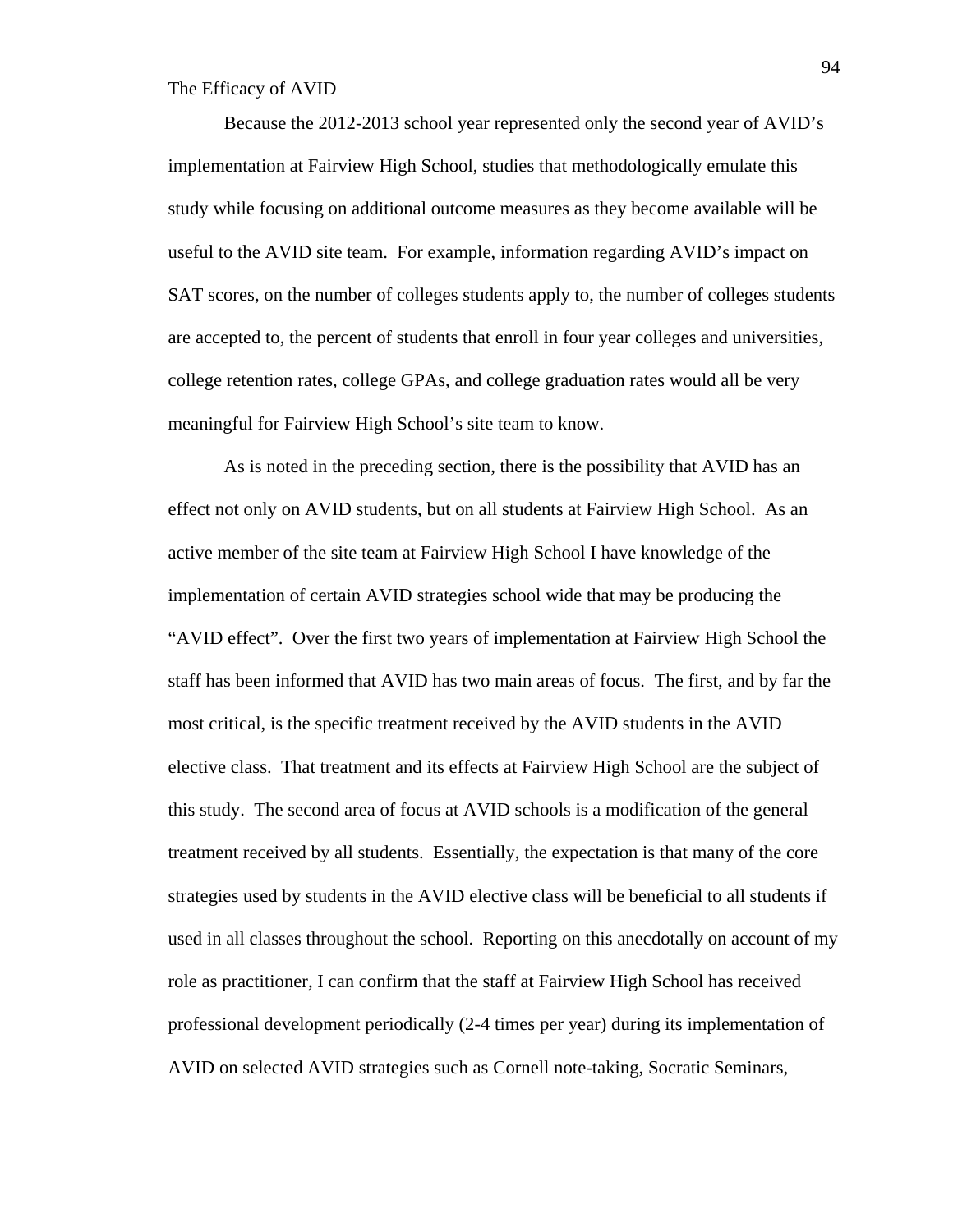Because the 2012-2013 school year represented only the second year of AVID's implementation at Fairview High School, studies that methodologically emulate this study while focusing on additional outcome measures as they become available will be useful to the AVID site team. For example, information regarding AVID's impact on SAT scores, on the number of colleges students apply to, the number of colleges students are accepted to, the percent of students that enroll in four year colleges and universities, college retention rates, college GPAs, and college graduation rates would all be very meaningful for Fairview High School's site team to know.

As is noted in the preceding section, there is the possibility that AVID has an effect not only on AVID students, but on all students at Fairview High School. As an active member of the site team at Fairview High School I have knowledge of the implementation of certain AVID strategies school wide that may be producing the "AVID effect". Over the first two years of implementation at Fairview High School the staff has been informed that AVID has two main areas of focus. The first, and by far the most critical, is the specific treatment received by the AVID students in the AVID elective class. That treatment and its effects at Fairview High School are the subject of this study. The second area of focus at AVID schools is a modification of the general treatment received by all students. Essentially, the expectation is that many of the core strategies used by students in the AVID elective class will be beneficial to all students if used in all classes throughout the school. Reporting on this anecdotally on account of my role as practitioner, I can confirm that the staff at Fairview High School has received professional development periodically (2-4 times per year) during its implementation of AVID on selected AVID strategies such as Cornell note-taking, Socratic Seminars,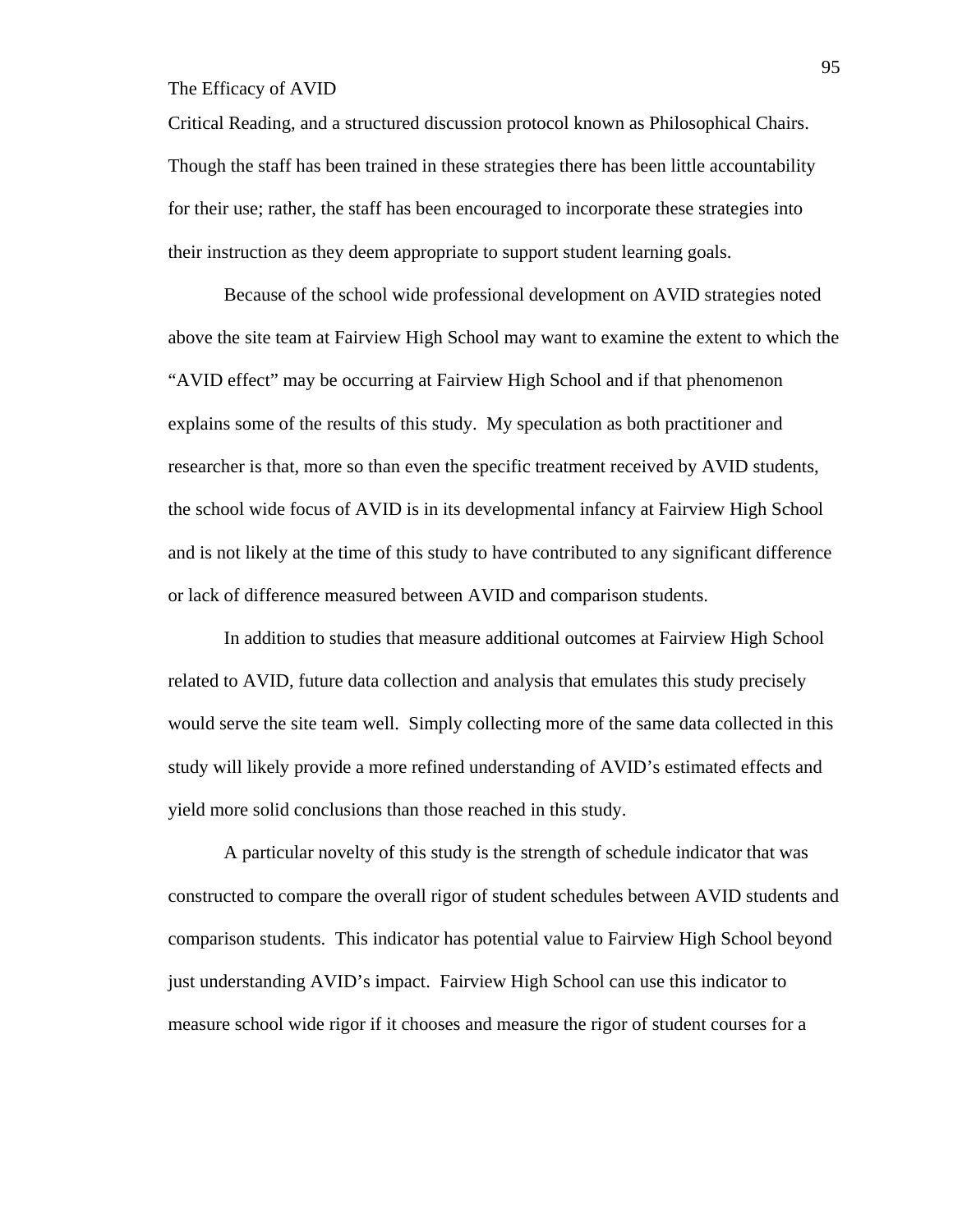Critical Reading, and a structured discussion protocol known as Philosophical Chairs. Though the staff has been trained in these strategies there has been little accountability for their use; rather, the staff has been encouraged to incorporate these strategies into their instruction as they deem appropriate to support student learning goals.

Because of the school wide professional development on AVID strategies noted above the site team at Fairview High School may want to examine the extent to which the "AVID effect" may be occurring at Fairview High School and if that phenomenon explains some of the results of this study. My speculation as both practitioner and researcher is that, more so than even the specific treatment received by AVID students, the school wide focus of AVID is in its developmental infancy at Fairview High School and is not likely at the time of this study to have contributed to any significant difference or lack of difference measured between AVID and comparison students.

In addition to studies that measure additional outcomes at Fairview High School related to AVID, future data collection and analysis that emulates this study precisely would serve the site team well. Simply collecting more of the same data collected in this study will likely provide a more refined understanding of AVID's estimated effects and yield more solid conclusions than those reached in this study.

A particular novelty of this study is the strength of schedule indicator that was constructed to compare the overall rigor of student schedules between AVID students and comparison students. This indicator has potential value to Fairview High School beyond just understanding AVID's impact. Fairview High School can use this indicator to measure school wide rigor if it chooses and measure the rigor of student courses for a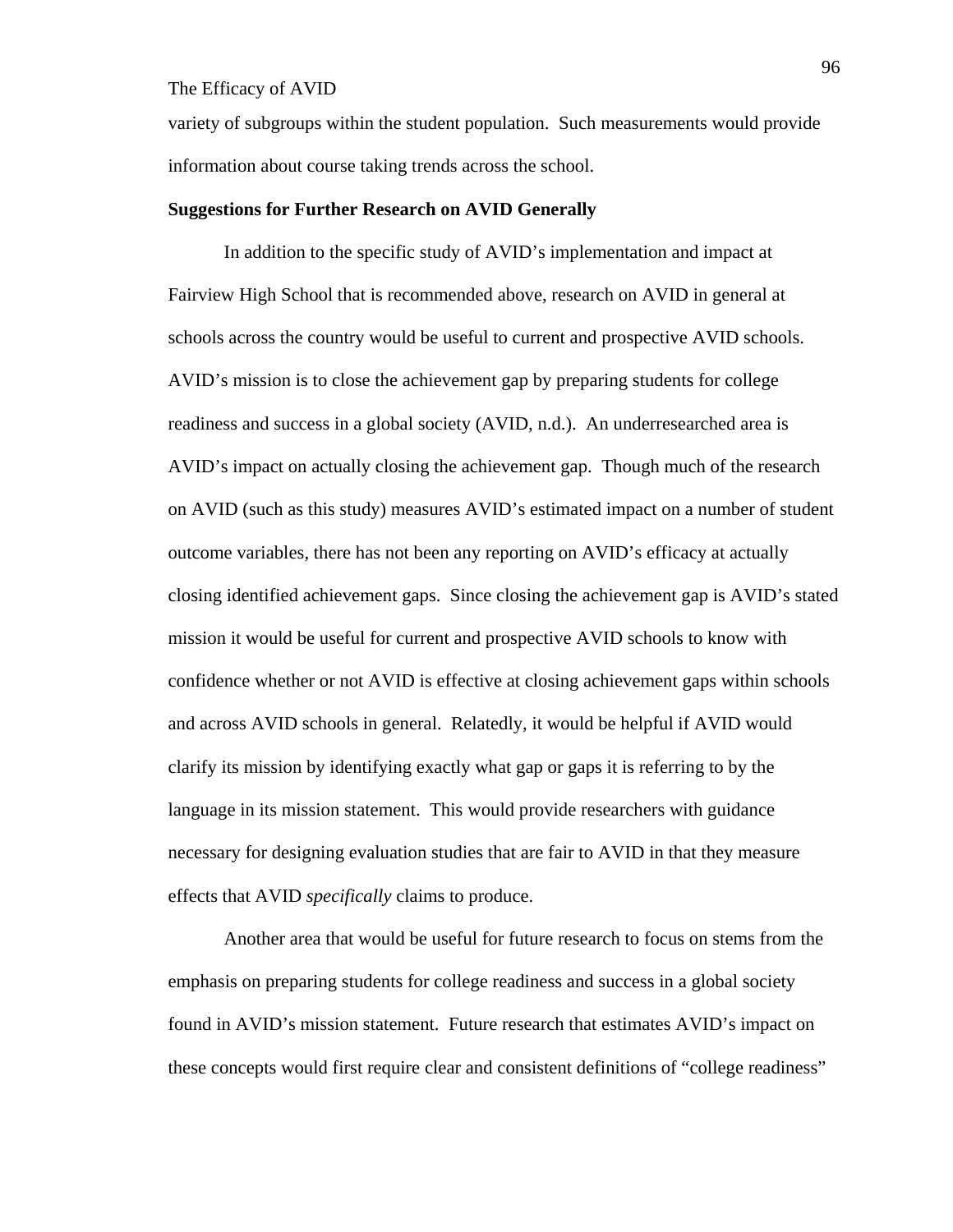variety of subgroups within the student population. Such measurements would provide information about course taking trends across the school.

#### **Suggestions for Further Research on AVID Generally**

 In addition to the specific study of AVID's implementation and impact at Fairview High School that is recommended above, research on AVID in general at schools across the country would be useful to current and prospective AVID schools. AVID's mission is to close the achievement gap by preparing students for college readiness and success in a global society (AVID, n.d.). An underresearched area is AVID's impact on actually closing the achievement gap. Though much of the research on AVID (such as this study) measures AVID's estimated impact on a number of student outcome variables, there has not been any reporting on AVID's efficacy at actually closing identified achievement gaps. Since closing the achievement gap is AVID's stated mission it would be useful for current and prospective AVID schools to know with confidence whether or not AVID is effective at closing achievement gaps within schools and across AVID schools in general. Relatedly, it would be helpful if AVID would clarify its mission by identifying exactly what gap or gaps it is referring to by the language in its mission statement. This would provide researchers with guidance necessary for designing evaluation studies that are fair to AVID in that they measure effects that AVID *specifically* claims to produce.

 Another area that would be useful for future research to focus on stems from the emphasis on preparing students for college readiness and success in a global society found in AVID's mission statement. Future research that estimates AVID's impact on these concepts would first require clear and consistent definitions of "college readiness"

96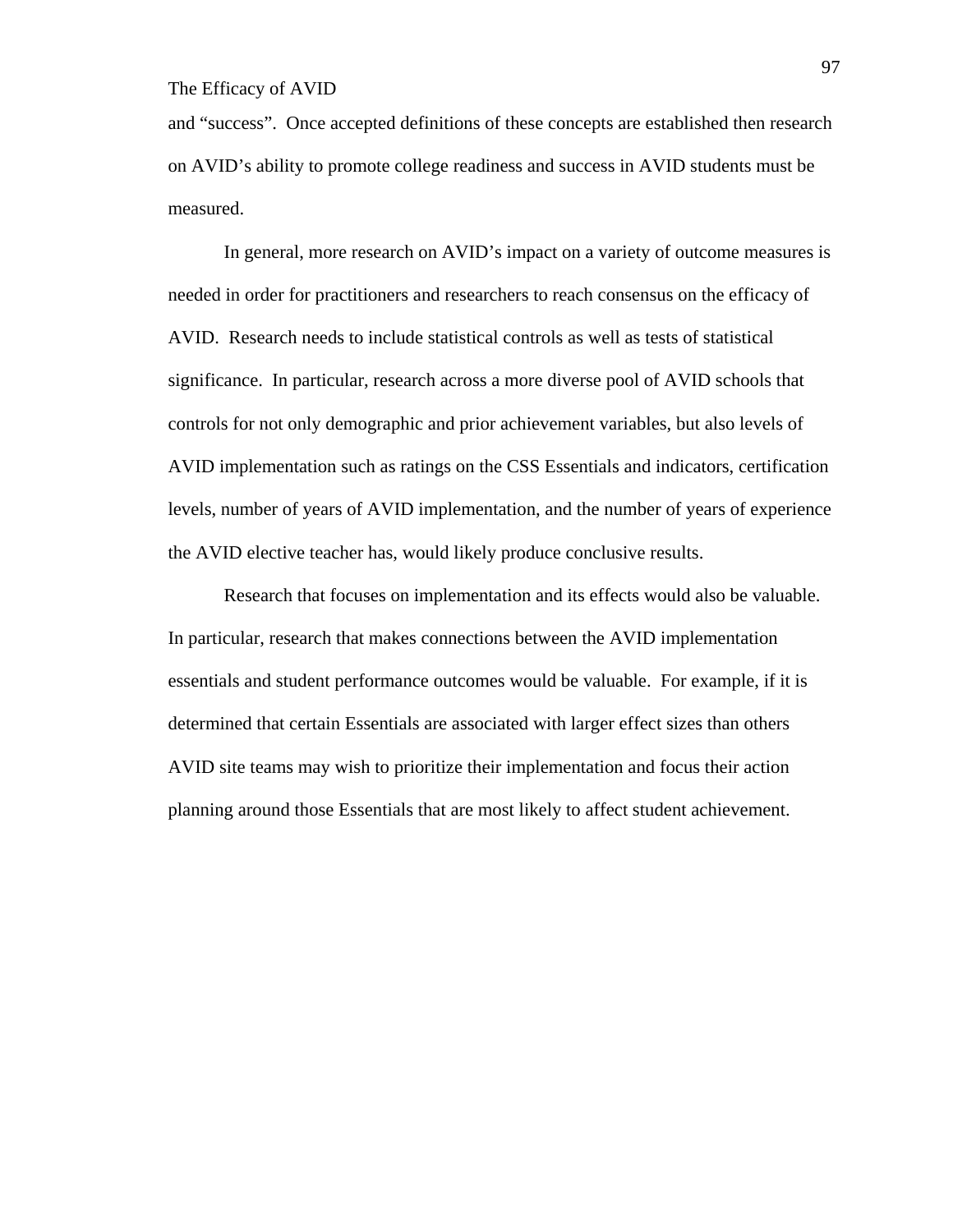and "success". Once accepted definitions of these concepts are established then research on AVID's ability to promote college readiness and success in AVID students must be measured.

 In general, more research on AVID's impact on a variety of outcome measures is needed in order for practitioners and researchers to reach consensus on the efficacy of AVID. Research needs to include statistical controls as well as tests of statistical significance. In particular, research across a more diverse pool of AVID schools that controls for not only demographic and prior achievement variables, but also levels of AVID implementation such as ratings on the CSS Essentials and indicators, certification levels, number of years of AVID implementation, and the number of years of experience the AVID elective teacher has, would likely produce conclusive results.

Research that focuses on implementation and its effects would also be valuable. In particular, research that makes connections between the AVID implementation essentials and student performance outcomes would be valuable. For example, if it is determined that certain Essentials are associated with larger effect sizes than others AVID site teams may wish to prioritize their implementation and focus their action planning around those Essentials that are most likely to affect student achievement.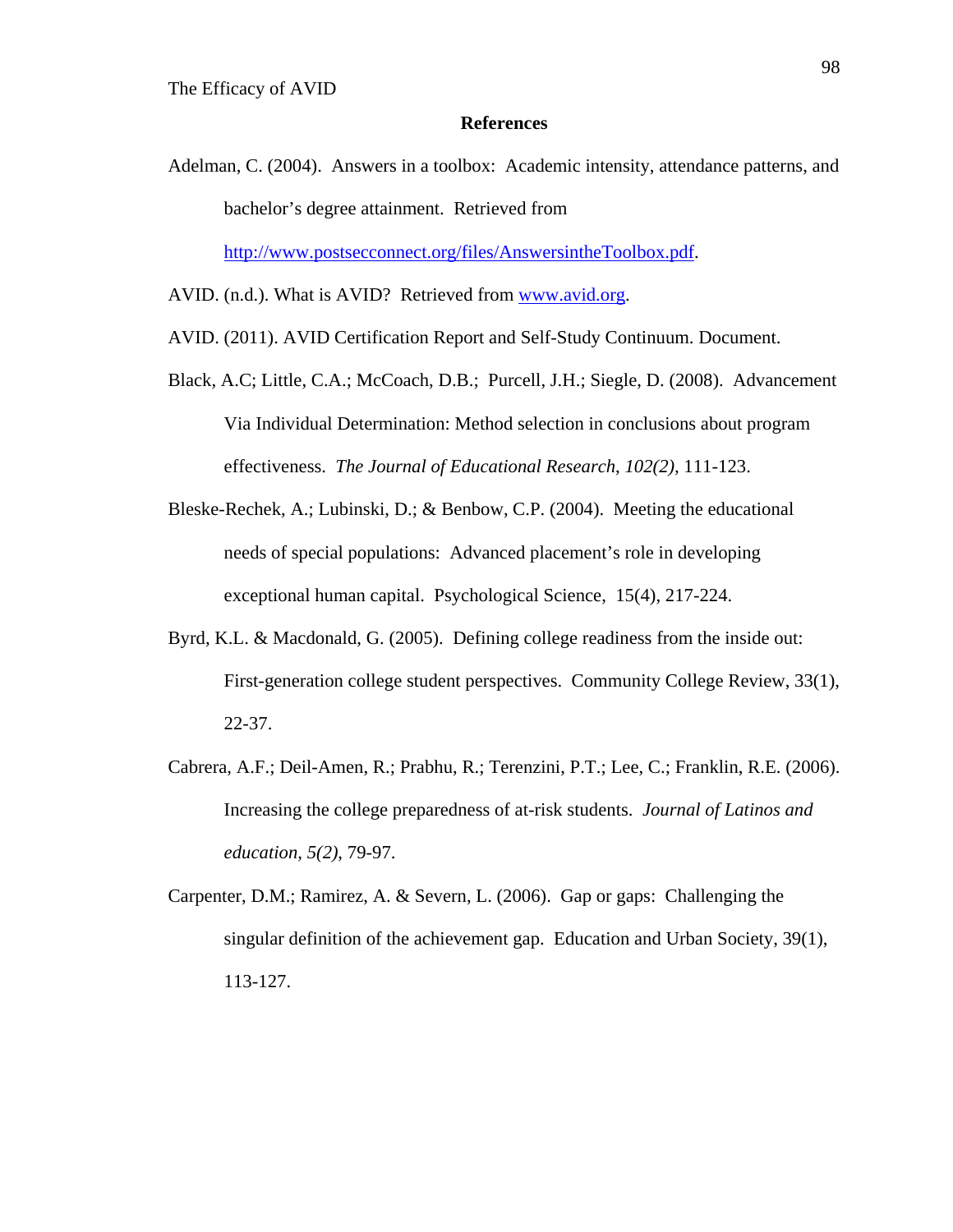## **References**

Adelman, C. (2004). Answers in a toolbox: Academic intensity, attendance patterns, and bachelor's degree attainment. Retrieved from

http://www.postsecconnect.org/files/AnswersintheToolbox.pdf.

- AVID. (n.d.). What is AVID? Retrieved from www.avid.org.
- AVID. (2011). AVID Certification Report and Self-Study Continuum. Document.
- Black, A.C; Little, C.A.; McCoach, D.B.; Purcell, J.H.; Siegle, D. (2008). Advancement Via Individual Determination: Method selection in conclusions about program effectiveness. *The Journal of Educational Research*, *102(2),* 111-123.
- Bleske-Rechek, A.; Lubinski, D.; & Benbow, C.P. (2004). Meeting the educational needs of special populations: Advanced placement's role in developing exceptional human capital. Psychological Science, 15(4), 217-224.
- Byrd, K.L. & Macdonald, G. (2005). Defining college readiness from the inside out: First-generation college student perspectives. Community College Review, 33(1), 22-37.
- Cabrera, A.F.; Deil-Amen, R.; Prabhu, R.; Terenzini, P.T.; Lee, C.; Franklin, R.E. (2006). Increasing the college preparedness of at-risk students. *Journal of Latinos and education, 5(2)*, 79-97.
- Carpenter, D.M.; Ramirez, A. & Severn, L. (2006). Gap or gaps: Challenging the singular definition of the achievement gap. Education and Urban Society, 39(1), 113-127.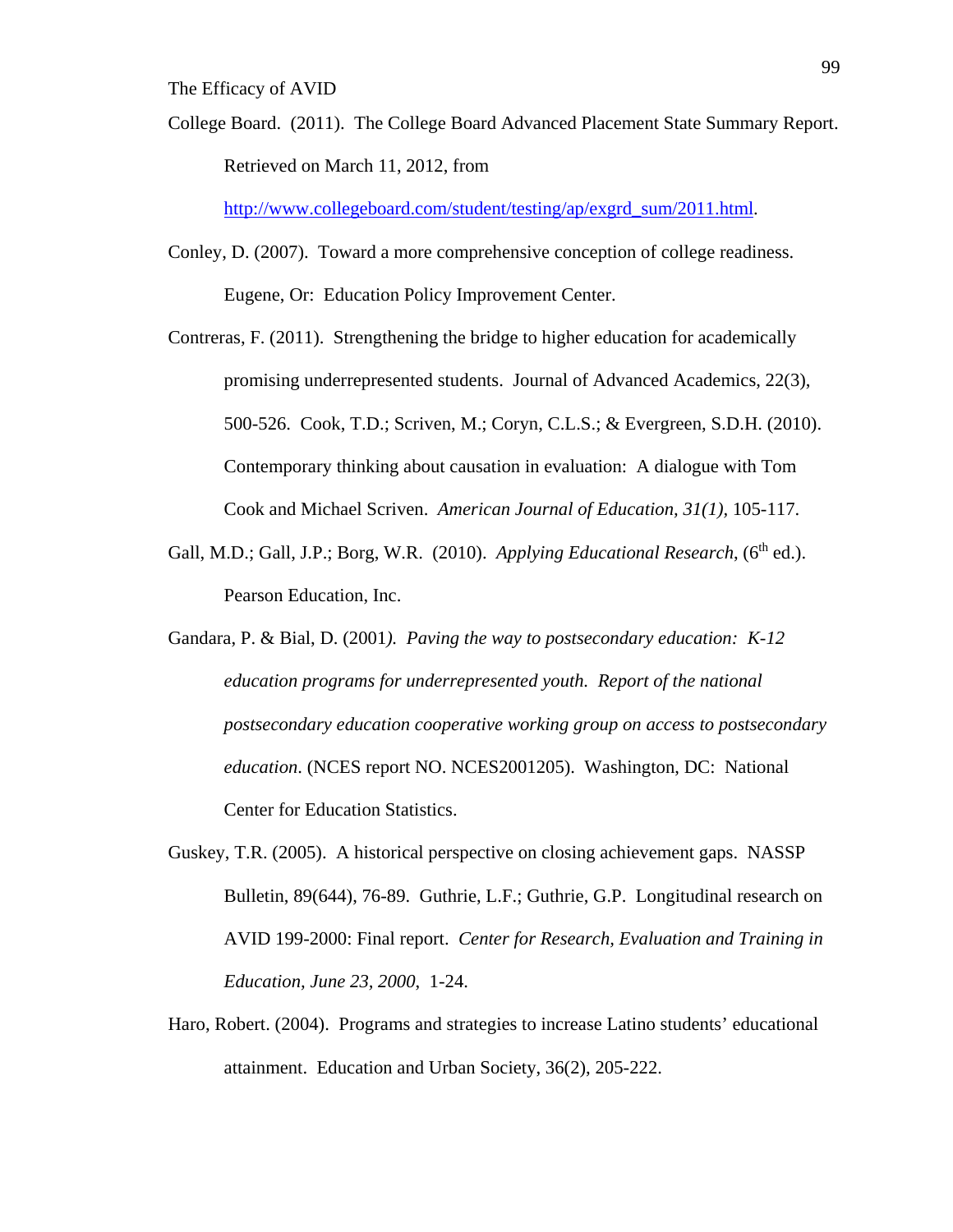College Board. (2011). The College Board Advanced Placement State Summary Report. Retrieved on March 11, 2012, from

http://www.collegeboard.com/student/testing/ap/exgrd\_sum/2011.html.

- Conley, D. (2007). Toward a more comprehensive conception of college readiness. Eugene, Or: Education Policy Improvement Center.
- Contreras, F. (2011). Strengthening the bridge to higher education for academically promising underrepresented students. Journal of Advanced Academics, 22(3), 500-526. Cook, T.D.; Scriven, M.; Coryn, C.L.S.; & Evergreen, S.D.H. (2010). Contemporary thinking about causation in evaluation: A dialogue with Tom Cook and Michael Scriven. *American Journal of Education, 31(1),* 105-117.
- Gall, M.D.; Gall, J.P.; Borg, W.R. (2010). *Applying Educational Research*, (6<sup>th</sup> ed.). Pearson Education, Inc.
- Gandara, P. & Bial, D. (2001*). Paving the way to postsecondary education: K-12 education programs for underrepresented youth. Report of the national postsecondary education cooperative working group on access to postsecondary education*. (NCES report NO. NCES2001205). Washington, DC: National Center for Education Statistics.
- Guskey, T.R. (2005). A historical perspective on closing achievement gaps. NASSP Bulletin, 89(644), 76-89. Guthrie, L.F.; Guthrie, G.P. Longitudinal research on AVID 199-2000: Final report. *Center for Research, Evaluation and Training in Education, June 23, 2000*, 1-24.
- Haro, Robert. (2004). Programs and strategies to increase Latino students' educational attainment. Education and Urban Society, 36(2), 205-222.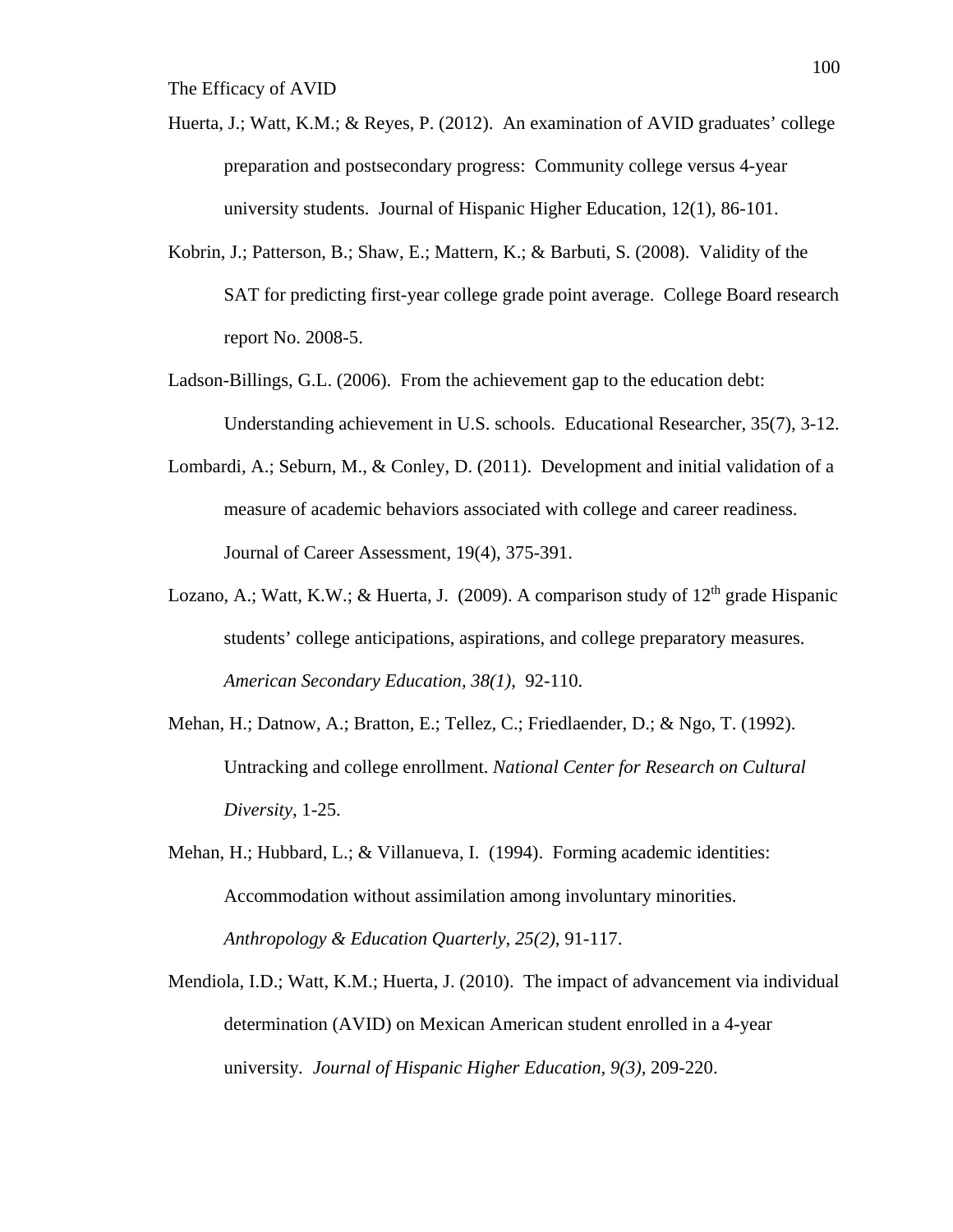- Huerta, J.; Watt, K.M.; & Reyes, P. (2012). An examination of AVID graduates' college preparation and postsecondary progress: Community college versus 4-year university students. Journal of Hispanic Higher Education, 12(1), 86-101.
- Kobrin, J.; Patterson, B.; Shaw, E.; Mattern, K.; & Barbuti, S. (2008). Validity of the SAT for predicting first-year college grade point average. College Board research report No. 2008-5.
- Ladson-Billings, G.L. (2006). From the achievement gap to the education debt: Understanding achievement in U.S. schools. Educational Researcher, 35(7), 3-12.
- Lombardi, A.; Seburn, M., & Conley, D. (2011). Development and initial validation of a measure of academic behaviors associated with college and career readiness. Journal of Career Assessment, 19(4), 375-391.
- Lozano, A.; Watt, K.W.; & Huerta, J. (2009). A comparison study of  $12<sup>th</sup>$  grade Hispanic students' college anticipations, aspirations, and college preparatory measures. *American Secondary Education, 38(1),* 92-110.
- Mehan, H.; Datnow, A.; Bratton, E.; Tellez, C.; Friedlaender, D.; & Ngo, T. (1992). Untracking and college enrollment. *National Center for Research on Cultural Diversity*, 1-25.
- Mehan, H.; Hubbard, L.; & Villanueva, I. (1994). Forming academic identities: Accommodation without assimilation among involuntary minorities. *Anthropology & Education Quarterly, 25(2)*, 91-117.
- Mendiola, I.D.; Watt, K.M.; Huerta, J. (2010). The impact of advancement via individual determination (AVID) on Mexican American student enrolled in a 4-year university*. Journal of Hispanic Higher Education, 9(3),* 209-220.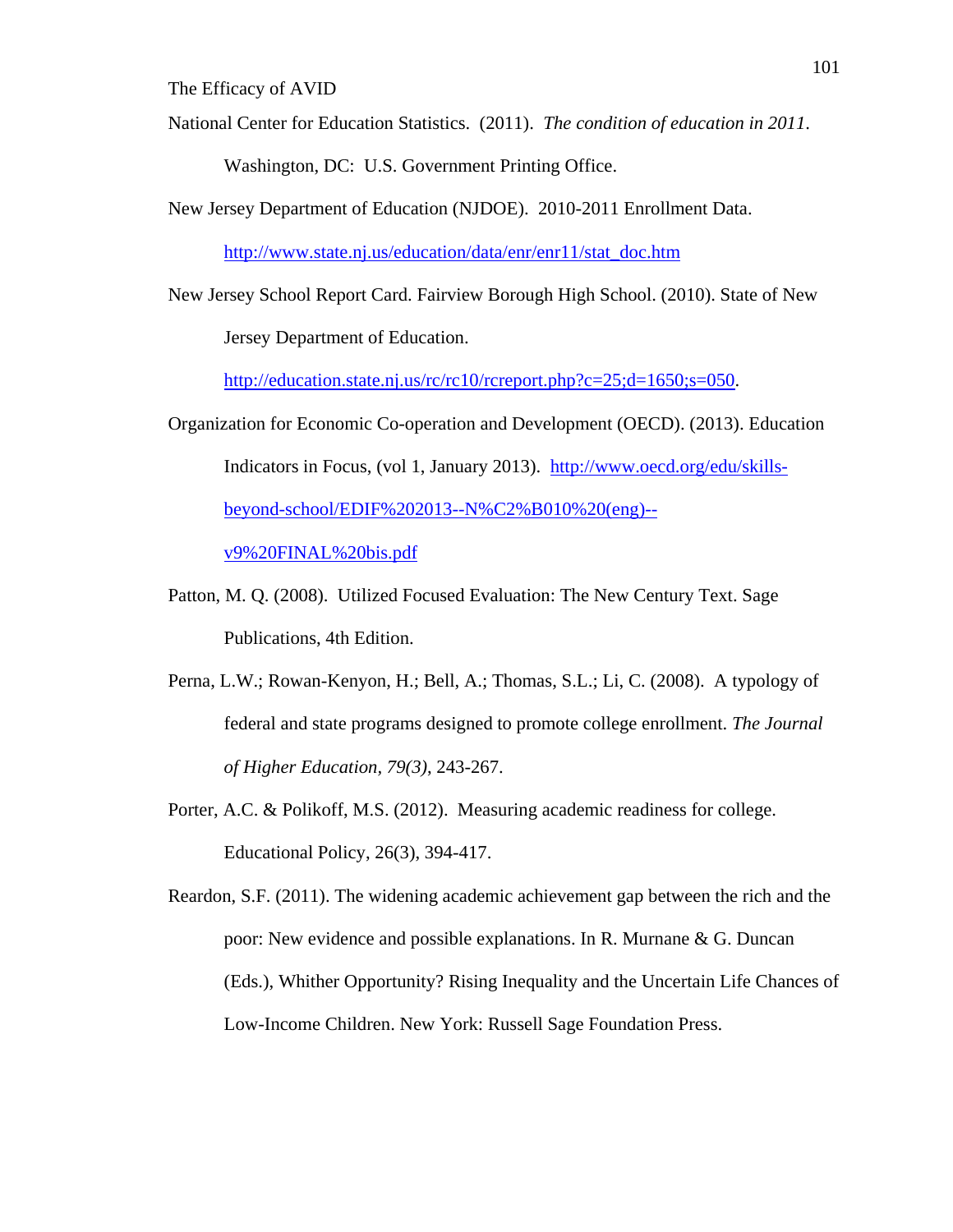National Center for Education Statistics. (2011). *The condition of education in 2011*.

Washington, DC: U.S. Government Printing Office.

New Jersey Department of Education (NJDOE). 2010-2011 Enrollment Data.

http://www.state.nj.us/education/data/enr/enr11/stat\_doc.htm

New Jersey School Report Card. Fairview Borough High School. (2010). State of New Jersey Department of Education.

http://education.state.nj.us/rc/rc10/rcreport.php?c=25;d=1650;s=050.

- Organization for Economic Co-operation and Development (OECD). (2013). Education Indicators in Focus, (vol 1, January 2013). http://www.oecd.org/edu/skillsbeyond-school/EDIF%202013--N%C2%B010%20(eng)- v9%20FINAL%20bis.pdf
- Patton, M. Q. (2008). Utilized Focused Evaluation: The New Century Text. Sage Publications, 4th Edition.
- Perna, L.W.; Rowan-Kenyon, H.; Bell, A.; Thomas, S.L.; Li, C. (2008). A typology of federal and state programs designed to promote college enrollment. *The Journal of Higher Education, 79(3)*, 243-267.
- Porter, A.C. & Polikoff, M.S. (2012). Measuring academic readiness for college. Educational Policy, 26(3), 394-417.

Reardon, S.F. (2011). The widening academic achievement gap between the rich and the poor: New evidence and possible explanations. In R. Murnane & G. Duncan (Eds.), Whither Opportunity? Rising Inequality and the Uncertain Life Chances of Low-Income Children. New York: Russell Sage Foundation Press.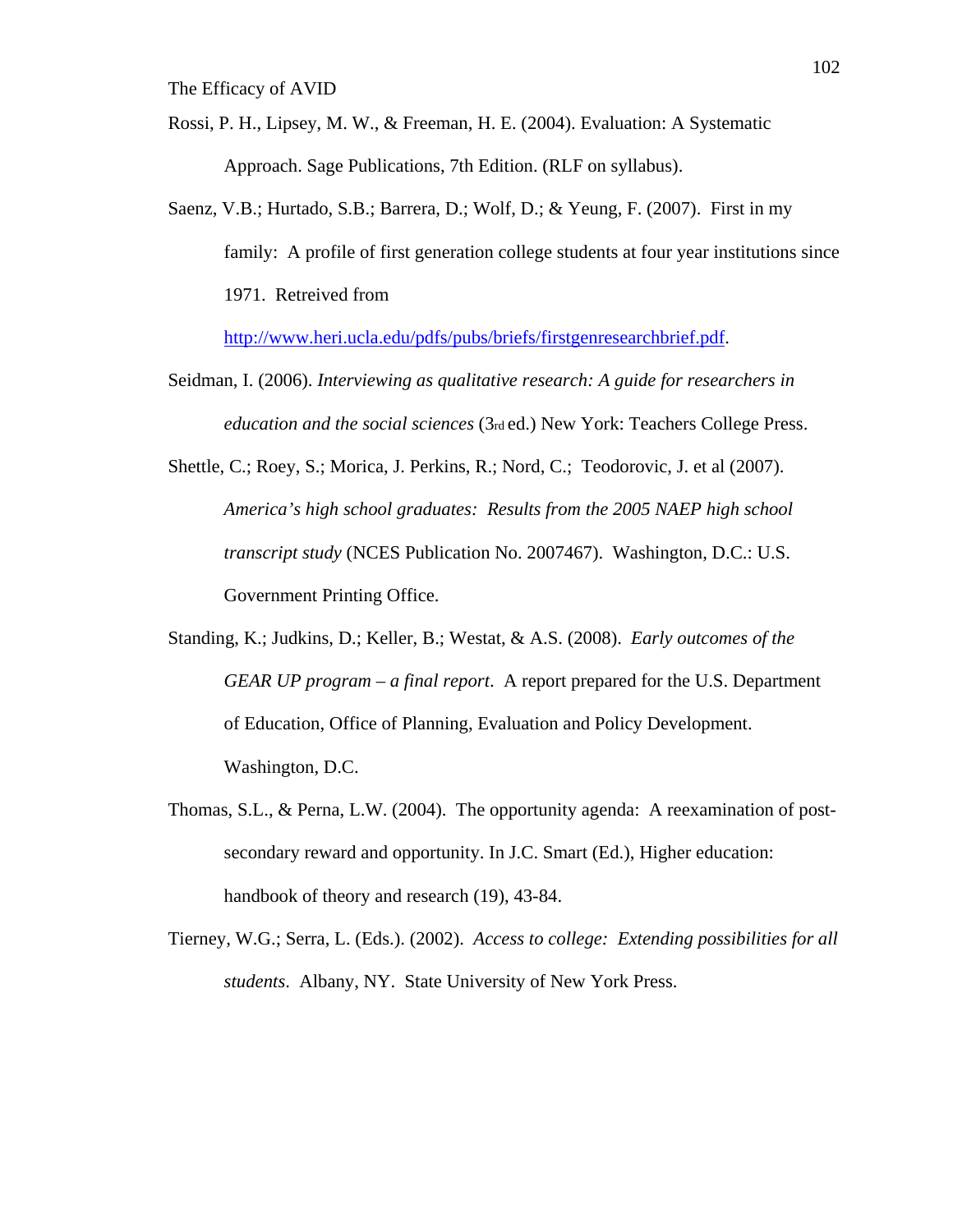- Rossi, P. H., Lipsey, M. W., & Freeman, H. E. (2004). Evaluation: A Systematic Approach. Sage Publications, 7th Edition. (RLF on syllabus).
- Saenz, V.B.; Hurtado, S.B.; Barrera, D.; Wolf, D.; & Yeung, F. (2007). First in my family: A profile of first generation college students at four year institutions since 1971. Retreived from

http://www.heri.ucla.edu/pdfs/pubs/briefs/firstgenresearchbrief.pdf.

- Seidman, I. (2006). *Interviewing as qualitative research: A guide for researchers in education and the social sciences* (3rd ed.) New York: Teachers College Press.
- Shettle, C.; Roey, S.; Morica, J. Perkins, R.; Nord, C.; Teodorovic, J. et al (2007). *America's high school graduates: Results from the 2005 NAEP high school transcript study* (NCES Publication No. 2007467). Washington, D.C.: U.S. Government Printing Office.
- Standing, K.; Judkins, D.; Keller, B.; Westat, & A.S. (2008). *Early outcomes of the GEAR UP program – a final report*. A report prepared for the U.S. Department of Education, Office of Planning, Evaluation and Policy Development. Washington, D.C.
- Thomas, S.L., & Perna, L.W. (2004). The opportunity agenda: A reexamination of postsecondary reward and opportunity. In J.C. Smart (Ed.), Higher education: handbook of theory and research (19), 43-84.
- Tierney, W.G.; Serra, L. (Eds.). (2002). *Access to college: Extending possibilities for all students*. Albany, NY. State University of New York Press.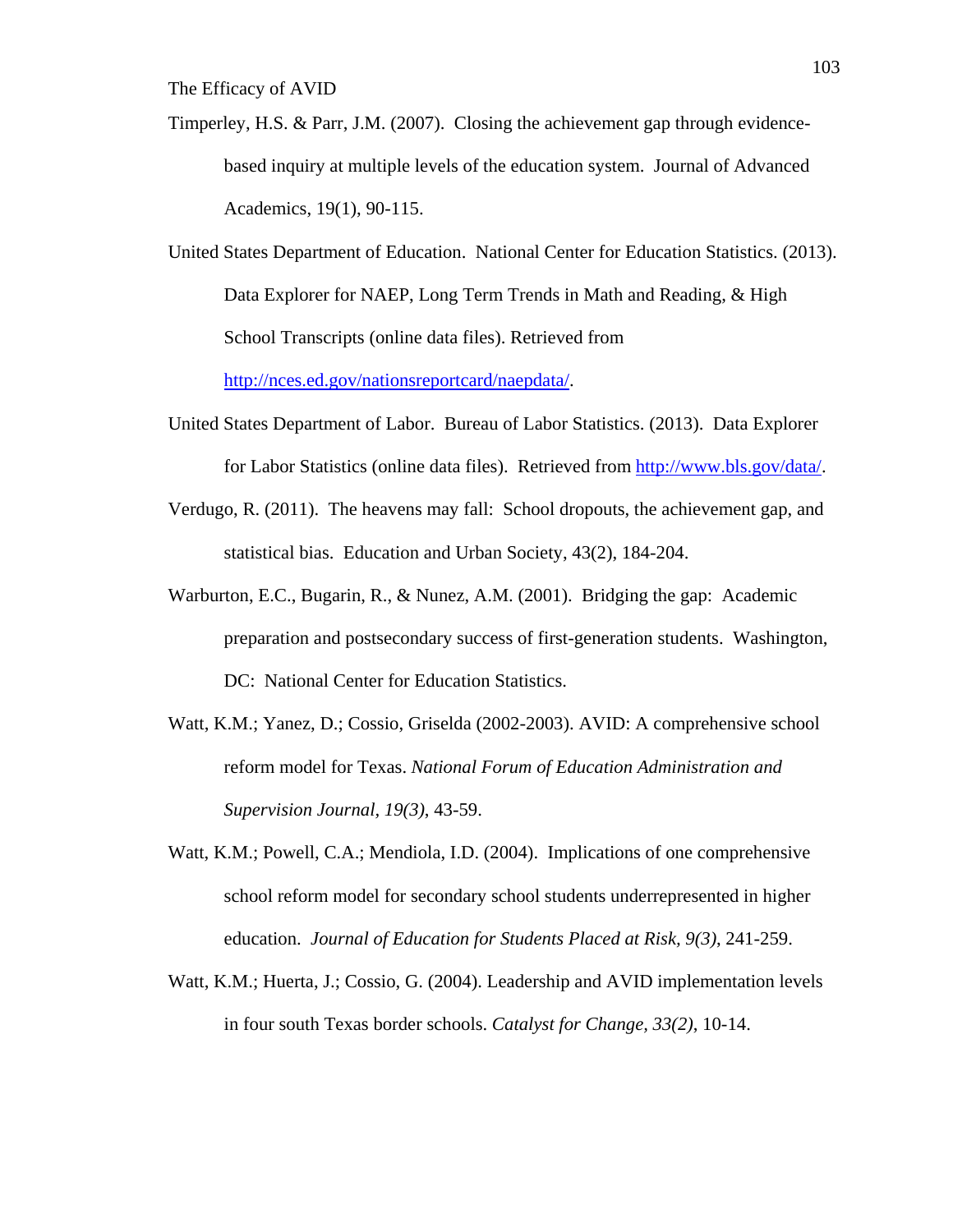- Timperley, H.S. & Parr, J.M. (2007). Closing the achievement gap through evidencebased inquiry at multiple levels of the education system. Journal of Advanced Academics, 19(1), 90-115.
- United States Department of Education. National Center for Education Statistics. (2013). Data Explorer for NAEP, Long Term Trends in Math and Reading, & High School Transcripts (online data files). Retrieved from

http://nces.ed.gov/nationsreportcard/naepdata/.

- United States Department of Labor. Bureau of Labor Statistics. (2013). Data Explorer for Labor Statistics (online data files). Retrieved from http://www.bls.gov/data/.
- Verdugo, R. (2011). The heavens may fall: School dropouts, the achievement gap, and statistical bias. Education and Urban Society, 43(2), 184-204.
- Warburton, E.C., Bugarin, R., & Nunez, A.M. (2001). Bridging the gap: Academic preparation and postsecondary success of first-generation students. Washington, DC: National Center for Education Statistics.
- Watt, K.M.; Yanez, D.; Cossio, Griselda (2002-2003). AVID: A comprehensive school reform model for Texas. *National Forum of Education Administration and Supervision Journal, 19(3)*, 43-59.
- Watt, K.M.; Powell, C.A.; Mendiola, I.D. (2004). Implications of one comprehensive school reform model for secondary school students underrepresented in higher education. *Journal of Education for Students Placed at Risk, 9(3)*, 241-259.
- Watt, K.M.; Huerta, J.; Cossio, G. (2004). Leadership and AVID implementation levels in four south Texas border schools. *Catalyst for Change, 33(2)*, 10-14.